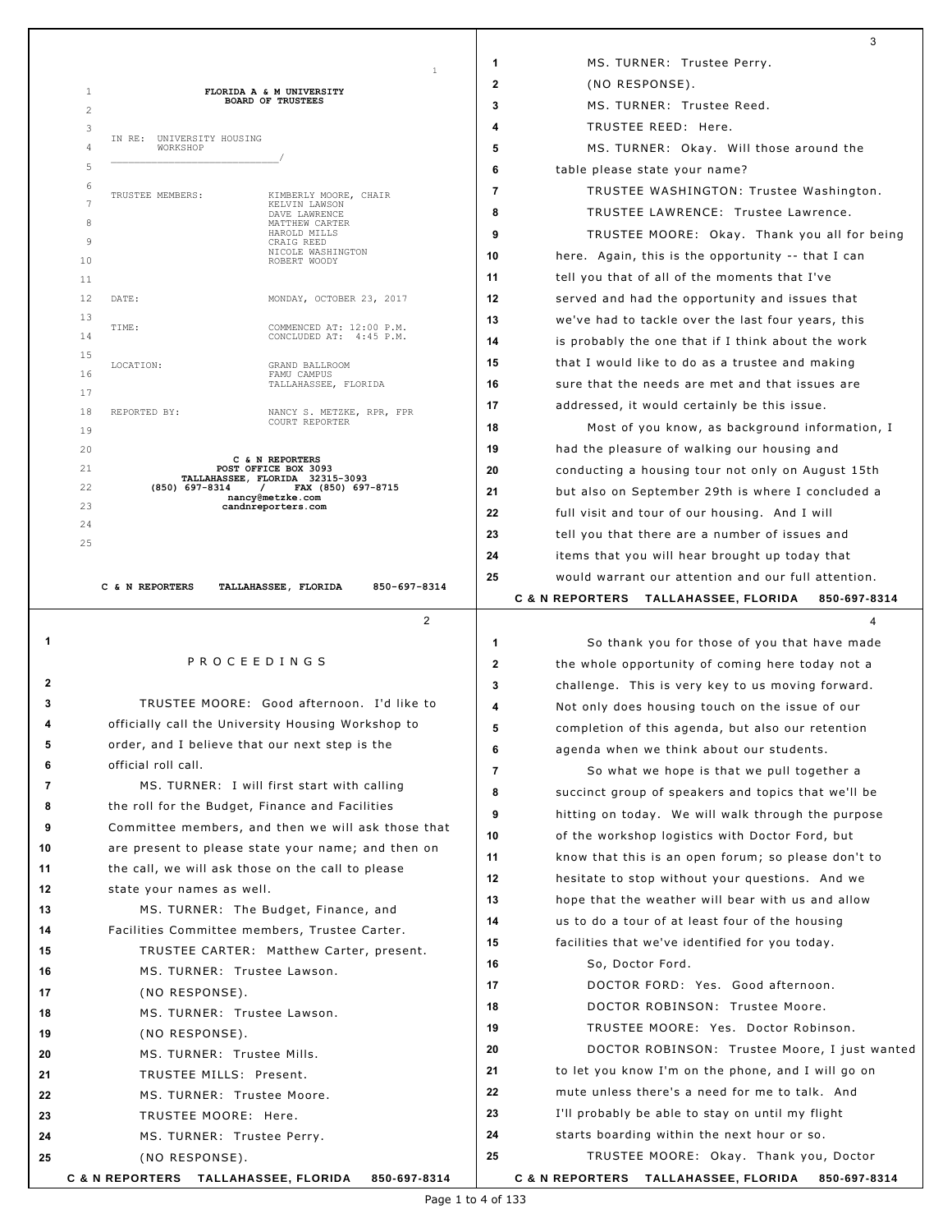|    |                                                                               |              | 3                                                    |
|----|-------------------------------------------------------------------------------|--------------|------------------------------------------------------|
|    | 1                                                                             | 1            | MS. TURNER: Trustee Perry.                           |
|    | 1<br>FLORIDA A & M UNIVERSITY                                                 | 2            | (NO RESPONSE).                                       |
|    | <b>BOARD OF TRUSTEES</b><br>$\overline{2}$                                    | 3            | MS. TURNER: Trustee Reed.                            |
|    | 3                                                                             | 4            | TRUSTEE REED: Here.                                  |
|    | IN RE: UNIVERSITY HOUSING<br>$\overline{4}$<br>WORKSHOP                       | 5            | MS. TURNER: Okay. Will those around the              |
|    | 5                                                                             | 6            | table please state your name?                        |
|    | 6<br>TRUSTEE MEMBERS:<br>KIMBERLY MOORE, CHAIR                                | 7            | TRUSTEE WASHINGTON: Trustee Washington.              |
|    | 7<br>KELVIN LAWSON<br>DAVE LAWRENCE                                           | 8            | TRUSTEE LAWRENCE: Trustee Lawrence.                  |
|    | 8<br>MATTHEW CARTER<br>HAROLD MILLS                                           | 9            | TRUSTEE MOORE: Okay. Thank you all for being         |
|    | 9<br>CRAIG REED<br>NICOLE WASHINGTON<br>10<br>ROBERT WOODY                    | 10           | here. Again, this is the opportunity -- that I can   |
|    | 11                                                                            | 11           | tell you that of all of the moments that I've        |
|    | 12<br>DATE:<br>MONDAY, OCTOBER 23, 2017                                       | 12           | served and had the opportunity and issues that       |
|    | 13                                                                            | 13           | we've had to tackle over the last four years, this   |
|    | TIME:<br>COMMENCED AT: 12:00 P.M.<br>14<br>CONCLUDED AT: 4:45 P.M.            | 14           | is probably the one that if I think about the work   |
|    | 15<br>LOCATION:<br>GRAND BALLROOM                                             | 15           | that I would like to do as a trustee and making      |
|    | 16<br>FAMU CAMPUS<br>TALLAHASSEE, FLORIDA                                     | 16           | sure that the needs are met and that issues are      |
|    | 17                                                                            | 17           | addressed, it would certainly be this issue.         |
|    | 18<br>REPORTED BY:<br>NANCY S. METZKE, RPR, FPR<br>COURT REPORTER             | 18           | Most of you know, as background information, I       |
|    | 19<br>20                                                                      | 19           | had the pleasure of walking our housing and          |
|    | C & N REPORTERS<br>21<br>POST OFFICE BOX 3093                                 | 20           | conducting a housing tour not only on August 15th    |
|    | TALLAHASSEE, FLORIDA 32315-3093<br>22<br>(850) 697-8314<br>FAX (850) 697-8715 | 21           | but also on September 29th is where I concluded a    |
|    | nancy@metzke.com<br>23<br>candnreporters.com                                  | 22           | full visit and tour of our housing. And I will       |
|    | 24                                                                            | 23           |                                                      |
|    | 25                                                                            | 24           | tell you that there are a number of issues and       |
|    |                                                                               |              | items that you will hear brought up today that       |
|    | C & N REPORTERS<br>TALLAHASSEE, FLORIDA<br>850-697-8314                       | 25           | would warrant our attention and our full attention.  |
|    |                                                                               |              | C & N REPORTERS TALLAHASSEE, FLORIDA<br>850-697-8314 |
|    | $\overline{2}$                                                                |              | 4                                                    |
| 1  | <b>PROCEEDINGS</b>                                                            | 1            | So thank you for those of you that have made         |
| 2  |                                                                               | $\mathbf{2}$ | the whole opportunity of coming here today not a     |
| 3  | TRUSTEE MOORE: Good afternoon. I'd like to                                    | 3            | challenge. This is very key to us moving forward.    |
| 4  | officially call the University Housing Workshop to                            | 4            | Not only does housing touch on the issue of our      |
| 5  | order, and I believe that our next step is the                                | 5            | completion of this agenda, but also our retention    |
| 6  | official roll call.                                                           | 6            | agenda when we think about our students.             |
| 7  | MS. TURNER: I will first start with calling                                   | 7            | So what we hope is that we pull together a           |
| 8  | the roll for the Budget, Finance and Facilities                               | 8            | succinct group of speakers and topics that we'll be  |
| 9  | Committee members, and then we will ask those that                            | 9            | hitting on today. We will walk through the purpose   |
| 10 | are present to please state your name; and then on                            | 10           | of the workshop logistics with Doctor Ford, but      |
| 11 | the call, we will ask those on the call to please                             | 11           | know that this is an open forum; so please don't to  |
| 12 | state your names as well.                                                     | 12           | hesitate to stop without your questions. And we      |
| 13 | MS. TURNER: The Budget, Finance, and                                          | 13           | hope that the weather will bear with us and allow    |
| 14 | Facilities Committee members, Trustee Carter.                                 | 14           | us to do a tour of at least four of the housing      |
| 15 | TRUSTEE CARTER: Matthew Carter, present.                                      | 15           | facilities that we've identified for you today.      |
| 16 | MS. TURNER: Trustee Lawson.                                                   | 16           | So, Doctor Ford.                                     |
| 17 | (NO RESPONSE).                                                                | 17           | DOCTOR FORD: Yes. Good afternoon.                    |
| 18 | MS. TURNER: Trustee Lawson.                                                   | 18           | DOCTOR ROBINSON: Trustee Moore.                      |
| 19 | (NO RESPONSE).                                                                | 19           | TRUSTEE MOORE: Yes. Doctor Robinson.                 |
| 20 | MS. TURNER: Trustee Mills.                                                    | 20           | DOCTOR ROBINSON: Trustee Moore, I just wanted        |
| 21 | TRUSTEE MILLS: Present.                                                       | 21           | to let you know I'm on the phone, and I will go on   |
| 22 | MS. TURNER: Trustee Moore.                                                    | 22           | mute unless there's a need for me to talk. And       |
| 23 | TRUSTEE MOORE: Here.                                                          | 23           | I'll probably be able to stay on until my flight     |
| 24 | MS. TURNER: Trustee Perry.                                                    | 24           | starts boarding within the next hour or so.          |
| 25 | (NO RESPONSE).                                                                | 25           | TRUSTEE MOORE: Okay. Thank you, Doctor               |
|    |                                                                               |              |                                                      |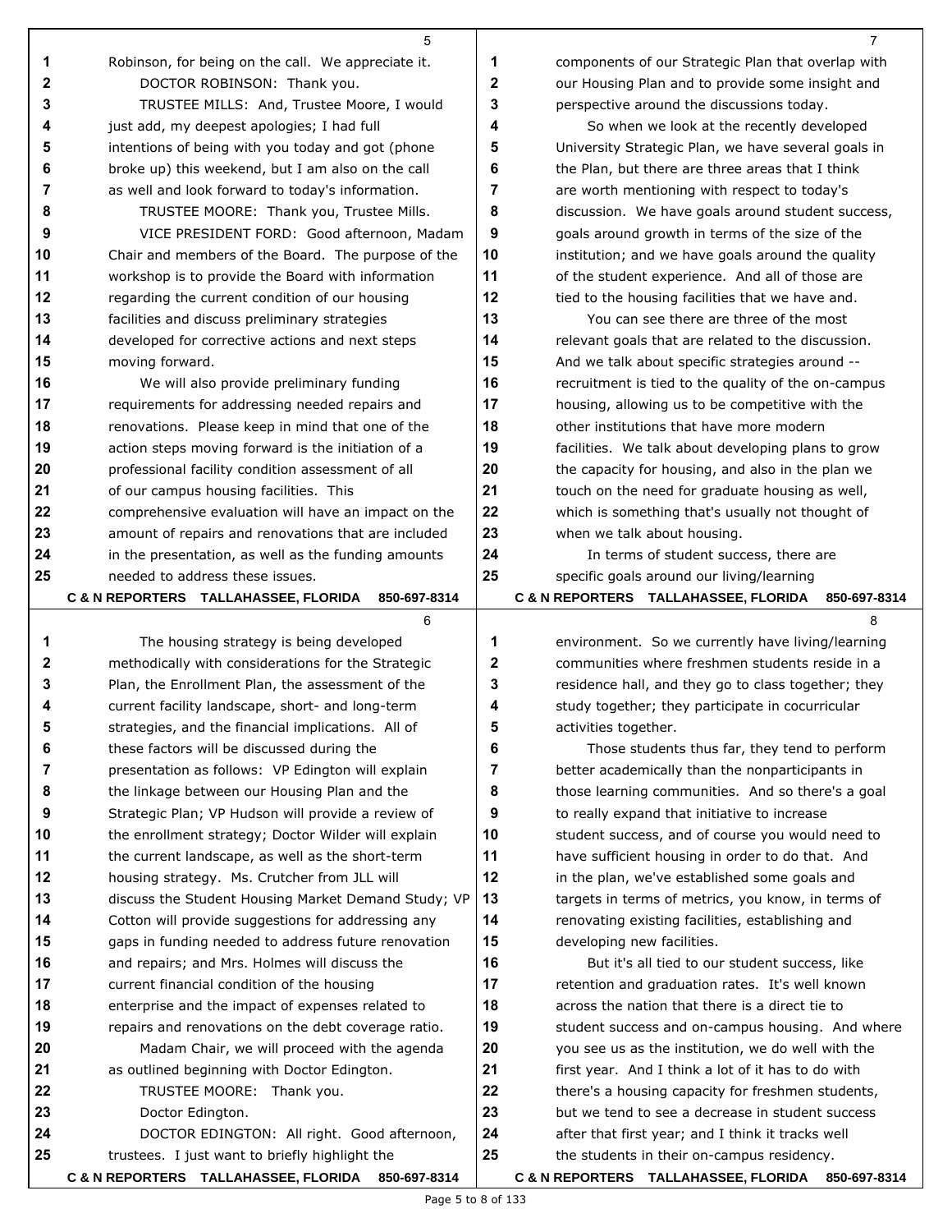|          | 5                                                                                             |                | 7                                                                                               |
|----------|-----------------------------------------------------------------------------------------------|----------------|-------------------------------------------------------------------------------------------------|
| 1        | Robinson, for being on the call. We appreciate it.                                            | 1              | components of our Strategic Plan that overlap with                                              |
| 2        | DOCTOR ROBINSON: Thank you.                                                                   | $\mathbf{2}$   | our Housing Plan and to provide some insight and                                                |
| 3        | TRUSTEE MILLS: And, Trustee Moore, I would                                                    | 3              | perspective around the discussions today.                                                       |
| 4        | just add, my deepest apologies; I had full                                                    | 4              | So when we look at the recently developed                                                       |
| 5        | intentions of being with you today and got (phone                                             | 5              | University Strategic Plan, we have several goals in                                             |
| 6        | broke up) this weekend, but I am also on the call                                             | 6              | the Plan, but there are three areas that I think                                                |
| 7        | as well and look forward to today's information.                                              | $\overline{7}$ | are worth mentioning with respect to today's                                                    |
| 8        | TRUSTEE MOORE: Thank you, Trustee Mills.                                                      | 8              | discussion. We have goals around student success,                                               |
| 9        | VICE PRESIDENT FORD: Good afternoon, Madam                                                    | 9              | goals around growth in terms of the size of the                                                 |
| 10       | Chair and members of the Board. The purpose of the                                            | 10             | institution; and we have goals around the quality                                               |
| 11       | workshop is to provide the Board with information                                             | 11             | of the student experience. And all of those are                                                 |
| 12       | regarding the current condition of our housing                                                | 12             | tied to the housing facilities that we have and.                                                |
| 13       | facilities and discuss preliminary strategies                                                 | 13             | You can see there are three of the most                                                         |
| 14       | developed for corrective actions and next steps                                               | 14             | relevant goals that are related to the discussion.                                              |
| 15       | moving forward.                                                                               | 15             | And we talk about specific strategies around --                                                 |
| 16       | We will also provide preliminary funding                                                      | 16             | recruitment is tied to the quality of the on-campus                                             |
| 17       | requirements for addressing needed repairs and                                                | 17             | housing, allowing us to be competitive with the                                                 |
| 18       | renovations. Please keep in mind that one of the                                              | 18             | other institutions that have more modern                                                        |
| 19       | action steps moving forward is the initiation of a                                            | 19             | facilities. We talk about developing plans to grow                                              |
| 20       | professional facility condition assessment of all                                             | 20             | the capacity for housing, and also in the plan we                                               |
| 21       | of our campus housing facilities. This                                                        | 21             | touch on the need for graduate housing as well,                                                 |
| 22       | comprehensive evaluation will have an impact on the                                           | 22             | which is something that's usually not thought of                                                |
| 23       | amount of repairs and renovations that are included                                           | 23             | when we talk about housing.                                                                     |
| 24       | in the presentation, as well as the funding amounts                                           | 24             | In terms of student success, there are                                                          |
| 25       | needed to address these issues.                                                               | 25             | specific goals around our living/learning                                                       |
|          | C & N REPORTERS TALLAHASSEE, FLORIDA<br>850-697-8314                                          |                | C & N REPORTERS TALLAHASSEE, FLORIDA<br>850-697-8314                                            |
|          |                                                                                               |                |                                                                                                 |
|          | 6                                                                                             |                | 8                                                                                               |
| 1        | The housing strategy is being developed                                                       | 1              | environment. So we currently have living/learning                                               |
| 2        | methodically with considerations for the Strategic                                            | $\mathbf{2}$   | communities where freshmen students reside in a                                                 |
| 3        | Plan, the Enrollment Plan, the assessment of the                                              | 3              | residence hall, and they go to class together; they                                             |
| 4        | current facility landscape, short- and long-term                                              | 4              | study together; they participate in cocurricular                                                |
| 5        | strategies, and the financial implications. All of                                            | 5              | activities together.                                                                            |
| 6        | these factors will be discussed during the                                                    | 6              | Those students thus far, they tend to perform                                                   |
| 7        | presentation as follows: VP Edington will explain                                             | 7              | better academically than the nonparticipants in                                                 |
| 8        | the linkage between our Housing Plan and the                                                  | 8              | those learning communities. And so there's a goal                                               |
| 9        | Strategic Plan; VP Hudson will provide a review of                                            | 9              | to really expand that initiative to increase                                                    |
| 10       | the enrollment strategy; Doctor Wilder will explain                                           | 10             | student success, and of course you would need to                                                |
| 11       | the current landscape, as well as the short-term                                              | 11             | have sufficient housing in order to do that. And                                                |
| 12       | housing strategy. Ms. Crutcher from JLL will                                                  | 12             | in the plan, we've established some goals and                                                   |
| 13       | discuss the Student Housing Market Demand Study; VP                                           | 13             | targets in terms of metrics, you know, in terms of                                              |
| 14       | Cotton will provide suggestions for addressing any                                            | 14             | renovating existing facilities, establishing and                                                |
| 15       | gaps in funding needed to address future renovation                                           | 15             | developing new facilities.                                                                      |
| 16       | and repairs; and Mrs. Holmes will discuss the                                                 | 16             | But it's all tied to our student success, like                                                  |
| 17       | current financial condition of the housing                                                    | 17             | retention and graduation rates. It's well known                                                 |
| 18       | enterprise and the impact of expenses related to                                              | 18             | across the nation that there is a direct tie to                                                 |
| 19       | repairs and renovations on the debt coverage ratio.                                           | 19             | student success and on-campus housing. And where                                                |
| 20       | Madam Chair, we will proceed with the agenda                                                  | 20             | you see us as the institution, we do well with the                                              |
| 21       | as outlined beginning with Doctor Edington.                                                   | 21             | first year. And I think a lot of it has to do with                                              |
| 22       | TRUSTEE MOORE: Thank you.                                                                     | 22             | there's a housing capacity for freshmen students,                                               |
| 23       | Doctor Edington.                                                                              | 23             | but we tend to see a decrease in student success                                                |
| 24<br>25 | DOCTOR EDINGTON: All right. Good afternoon,<br>trustees. I just want to briefly highlight the | 24<br>25       | after that first year; and I think it tracks well<br>the students in their on-campus residency. |

**C & N REPORTERS TALLAHASSEE, FLORIDA 850-697-8314 C & N REPORTERS TALLAHASSEE, FLORIDA 850-697-8314**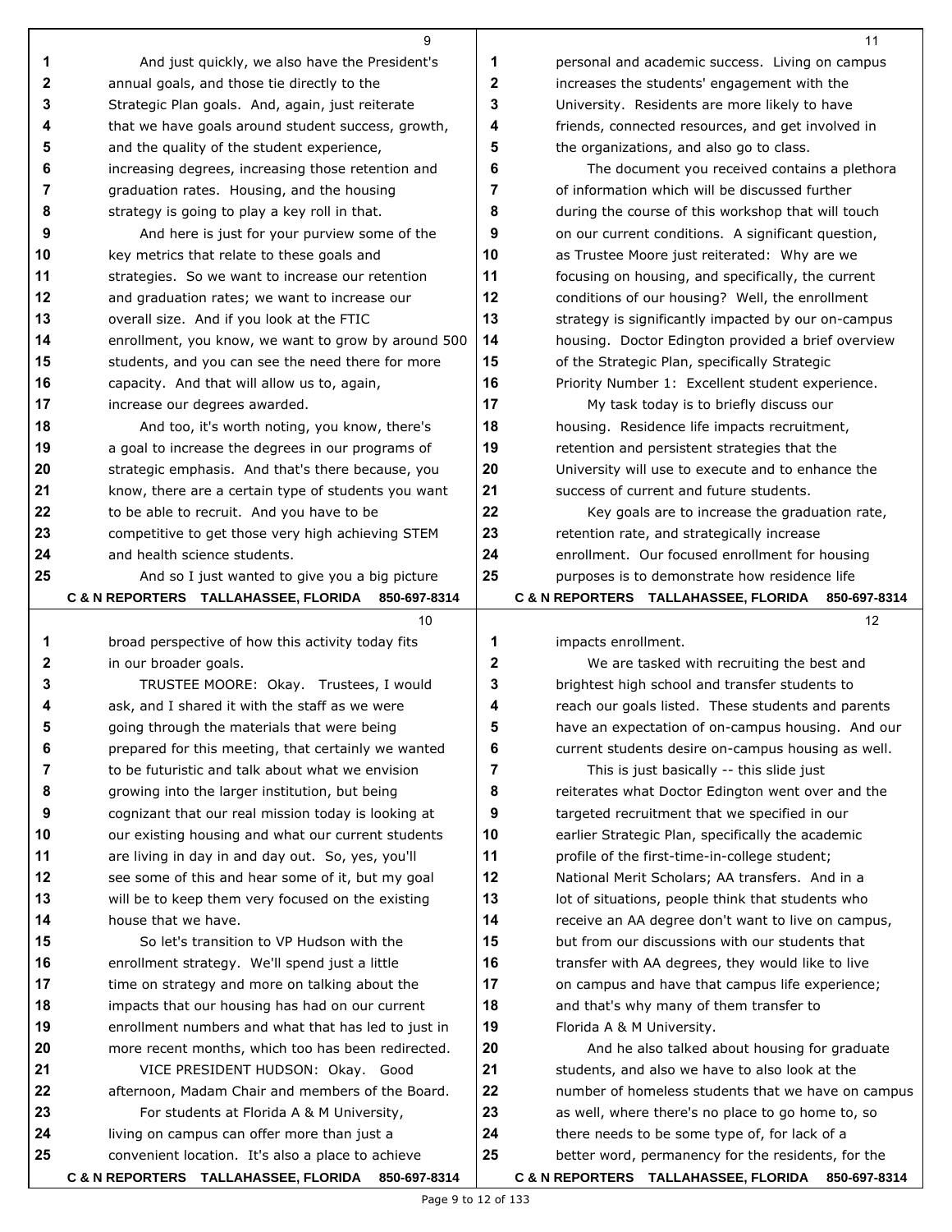|    | 9                                                   |              | 11                                                  |
|----|-----------------------------------------------------|--------------|-----------------------------------------------------|
| 1  | And just quickly, we also have the President's      | 1            | personal and academic success. Living on campus     |
| 2  | annual goals, and those tie directly to the         | $\mathbf{2}$ | increases the students' engagement with the         |
| 3  | Strategic Plan goals. And, again, just reiterate    | 3            | University. Residents are more likely to have       |
| 4  | that we have goals around student success, growth,  | 4            | friends, connected resources, and get involved in   |
| 5  | and the quality of the student experience,          | 5            | the organizations, and also go to class.            |
| 6  | increasing degrees, increasing those retention and  | 6            | The document you received contains a plethora       |
| 7  | graduation rates. Housing, and the housing          | 7            | of information which will be discussed further      |
| 8  | strategy is going to play a key roll in that.       | 8            | during the course of this workshop that will touch  |
| 9  | And here is just for your purview some of the       | 9            | on our current conditions. A significant question,  |
| 10 | key metrics that relate to these goals and          | 10           | as Trustee Moore just reiterated: Why are we        |
| 11 | strategies. So we want to increase our retention    | 11           | focusing on housing, and specifically, the current  |
| 12 | and graduation rates; we want to increase our       | 12           | conditions of our housing? Well, the enrollment     |
| 13 | overall size. And if you look at the FTIC           | 13           | strategy is significantly impacted by our on-campus |
| 14 | enrollment, you know, we want to grow by around 500 | 14           | housing. Doctor Edington provided a brief overview  |
| 15 | students, and you can see the need there for more   | 15           | of the Strategic Plan, specifically Strategic       |
| 16 | capacity. And that will allow us to, again,         | 16           | Priority Number 1: Excellent student experience.    |
| 17 | increase our degrees awarded.                       | 17           | My task today is to briefly discuss our             |
| 18 | And too, it's worth noting, you know, there's       | 18           | housing. Residence life impacts recruitment,        |
| 19 | a goal to increase the degrees in our programs of   | 19           | retention and persistent strategies that the        |
| 20 | strategic emphasis. And that's there because, you   | 20           | University will use to execute and to enhance the   |
| 21 | know, there are a certain type of students you want | 21           | success of current and future students.             |
| 22 | to be able to recruit. And you have to be           | 22           | Key goals are to increase the graduation rate,      |
| 23 | competitive to get those very high achieving STEM   | 23           | retention rate, and strategically increase          |
| 24 | and health science students.                        | 24           | enrollment. Our focused enrollment for housing      |
| 25 | And so I just wanted to give you a big picture      | 25           | purposes is to demonstrate how residence life       |
|    | C & N REPORTERS TALLAHASSEE, FLORIDA 850-697-8314   |              | C & N REPORTERS TALLAHASSEE, FLORIDA 850-697-8314   |
|    | 10                                                  |              | 12                                                  |
| 1  | broad perspective of how this activity today fits   | 1            | impacts enrollment.                                 |
| 2  | in our broader goals.                               | 2            | We are tasked with recruiting the best and          |
| 3  | TRUSTEE MOORE: Okay. Trustees, I would              | 3            | brightest high school and transfer students to      |
| 4  | ask, and I shared it with the staff as we were      | 4            | reach our goals listed. These students and parents  |
| 5  | going through the materials that were being         | 5            | have an expectation of on-campus housing. And our   |
| 6  | prepared for this meeting, that certainly we wanted | 6            | current students desire on-campus housing as well.  |
| 7  | to be futuristic and talk about what we envision    | 7            | This is just basically -- this slide just           |
| 8  | growing into the larger institution, but being      | 8            | reiterates what Doctor Edington went over and the   |
| 9  | cognizant that our real mission today is looking at | 9            | targeted recruitment that we specified in our       |
| 10 | our existing housing and what our current students  | 10           | earlier Strategic Plan, specifically the academic   |
| 11 | are living in day in and day out. So, yes, you'll   | 11           | profile of the first-time-in-college student;       |
| 12 | see some of this and hear some of it, but my goal   | 12           | National Merit Scholars; AA transfers. And in a     |
| 13 | will be to keep them very focused on the existing   | 13           | lot of situations, people think that students who   |
| 14 | house that we have.                                 | 14           | receive an AA degree don't want to live on campus,  |
| 15 | So let's transition to VP Hudson with the           | 15           | but from our discussions with our students that     |
| 16 | enrollment strategy. We'll spend just a little      | 16           | transfer with AA degrees, they would like to live   |
| 17 | time on strategy and more on talking about the      | 17           | on campus and have that campus life experience;     |
| 18 | impacts that our housing has had on our current     | 18           | and that's why many of them transfer to             |
| 19 | enrollment numbers and what that has led to just in | 19           | Florida A & M University.                           |
| 20 | more recent months, which too has been redirected.  | 20           | And he also talked about housing for graduate       |
| 21 | VICE PRESIDENT HUDSON: Okay. Good                   | 21           | students, and also we have to also look at the      |
| 22 | afternoon, Madam Chair and members of the Board.    | 22           | number of homeless students that we have on campus  |
| 23 | For students at Florida A & M University,           | 23           | as well, where there's no place to go home to, so   |
| 24 | living on campus can offer more than just a         | 24           | there needs to be some type of, for lack of a       |
| 25 | convenient location. It's also a place to achieve   | 25           | better word, permanency for the residents, for the  |
|    |                                                     |              | C & N REPORTERS TALLAHASSEE, FLORIDA 850-697-8314   |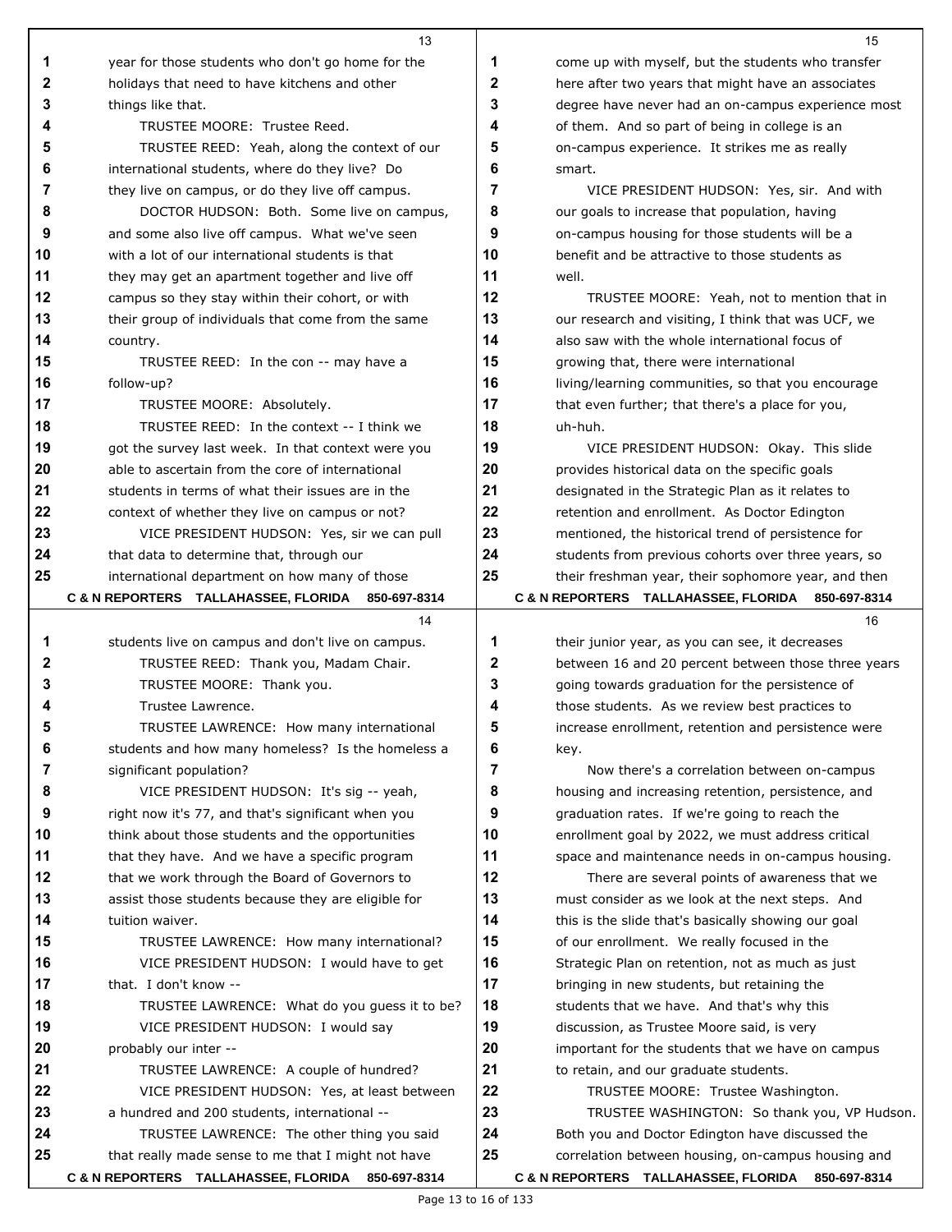|          | 13                                                                                               |          | 15                                                                                                    |
|----------|--------------------------------------------------------------------------------------------------|----------|-------------------------------------------------------------------------------------------------------|
| 1        | year for those students who don't go home for the                                                | 1        | come up with myself, but the students who transfer                                                    |
| 2        | holidays that need to have kitchens and other                                                    | 2        | here after two years that might have an associates                                                    |
| 3        | things like that.                                                                                | 3        | degree have never had an on-campus experience most                                                    |
| 4        | TRUSTEE MOORE: Trustee Reed.                                                                     | 4        | of them. And so part of being in college is an                                                        |
| 5        | TRUSTEE REED: Yeah, along the context of our                                                     | 5        | on-campus experience. It strikes me as really                                                         |
| 6        | international students, where do they live? Do                                                   | 6        | smart.                                                                                                |
| 7        | they live on campus, or do they live off campus.                                                 | 7        | VICE PRESIDENT HUDSON: Yes, sir. And with                                                             |
| 8        | DOCTOR HUDSON: Both. Some live on campus,                                                        | 8        | our goals to increase that population, having                                                         |
| 9        | and some also live off campus. What we've seen                                                   | 9        | on-campus housing for those students will be a                                                        |
| 10       | with a lot of our international students is that                                                 | 10       | benefit and be attractive to those students as                                                        |
| 11       | they may get an apartment together and live off                                                  | 11       | well.                                                                                                 |
| 12       | campus so they stay within their cohort, or with                                                 | 12       | TRUSTEE MOORE: Yeah, not to mention that in                                                           |
| 13       | their group of individuals that come from the same                                               | 13       | our research and visiting, I think that was UCF, we                                                   |
| 14       | country.                                                                                         | 14       | also saw with the whole international focus of                                                        |
| 15       | TRUSTEE REED: In the con -- may have a                                                           | 15       | growing that, there were international                                                                |
| 16       | follow-up?                                                                                       | 16       | living/learning communities, so that you encourage                                                    |
| 17       | TRUSTEE MOORE: Absolutely.                                                                       | 17       | that even further; that there's a place for you,                                                      |
| 18       | TRUSTEE REED: In the context -- I think we                                                       | 18       | uh-huh.                                                                                               |
| 19       | got the survey last week. In that context were you                                               | 19       | VICE PRESIDENT HUDSON: Okay. This slide                                                               |
| 20       | able to ascertain from the core of international                                                 | 20       | provides historical data on the specific goals                                                        |
| 21       | students in terms of what their issues are in the                                                | 21       | designated in the Strategic Plan as it relates to                                                     |
| 22       | context of whether they live on campus or not?                                                   | 22       | retention and enrollment. As Doctor Edington                                                          |
| 23       | VICE PRESIDENT HUDSON: Yes, sir we can pull                                                      | 23       | mentioned, the historical trend of persistence for                                                    |
| 24       | that data to determine that, through our                                                         | 24       | students from previous cohorts over three years, so                                                   |
| 25       | international department on how many of those                                                    | 25       | their freshman year, their sophomore year, and then                                                   |
|          | C & N REPORTERS TALLAHASSEE, FLORIDA<br>850-697-8314                                             |          | C & N REPORTERS TALLAHASSEE, FLORIDA 850-697-8314                                                     |
|          | 14                                                                                               |          | 16                                                                                                    |
| 1        | students live on campus and don't live on campus.                                                | 1        | their junior year, as you can see, it decreases                                                       |
| 2        | TRUSTEE REED: Thank you, Madam Chair.                                                            | 2        | between 16 and 20 percent between those three years                                                   |
| 3        | TRUSTEE MOORE: Thank you.                                                                        | 3        | going towards graduation for the persistence of                                                       |
|          | Trustee Lawrence.                                                                                | 4        | those students. As we review best practices to                                                        |
|          | TRUSTEE LAWRENCE: How many international                                                         | 5        | increase enrollment, retention and persistence were                                                   |
| 6        | students and how many homeless? Is the homeless a                                                | 6        | key.                                                                                                  |
| 7        | significant population?                                                                          | 7        | Now there's a correlation between on-campus                                                           |
| 8        | VICE PRESIDENT HUDSON: It's sig -- yeah,                                                         | 8        | housing and increasing retention, persistence, and                                                    |
| 9        | right now it's 77, and that's significant when you                                               | 9        | graduation rates. If we're going to reach the                                                         |
| 10       | think about those students and the opportunities                                                 | 10       | enrollment goal by 2022, we must address critical                                                     |
| 11       | that they have. And we have a specific program                                                   | 11       | space and maintenance needs in on-campus housing.                                                     |
| 12       | that we work through the Board of Governors to                                                   | 12       | There are several points of awareness that we                                                         |
| 13       | assist those students because they are eligible for                                              | 13       | must consider as we look at the next steps. And                                                       |
| 14       | tuition waiver.                                                                                  | 14       | this is the slide that's basically showing our goal                                                   |
| 15       | TRUSTEE LAWRENCE: How many international?                                                        | 15       | of our enrollment. We really focused in the                                                           |
| 16       | VICE PRESIDENT HUDSON: I would have to get                                                       | 16       | Strategic Plan on retention, not as much as just                                                      |
| 17       | that. I don't know --                                                                            | 17       | bringing in new students, but retaining the                                                           |
| 18       | TRUSTEE LAWRENCE: What do you guess it to be?                                                    | 18       | students that we have. And that's why this                                                            |
| 19       | VICE PRESIDENT HUDSON: I would say                                                               | 19       | discussion, as Trustee Moore said, is very                                                            |
| 20       | probably our inter --                                                                            | 20       | important for the students that we have on campus                                                     |
| 21       | TRUSTEE LAWRENCE: A couple of hundred?                                                           | 21       | to retain, and our graduate students.                                                                 |
| 22       | VICE PRESIDENT HUDSON: Yes, at least between                                                     | 22<br>23 | TRUSTEE MOORE: Trustee Washington.                                                                    |
| 23<br>24 | a hundred and 200 students, international --                                                     | 24       | TRUSTEE WASHINGTON: So thank you, VP Hudson.                                                          |
| 25       | TRUSTEE LAWRENCE: The other thing you said<br>that really made sense to me that I might not have | 25       | Both you and Doctor Edington have discussed the<br>correlation between housing, on-campus housing and |
|          | C & N REPORTERS TALLAHASSEE, FLORIDA 850-697-8314                                                |          | C & N REPORTERS TALLAHASSEE, FLORIDA 850-697-8314                                                     |
|          |                                                                                                  |          |                                                                                                       |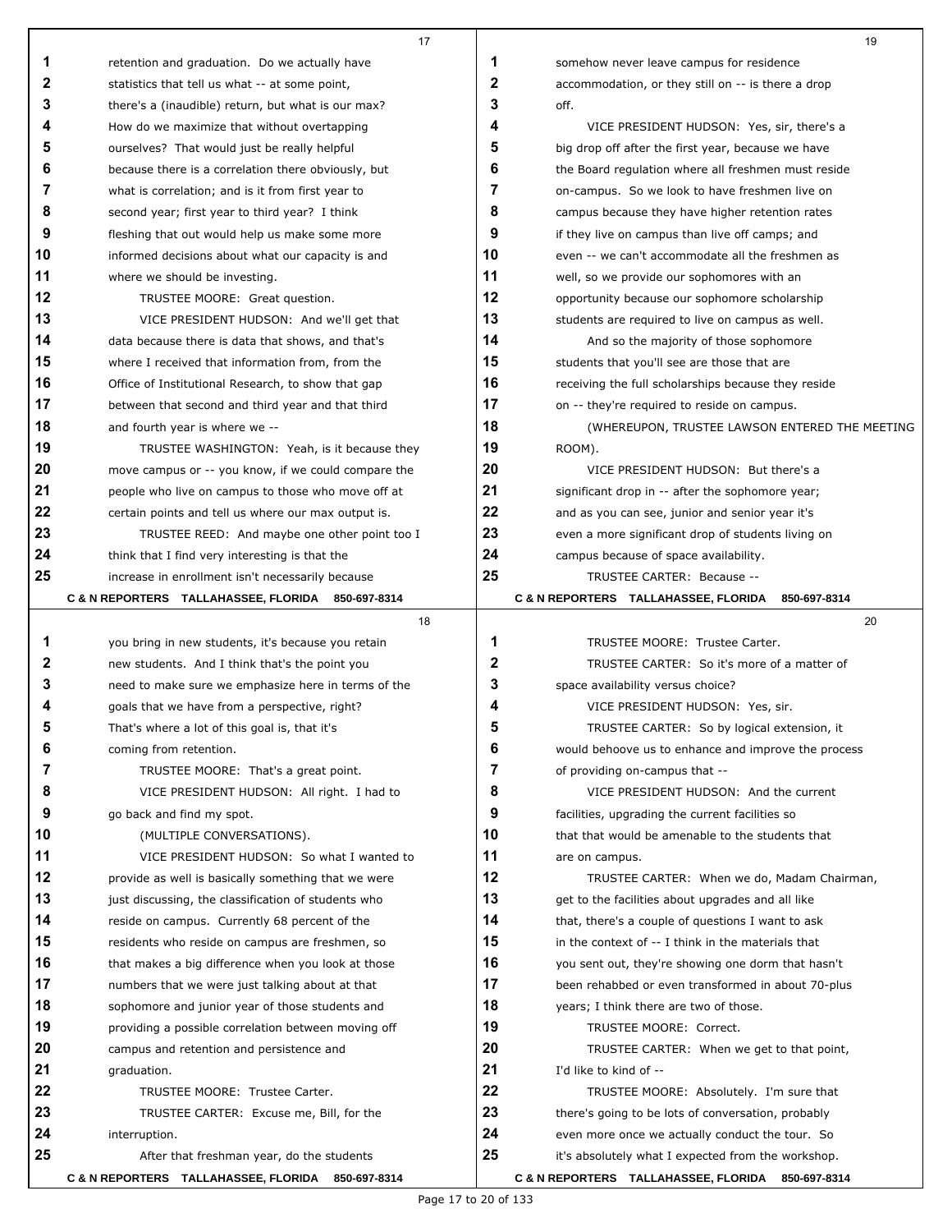|    | 17                                                  |    | 19                                                   |
|----|-----------------------------------------------------|----|------------------------------------------------------|
| 1  | retention and graduation. Do we actually have       | 1  | somehow never leave campus for residence             |
| 2  | statistics that tell us what -- at some point,      | 2  | accommodation, or they still on -- is there a drop   |
| 3  | there's a (inaudible) return, but what is our max?  | 3  | off.                                                 |
| 4  | How do we maximize that without overtapping         | 4  | VICE PRESIDENT HUDSON: Yes, sir, there's a           |
| 5  | ourselves? That would just be really helpful        | 5  | big drop off after the first year, because we have   |
| 6  | because there is a correlation there obviously, but | 6  | the Board regulation where all freshmen must reside  |
| 7  | what is correlation; and is it from first year to   | 7  | on-campus. So we look to have freshmen live on       |
| 8  | second year; first year to third year? I think      | 8  | campus because they have higher retention rates      |
| 9  | fleshing that out would help us make some more      | 9  | if they live on campus than live off camps; and      |
| 10 | informed decisions about what our capacity is and   | 10 | even -- we can't accommodate all the freshmen as     |
| 11 | where we should be investing.                       | 11 | well, so we provide our sophomores with an           |
| 12 | TRUSTEE MOORE: Great question.                      | 12 | opportunity because our sophomore scholarship        |
| 13 | VICE PRESIDENT HUDSON: And we'll get that           | 13 | students are required to live on campus as well.     |
| 14 | data because there is data that shows, and that's   | 14 | And so the majority of those sophomore               |
| 15 | where I received that information from, from the    | 15 | students that you'll see are those that are          |
| 16 | Office of Institutional Research, to show that gap  | 16 | receiving the full scholarships because they reside  |
| 17 | between that second and third year and that third   | 17 | on -- they're required to reside on campus.          |
| 18 | and fourth year is where we --                      | 18 | (WHEREUPON, TRUSTEE LAWSON ENTERED THE MEETING       |
| 19 | TRUSTEE WASHINGTON: Yeah, is it because they        | 19 | ROOM).                                               |
| 20 | move campus or -- you know, if we could compare the | 20 | VICE PRESIDENT HUDSON: But there's a                 |
| 21 | people who live on campus to those who move off at  | 21 | significant drop in -- after the sophomore year;     |
| 22 | certain points and tell us where our max output is. | 22 | and as you can see, junior and senior year it's      |
| 23 | TRUSTEE REED: And maybe one other point too I       | 23 | even a more significant drop of students living on   |
| 24 | think that I find very interesting is that the      | 24 | campus because of space availability.                |
| 25 | increase in enrollment isn't necessarily because    | 25 | TRUSTEE CARTER: Because --                           |
|    | C & N REPORTERS TALLAHASSEE, FLORIDA 850-697-8314   |    | C & N REPORTERS TALLAHASSEE, FLORIDA<br>850-697-8314 |
|    | 18                                                  |    | 20                                                   |
| 1  | you bring in new students, it's because you retain  | 1  | TRUSTEE MOORE: Trustee Carter.                       |
| 2  | new students. And I think that's the point you      | 2  | TRUSTEE CARTER: So it's more of a matter of          |
| 3  | need to make sure we emphasize here in terms of the | 3  | space availability versus choice?                    |
|    | goals that we have from a perspective, right?       | 4  | VICE PRESIDENT HUDSON: Yes, sir.                     |
|    | That's where a lot of this goal is, that it's       | ν  | TRUSTEE CARTER: So by logical extension, it          |
| 6  | coming from retention.                              | 6  | would behoove us to enhance and improve the process  |
| 7  | TRUSTEE MOORE: That's a great point.                | 7  | of providing on-campus that --                       |
| 8  | VICE PRESIDENT HUDSON: All right. I had to          | 8  | VICE PRESIDENT HUDSON: And the current               |
| 9  | go back and find my spot.                           | 9  | facilities, upgrading the current facilities so      |
| 10 | (MULTIPLE CONVERSATIONS).                           | 10 | that that would be amenable to the students that     |
| 11 | VICE PRESIDENT HUDSON: So what I wanted to          | 11 | are on campus.                                       |
| 12 | provide as well is basically something that we were | 12 | TRUSTEE CARTER: When we do, Madam Chairman,          |
| 13 | just discussing, the classification of students who | 13 | get to the facilities about upgrades and all like    |
| 14 | reside on campus. Currently 68 percent of the       | 14 | that, there's a couple of questions I want to ask    |
| 15 | residents who reside on campus are freshmen, so     | 15 | in the context of -- I think in the materials that   |
| 16 | that makes a big difference when you look at those  | 16 | you sent out, they're showing one dorm that hasn't   |
| 17 | numbers that we were just talking about at that     | 17 | been rehabbed or even transformed in about 70-plus   |
| 18 | sophomore and junior year of those students and     | 18 | years; I think there are two of those.               |
| 19 | providing a possible correlation between moving off | 19 | TRUSTEE MOORE: Correct.                              |
| 20 | campus and retention and persistence and            | 20 | TRUSTEE CARTER: When we get to that point,           |
| 21 | graduation.                                         | 21 | I'd like to kind of --                               |
| 22 | TRUSTEE MOORE: Trustee Carter.                      | 22 | TRUSTEE MOORE: Absolutely. I'm sure that             |
| 23 | TRUSTEE CARTER: Excuse me, Bill, for the            | 23 | there's going to be lots of conversation, probably   |
| 24 | interruption.                                       | 24 | even more once we actually conduct the tour. So      |
| 25 | After that freshman year, do the students           | 25 | it's absolutely what I expected from the workshop.   |
|    | C & N REPORTERS TALLAHASSEE, FLORIDA 850-697-8314   |    | C & N REPORTERS TALLAHASSEE, FLORIDA 850-697-8314    |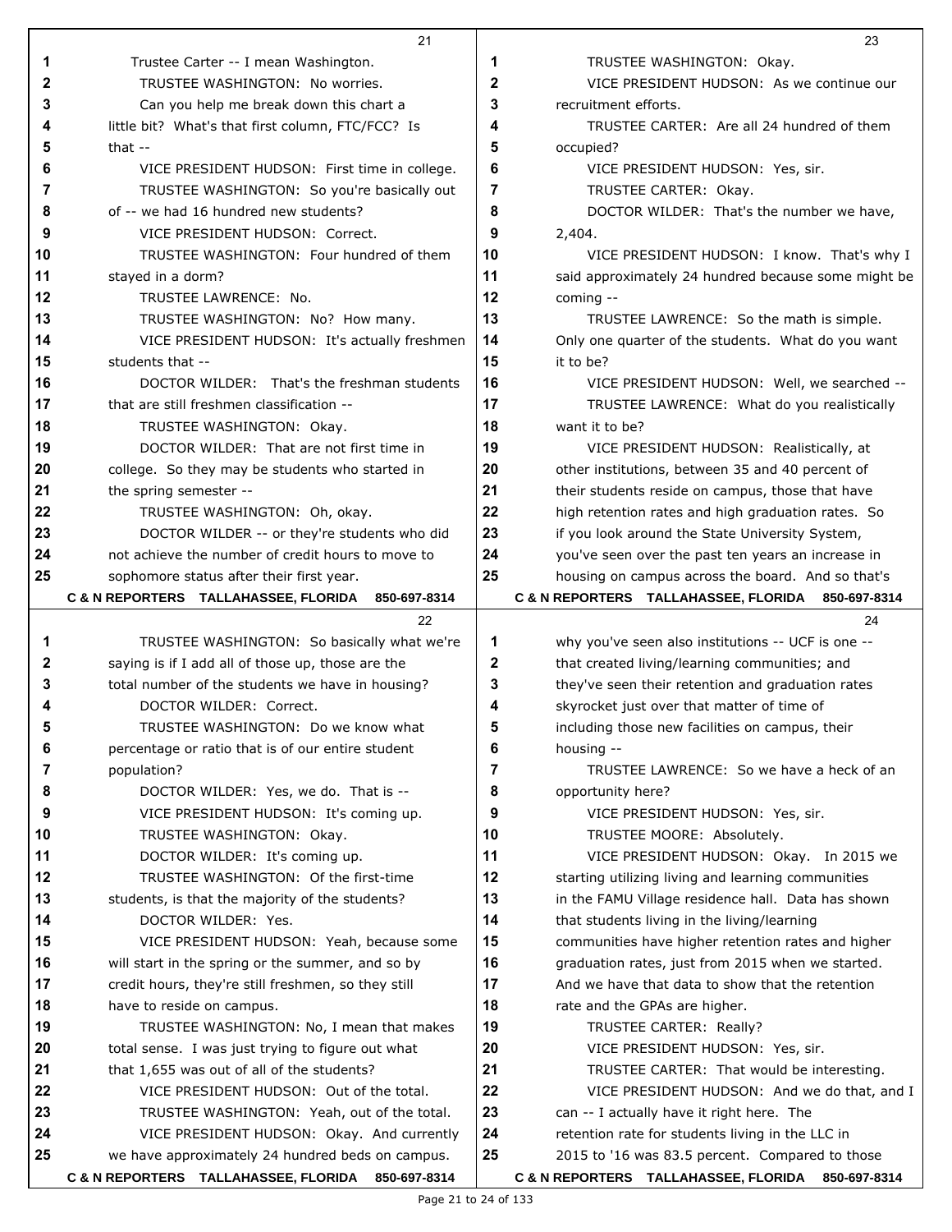|    | 21                                                   |              | 23                                                   |
|----|------------------------------------------------------|--------------|------------------------------------------------------|
| 1  | Trustee Carter -- I mean Washington.                 | 1            | TRUSTEE WASHINGTON: Okay.                            |
| 2  | TRUSTEE WASHINGTON: No worries.                      | $\mathbf{2}$ | VICE PRESIDENT HUDSON: As we continue our            |
| 3  | Can you help me break down this chart a              | 3            | recruitment efforts.                                 |
| 4  | little bit? What's that first column, FTC/FCC? Is    | 4            | TRUSTEE CARTER: Are all 24 hundred of them           |
| 5  | that $-$                                             | 5            | occupied?                                            |
| 6  | VICE PRESIDENT HUDSON: First time in college.        | 6            | VICE PRESIDENT HUDSON: Yes, sir.                     |
| 7  | TRUSTEE WASHINGTON: So you're basically out          | 7            | TRUSTEE CARTER: Okay.                                |
| 8  | of -- we had 16 hundred new students?                | 8            | DOCTOR WILDER: That's the number we have,            |
| 9  | VICE PRESIDENT HUDSON: Correct.                      | 9            | 2,404.                                               |
| 10 | TRUSTEE WASHINGTON: Four hundred of them             | 10           | VICE PRESIDENT HUDSON: I know. That's why I          |
| 11 | stayed in a dorm?                                    | 11           | said approximately 24 hundred because some might be  |
| 12 | TRUSTEE LAWRENCE: No.                                | 12           | coming $-$                                           |
| 13 | TRUSTEE WASHINGTON: No? How many.                    | 13           | TRUSTEE LAWRENCE: So the math is simple.             |
| 14 | VICE PRESIDENT HUDSON: It's actually freshmen        | 14           | Only one quarter of the students. What do you want   |
| 15 | students that --                                     | 15           | it to be?                                            |
| 16 | DOCTOR WILDER: That's the freshman students          | 16           | VICE PRESIDENT HUDSON: Well, we searched --          |
| 17 | that are still freshmen classification --            | 17           | TRUSTEE LAWRENCE: What do you realistically          |
| 18 | TRUSTEE WASHINGTON: Okay.                            | 18           | want it to be?                                       |
| 19 | DOCTOR WILDER: That are not first time in            | 19           | VICE PRESIDENT HUDSON: Realistically, at             |
| 20 | college. So they may be students who started in      | 20           |                                                      |
| 21 |                                                      | 21           | other institutions, between 35 and 40 percent of     |
| 22 | the spring semester --                               | 22           | their students reside on campus, those that have     |
|    | TRUSTEE WASHINGTON: Oh, okay.                        |              | high retention rates and high graduation rates. So   |
| 23 | DOCTOR WILDER -- or they're students who did         | 23           | if you look around the State University System,      |
| 24 | not achieve the number of credit hours to move to    | 24           | you've seen over the past ten years an increase in   |
| 25 | sophomore status after their first year.             | 25           | housing on campus across the board. And so that's    |
|    | C & N REPORTERS TALLAHASSEE, FLORIDA<br>850-697-8314 |              | C & N REPORTERS TALLAHASSEE, FLORIDA<br>850-697-8314 |
|    |                                                      |              |                                                      |
|    | 22                                                   |              | 24                                                   |
| 1  | TRUSTEE WASHINGTON: So basically what we're          | 1            | why you've seen also institutions -- UCF is one --   |
| 2  | saying is if I add all of those up, those are the    | 2            | that created living/learning communities; and        |
| 3  | total number of the students we have in housing?     | 3            | they've seen their retention and graduation rates    |
| 4  | DOCTOR WILDER: Correct.                              | 4            | skyrocket just over that matter of time of           |
|    | TRUSTEE WASHINGTON: Do we know what                  | 5            | including those new facilities on campus, their      |
| 6  | percentage or ratio that is of our entire student    | 6            | housing --                                           |
| 7  | population?                                          | 7            | TRUSTEE LAWRENCE: So we have a heck of an            |
| 8  | DOCTOR WILDER: Yes, we do. That is --                | 8            | opportunity here?                                    |
| 9  | VICE PRESIDENT HUDSON: It's coming up.               | 9            | VICE PRESIDENT HUDSON: Yes, sir.                     |
| 10 | TRUSTEE WASHINGTON: Okay.                            | 10           | TRUSTEE MOORE: Absolutely.                           |
| 11 | DOCTOR WILDER: It's coming up.                       | 11           | VICE PRESIDENT HUDSON: Okay. In 2015 we              |
| 12 | TRUSTEE WASHINGTON: Of the first-time                | 12           | starting utilizing living and learning communities   |
| 13 | students, is that the majority of the students?      | 13           | in the FAMU Village residence hall. Data has shown   |
| 14 | DOCTOR WILDER: Yes.                                  | 14           | that students living in the living/learning          |
| 15 | VICE PRESIDENT HUDSON: Yeah, because some            | 15           | communities have higher retention rates and higher   |
| 16 | will start in the spring or the summer, and so by    | 16           | graduation rates, just from 2015 when we started.    |
| 17 | credit hours, they're still freshmen, so they still  | 17           | And we have that data to show that the retention     |
| 18 | have to reside on campus.                            | 18           | rate and the GPAs are higher.                        |
| 19 | TRUSTEE WASHINGTON: No, I mean that makes            | 19           | TRUSTEE CARTER: Really?                              |
| 20 | total sense. I was just trying to figure out what    | 20           | VICE PRESIDENT HUDSON: Yes, sir.                     |
| 21 | that 1,655 was out of all of the students?           | 21           | TRUSTEE CARTER: That would be interesting.           |
| 22 | VICE PRESIDENT HUDSON: Out of the total.             | 22           | VICE PRESIDENT HUDSON: And we do that, and I         |
| 23 | TRUSTEE WASHINGTON: Yeah, out of the total.          | 23           | can -- I actually have it right here. The            |
| 24 | VICE PRESIDENT HUDSON: Okay. And currently           | 24           | retention rate for students living in the LLC in     |
| 25 | we have approximately 24 hundred beds on campus.     | 25           | 2015 to '16 was 83.5 percent. Compared to those      |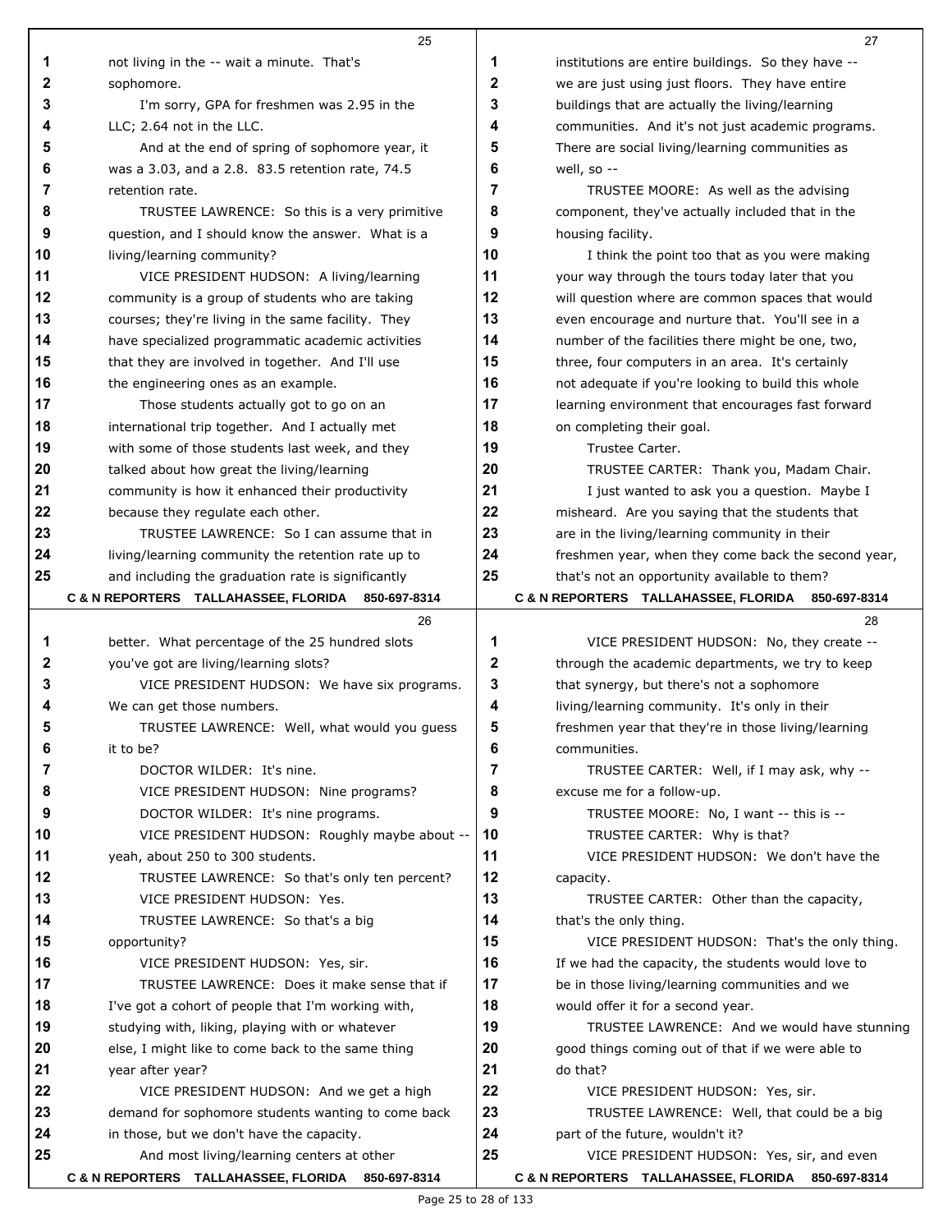|    | 25                                                              |    | 27                                                  |
|----|-----------------------------------------------------------------|----|-----------------------------------------------------|
| 1  | not living in the -- wait a minute. That's                      | 1  | institutions are entire buildings. So they have --  |
| 2  | sophomore.                                                      | 2  | we are just using just floors. They have entire     |
| 3  | I'm sorry, GPA for freshmen was 2.95 in the                     | 3  | buildings that are actually the living/learning     |
| 4  | LLC; 2.64 not in the LLC.                                       | 4  | communities. And it's not just academic programs.   |
| 5  | And at the end of spring of sophomore year, it                  | 5  | There are social living/learning communities as     |
| 6  | was a 3.03, and a 2.8. 83.5 retention rate, 74.5                | 6  | well, so --                                         |
| 7  | retention rate.                                                 | 7  | TRUSTEE MOORE: As well as the advising              |
| 8  | TRUSTEE LAWRENCE: So this is a very primitive                   | 8  | component, they've actually included that in the    |
| 9  | question, and I should know the answer. What is a               | 9  | housing facility.                                   |
| 10 | living/learning community?                                      | 10 | I think the point too that as you were making       |
| 11 | VICE PRESIDENT HUDSON: A living/learning                        | 11 | your way through the tours today later that you     |
| 12 | community is a group of students who are taking                 | 12 | will question where are common spaces that would    |
| 13 | courses; they're living in the same facility. They              | 13 | even encourage and nurture that. You'll see in a    |
| 14 | have specialized programmatic academic activities               | 14 | number of the facilities there might be one, two,   |
| 15 | that they are involved in together. And I'll use                | 15 | three, four computers in an area. It's certainly    |
| 16 | the engineering ones as an example.                             | 16 | not adequate if you're looking to build this whole  |
| 17 | Those students actually got to go on an                         | 17 | learning environment that encourages fast forward   |
| 18 | international trip together. And I actually met                 | 18 | on completing their goal.                           |
| 19 | with some of those students last week, and they                 | 19 | Trustee Carter.                                     |
| 20 | talked about how great the living/learning                      | 20 | TRUSTEE CARTER: Thank you, Madam Chair.             |
| 21 | community is how it enhanced their productivity                 | 21 | I just wanted to ask you a question. Maybe I        |
| 22 | because they regulate each other.                               | 22 | misheard. Are you saying that the students that     |
| 23 | TRUSTEE LAWRENCE: So I can assume that in                       | 23 | are in the living/learning community in their       |
| 24 | living/learning community the retention rate up to              | 24 | freshmen year, when they come back the second year, |
| 25 | and including the graduation rate is significantly              | 25 | that's not an opportunity available to them?        |
|    | <b>C &amp; N REPORTERS TALLAHASSEE, FLORIDA</b><br>850-697-8314 |    | C & N REPORTERS TALLAHASSEE, FLORIDA 850-697-8314   |
|    | 26                                                              |    | 28                                                  |
| 1  | better. What percentage of the 25 hundred slots                 | 1  | VICE PRESIDENT HUDSON: No, they create --           |
| 2  | you've got are living/learning slots?                           | 2  | through the academic departments, we try to keep    |
| 3  | VICE PRESIDENT HUDSON: We have six programs.                    | 3  | that synergy, but there's not a sophomore           |
| 4  | We can get those numbers.                                       | 4  | living/learning community. It's only in their       |
| 5  | TRUSTEE LAWRENCE: Well, what would you quess                    | 5  | freshmen year that they're in those living/learning |
| 6  | it to be?                                                       | 6  | communities.                                        |
| 7  | DOCTOR WILDER: It's nine.                                       | 7  | TRUSTEE CARTER: Well, if I may ask, why --          |
| 8  | VICE PRESIDENT HUDSON: Nine programs?                           | 8  | excuse me for a follow-up.                          |
| 9  | DOCTOR WILDER: It's nine programs.                              | 9  | TRUSTEE MOORE: No, I want -- this is --             |
| 10 | VICE PRESIDENT HUDSON: Roughly maybe about --                   | 10 | TRUSTEE CARTER: Why is that?                        |
| 11 | yeah, about 250 to 300 students.                                | 11 | VICE PRESIDENT HUDSON: We don't have the            |
| 12 | TRUSTEE LAWRENCE: So that's only ten percent?                   | 12 | capacity.                                           |
| 13 | VICE PRESIDENT HUDSON: Yes.                                     | 13 | TRUSTEE CARTER: Other than the capacity,            |
| 14 | TRUSTEE LAWRENCE: So that's a big                               | 14 | that's the only thing.                              |
| 15 | opportunity?                                                    | 15 | VICE PRESIDENT HUDSON: That's the only thing.       |
| 16 | VICE PRESIDENT HUDSON: Yes, sir.                                | 16 | If we had the capacity, the students would love to  |
| 17 | TRUSTEE LAWRENCE: Does it make sense that if                    | 17 | be in those living/learning communities and we      |
| 18 | I've got a cohort of people that I'm working with,              | 18 | would offer it for a second year.                   |
| 19 | studying with, liking, playing with or whatever                 | 19 | TRUSTEE LAWRENCE: And we would have stunning        |
| 20 | else, I might like to come back to the same thing               | 20 | good things coming out of that if we were able to   |
| 21 | year after year?                                                | 21 | do that?                                            |
| 22 | VICE PRESIDENT HUDSON: And we get a high                        | 22 | VICE PRESIDENT HUDSON: Yes, sir.                    |
| 23 | demand for sophomore students wanting to come back              | 23 | TRUSTEE LAWRENCE: Well, that could be a big         |
| 24 | in those, but we don't have the capacity.                       | 24 | part of the future, wouldn't it?                    |
| 25 | And most living/learning centers at other                       | 25 | VICE PRESIDENT HUDSON: Yes, sir, and even           |
|    | C & N REPORTERS TALLAHASSEE, FLORIDA 850-697-8314               |    | C & N REPORTERS TALLAHASSEE, FLORIDA 850-697-8314   |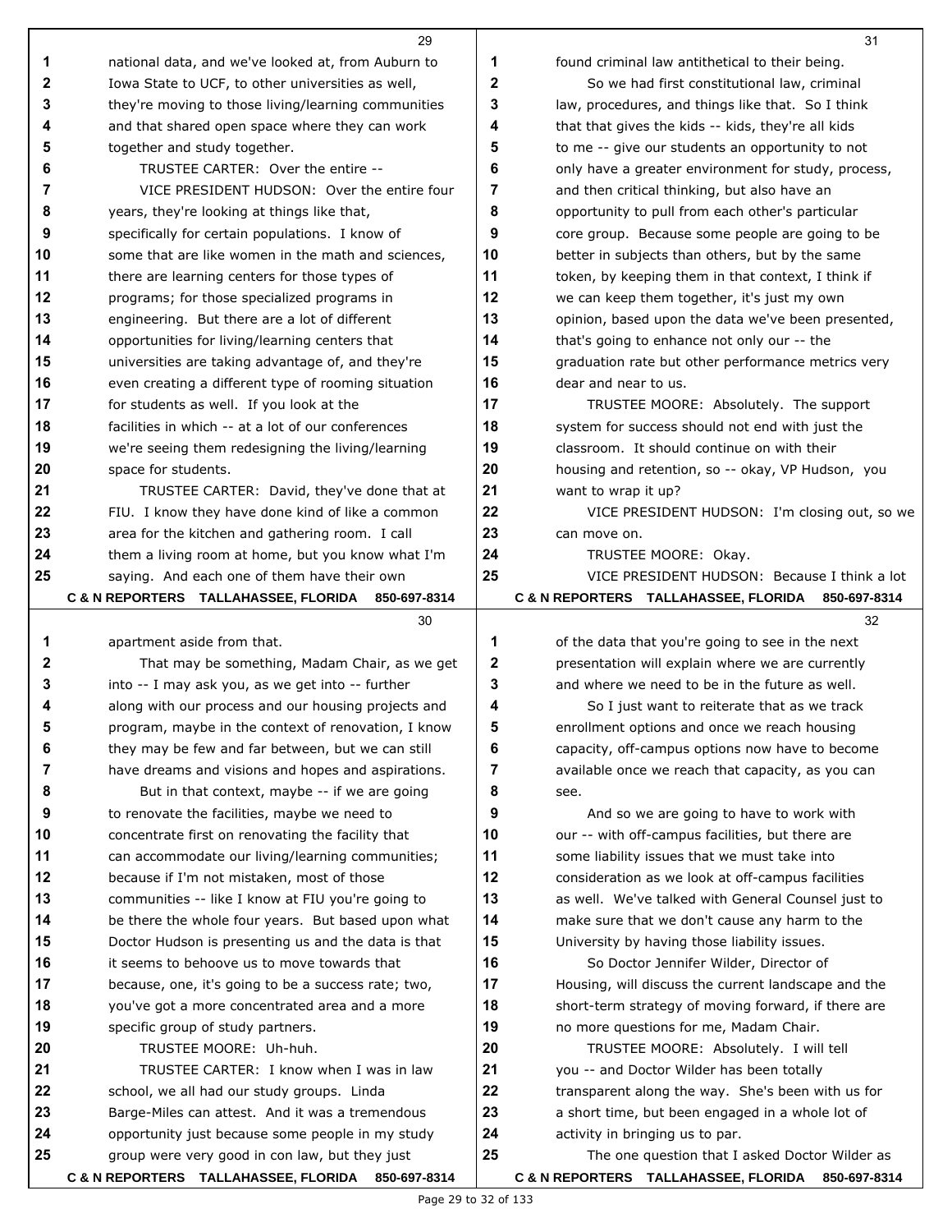|        | 29                                                                                                       |        | 31                                                                                              |
|--------|----------------------------------------------------------------------------------------------------------|--------|-------------------------------------------------------------------------------------------------|
| 1      | national data, and we've looked at, from Auburn to                                                       | 1      | found criminal law antithetical to their being.                                                 |
| 2      | Iowa State to UCF, to other universities as well,                                                        | 2      | So we had first constitutional law, criminal                                                    |
| 3      | they're moving to those living/learning communities                                                      | 3      | law, procedures, and things like that. So I think                                               |
| 4      | and that shared open space where they can work                                                           | 4      | that that gives the kids -- kids, they're all kids                                              |
| 5      | together and study together.                                                                             | 5      | to me -- give our students an opportunity to not                                                |
| 6      | TRUSTEE CARTER: Over the entire --                                                                       | 6      | only have a greater environment for study, process,                                             |
| 7      | VICE PRESIDENT HUDSON: Over the entire four                                                              | 7      | and then critical thinking, but also have an                                                    |
| 8      | years, they're looking at things like that,                                                              | 8      | opportunity to pull from each other's particular                                                |
| 9      | specifically for certain populations. I know of                                                          | 9      | core group. Because some people are going to be                                                 |
| 10     | some that are like women in the math and sciences,                                                       | 10     | better in subjects than others, but by the same                                                 |
| 11     | there are learning centers for those types of                                                            | 11     | token, by keeping them in that context, I think if                                              |
| 12     | programs; for those specialized programs in                                                              | 12     | we can keep them together, it's just my own                                                     |
| 13     | engineering. But there are a lot of different                                                            | 13     | opinion, based upon the data we've been presented,                                              |
| 14     | opportunities for living/learning centers that                                                           | 14     | that's going to enhance not only our -- the                                                     |
| 15     | universities are taking advantage of, and they're                                                        | 15     | graduation rate but other performance metrics very                                              |
| 16     | even creating a different type of rooming situation                                                      | 16     | dear and near to us.                                                                            |
| 17     | for students as well. If you look at the                                                                 | 17     | TRUSTEE MOORE: Absolutely. The support                                                          |
| 18     | facilities in which -- at a lot of our conferences                                                       | 18     | system for success should not end with just the                                                 |
| 19     | we're seeing them redesigning the living/learning                                                        | 19     | classroom. It should continue on with their                                                     |
| 20     | space for students.                                                                                      | 20     | housing and retention, so -- okay, VP Hudson, you                                               |
| 21     | TRUSTEE CARTER: David, they've done that at                                                              | 21     | want to wrap it up?                                                                             |
| 22     | FIU. I know they have done kind of like a common                                                         | 22     | VICE PRESIDENT HUDSON: I'm closing out, so we                                                   |
| 23     | area for the kitchen and gathering room. I call                                                          | 23     | can move on.                                                                                    |
| 24     | them a living room at home, but you know what I'm                                                        | 24     | TRUSTEE MOORE: Okay.                                                                            |
| 25     | saying. And each one of them have their own                                                              | 25     | VICE PRESIDENT HUDSON: Because I think a lot                                                    |
|        | C & N REPORTERS TALLAHASSEE, FLORIDA 850-697-8314                                                        |        | C & N REPORTERS TALLAHASSEE, FLORIDA<br>850-697-8314                                            |
|        | 30                                                                                                       |        | 32                                                                                              |
| 1      | apartment aside from that.                                                                               | 1      | of the data that you're going to see in the next                                                |
| 2      | That may be something, Madam Chair, as we get                                                            | 2      | presentation will explain where we are currently                                                |
| 3      | into -- I may ask you, as we get into -- further                                                         | 3<br>4 | and where we need to be in the future as well.                                                  |
| 4      | along with our process and our housing projects and                                                      |        | So I just want to reiterate that as we track                                                    |
| 5<br>6 | program, maybe in the context of renovation, I know<br>they may be few and far between, but we can still | 5<br>6 | enrollment options and once we reach housing<br>capacity, off-campus options now have to become |
| 7      | have dreams and visions and hopes and aspirations.                                                       | 7      | available once we reach that capacity, as you can                                               |
| 8      | But in that context, maybe -- if we are going                                                            | 8      | see.                                                                                            |
| 9      | to renovate the facilities, maybe we need to                                                             | 9      | And so we are going to have to work with                                                        |
| 10     | concentrate first on renovating the facility that                                                        | 10     | our -- with off-campus facilities, but there are                                                |
| 11     | can accommodate our living/learning communities;                                                         | 11     | some liability issues that we must take into                                                    |
| 12     | because if I'm not mistaken, most of those                                                               | 12     | consideration as we look at off-campus facilities                                               |
| 13     | communities -- like I know at FIU you're going to                                                        | 13     | as well. We've talked with General Counsel just to                                              |
| 14     | be there the whole four years. But based upon what                                                       | 14     | make sure that we don't cause any harm to the                                                   |
| 15     | Doctor Hudson is presenting us and the data is that                                                      | 15     | University by having those liability issues.                                                    |
| 16     | it seems to behoove us to move towards that                                                              | 16     | So Doctor Jennifer Wilder, Director of                                                          |
| 17     | because, one, it's going to be a success rate; two,                                                      | 17     | Housing, will discuss the current landscape and the                                             |
| 18     | you've got a more concentrated area and a more                                                           | 18     | short-term strategy of moving forward, if there are                                             |
| 19     | specific group of study partners.                                                                        | 19     | no more questions for me, Madam Chair.                                                          |
| 20     | TRUSTEE MOORE: Uh-huh.                                                                                   | 20     | TRUSTEE MOORE: Absolutely. I will tell                                                          |
| 21     | TRUSTEE CARTER: I know when I was in law                                                                 | 21     | you -- and Doctor Wilder has been totally                                                       |
| 22     | school, we all had our study groups. Linda                                                               | 22     | transparent along the way. She's been with us for                                               |
| 23     | Barge-Miles can attest. And it was a tremendous                                                          | 23     | a short time, but been engaged in a whole lot of                                                |
| 24     | opportunity just because some people in my study                                                         | 24     | activity in bringing us to par.                                                                 |
| 25     | group were very good in con law, but they just                                                           | 25     | The one question that I asked Doctor Wilder as                                                  |
|        | C & N REPORTERS TALLAHASSEE, FLORIDA 850-697-8314                                                        |        | C & N REPORTERS TALLAHASSEE, FLORIDA 850-697-8314                                               |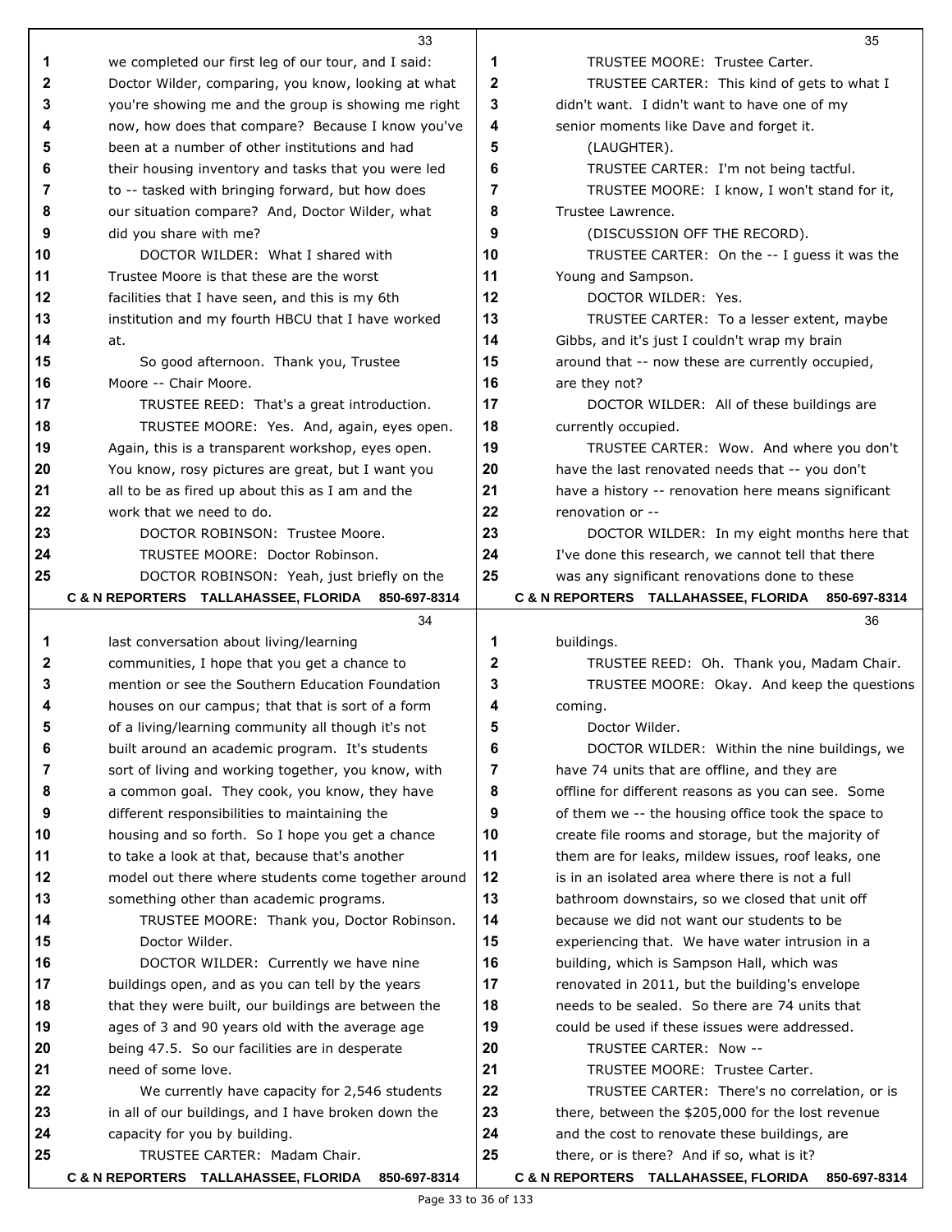|              | 33                                                                   |          | 35                                                       |
|--------------|----------------------------------------------------------------------|----------|----------------------------------------------------------|
| 1            | we completed our first leg of our tour, and I said:                  | 1        | TRUSTEE MOORE: Trustee Carter.                           |
| $\mathbf{2}$ | Doctor Wilder, comparing, you know, looking at what                  | 2        | TRUSTEE CARTER: This kind of gets to what I              |
| 3            | you're showing me and the group is showing me right                  | 3        | didn't want. I didn't want to have one of my             |
| 4            | now, how does that compare? Because I know you've                    | 4        | senior moments like Dave and forget it.                  |
| 5            | been at a number of other institutions and had                       | 5        | (LAUGHTER).                                              |
| 6            | their housing inventory and tasks that you were led                  | 6        | TRUSTEE CARTER: I'm not being tactful.                   |
| 7            | to -- tasked with bringing forward, but how does                     | 7        | TRUSTEE MOORE: I know, I won't stand for it,             |
| 8            | our situation compare? And, Doctor Wilder, what                      | 8        | Trustee Lawrence.                                        |
| 9            | did you share with me?                                               | 9        | (DISCUSSION OFF THE RECORD).                             |
| 10           | DOCTOR WILDER: What I shared with                                    | 10       | TRUSTEE CARTER: On the -- I guess it was the             |
| 11           | Trustee Moore is that these are the worst                            | 11       | Young and Sampson.                                       |
| 12           | facilities that I have seen, and this is my 6th                      | 12       | DOCTOR WILDER: Yes.                                      |
| 13           | institution and my fourth HBCU that I have worked                    | 13       | TRUSTEE CARTER: To a lesser extent, maybe                |
| 14           | at.                                                                  | 14       | Gibbs, and it's just I couldn't wrap my brain            |
| 15           | So good afternoon. Thank you, Trustee                                | 15       | around that -- now these are currently occupied,         |
| 16           | Moore -- Chair Moore.                                                | 16       | are they not?                                            |
| 17           | TRUSTEE REED: That's a great introduction.                           | 17       | DOCTOR WILDER: All of these buildings are                |
| 18           | TRUSTEE MOORE: Yes. And, again, eyes open.                           | 18       | currently occupied.                                      |
| 19           | Again, this is a transparent workshop, eyes open.                    | 19       | TRUSTEE CARTER: Wow. And where you don't                 |
| 20           | You know, rosy pictures are great, but I want you                    | 20       | have the last renovated needs that -- you don't          |
| 21           | all to be as fired up about this as I am and the                     | 21       | have a history -- renovation here means significant      |
| 22           | work that we need to do.                                             | 22       | renovation or --                                         |
| 23           | DOCTOR ROBINSON: Trustee Moore.                                      | 23       | DOCTOR WILDER: In my eight months here that              |
| 24           | TRUSTEE MOORE: Doctor Robinson.                                      | 24       | I've done this research, we cannot tell that there       |
| 25           | DOCTOR ROBINSON: Yeah, just briefly on the                           | 25       | was any significant renovations done to these            |
|              | C & N REPORTERS TALLAHASSEE, FLORIDA 850-697-8314                    |          | C & N REPORTERS TALLAHASSEE, FLORIDA 850-697-8314        |
|              | 34                                                                   |          | 36                                                       |
|              |                                                                      |          |                                                          |
| 1            | last conversation about living/learning                              | 1        | buildings.                                               |
| 2            | communities, I hope that you get a chance to                         | 2        | TRUSTEE REED: Oh. Thank you, Madam Chair.                |
| 3            | mention or see the Southern Education Foundation                     | 3        | TRUSTEE MOORE: Okay. And keep the questions              |
| 4            | houses on our campus; that that is sort of a form                    | 4        | coming.                                                  |
| 5            | of a living/learning community all though it's not                   | 5        | Doctor Wilder.                                           |
| 6            | built around an academic program. It's students                      | 6        | DOCTOR WILDER: Within the nine buildings, we             |
| 7            | sort of living and working together, you know, with                  | 7        | have 74 units that are offline, and they are             |
| 8            | a common goal. They cook, you know, they have                        | 8        | offline for different reasons as you can see. Some       |
| 9            | different responsibilities to maintaining the                        | 9        | of them we -- the housing office took the space to       |
| 10           | housing and so forth. So I hope you get a chance                     | 10       | create file rooms and storage, but the majority of       |
| 11           | to take a look at that, because that's another                       | 11       | them are for leaks, mildew issues, roof leaks, one       |
| 12           | model out there where students come together around                  | 12       | is in an isolated area where there is not a full         |
| 13           | something other than academic programs.                              | 13       | bathroom downstairs, so we closed that unit off          |
| 14           | TRUSTEE MOORE: Thank you, Doctor Robinson.                           | 14       | because we did not want our students to be               |
| 15           | Doctor Wilder.                                                       | 15       | experiencing that. We have water intrusion in a          |
| 16           | DOCTOR WILDER: Currently we have nine                                | 16       | building, which is Sampson Hall, which was               |
| 17           | buildings open, and as you can tell by the years                     | 17       | renovated in 2011, but the building's envelope           |
| 18<br>19     | that they were built, our buildings are between the                  | 18       | needs to be sealed. So there are 74 units that           |
|              | ages of 3 and 90 years old with the average age                      | 19       | could be used if these issues were addressed.            |
| 20<br>21     | being 47.5. So our facilities are in desperate<br>need of some love. | 20<br>21 | TRUSTEE CARTER: Now --<br>TRUSTEE MOORE: Trustee Carter. |
| 22           | We currently have capacity for 2,546 students                        | 22       | TRUSTEE CARTER: There's no correlation, or is            |
| 23           | in all of our buildings, and I have broken down the                  | 23       | there, between the \$205,000 for the lost revenue        |
| 24           | capacity for you by building.                                        | 24       | and the cost to renovate these buildings, are            |
| 25           | TRUSTEE CARTER: Madam Chair.                                         | 25       | there, or is there? And if so, what is it?               |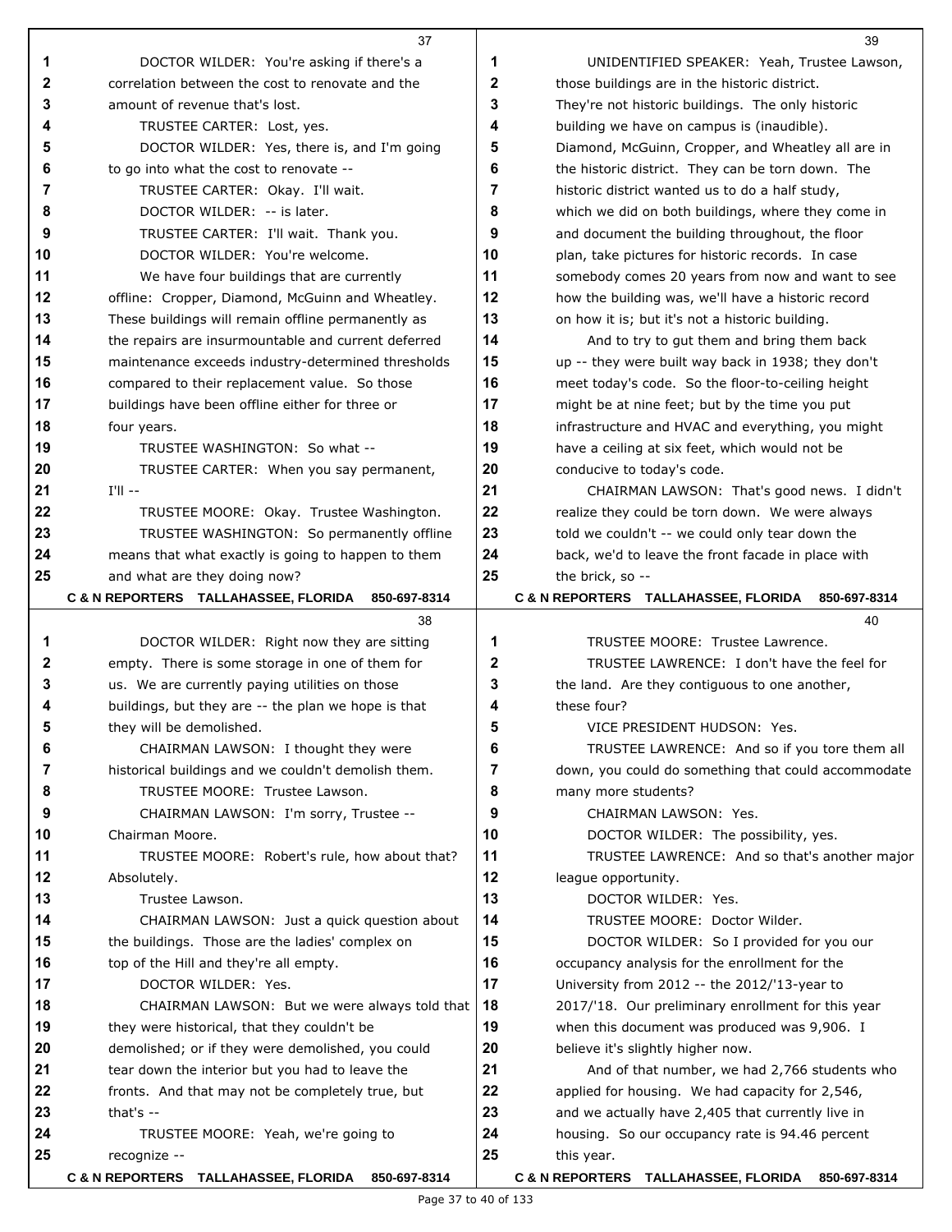|          | 37                                                              |          | 39                                                              |
|----------|-----------------------------------------------------------------|----------|-----------------------------------------------------------------|
| 1        | DOCTOR WILDER: You're asking if there's a                       | 1        | UNIDENTIFIED SPEAKER: Yeah, Trustee Lawson,                     |
| 2        | correlation between the cost to renovate and the                | 2        | those buildings are in the historic district.                   |
| 3        | amount of revenue that's lost.                                  | 3        | They're not historic buildings. The only historic               |
| 4        | TRUSTEE CARTER: Lost, yes.                                      | 4        | building we have on campus is (inaudible).                      |
| 5        | DOCTOR WILDER: Yes, there is, and I'm going                     | 5        | Diamond, McGuinn, Cropper, and Wheatley all are in              |
| 6        | to go into what the cost to renovate --                         | 6        | the historic district. They can be torn down. The               |
| 7        | TRUSTEE CARTER: Okay. I'll wait.                                | 7        | historic district wanted us to do a half study,                 |
| 8        | DOCTOR WILDER: -- is later.                                     | 8        | which we did on both buildings, where they come in              |
| 9        | TRUSTEE CARTER: I'll wait. Thank you.                           | 9        | and document the building throughout, the floor                 |
| 10       | DOCTOR WILDER: You're welcome.                                  | 10       | plan, take pictures for historic records. In case               |
| 11       | We have four buildings that are currently                       | 11       | somebody comes 20 years from now and want to see                |
| 12       | offline: Cropper, Diamond, McGuinn and Wheatley.                | 12       | how the building was, we'll have a historic record              |
| 13       | These buildings will remain offline permanently as              | 13       | on how it is; but it's not a historic building.                 |
| 14       | the repairs are insurmountable and current deferred             | 14       | And to try to gut them and bring them back                      |
| 15       | maintenance exceeds industry-determined thresholds              | 15       | up -- they were built way back in 1938; they don't              |
| 16       | compared to their replacement value. So those                   | 16       | meet today's code. So the floor-to-ceiling height               |
| 17       | buildings have been offline either for three or                 | 17       | might be at nine feet; but by the time you put                  |
| 18       | four years.                                                     | 18       | infrastructure and HVAC and everything, you might               |
| 19       | TRUSTEE WASHINGTON: So what --                                  | 19       | have a ceiling at six feet, which would not be                  |
| 20       | TRUSTEE CARTER: When you say permanent,                         | 20       | conducive to today's code.                                      |
| 21       | $I'll$ --                                                       | 21       | CHAIRMAN LAWSON: That's good news. I didn't                     |
| 22       | TRUSTEE MOORE: Okay. Trustee Washington.                        | 22       | realize they could be torn down. We were always                 |
| 23       | TRUSTEE WASHINGTON: So permanently offline                      | 23       | told we couldn't -- we could only tear down the                 |
| 24       | means that what exactly is going to happen to them              | 24       | back, we'd to leave the front facade in place with              |
| 25       | and what are they doing now?                                    | 25       | the brick, so --                                                |
|          | <b>C &amp; N REPORTERS TALLAHASSEE, FLORIDA</b><br>850-697-8314 |          | <b>C &amp; N REPORTERS TALLAHASSEE, FLORIDA</b><br>850-697-8314 |
|          | 38                                                              |          | 40                                                              |
| 1        | DOCTOR WILDER: Right now they are sitting                       | 1        | TRUSTEE MOORE: Trustee Lawrence.                                |
| 2        | empty. There is some storage in one of them for                 | 2        | TRUSTEE LAWRENCE: I don't have the feel for                     |
| 3        | us. We are currently paying utilities on those                  | 3        | the land. Are they contiguous to one another,                   |
| 4        | buildings, but they are -- the plan we hope is that             | 4        | these four?                                                     |
| 5        | they will be demolished.                                        | 5        | VICE PRESIDENT HUDSON: Yes.                                     |
| 6        | CHAIRMAN LAWSON: I thought they were                            | 6        | TRUSTEE LAWRENCE: And so if you tore them all                   |
| 7        | historical buildings and we couldn't demolish them.             | 7        | down, you could do something that could accommodate             |
| 8        | TRUSTEE MOORE: Trustee Lawson.                                  | 8        | many more students?                                             |
| 9        | CHAIRMAN LAWSON: I'm sorry, Trustee --                          | 9        | <b>CHAIRMAN LAWSON: Yes.</b>                                    |
| 10       | Chairman Moore.                                                 | 10       | DOCTOR WILDER: The possibility, yes.                            |
| 11       | TRUSTEE MOORE: Robert's rule, how about that?                   | 11       | TRUSTEE LAWRENCE: And so that's another major                   |
| 12       | Absolutely.                                                     | 12       | league opportunity.                                             |
| 13       | Trustee Lawson.                                                 | 13       | DOCTOR WILDER: Yes.                                             |
| 14       | CHAIRMAN LAWSON: Just a quick question about                    | 14       | TRUSTEE MOORE: Doctor Wilder.                                   |
| 15       | the buildings. Those are the ladies' complex on                 | 15       | DOCTOR WILDER: So I provided for you our                        |
| 16       | top of the Hill and they're all empty.                          | 16       | occupancy analysis for the enrollment for the                   |
| 17       | DOCTOR WILDER: Yes.                                             | 17       | University from 2012 -- the 2012/'13-year to                    |
| 18       | CHAIRMAN LAWSON: But we were always told that                   | 18       | 2017/'18. Our preliminary enrollment for this year              |
| 19       | they were historical, that they couldn't be                     | 19       | when this document was produced was 9,906. I                    |
| 20       | demolished; or if they were demolished, you could               | 20       | believe it's slightly higher now.                               |
| 21       | tear down the interior but you had to leave the                 | 21       | And of that number, we had 2,766 students who                   |
| 22       | fronts. And that may not be completely true, but                | 22       | applied for housing. We had capacity for 2,546,                 |
| 23<br>24 | that's $-$                                                      | 23<br>24 | and we actually have 2,405 that currently live in               |
| 25       | TRUSTEE MOORE: Yeah, we're going to<br>recognize --             | 25       | housing. So our occupancy rate is 94.46 percent<br>this year.   |
|          | <b>C &amp; N REPORTERS TALLAHASSEE, FLORIDA</b><br>850-697-8314 |          | C & N REPORTERS TALLAHASSEE, FLORIDA<br>850-697-8314            |
|          |                                                                 |          |                                                                 |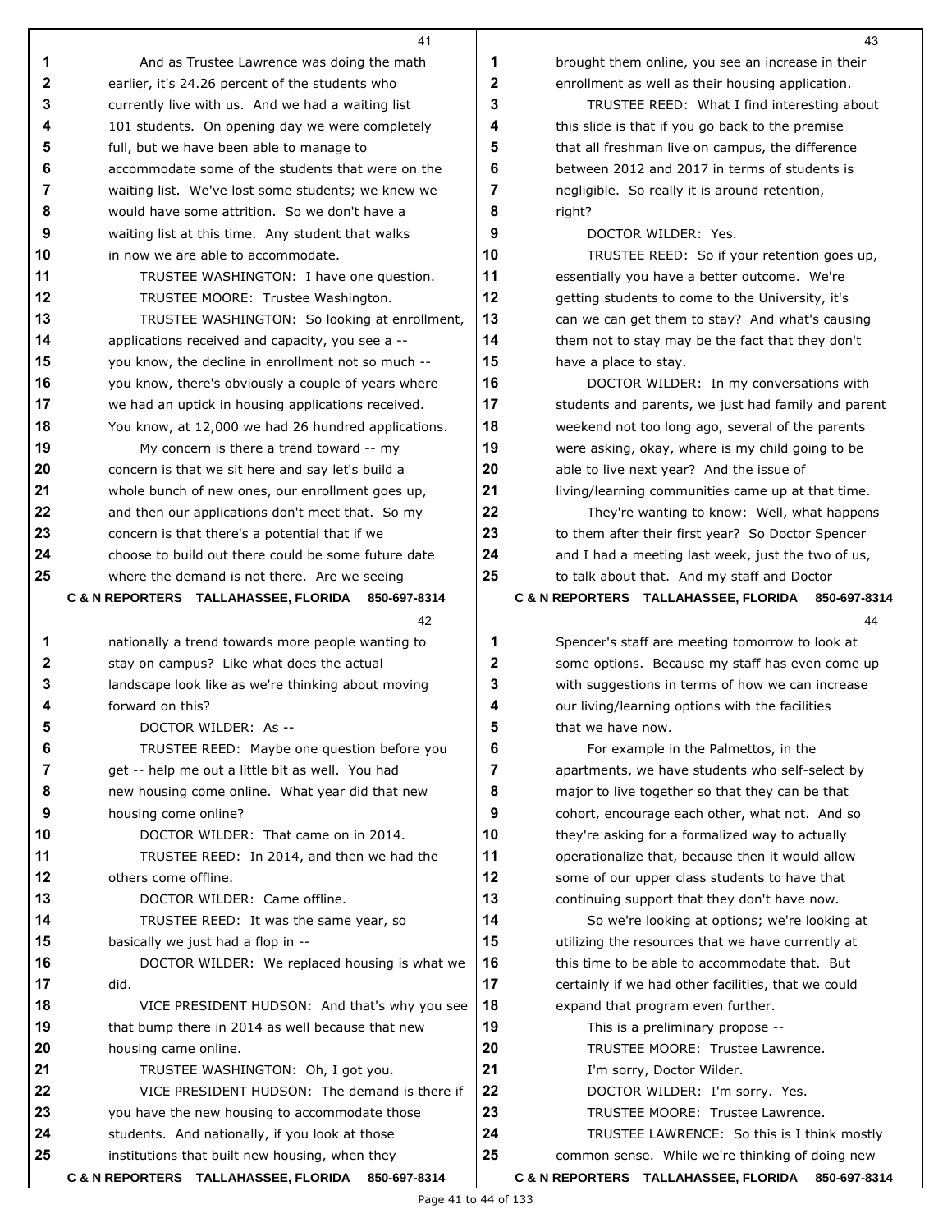|              | 41                                                                                                    |              | 43                                                                                                      |
|--------------|-------------------------------------------------------------------------------------------------------|--------------|---------------------------------------------------------------------------------------------------------|
| 1            | And as Trustee Lawrence was doing the math                                                            | 1            | brought them online, you see an increase in their                                                       |
| $\mathbf{2}$ | earlier, it's 24.26 percent of the students who                                                       | $\mathbf{2}$ | enrollment as well as their housing application.                                                        |
| 3            | currently live with us. And we had a waiting list                                                     | 3            | TRUSTEE REED: What I find interesting about                                                             |
| 4            | 101 students. On opening day we were completely                                                       | 4            | this slide is that if you go back to the premise                                                        |
| 5            | full, but we have been able to manage to                                                              | 5            | that all freshman live on campus, the difference                                                        |
| 6            | accommodate some of the students that were on the                                                     | 6            | between 2012 and 2017 in terms of students is                                                           |
| 7            | waiting list. We've lost some students; we knew we                                                    | 7            | negligible. So really it is around retention,                                                           |
| 8            | would have some attrition. So we don't have a                                                         | 8            | right?                                                                                                  |
| 9            | waiting list at this time. Any student that walks                                                     | 9            | DOCTOR WILDER: Yes.                                                                                     |
| 10           | in now we are able to accommodate.                                                                    | 10           | TRUSTEE REED: So if your retention goes up,                                                             |
| 11           | TRUSTEE WASHINGTON: I have one question.                                                              | 11           | essentially you have a better outcome. We're                                                            |
| 12           | TRUSTEE MOORE: Trustee Washington.                                                                    | 12           | getting students to come to the University, it's                                                        |
| 13           | TRUSTEE WASHINGTON: So looking at enrollment,                                                         | 13           | can we can get them to stay? And what's causing                                                         |
| 14           | applications received and capacity, you see a --                                                      | 14           | them not to stay may be the fact that they don't                                                        |
| 15           | you know, the decline in enrollment not so much --                                                    | 15           | have a place to stay.                                                                                   |
| 16           | you know, there's obviously a couple of years where                                                   | 16           | DOCTOR WILDER: In my conversations with                                                                 |
| 17           | we had an uptick in housing applications received.                                                    | 17           | students and parents, we just had family and parent                                                     |
| 18           | You know, at 12,000 we had 26 hundred applications.                                                   | 18           | weekend not too long ago, several of the parents                                                        |
| 19           | My concern is there a trend toward -- my                                                              | 19           | were asking, okay, where is my child going to be                                                        |
| 20<br>21     | concern is that we sit here and say let's build a                                                     | 20           | able to live next year? And the issue of                                                                |
| 22           | whole bunch of new ones, our enrollment goes up,                                                      | 21<br>22     | living/learning communities came up at that time.                                                       |
| 23           | and then our applications don't meet that. So my                                                      | 23           | They're wanting to know: Well, what happens                                                             |
| 24           | concern is that there's a potential that if we<br>choose to build out there could be some future date | 24           | to them after their first year? So Doctor Spencer<br>and I had a meeting last week, just the two of us, |
| 25           | where the demand is not there. Are we seeing                                                          | 25           | to talk about that. And my staff and Doctor                                                             |
|              | C & N REPORTERS TALLAHASSEE, FLORIDA 850-697-8314                                                     |              | C & N REPORTERS TALLAHASSEE, FLORIDA 850-697-8314                                                       |
|              | 42                                                                                                    |              | 44                                                                                                      |
| 1            | nationally a trend towards more people wanting to                                                     | 1            | Spencer's staff are meeting tomorrow to look at                                                         |
| 2            | stay on campus? Like what does the actual                                                             | 2            | some options. Because my staff has even come up                                                         |
| 3            | landscape look like as we're thinking about moving                                                    | 3            | with suggestions in terms of how we can increase                                                        |
| 4            | forward on this?                                                                                      | 4            | our living/learning options with the facilities                                                         |
| 5            | DOCTOR WILDER: As --                                                                                  | 5            | that we have now.                                                                                       |
| 6            | TRUSTEE REED: Maybe one question before you                                                           | 6            | For example in the Palmettos, in the                                                                    |
| 7            | get -- help me out a little bit as well. You had                                                      | 7            | apartments, we have students who self-select by                                                         |
| 8            | new housing come online. What year did that new                                                       | 8            | major to live together so that they can be that                                                         |
| 9            | housing come online?                                                                                  | 9            | cohort, encourage each other, what not. And so                                                          |
| 10           | DOCTOR WILDER: That came on in 2014.                                                                  | 10           | they're asking for a formalized way to actually                                                         |
| 11           | TRUSTEE REED: In 2014, and then we had the                                                            | 11           | operationalize that, because then it would allow                                                        |
| 12           | others come offline.                                                                                  | 12           | some of our upper class students to have that                                                           |
| 13           | DOCTOR WILDER: Came offline.                                                                          | 13           | continuing support that they don't have now.                                                            |
| 14           | TRUSTEE REED: It was the same year, so                                                                | 14           | So we're looking at options; we're looking at                                                           |
| 15           | basically we just had a flop in --                                                                    | 15           | utilizing the resources that we have currently at                                                       |
| 16           | DOCTOR WILDER: We replaced housing is what we                                                         | 16           | this time to be able to accommodate that. But                                                           |
| 17           | did.                                                                                                  | 17           | certainly if we had other facilities, that we could                                                     |
| 18           | VICE PRESIDENT HUDSON: And that's why you see                                                         | 18           | expand that program even further.                                                                       |
| 19           | that bump there in 2014 as well because that new                                                      | 19           | This is a preliminary propose --                                                                        |
| 20           | housing came online.                                                                                  | 20           | TRUSTEE MOORE: Trustee Lawrence.                                                                        |
| 21           | TRUSTEE WASHINGTON: Oh, I got you.                                                                    | 21           | I'm sorry, Doctor Wilder.                                                                               |
| 22           | VICE PRESIDENT HUDSON: The demand is there if                                                         | 22           | DOCTOR WILDER: I'm sorry. Yes.                                                                          |
| 23           | you have the new housing to accommodate those                                                         | 23           | TRUSTEE MOORE: Trustee Lawrence.                                                                        |
| 24           | students. And nationally, if you look at those                                                        | 24           | TRUSTEE LAWRENCE: So this is I think mostly                                                             |
| 25           | institutions that built new housing, when they                                                        | 25           | common sense. While we're thinking of doing new                                                         |
|              | C & N REPORTERS TALLAHASSEE, FLORIDA 850-697-8314                                                     |              | C & N REPORTERS TALLAHASSEE, FLORIDA 850-697-8314                                                       |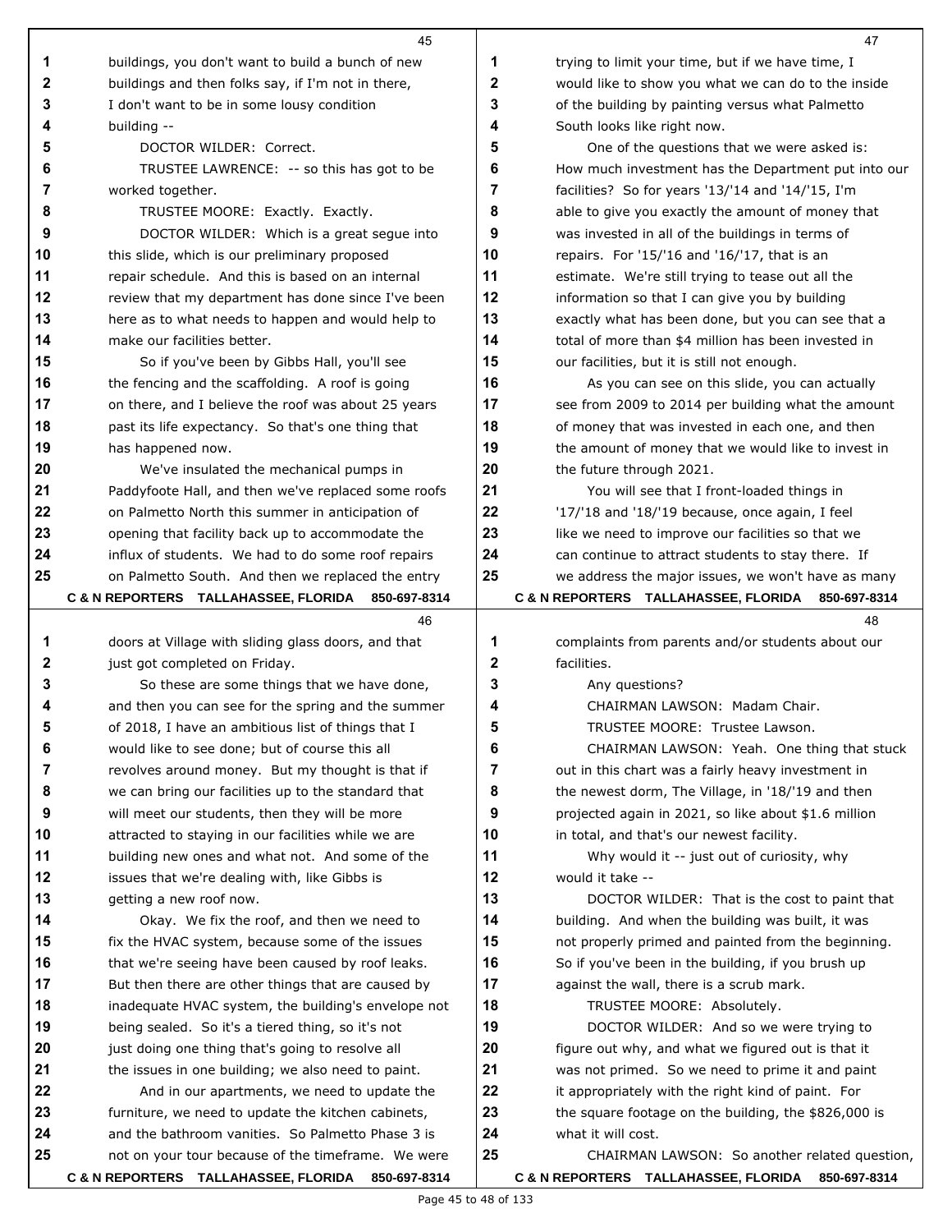|          | 45                                                                                                      |          | 47                                                                         |
|----------|---------------------------------------------------------------------------------------------------------|----------|----------------------------------------------------------------------------|
| 1        | buildings, you don't want to build a bunch of new                                                       | 1        | trying to limit your time, but if we have time, I                          |
| 2        | buildings and then folks say, if I'm not in there,                                                      | 2        | would like to show you what we can do to the inside                        |
| 3        | I don't want to be in some lousy condition                                                              | 3        | of the building by painting versus what Palmetto                           |
| 4        | building --                                                                                             | 4        | South looks like right now.                                                |
| 5        | DOCTOR WILDER: Correct.                                                                                 | 5        | One of the questions that we were asked is:                                |
| 6        | TRUSTEE LAWRENCE: -- so this has got to be                                                              | 6        | How much investment has the Department put into our                        |
| 7        | worked together.                                                                                        | 7        | facilities? So for years '13/'14 and '14/'15, I'm                          |
| 8        | TRUSTEE MOORE: Exactly. Exactly.                                                                        | 8        | able to give you exactly the amount of money that                          |
| 9        | DOCTOR WILDER: Which is a great segue into                                                              | 9        | was invested in all of the buildings in terms of                           |
| 10       | this slide, which is our preliminary proposed                                                           | 10       | repairs. For '15/'16 and '16/'17, that is an                               |
| 11       | repair schedule. And this is based on an internal                                                       | 11       | estimate. We're still trying to tease out all the                          |
| 12       | review that my department has done since I've been                                                      | 12       | information so that I can give you by building                             |
| 13       | here as to what needs to happen and would help to                                                       | 13       | exactly what has been done, but you can see that a                         |
| 14       | make our facilities better.                                                                             | 14       | total of more than \$4 million has been invested in                        |
| 15       | So if you've been by Gibbs Hall, you'll see                                                             | 15       | our facilities, but it is still not enough.                                |
| 16       | the fencing and the scaffolding. A roof is going                                                        | 16       | As you can see on this slide, you can actually                             |
| 17       | on there, and I believe the roof was about 25 years                                                     | 17       | see from 2009 to 2014 per building what the amount                         |
| 18       | past its life expectancy. So that's one thing that                                                      | 18       | of money that was invested in each one, and then                           |
| 19       | has happened now.                                                                                       | 19       | the amount of money that we would like to invest in                        |
| 20       | We've insulated the mechanical pumps in                                                                 | 20       | the future through 2021.                                                   |
| 21       | Paddyfoote Hall, and then we've replaced some roofs                                                     | 21       | You will see that I front-loaded things in                                 |
| 22       | on Palmetto North this summer in anticipation of                                                        | 22       | '17/'18 and '18/'19 because, once again, I feel                            |
| 23       | opening that facility back up to accommodate the                                                        | 23       | like we need to improve our facilities so that we                          |
| 24       | influx of students. We had to do some roof repairs                                                      | 24       | can continue to attract students to stay there. If                         |
| 25       | on Palmetto South. And then we replaced the entry                                                       | 25       | we address the major issues, we won't have as many                         |
|          | <b>C &amp; N REPORTERS TALLAHASSEE, FLORIDA</b><br>850-697-8314                                         |          | <b>C &amp; N REPORTERS TALLAHASSEE, FLORIDA</b><br>850-697-8314            |
|          |                                                                                                         |          |                                                                            |
|          |                                                                                                         |          |                                                                            |
|          | 46                                                                                                      |          | 48                                                                         |
| 1        | doors at Village with sliding glass doors, and that                                                     | 1<br>2   | complaints from parents and/or students about our                          |
| 2        | just got completed on Friday.                                                                           |          | facilities.                                                                |
| 3        | So these are some things that we have done,                                                             | 3        | Any questions?                                                             |
| 4        | and then you can see for the spring and the summer                                                      | 4        | CHAIRMAN LAWSON: Madam Chair.                                              |
| 5        | of 2018, I have an ambitious list of things that I                                                      | 5        | TRUSTEE MOORE: Trustee Lawson.                                             |
| 6        | would like to see done; but of course this all                                                          | 6        | CHAIRMAN LAWSON: Yeah. One thing that stuck                                |
| 7        | revolves around money. But my thought is that if                                                        | 7        | out in this chart was a fairly heavy investment in                         |
| 8        | we can bring our facilities up to the standard that                                                     | 8        | the newest dorm, The Village, in '18/'19 and then                          |
| 9        | will meet our students, then they will be more                                                          | 9        | projected again in 2021, so like about \$1.6 million                       |
| 10       | attracted to staying in our facilities while we are                                                     | 10       | in total, and that's our newest facility.                                  |
| 11       | building new ones and what not. And some of the                                                         | 11       | Why would it -- just out of curiosity, why                                 |
| 12       | issues that we're dealing with, like Gibbs is                                                           | 12       | would it take --                                                           |
| 13       | getting a new roof now.                                                                                 | 13       | DOCTOR WILDER: That is the cost to paint that                              |
| 14       | Okay. We fix the roof, and then we need to                                                              | 14       | building. And when the building was built, it was                          |
| 15       | fix the HVAC system, because some of the issues                                                         | 15       | not properly primed and painted from the beginning.                        |
| 16       | that we're seeing have been caused by roof leaks.                                                       | 16       | So if you've been in the building, if you brush up                         |
| 17       | But then there are other things that are caused by                                                      | 17       | against the wall, there is a scrub mark.                                   |
| 18       | inadequate HVAC system, the building's envelope not                                                     | 18       | TRUSTEE MOORE: Absolutely.                                                 |
| 19       | being sealed. So it's a tiered thing, so it's not                                                       | 19       | DOCTOR WILDER: And so we were trying to                                    |
| 20       | just doing one thing that's going to resolve all                                                        | 20       | figure out why, and what we figured out is that it                         |
| 21<br>22 | the issues in one building; we also need to paint.                                                      | 21<br>22 | was not primed. So we need to prime it and paint                           |
| 23       | And in our apartments, we need to update the                                                            |          | it appropriately with the right kind of paint. For                         |
| 24       | furniture, we need to update the kitchen cabinets,<br>and the bathroom vanities. So Palmetto Phase 3 is | 23       | the square footage on the building, the \$826,000 is<br>what it will cost. |
| 25       | not on your tour because of the timeframe. We were                                                      | 24<br>25 | CHAIRMAN LAWSON: So another related question,                              |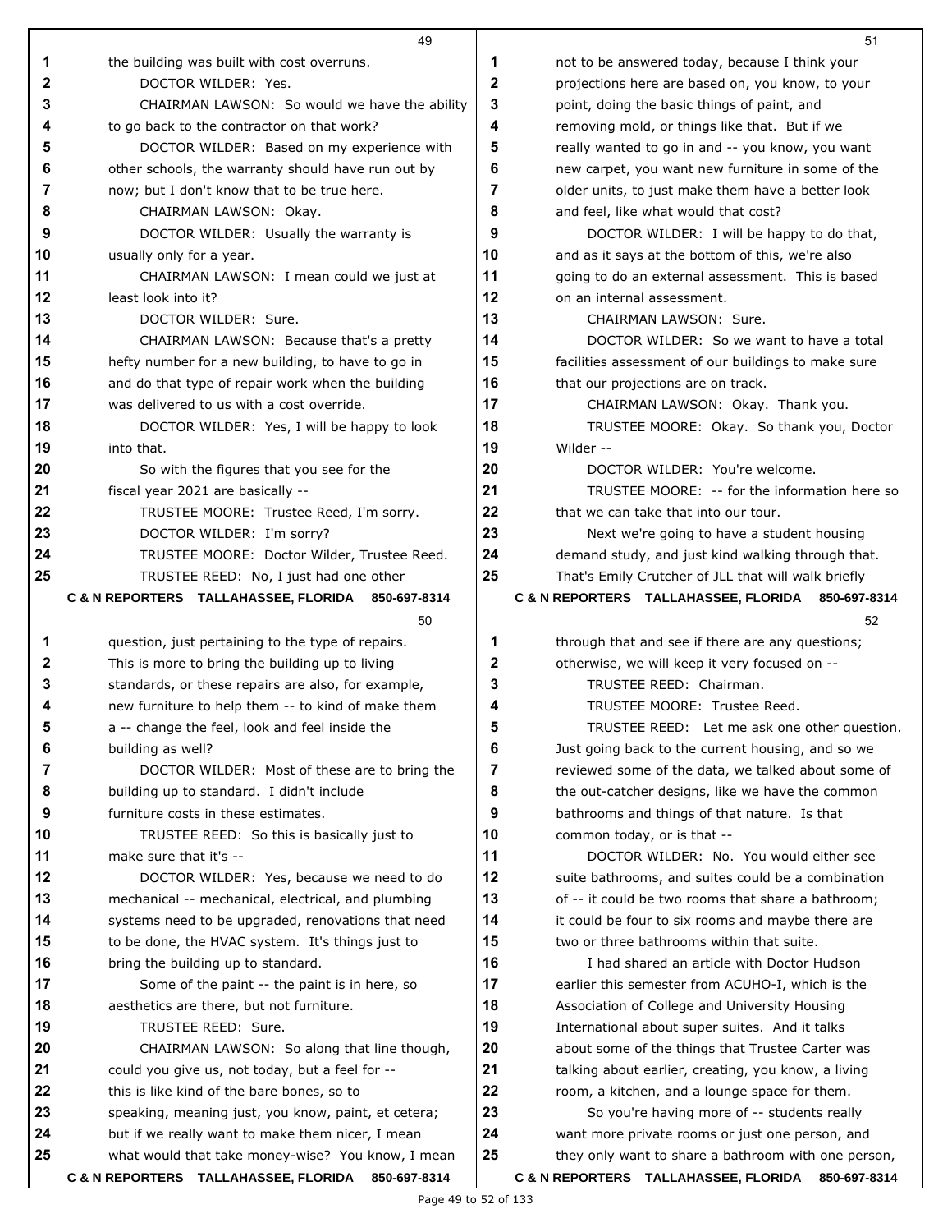|        | 49                                                                                                   |                   | 51                                                                                                |
|--------|------------------------------------------------------------------------------------------------------|-------------------|---------------------------------------------------------------------------------------------------|
| 1      | the building was built with cost overruns.                                                           | 1                 | not to be answered today, because I think your                                                    |
| 2      | DOCTOR WILDER: Yes.                                                                                  | $\mathbf{2}$      | projections here are based on, you know, to your                                                  |
| 3      | CHAIRMAN LAWSON: So would we have the ability                                                        | 3                 | point, doing the basic things of paint, and                                                       |
| 4      | to go back to the contractor on that work?                                                           | 4                 | removing mold, or things like that. But if we                                                     |
| 5      | DOCTOR WILDER: Based on my experience with                                                           | 5                 | really wanted to go in and -- you know, you want                                                  |
| 6      | other schools, the warranty should have run out by                                                   | 6                 | new carpet, you want new furniture in some of the                                                 |
| 7      | now; but I don't know that to be true here.                                                          | 7                 | older units, to just make them have a better look                                                 |
| 8      | CHAIRMAN LAWSON: Okay.                                                                               | 8                 | and feel, like what would that cost?                                                              |
| 9      | DOCTOR WILDER: Usually the warranty is                                                               | 9                 | DOCTOR WILDER: I will be happy to do that,                                                        |
| 10     | usually only for a year.                                                                             | 10                | and as it says at the bottom of this, we're also                                                  |
| 11     | CHAIRMAN LAWSON: I mean could we just at                                                             | 11                | going to do an external assessment. This is based                                                 |
| 12     | least look into it?                                                                                  | 12                | on an internal assessment.                                                                        |
| 13     | DOCTOR WILDER: Sure.                                                                                 | 13                | CHAIRMAN LAWSON: Sure.                                                                            |
| 14     | CHAIRMAN LAWSON: Because that's a pretty                                                             | 14                | DOCTOR WILDER: So we want to have a total                                                         |
| 15     | hefty number for a new building, to have to go in                                                    | 15                | facilities assessment of our buildings to make sure                                               |
| 16     | and do that type of repair work when the building                                                    | 16                | that our projections are on track.                                                                |
| 17     | was delivered to us with a cost override.                                                            | 17                | CHAIRMAN LAWSON: Okay. Thank you.                                                                 |
| 18     | DOCTOR WILDER: Yes, I will be happy to look                                                          | 18                | TRUSTEE MOORE: Okay. So thank you, Doctor                                                         |
| 19     | into that.                                                                                           | 19                | Wilder --                                                                                         |
| 20     | So with the figures that you see for the                                                             | 20                | DOCTOR WILDER: You're welcome.                                                                    |
| 21     | fiscal year 2021 are basically --                                                                    | 21                | TRUSTEE MOORE: -- for the information here so                                                     |
| 22     | TRUSTEE MOORE: Trustee Reed, I'm sorry.                                                              | 22                | that we can take that into our tour.                                                              |
| 23     | DOCTOR WILDER: I'm sorry?                                                                            | 23                | Next we're going to have a student housing                                                        |
| 24     | TRUSTEE MOORE: Doctor Wilder, Trustee Reed.                                                          | 24                | demand study, and just kind walking through that.                                                 |
| 25     | TRUSTEE REED: No, I just had one other                                                               | 25                | That's Emily Crutcher of JLL that will walk briefly                                               |
|        | C & N REPORTERS TALLAHASSEE, FLORIDA 850-697-8314                                                    |                   | C & N REPORTERS TALLAHASSEE, FLORIDA 850-697-8314                                                 |
|        | 50                                                                                                   |                   | 52                                                                                                |
| 1      | question, just pertaining to the type of repairs.                                                    | 1<br>$\mathbf{2}$ | through that and see if there are any questions;                                                  |
| 2      | This is more to bring the building up to living                                                      | 3                 | otherwise, we will keep it very focused on --                                                     |
| 3<br>4 | standards, or these repairs are also, for example,                                                   | 4                 | TRUSTEE REED: Chairman.<br>TRUSTEE MOORE: Trustee Reed.                                           |
| 5      | new furniture to help them -- to kind of make them<br>a -- change the feel, look and feel inside the | 5                 |                                                                                                   |
| 6      | building as well?                                                                                    | 6                 | TRUSTEE REED: Let me ask one other question.<br>Just going back to the current housing, and so we |
| 7      | DOCTOR WILDER: Most of these are to bring the                                                        | 7                 | reviewed some of the data, we talked about some of                                                |
| 8      | building up to standard. I didn't include                                                            | 8                 | the out-catcher designs, like we have the common                                                  |
| 9      | furniture costs in these estimates.                                                                  | 9                 | bathrooms and things of that nature. Is that                                                      |
| 10     | TRUSTEE REED: So this is basically just to                                                           | 10                | common today, or is that --                                                                       |
| 11     | make sure that it's --                                                                               | 11                | DOCTOR WILDER: No. You would either see                                                           |
| 12     | DOCTOR WILDER: Yes, because we need to do                                                            | 12                | suite bathrooms, and suites could be a combination                                                |
| 13     | mechanical -- mechanical, electrical, and plumbing                                                   | 13                | of -- it could be two rooms that share a bathroom;                                                |
| 14     | systems need to be upgraded, renovations that need                                                   | 14                | it could be four to six rooms and maybe there are                                                 |
| 15     | to be done, the HVAC system. It's things just to                                                     | 15                | two or three bathrooms within that suite.                                                         |
| 16     | bring the building up to standard.                                                                   | 16                | I had shared an article with Doctor Hudson                                                        |
| 17     | Some of the paint -- the paint is in here, so                                                        | 17                | earlier this semester from ACUHO-I, which is the                                                  |
| 18     | aesthetics are there, but not furniture.                                                             | 18                | Association of College and University Housing                                                     |
| 19     | TRUSTEE REED: Sure.                                                                                  | 19                | International about super suites. And it talks                                                    |
| 20     | CHAIRMAN LAWSON: So along that line though,                                                          | 20                | about some of the things that Trustee Carter was                                                  |
| 21     | could you give us, not today, but a feel for --                                                      | 21                | talking about earlier, creating, you know, a living                                               |
| 22     | this is like kind of the bare bones, so to                                                           | 22                | room, a kitchen, and a lounge space for them.                                                     |
|        |                                                                                                      |                   |                                                                                                   |
| 23     | speaking, meaning just, you know, paint, et cetera;                                                  | 23                | So you're having more of -- students really                                                       |
| 24     | but if we really want to make them nicer, I mean                                                     | 24                | want more private rooms or just one person, and                                                   |
| 25     | what would that take money-wise? You know, I mean                                                    | 25                | they only want to share a bathroom with one person,                                               |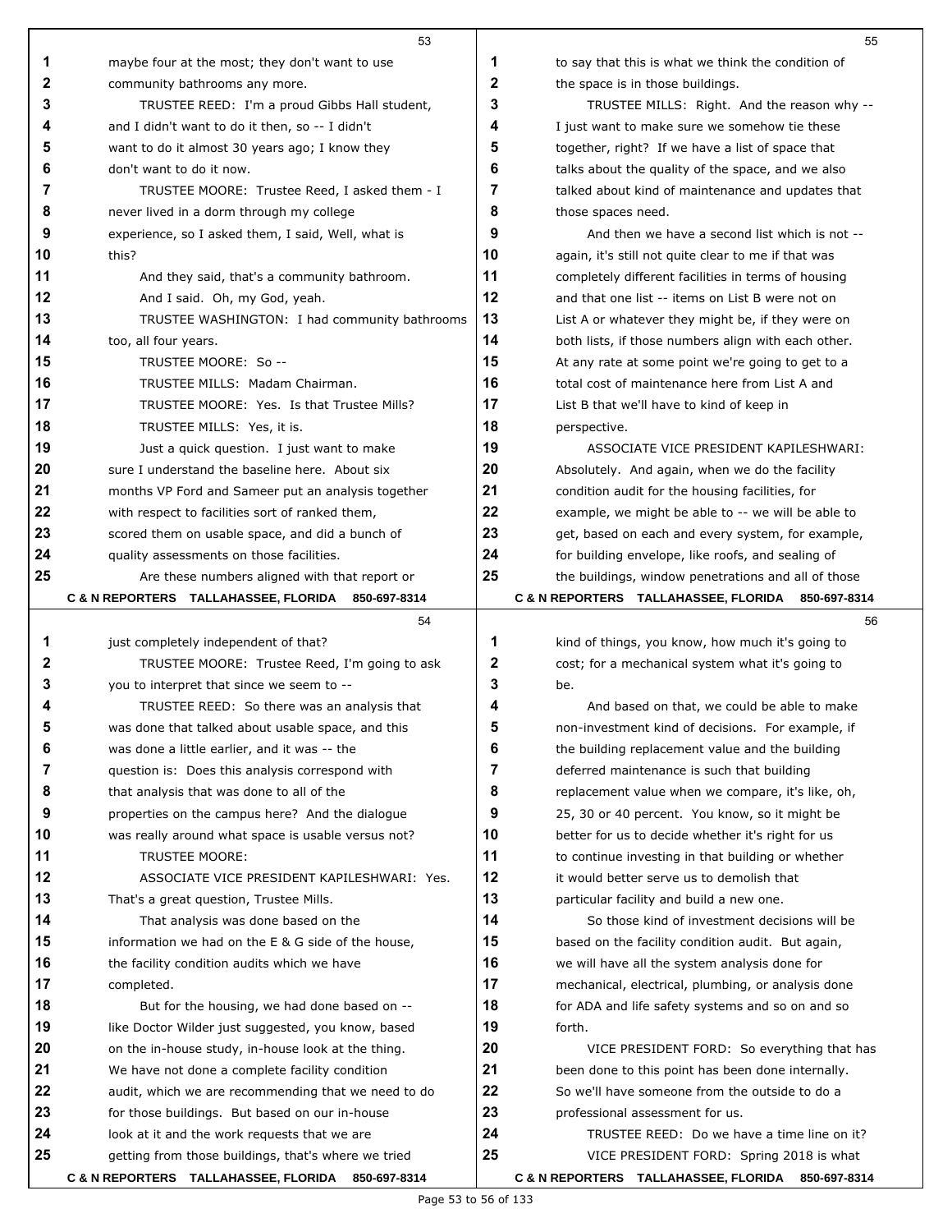|          | 53                                                                                                 |              | 55                                                         |
|----------|----------------------------------------------------------------------------------------------------|--------------|------------------------------------------------------------|
| 1        | maybe four at the most; they don't want to use                                                     | 1            | to say that this is what we think the condition of         |
| 2        | community bathrooms any more.                                                                      | $\mathbf{2}$ | the space is in those buildings.                           |
| 3        | TRUSTEE REED: I'm a proud Gibbs Hall student,                                                      | 3            | TRUSTEE MILLS: Right. And the reason why --                |
| 4        | and I didn't want to do it then, so -- I didn't                                                    | 4            | I just want to make sure we somehow tie these              |
| 5        | want to do it almost 30 years ago; I know they                                                     | 5            | together, right? If we have a list of space that           |
| 6        | don't want to do it now.                                                                           | 6            | talks about the quality of the space, and we also          |
| 7        | TRUSTEE MOORE: Trustee Reed, I asked them - I                                                      | 7            | talked about kind of maintenance and updates that          |
| 8        | never lived in a dorm through my college                                                           | 8            | those spaces need.                                         |
| 9        | experience, so I asked them, I said, Well, what is                                                 | 9            | And then we have a second list which is not --             |
| 10       | this?                                                                                              | 10           | again, it's still not quite clear to me if that was        |
| 11       | And they said, that's a community bathroom.                                                        | 11           | completely different facilities in terms of housing        |
| 12       | And I said. Oh, my God, yeah.                                                                      | 12           | and that one list -- items on List B were not on           |
| 13       | TRUSTEE WASHINGTON: I had community bathrooms                                                      | 13           | List A or whatever they might be, if they were on          |
| 14       | too, all four years.                                                                               | 14           | both lists, if those numbers align with each other.        |
| 15       | TRUSTEE MOORE: So --                                                                               | 15           | At any rate at some point we're going to get to a          |
| 16       | TRUSTEE MILLS: Madam Chairman.                                                                     | 16           | total cost of maintenance here from List A and             |
| 17       | TRUSTEE MOORE: Yes. Is that Trustee Mills?                                                         | 17           | List B that we'll have to kind of keep in                  |
| 18       | TRUSTEE MILLS: Yes, it is.                                                                         | 18           | perspective.                                               |
| 19       | Just a quick question. I just want to make                                                         | 19           | ASSOCIATE VICE PRESIDENT KAPILESHWARI:                     |
| 20       | sure I understand the baseline here. About six                                                     | 20           | Absolutely. And again, when we do the facility             |
| 21       | months VP Ford and Sameer put an analysis together                                                 | 21           | condition audit for the housing facilities, for            |
| 22       | with respect to facilities sort of ranked them,                                                    | 22           | example, we might be able to -- we will be able to         |
| 23       | scored them on usable space, and did a bunch of                                                    | 23           | get, based on each and every system, for example,          |
| 24       | quality assessments on those facilities.                                                           | 24           | for building envelope, like roofs, and sealing of          |
| 25       | Are these numbers aligned with that report or                                                      | 25           | the buildings, window penetrations and all of those        |
|          | C & N REPORTERS TALLAHASSEE, FLORIDA<br>850-697-8314                                               |              | C & N REPORTERS TALLAHASSEE, FLORIDA 850-697-8314          |
|          |                                                                                                    |              |                                                            |
|          | 54                                                                                                 |              | 56                                                         |
| 1        | just completely independent of that?                                                               | 1            | kind of things, you know, how much it's going to           |
| 2        | TRUSTEE MOORE: Trustee Reed, I'm going to ask                                                      | 2            | cost; for a mechanical system what it's going to           |
| 3        | you to interpret that since we seem to --                                                          | 3            | be.                                                        |
| 4        | TRUSTEE REED: So there was an analysis that                                                        | 4            | And based on that, we could be able to make                |
| 5        | was done that talked about usable space, and this                                                  | 5            | non-investment kind of decisions. For example, if          |
| 6        | was done a little earlier, and it was -- the                                                       | 6            | the building replacement value and the building            |
| 7        | question is: Does this analysis correspond with                                                    | 7            | deferred maintenance is such that building                 |
| 8        | that analysis that was done to all of the                                                          | 8            | replacement value when we compare, it's like, oh,          |
| 9        | properties on the campus here? And the dialogue                                                    | 9            | 25, 30 or 40 percent. You know, so it might be             |
| 10       | was really around what space is usable versus not?                                                 | 10           | better for us to decide whether it's right for us          |
| 11       | TRUSTEE MOORE:                                                                                     | 11           | to continue investing in that building or whether          |
| 12       | ASSOCIATE VICE PRESIDENT KAPILESHWARI: Yes.                                                        | 12           | it would better serve us to demolish that                  |
| 13       | That's a great question, Trustee Mills.                                                            | 13           | particular facility and build a new one.                   |
| 14       | That analysis was done based on the                                                                | 14           | So those kind of investment decisions will be              |
| 15       | information we had on the E & G side of the house,                                                 | 15           | based on the facility condition audit. But again,          |
| 16       | the facility condition audits which we have                                                        | 16           | we will have all the system analysis done for              |
| 17       | completed.                                                                                         | 17<br>18     | mechanical, electrical, plumbing, or analysis done         |
| 18<br>19 | But for the housing, we had done based on --<br>like Doctor Wilder just suggested, you know, based | 19           | for ADA and life safety systems and so on and so<br>forth. |
| 20       | on the in-house study, in-house look at the thing.                                                 | 20           | VICE PRESIDENT FORD: So everything that has                |
| 21       | We have not done a complete facility condition                                                     | 21           | been done to this point has been done internally.          |
| 22       | audit, which we are recommending that we need to do                                                | 22           | So we'll have someone from the outside to do a             |
| 23       | for those buildings. But based on our in-house                                                     | 23           | professional assessment for us.                            |
| 24       | look at it and the work requests that we are                                                       | 24           | TRUSTEE REED: Do we have a time line on it?                |
| 25       | getting from those buildings, that's where we tried                                                | 25           | VICE PRESIDENT FORD: Spring 2018 is what                   |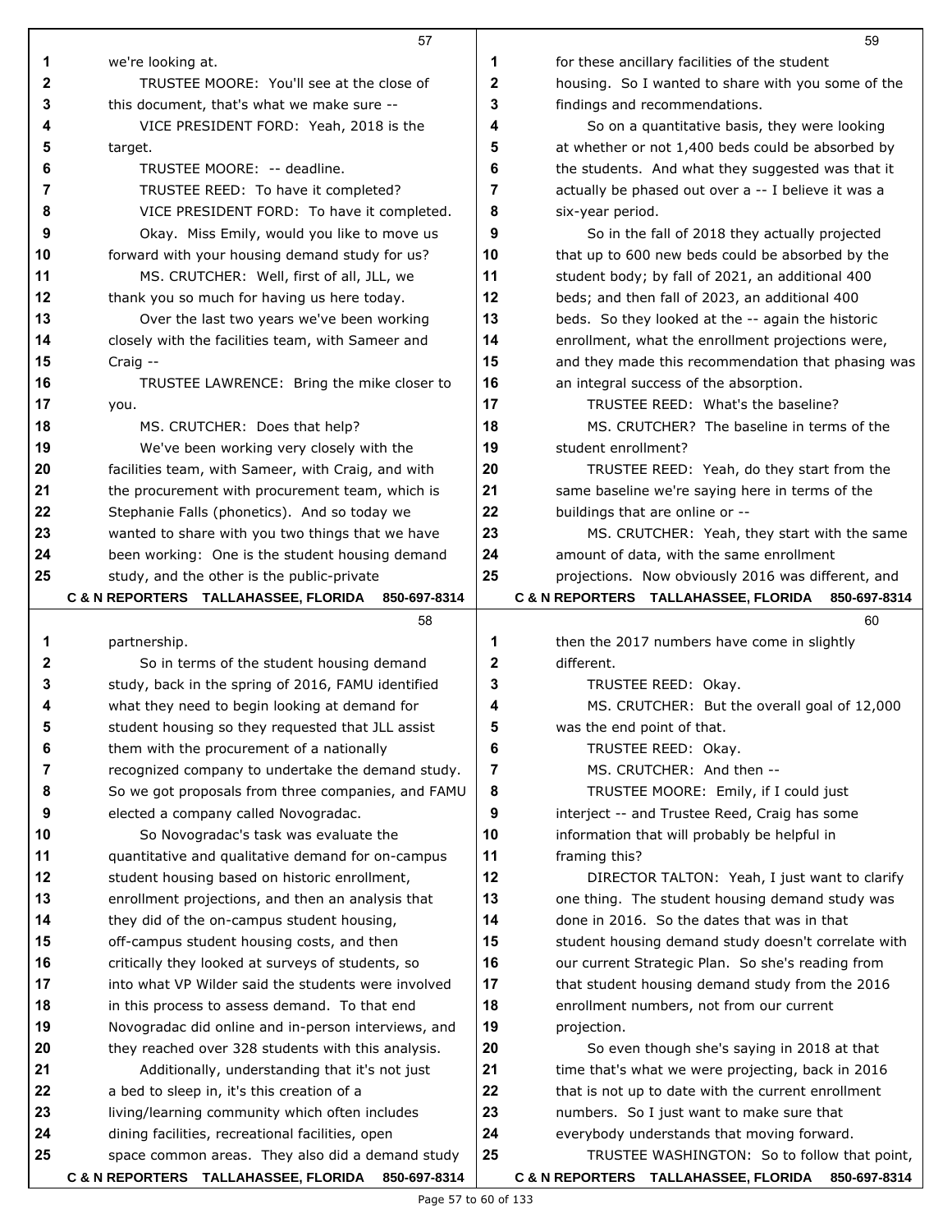|              | 57                                                                                                    |    | 59                                                                                                |
|--------------|-------------------------------------------------------------------------------------------------------|----|---------------------------------------------------------------------------------------------------|
| 1            | we're looking at.                                                                                     | 1  | for these ancillary facilities of the student                                                     |
| $\mathbf{2}$ | TRUSTEE MOORE: You'll see at the close of                                                             | 2  | housing. So I wanted to share with you some of the                                                |
| 3            | this document, that's what we make sure --                                                            | 3  | findings and recommendations.                                                                     |
| 4            | VICE PRESIDENT FORD: Yeah, 2018 is the                                                                | 4  | So on a quantitative basis, they were looking                                                     |
| 5            | target.                                                                                               | 5  | at whether or not 1,400 beds could be absorbed by                                                 |
| 6            | TRUSTEE MOORE: -- deadline.                                                                           | 6  | the students. And what they suggested was that it                                                 |
| 7            | TRUSTEE REED: To have it completed?                                                                   | 7  | actually be phased out over a -- I believe it was a                                               |
| 8            | VICE PRESIDENT FORD: To have it completed.                                                            | 8  | six-year period.                                                                                  |
| 9            | Okay. Miss Emily, would you like to move us                                                           | 9  | So in the fall of 2018 they actually projected                                                    |
| 10           | forward with your housing demand study for us?                                                        | 10 | that up to 600 new beds could be absorbed by the                                                  |
| 11           | MS. CRUTCHER: Well, first of all, JLL, we                                                             | 11 | student body; by fall of 2021, an additional 400                                                  |
| 12           | thank you so much for having us here today.                                                           | 12 | beds; and then fall of 2023, an additional 400                                                    |
| 13           | Over the last two years we've been working                                                            | 13 | beds. So they looked at the -- again the historic                                                 |
| 14           | closely with the facilities team, with Sameer and                                                     | 14 | enrollment, what the enrollment projections were,                                                 |
| 15           | Craig --                                                                                              | 15 | and they made this recommendation that phasing was                                                |
| 16           | TRUSTEE LAWRENCE: Bring the mike closer to                                                            | 16 | an integral success of the absorption.                                                            |
| 17           | you.                                                                                                  | 17 | TRUSTEE REED: What's the baseline?                                                                |
| 18           | MS. CRUTCHER: Does that help?                                                                         | 18 | MS. CRUTCHER? The baseline in terms of the                                                        |
| 19           | We've been working very closely with the                                                              | 19 | student enrollment?                                                                               |
| 20           | facilities team, with Sameer, with Craig, and with                                                    | 20 | TRUSTEE REED: Yeah, do they start from the                                                        |
| 21           | the procurement with procurement team, which is                                                       | 21 | same baseline we're saying here in terms of the                                                   |
| 22           | Stephanie Falls (phonetics). And so today we                                                          | 22 | buildings that are online or --                                                                   |
| 23           | wanted to share with you two things that we have                                                      | 23 | MS. CRUTCHER: Yeah, they start with the same                                                      |
| 24           | been working: One is the student housing demand                                                       | 24 | amount of data, with the same enrollment                                                          |
| 25           | study, and the other is the public-private                                                            | 25 | projections. Now obviously 2016 was different, and                                                |
|              | C & N REPORTERS TALLAHASSEE, FLORIDA 850-697-8314                                                     |    | C & N REPORTERS TALLAHASSEE, FLORIDA 850-697-8314                                                 |
|              |                                                                                                       |    |                                                                                                   |
|              | 58                                                                                                    |    | 60                                                                                                |
| 1            | partnership.                                                                                          | 1  | then the 2017 numbers have come in slightly                                                       |
| 2            | So in terms of the student housing demand                                                             | 2  | different.                                                                                        |
| 3            | study, back in the spring of 2016, FAMU identified                                                    | 3  | TRUSTEE REED: Okay.                                                                               |
| 4            | what they need to begin looking at demand for                                                         | 4  | MS. CRUTCHER: But the overall goal of 12,000                                                      |
| 5            | student housing so they requested that JLL assist                                                     | 5  | was the end point of that.                                                                        |
| 6            | them with the procurement of a nationally                                                             | 6  | TRUSTEE REED: Okay.                                                                               |
| 7            | recognized company to undertake the demand study.                                                     | 7  | MS. CRUTCHER: And then --                                                                         |
| 8            | So we got proposals from three companies, and FAMU                                                    | 8  | TRUSTEE MOORE: Emily, if I could just                                                             |
| 9            | elected a company called Novogradac.                                                                  | 9  | interject -- and Trustee Reed, Craig has some                                                     |
| 10           | So Novogradac's task was evaluate the                                                                 | 10 | information that will probably be helpful in                                                      |
| 11           | quantitative and qualitative demand for on-campus                                                     | 11 | framing this?                                                                                     |
| 12           | student housing based on historic enrollment,                                                         | 12 | DIRECTOR TALTON: Yeah, I just want to clarify                                                     |
| 13           | enrollment projections, and then an analysis that                                                     | 13 | one thing. The student housing demand study was                                                   |
| 14           | they did of the on-campus student housing,                                                            | 14 | done in 2016. So the dates that was in that                                                       |
| 15           | off-campus student housing costs, and then                                                            | 15 | student housing demand study doesn't correlate with                                               |
| 16           | critically they looked at surveys of students, so                                                     | 16 | our current Strategic Plan. So she's reading from                                                 |
| 17           | into what VP Wilder said the students were involved                                                   | 17 | that student housing demand study from the 2016                                                   |
| 18           | in this process to assess demand. To that end                                                         | 18 | enrollment numbers, not from our current                                                          |
| 19           | Novogradac did online and in-person interviews, and                                                   | 19 | projection.                                                                                       |
| 20           | they reached over 328 students with this analysis.                                                    | 20 | So even though she's saying in 2018 at that                                                       |
| 21           | Additionally, understanding that it's not just                                                        | 21 | time that's what we were projecting, back in 2016                                                 |
| 22           | a bed to sleep in, it's this creation of a                                                            | 22 | that is not up to date with the current enrollment                                                |
| 23           | living/learning community which often includes                                                        | 23 | numbers. So I just want to make sure that                                                         |
| 24           | dining facilities, recreational facilities, open                                                      | 24 | everybody understands that moving forward.                                                        |
| 25           | space common areas. They also did a demand study<br>C & N REPORTERS TALLAHASSEE, FLORIDA 850-697-8314 | 25 | TRUSTEE WASHINGTON: So to follow that point,<br>C & N REPORTERS TALLAHASSEE, FLORIDA 850-697-8314 |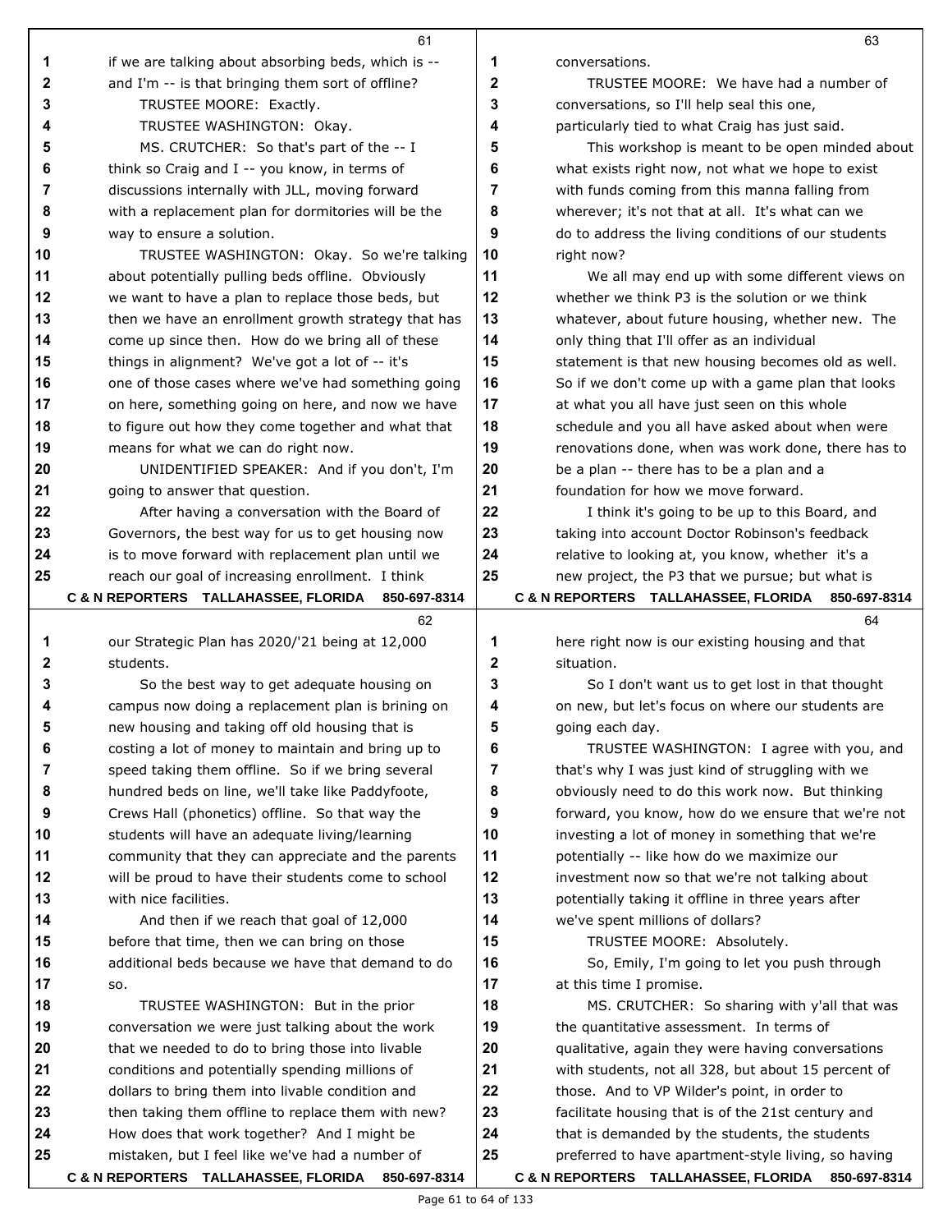|          | 61                                                                                                      |              | 63                                                   |
|----------|---------------------------------------------------------------------------------------------------------|--------------|------------------------------------------------------|
| 1        | if we are talking about absorbing beds, which is --                                                     | 1            | conversations.                                       |
| 2        | and I'm -- is that bringing them sort of offline?                                                       | $\mathbf{2}$ | TRUSTEE MOORE: We have had a number of               |
| 3        | TRUSTEE MOORE: Exactly.                                                                                 | 3            | conversations, so I'll help seal this one,           |
| 4        | TRUSTEE WASHINGTON: Okay.                                                                               | 4            | particularly tied to what Craig has just said.       |
| 5        | MS. CRUTCHER: So that's part of the -- I                                                                | 5            | This workshop is meant to be open minded about       |
| 6        | think so Craig and I -- you know, in terms of                                                           | 6            | what exists right now, not what we hope to exist     |
| 7        | discussions internally with JLL, moving forward                                                         | 7            | with funds coming from this manna falling from       |
| 8        | with a replacement plan for dormitories will be the                                                     | 8            | wherever; it's not that at all. It's what can we     |
| 9        | way to ensure a solution.                                                                               | 9            | do to address the living conditions of our students  |
| 10       | TRUSTEE WASHINGTON: Okay. So we're talking                                                              | 10           | right now?                                           |
| 11       | about potentially pulling beds offline. Obviously                                                       | 11           | We all may end up with some different views on       |
| 12       | we want to have a plan to replace those beds, but                                                       | 12           | whether we think P3 is the solution or we think      |
| 13       | then we have an enrollment growth strategy that has                                                     | 13           | whatever, about future housing, whether new. The     |
| 14       | come up since then. How do we bring all of these                                                        | 14           | only thing that I'll offer as an individual          |
| 15       | things in alignment? We've got a lot of -- it's                                                         | 15           | statement is that new housing becomes old as well.   |
| 16       | one of those cases where we've had something going                                                      | 16           | So if we don't come up with a game plan that looks   |
| 17       | on here, something going on here, and now we have                                                       | 17           | at what you all have just seen on this whole         |
| 18       | to figure out how they come together and what that                                                      | 18           | schedule and you all have asked about when were      |
| 19       | means for what we can do right now.                                                                     | 19           | renovations done, when was work done, there has to   |
| 20       | UNIDENTIFIED SPEAKER: And if you don't, I'm                                                             | 20           | be a plan -- there has to be a plan and a            |
| 21       | going to answer that question.                                                                          | 21           | foundation for how we move forward.                  |
| 22       | After having a conversation with the Board of                                                           | 22           | I think it's going to be up to this Board, and       |
| 23       | Governors, the best way for us to get housing now                                                       | 23           | taking into account Doctor Robinson's feedback       |
| 24       | is to move forward with replacement plan until we                                                       | 24           | relative to looking at, you know, whether it's a     |
| 25       | reach our goal of increasing enrollment. I think                                                        | 25           | new project, the P3 that we pursue; but what is      |
|          | C & N REPORTERS TALLAHASSEE, FLORIDA<br>850-697-8314                                                    |              | C & N REPORTERS TALLAHASSEE, FLORIDA<br>850-697-8314 |
|          | 62                                                                                                      |              | 64                                                   |
| 1        | our Strategic Plan has 2020/'21 being at 12,000                                                         | 1            | here right now is our existing housing and that      |
| 2        | students.                                                                                               | $\mathbf{2}$ | situation.                                           |
| 3        | So the best way to get adequate housing on                                                              | 3            | So I don't want us to get lost in that thought       |
| 4        | campus now doing a replacement plan is brining on                                                       | 4            | on new, but let's focus on where our students are    |
| 5        | new housing and taking off old housing that is                                                          | 5            | going each day.                                      |
| 6        | costing a lot of money to maintain and bring up to                                                      | 6            | TRUSTEE WASHINGTON: I agree with you, and            |
| 7        | speed taking them offline. So if we bring several                                                       | 7            | that's why I was just kind of struggling with we     |
| 8        | hundred beds on line, we'll take like Paddyfoote,                                                       | 8            | obviously need to do this work now. But thinking     |
| 9        | Crews Hall (phonetics) offline. So that way the                                                         | 9            | forward, you know, how do we ensure that we're not   |
| 10       | students will have an adequate living/learning                                                          | 10           | investing a lot of money in something that we're     |
| 11       | community that they can appreciate and the parents                                                      | 11           | potentially -- like how do we maximize our           |
| 12       | will be proud to have their students come to school                                                     | 12           | investment now so that we're not talking about       |
| 13       | with nice facilities.                                                                                   | 13           | potentially taking it offline in three years after   |
| 14       | And then if we reach that goal of 12,000                                                                | 14           | we've spent millions of dollars?                     |
| 15       | before that time, then we can bring on those                                                            | 15           | TRUSTEE MOORE: Absolutely.                           |
| 16       | additional beds because we have that demand to do                                                       | 16           | So, Emily, I'm going to let you push through         |
| 17       | SO.                                                                                                     | 17           | at this time I promise.                              |
| 18       | TRUSTEE WASHINGTON: But in the prior                                                                    | 18           | MS. CRUTCHER: So sharing with y'all that was         |
| 19       | conversation we were just talking about the work                                                        | 19           | the quantitative assessment. In terms of             |
| 20       | that we needed to do to bring those into livable                                                        | 20           | qualitative, again they were having conversations    |
| 21       | conditions and potentially spending millions of                                                         | 21           | with students, not all 328, but about 15 percent of  |
| 22       | dollars to bring them into livable condition and                                                        | 22           | those. And to VP Wilder's point, in order to         |
| 23       | then taking them offline to replace them with new?                                                      | 23           | facilitate housing that is of the 21st century and   |
| 24<br>25 | How does that work together? And I might be                                                             | 24<br>25     | that is demanded by the students, the students       |
|          | mistaken, but I feel like we've had a number of<br>C & N REPORTERS TALLAHASSEE, FLORIDA<br>850-697-8314 |              | preferred to have apartment-style living, so having  |
|          |                                                                                                         |              | C & N REPORTERS TALLAHASSEE, FLORIDA 850-697-8314    |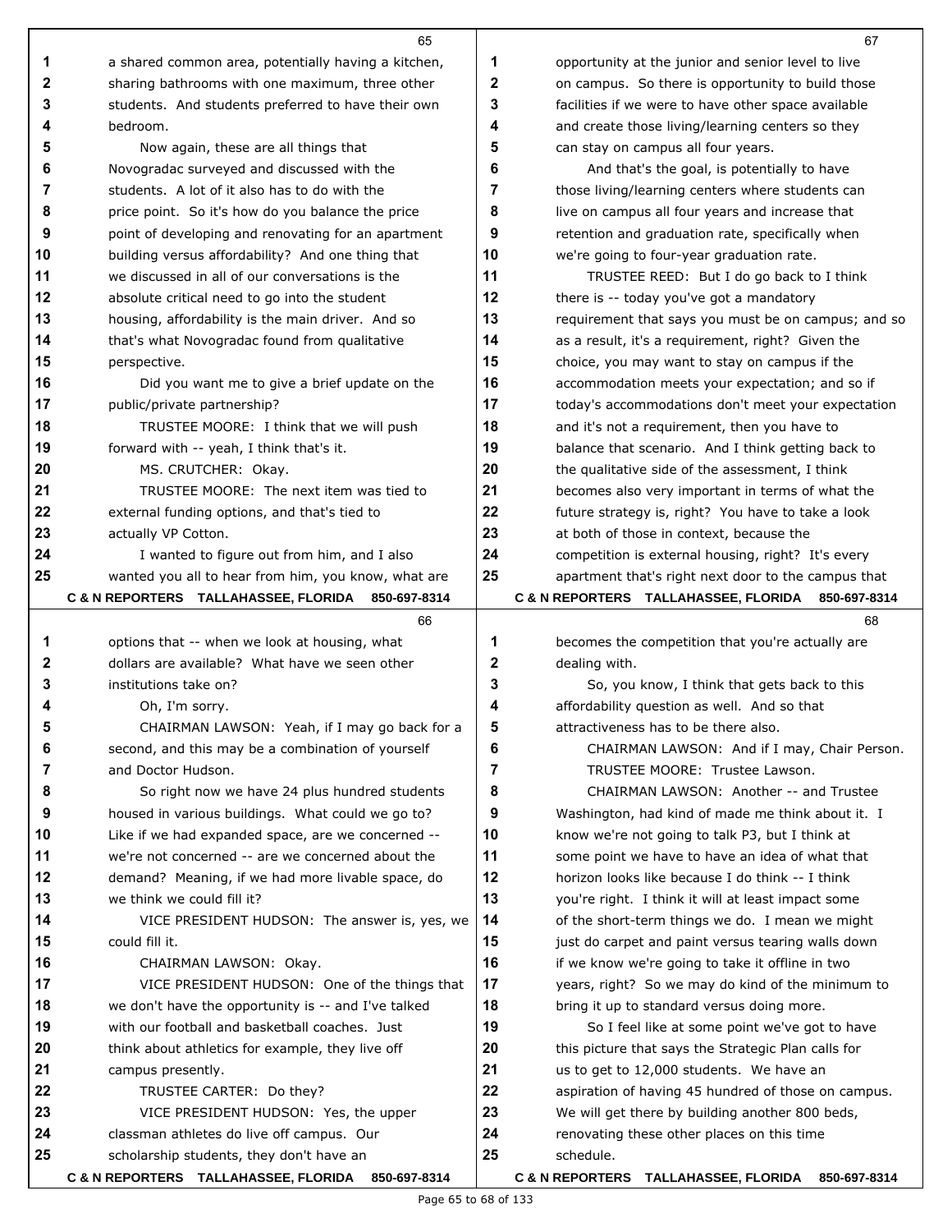|          | 65                                                                    |              | 67                                                                                              |
|----------|-----------------------------------------------------------------------|--------------|-------------------------------------------------------------------------------------------------|
| 1        | a shared common area, potentially having a kitchen,                   | 1            | opportunity at the junior and senior level to live                                              |
| 2        | sharing bathrooms with one maximum, three other                       | $\mathbf{2}$ | on campus. So there is opportunity to build those                                               |
| 3        | students. And students preferred to have their own                    | 3            | facilities if we were to have other space available                                             |
| 4        | bedroom.                                                              | 4            | and create those living/learning centers so they                                                |
| 5        | Now again, these are all things that                                  | 5            | can stay on campus all four years.                                                              |
| 6        | Novogradac surveyed and discussed with the                            | 6            | And that's the goal, is potentially to have                                                     |
| 7        | students. A lot of it also has to do with the                         | 7            | those living/learning centers where students can                                                |
| 8        | price point. So it's how do you balance the price                     | 8            | live on campus all four years and increase that                                                 |
| 9        | point of developing and renovating for an apartment                   | 9            | retention and graduation rate, specifically when                                                |
| 10       | building versus affordability? And one thing that                     | 10           | we're going to four-year graduation rate.                                                       |
| 11       | we discussed in all of our conversations is the                       | 11           | TRUSTEE REED: But I do go back to I think                                                       |
| 12       | absolute critical need to go into the student                         | 12           | there is -- today you've got a mandatory                                                        |
| 13       | housing, affordability is the main driver. And so                     | 13           | requirement that says you must be on campus; and so                                             |
| 14       | that's what Novogradac found from qualitative                         | 14           | as a result, it's a requirement, right? Given the                                               |
| 15       | perspective.                                                          | 15           | choice, you may want to stay on campus if the                                                   |
| 16       | Did you want me to give a brief update on the                         | 16           | accommodation meets your expectation; and so if                                                 |
| 17       | public/private partnership?                                           | 17           | today's accommodations don't meet your expectation                                              |
| 18       | TRUSTEE MOORE: I think that we will push                              | 18           | and it's not a requirement, then you have to                                                    |
| 19       | forward with -- yeah, I think that's it.                              | 19           | balance that scenario. And I think getting back to                                              |
| 20       | MS. CRUTCHER: Okay.                                                   | 20           | the qualitative side of the assessment, I think                                                 |
| 21       | TRUSTEE MOORE: The next item was tied to                              | 21           | becomes also very important in terms of what the                                                |
| 22       | external funding options, and that's tied to                          | 22           | future strategy is, right? You have to take a look                                              |
| 23       | actually VP Cotton.                                                   | 23           | at both of those in context, because the                                                        |
| 24       | I wanted to figure out from him, and I also                           | 24           | competition is external housing, right? It's every                                              |
| 25       | wanted you all to hear from him, you know, what are                   | 25           | apartment that's right next door to the campus that                                             |
|          | C & N REPORTERS TALLAHASSEE, FLORIDA<br>850-697-8314                  |              | C & N REPORTERS TALLAHASSEE, FLORIDA<br>850-697-8314                                            |
|          |                                                                       |              |                                                                                                 |
|          | 66                                                                    |              | 68                                                                                              |
| 1        | options that -- when we look at housing, what                         | 1            | becomes the competition that you're actually are                                                |
| 2        | dollars are available? What have we seen other                        | 2            | dealing with.                                                                                   |
| 3        | institutions take on?                                                 | 3            | So, you know, I think that gets back to this                                                    |
| 4        | Oh, I'm sorry.                                                        | 4            | affordability question as well. And so that                                                     |
| 5        | CHAIRMAN LAWSON: Yeah, if I may go back for a                         |              | attractiveness has to be there also.                                                            |
| 6        | second, and this may be a combination of yourself                     | 6            | CHAIRMAN LAWSON: And if I may, Chair Person.                                                    |
| 7        | and Doctor Hudson.                                                    | 7            | TRUSTEE MOORE: Trustee Lawson.                                                                  |
| 8        | So right now we have 24 plus hundred students                         | 8            | CHAIRMAN LAWSON: Another -- and Trustee                                                         |
| 9        | housed in various buildings. What could we go to?                     | 9            | Washington, had kind of made me think about it. I                                               |
| 10       | Like if we had expanded space, are we concerned --                    | 10           | know we're not going to talk P3, but I think at                                                 |
| 11       | we're not concerned -- are we concerned about the                     | 11           | some point we have to have an idea of what that                                                 |
| 12       | demand? Meaning, if we had more livable space, do                     | 12           | horizon looks like because I do think -- I think                                                |
| 13       | we think we could fill it?                                            | 13           | you're right. I think it will at least impact some                                              |
| 14       | VICE PRESIDENT HUDSON: The answer is, yes, we                         | 14           | of the short-term things we do. I mean we might                                                 |
| 15       | could fill it.                                                        | 15           | just do carpet and paint versus tearing walls down                                              |
| 16       | CHAIRMAN LAWSON: Okay.                                                | 16           | if we know we're going to take it offline in two                                                |
| 17       | VICE PRESIDENT HUDSON: One of the things that                         | 17           | years, right? So we may do kind of the minimum to                                               |
| 18       | we don't have the opportunity is -- and I've talked                   | 18<br>19     | bring it up to standard versus doing more.                                                      |
| 19<br>20 | with our football and basketball coaches. Just                        | 20           | So I feel like at some point we've got to have                                                  |
| 21       | think about athletics for example, they live off<br>campus presently. | 21           | this picture that says the Strategic Plan calls for<br>us to get to 12,000 students. We have an |
| 22       | TRUSTEE CARTER: Do they?                                              | 22           | aspiration of having 45 hundred of those on campus.                                             |
| 23       | VICE PRESIDENT HUDSON: Yes, the upper                                 | 23           | We will get there by building another 800 beds,                                                 |
| 24       | classman athletes do live off campus. Our                             | 24           | renovating these other places on this time                                                      |
| 25       | scholarship students, they don't have an                              | 25           | schedule.                                                                                       |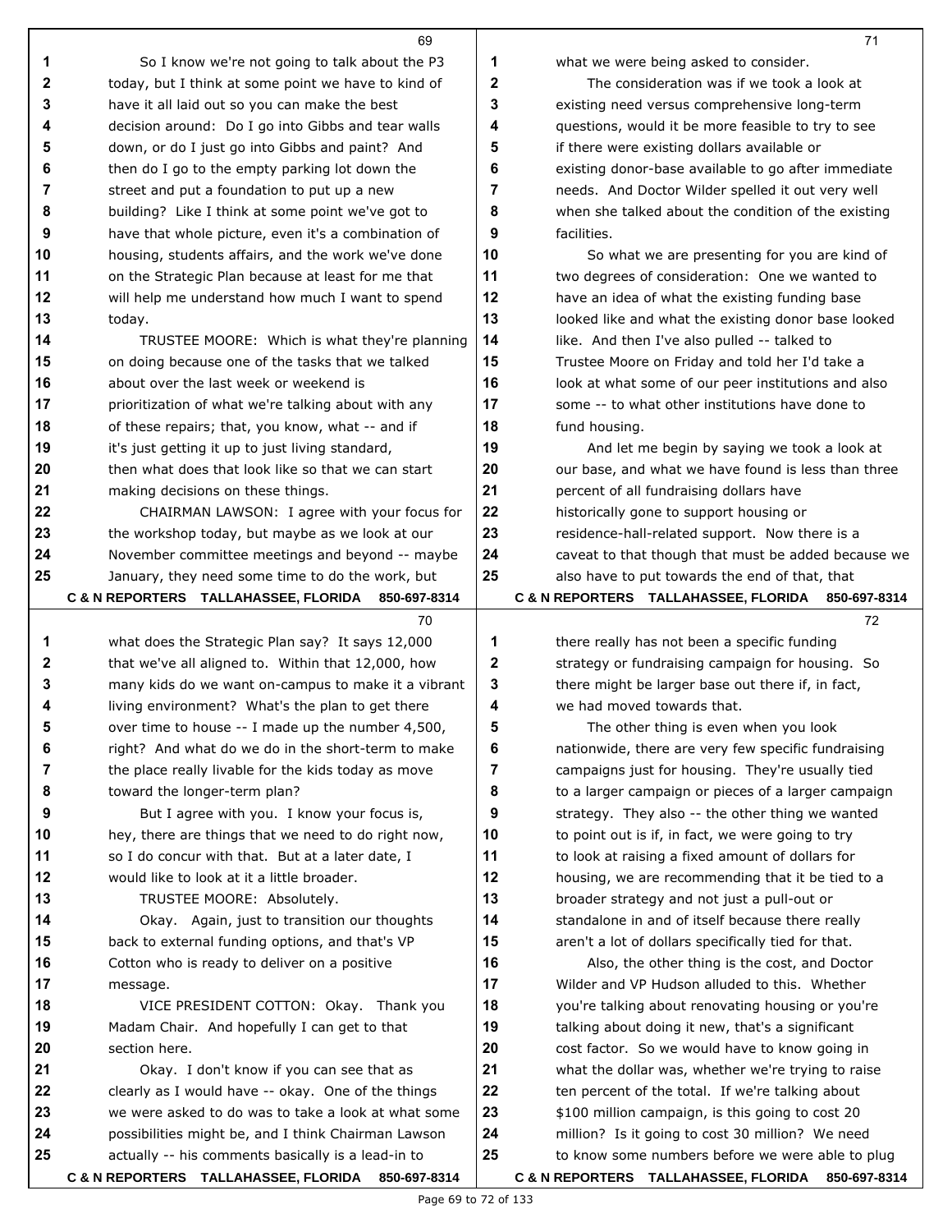|        | 69                                                                                                      |        | 71                                                                                                      |
|--------|---------------------------------------------------------------------------------------------------------|--------|---------------------------------------------------------------------------------------------------------|
| 1      | So I know we're not going to talk about the P3                                                          | 1      | what we were being asked to consider.                                                                   |
| 2      | today, but I think at some point we have to kind of                                                     | 2      | The consideration was if we took a look at                                                              |
| 3      | have it all laid out so you can make the best                                                           | 3      | existing need versus comprehensive long-term                                                            |
| 4      | decision around: Do I go into Gibbs and tear walls                                                      | 4      | questions, would it be more feasible to try to see                                                      |
| 5      | down, or do I just go into Gibbs and paint? And                                                         | 5      | if there were existing dollars available or                                                             |
| 6      | then do I go to the empty parking lot down the                                                          | 6      | existing donor-base available to go after immediate                                                     |
| 7      | street and put a foundation to put up a new                                                             | 7      | needs. And Doctor Wilder spelled it out very well                                                       |
| 8      | building? Like I think at some point we've got to                                                       | 8      | when she talked about the condition of the existing                                                     |
| 9      | have that whole picture, even it's a combination of                                                     | 9      | facilities.                                                                                             |
| 10     | housing, students affairs, and the work we've done                                                      | 10     | So what we are presenting for you are kind of                                                           |
| 11     | on the Strategic Plan because at least for me that                                                      | 11     | two degrees of consideration: One we wanted to                                                          |
| 12     | will help me understand how much I want to spend                                                        | 12     | have an idea of what the existing funding base                                                          |
| 13     | today.                                                                                                  | 13     | looked like and what the existing donor base looked                                                     |
| 14     | TRUSTEE MOORE: Which is what they're planning                                                           | 14     | like. And then I've also pulled -- talked to                                                            |
| 15     | on doing because one of the tasks that we talked                                                        | 15     | Trustee Moore on Friday and told her I'd take a                                                         |
| 16     | about over the last week or weekend is                                                                  | 16     | look at what some of our peer institutions and also                                                     |
| 17     | prioritization of what we're talking about with any                                                     | 17     | some -- to what other institutions have done to                                                         |
| 18     | of these repairs; that, you know, what -- and if                                                        | 18     | fund housing.                                                                                           |
| 19     | it's just getting it up to just living standard,                                                        | 19     | And let me begin by saying we took a look at                                                            |
| 20     | then what does that look like so that we can start                                                      | 20     | our base, and what we have found is less than three                                                     |
| 21     | making decisions on these things.                                                                       | 21     | percent of all fundraising dollars have                                                                 |
| 22     | CHAIRMAN LAWSON: I agree with your focus for                                                            | 22     | historically gone to support housing or                                                                 |
| 23     | the workshop today, but maybe as we look at our                                                         | 23     | residence-hall-related support. Now there is a                                                          |
| 24     | November committee meetings and beyond -- maybe                                                         | 24     | caveat to that though that must be added because we                                                     |
| 25     | January, they need some time to do the work, but                                                        | 25     | also have to put towards the end of that, that                                                          |
|        | C & N REPORTERS TALLAHASSEE, FLORIDA 850-697-8314                                                       |        | C & N REPORTERS TALLAHASSEE, FLORIDA 850-697-8314                                                       |
|        | 70                                                                                                      |        | 72                                                                                                      |
| 1      | what does the Strategic Plan say? It says 12,000                                                        | 1      | there really has not been a specific funding                                                            |
| 2      | that we've all aligned to. Within that 12,000, how                                                      | 2      | strategy or fundraising campaign for housing. So                                                        |
| 3      | many kids do we want on-campus to make it a vibrant                                                     | 3      | there might be larger base out there if, in fact,<br>we had moved towards that.                         |
| 4<br>5 | living environment? What's the plan to get there                                                        | 4<br>5 |                                                                                                         |
| 6      | over time to house -- I made up the number 4,500,<br>right? And what do we do in the short-term to make | 6      | The other thing is even when you look                                                                   |
| 7      | the place really livable for the kids today as move                                                     | 7      | nationwide, there are very few specific fundraising<br>campaigns just for housing. They're usually tied |
| 8      | toward the longer-term plan?                                                                            | 8      | to a larger campaign or pieces of a larger campaign                                                     |
| 9      | But I agree with you. I know your focus is,                                                             | 9      | strategy. They also -- the other thing we wanted                                                        |
| 10     | hey, there are things that we need to do right now,                                                     | 10     | to point out is if, in fact, we were going to try                                                       |
| 11     | so I do concur with that. But at a later date, I                                                        | 11     | to look at raising a fixed amount of dollars for                                                        |
| 12     | would like to look at it a little broader.                                                              | 12     | housing, we are recommending that it be tied to a                                                       |
| 13     | TRUSTEE MOORE: Absolutely.                                                                              | 13     | broader strategy and not just a pull-out or                                                             |
| 14     | Okay. Again, just to transition our thoughts                                                            | 14     | standalone in and of itself because there really                                                        |
| 15     | back to external funding options, and that's VP                                                         | 15     | aren't a lot of dollars specifically tied for that.                                                     |
| 16     | Cotton who is ready to deliver on a positive                                                            | 16     | Also, the other thing is the cost, and Doctor                                                           |
| 17     | message.                                                                                                | 17     | Wilder and VP Hudson alluded to this. Whether                                                           |
| 18     | VICE PRESIDENT COTTON: Okay. Thank you                                                                  | 18     | you're talking about renovating housing or you're                                                       |
| 19     | Madam Chair. And hopefully I can get to that                                                            | 19     | talking about doing it new, that's a significant                                                        |
| 20     | section here.                                                                                           | 20     | cost factor. So we would have to know going in                                                          |
| 21     | Okay. I don't know if you can see that as                                                               | 21     | what the dollar was, whether we're trying to raise                                                      |
| 22     | clearly as I would have -- okay. One of the things                                                      | 22     | ten percent of the total. If we're talking about                                                        |
| 23     | we were asked to do was to take a look at what some                                                     | 23     | \$100 million campaign, is this going to cost 20                                                        |
| 24     | possibilities might be, and I think Chairman Lawson                                                     | 24     | million? Is it going to cost 30 million? We need                                                        |
| 25     | actually -- his comments basically is a lead-in to                                                      | 25     | to know some numbers before we were able to plug                                                        |
|        | C & N REPORTERS TALLAHASSEE, FLORIDA 850-697-8314                                                       |        | C & N REPORTERS TALLAHASSEE, FLORIDA 850-697-8314                                                       |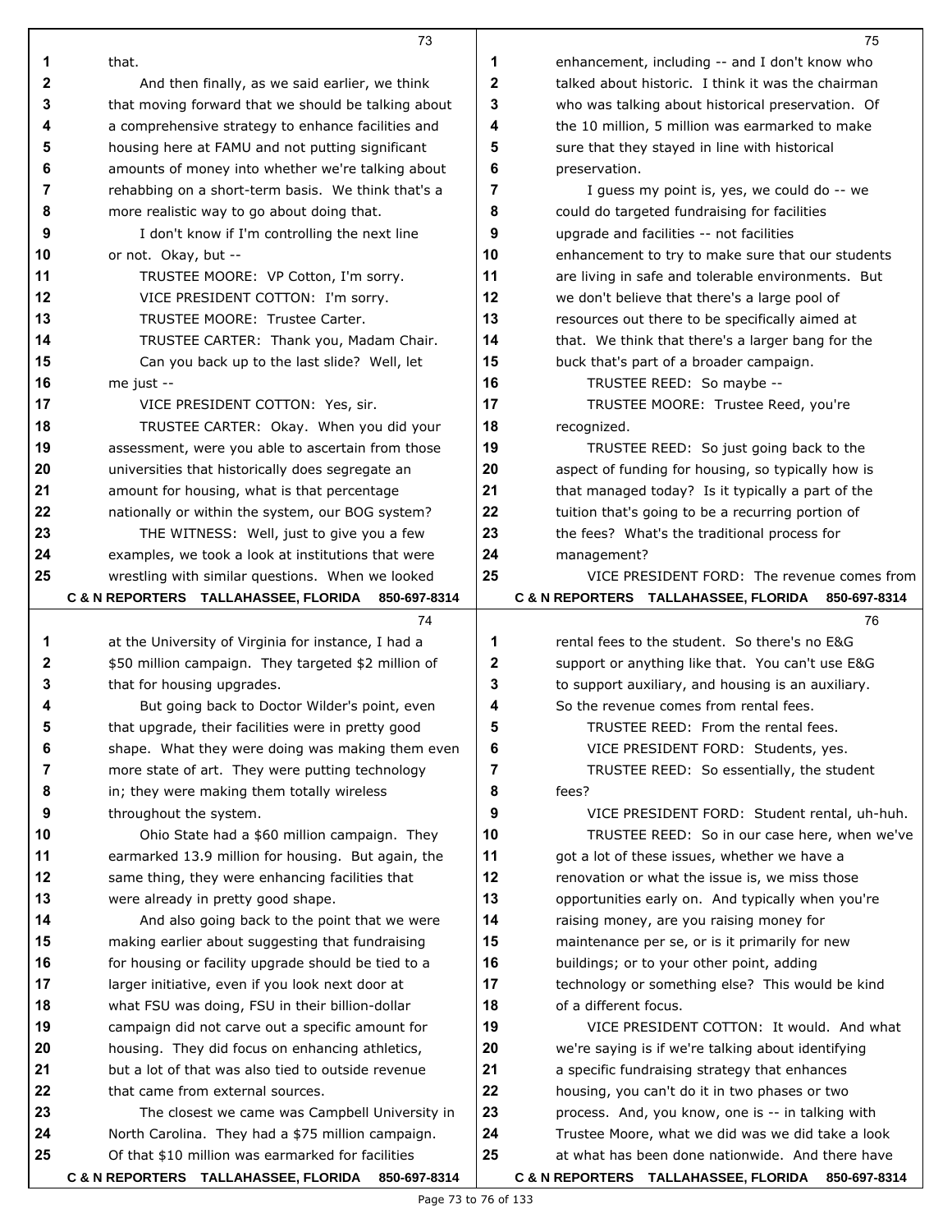|              | 73                                                  |    | 75                                                   |
|--------------|-----------------------------------------------------|----|------------------------------------------------------|
| 1            | that.                                               | 1  | enhancement, including -- and I don't know who       |
| $\mathbf{2}$ | And then finally, as we said earlier, we think      | 2  | talked about historic. I think it was the chairman   |
| 3            | that moving forward that we should be talking about | 3  | who was talking about historical preservation. Of    |
| 4            | a comprehensive strategy to enhance facilities and  | 4  | the 10 million, 5 million was earmarked to make      |
| 5            | housing here at FAMU and not putting significant    | 5  | sure that they stayed in line with historical        |
| 6            | amounts of money into whether we're talking about   | 6  | preservation.                                        |
| 7            | rehabbing on a short-term basis. We think that's a  | 7  | I guess my point is, yes, we could do -- we          |
| 8            | more realistic way to go about doing that.          | 8  | could do targeted fundraising for facilities         |
| 9            | I don't know if I'm controlling the next line       | 9  | upgrade and facilities -- not facilities             |
| 10           | or not. Okay, but --                                | 10 | enhancement to try to make sure that our students    |
| 11           | TRUSTEE MOORE: VP Cotton, I'm sorry.                | 11 | are living in safe and tolerable environments. But   |
| 12           | VICE PRESIDENT COTTON: I'm sorry.                   | 12 | we don't believe that there's a large pool of        |
| 13           | TRUSTEE MOORE: Trustee Carter.                      | 13 | resources out there to be specifically aimed at      |
| 14           | TRUSTEE CARTER: Thank you, Madam Chair.             | 14 | that. We think that there's a larger bang for the    |
| 15           | Can you back up to the last slide? Well, let        | 15 | buck that's part of a broader campaign.              |
| 16           | me just --                                          | 16 | TRUSTEE REED: So maybe --                            |
| 17           | VICE PRESIDENT COTTON: Yes, sir.                    | 17 | TRUSTEE MOORE: Trustee Reed, you're                  |
| 18           | TRUSTEE CARTER: Okay. When you did your             | 18 | recognized.                                          |
| 19           | assessment, were you able to ascertain from those   | 19 | TRUSTEE REED: So just going back to the              |
| 20           | universities that historically does segregate an    | 20 | aspect of funding for housing, so typically how is   |
| 21           | amount for housing, what is that percentage         | 21 | that managed today? Is it typically a part of the    |
| 22           | nationally or within the system, our BOG system?    | 22 | tuition that's going to be a recurring portion of    |
| 23           | THE WITNESS: Well, just to give you a few           | 23 | the fees? What's the traditional process for         |
| 24           | examples, we took a look at institutions that were  | 24 | management?                                          |
| 25           | wrestling with similar questions. When we looked    | 25 | VICE PRESIDENT FORD: The revenue comes from          |
|              | C & N REPORTERS TALLAHASSEE, FLORIDA 850-697-8314   |    | C & N REPORTERS TALLAHASSEE, FLORIDA<br>850-697-8314 |
|              | 74                                                  |    | 76                                                   |
| 1            | at the University of Virginia for instance, I had a | 1  | rental fees to the student. So there's no E&G        |
| 2            | \$50 million campaign. They targeted \$2 million of | 2  | support or anything like that. You can't use E&G     |
| 3            | that for housing upgrades.                          | 3  | to support auxiliary, and housing is an auxiliary.   |
| 4            | But going back to Doctor Wilder's point, even       | 4  | So the revenue comes from rental fees.               |
| 5            | that upgrade, their facilities were in pretty good  | 5  | TRUSTEE REED: From the rental fees.                  |
| 6            | shape. What they were doing was making them even    | 6  | VICE PRESIDENT FORD: Students, yes.                  |
| 7            | more state of art. They were putting technology     | 7  | TRUSTEE REED: So essentially, the student            |
| 8            | in; they were making them totally wireless          | 8  | fees?                                                |
| 9            | throughout the system.                              | 9  | VICE PRESIDENT FORD: Student rental, uh-huh.         |
| 10           | Ohio State had a \$60 million campaign. They        | 10 | TRUSTEE REED: So in our case here, when we've        |
| 11           | earmarked 13.9 million for housing. But again, the  | 11 | got a lot of these issues, whether we have a         |
| 12           | same thing, they were enhancing facilities that     | 12 | renovation or what the issue is, we miss those       |
| 13           | were already in pretty good shape.                  | 13 | opportunities early on. And typically when you're    |
| 14           | And also going back to the point that we were       | 14 | raising money, are you raising money for             |
| 15           | making earlier about suggesting that fundraising    | 15 | maintenance per se, or is it primarily for new       |
| 16           | for housing or facility upgrade should be tied to a | 16 | buildings; or to your other point, adding            |
| 17           | larger initiative, even if you look next door at    | 17 | technology or something else? This would be kind     |
| 18           | what FSU was doing, FSU in their billion-dollar     | 18 | of a different focus.                                |
| 19           | campaign did not carve out a specific amount for    | 19 | VICE PRESIDENT COTTON: It would. And what            |
| 20           | housing. They did focus on enhancing athletics,     | 20 | we're saying is if we're talking about identifying   |
| 21           | but a lot of that was also tied to outside revenue  | 21 | a specific fundraising strategy that enhances        |
| 22           | that came from external sources.                    | 22 | housing, you can't do it in two phases or two        |
| 23           | The closest we came was Campbell University in      | 23 | process. And, you know, one is -- in talking with    |
| 24           | North Carolina. They had a \$75 million campaign.   | 24 | Trustee Moore, what we did was we did take a look    |
| 25           | Of that \$10 million was earmarked for facilities   | 25 | at what has been done nationwide. And there have     |
|              | C & N REPORTERS TALLAHASSEE, FLORIDA 850-697-8314   |    | C & N REPORTERS TALLAHASSEE, FLORIDA 850-697-8314    |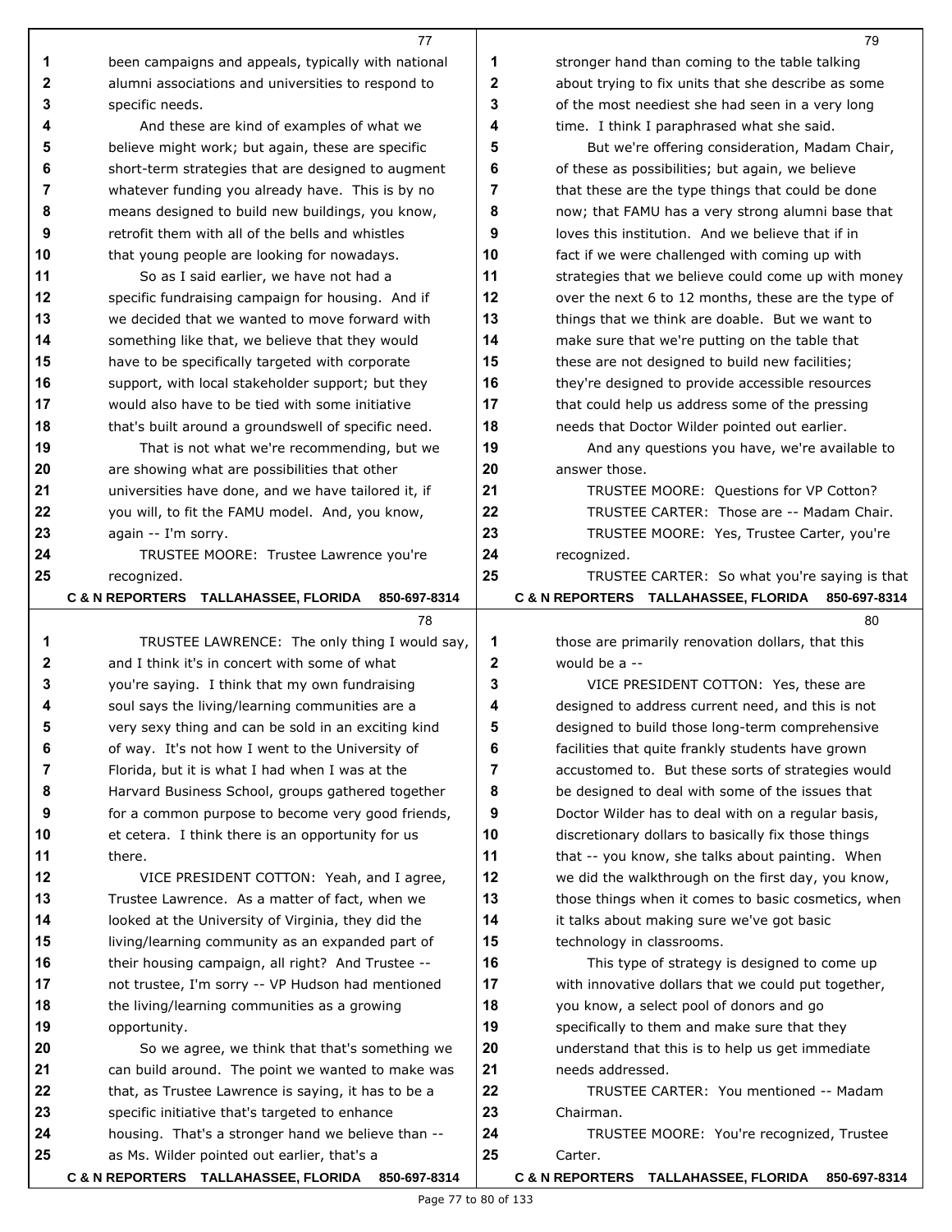|             | 77                                                                                                  |                | 79                                                                                                      |
|-------------|-----------------------------------------------------------------------------------------------------|----------------|---------------------------------------------------------------------------------------------------------|
| 1           | been campaigns and appeals, typically with national                                                 | 1              | stronger hand than coming to the table talking                                                          |
| $\mathbf 2$ | alumni associations and universities to respond to                                                  | $\mathbf 2$    | about trying to fix units that she describe as some                                                     |
| 3           | specific needs.                                                                                     | 3              | of the most neediest she had seen in a very long                                                        |
| 4           | And these are kind of examples of what we                                                           | 4              | time. I think I paraphrased what she said.                                                              |
| 5           | believe might work; but again, these are specific                                                   | 5              | But we're offering consideration, Madam Chair,                                                          |
| 6           | short-term strategies that are designed to augment                                                  | 6              | of these as possibilities; but again, we believe                                                        |
| 7           | whatever funding you already have. This is by no                                                    | $\overline{7}$ | that these are the type things that could be done                                                       |
| 8           | means designed to build new buildings, you know,                                                    | 8              | now; that FAMU has a very strong alumni base that                                                       |
| 9           | retrofit them with all of the bells and whistles                                                    | 9              | loves this institution. And we believe that if in                                                       |
| 10          | that young people are looking for nowadays.                                                         | 10             | fact if we were challenged with coming up with                                                          |
| 11          | So as I said earlier, we have not had a                                                             | 11             | strategies that we believe could come up with money                                                     |
| 12          | specific fundraising campaign for housing. And if                                                   | 12             | over the next 6 to 12 months, these are the type of                                                     |
| 13          | we decided that we wanted to move forward with                                                      | 13             | things that we think are doable. But we want to                                                         |
| 14          | something like that, we believe that they would                                                     | 14             | make sure that we're putting on the table that                                                          |
| 15          | have to be specifically targeted with corporate                                                     | 15             | these are not designed to build new facilities;                                                         |
| 16          | support, with local stakeholder support; but they                                                   | 16             | they're designed to provide accessible resources                                                        |
| 17          | would also have to be tied with some initiative                                                     | 17             | that could help us address some of the pressing                                                         |
| 18          | that's built around a groundswell of specific need.                                                 | 18             | needs that Doctor Wilder pointed out earlier.                                                           |
| 19          | That is not what we're recommending, but we                                                         | 19             | And any questions you have, we're available to                                                          |
| 20          | are showing what are possibilities that other                                                       | 20             | answer those.                                                                                           |
| 21          | universities have done, and we have tailored it, if                                                 | 21             | TRUSTEE MOORE: Questions for VP Cotton?                                                                 |
| 22          | you will, to fit the FAMU model. And, you know,                                                     | 22             | TRUSTEE CARTER: Those are -- Madam Chair.                                                               |
| 23          | again -- I'm sorry.                                                                                 | 23             | TRUSTEE MOORE: Yes, Trustee Carter, you're                                                              |
| 24          | TRUSTEE MOORE: Trustee Lawrence you're                                                              | 24             | recognized.                                                                                             |
| 25          | recognized.                                                                                         | 25             | TRUSTEE CARTER: So what you're saying is that                                                           |
|             | C & N REPORTERS TALLAHASSEE, FLORIDA<br>850-697-8314                                                |                | C & N REPORTERS TALLAHASSEE, FLORIDA<br>850-697-8314                                                    |
|             | 78                                                                                                  |                | 80                                                                                                      |
| 1           | TRUSTEE LAWRENCE: The only thing I would say,                                                       | 1              | those are primarily renovation dollars, that this                                                       |
| 2           | and I think it's in concert with some of what                                                       | 2              | would be a --                                                                                           |
| 3           | you're saying. I think that my own fundraising                                                      | 3              | VICE PRESIDENT COTTON: Yes, these are                                                                   |
| 4<br>5      | soul says the living/learning communities are a                                                     | 4<br>5         | designed to address current need, and this is not                                                       |
| 6           | very sexy thing and can be sold in an exciting kind                                                 | 6              | designed to build those long-term comprehensive                                                         |
| 7           | of way. It's not how I went to the University of<br>Florida, but it is what I had when I was at the | 7              | facilities that quite frankly students have grown<br>accustomed to. But these sorts of strategies would |
| 8           | Harvard Business School, groups gathered together                                                   | 8              | be designed to deal with some of the issues that                                                        |
| 9           | for a common purpose to become very good friends,                                                   | 9              | Doctor Wilder has to deal with on a regular basis,                                                      |
| 10          | et cetera. I think there is an opportunity for us                                                   | 10             | discretionary dollars to basically fix those things                                                     |
| 11          | there.                                                                                              | 11             | that -- you know, she talks about painting. When                                                        |
| 12          | VICE PRESIDENT COTTON: Yeah, and I agree,                                                           | 12             | we did the walkthrough on the first day, you know,                                                      |
| 13          | Trustee Lawrence. As a matter of fact, when we                                                      | 13             | those things when it comes to basic cosmetics, when                                                     |
| 14          | looked at the University of Virginia, they did the                                                  | 14             | it talks about making sure we've got basic                                                              |
| 15          | living/learning community as an expanded part of                                                    | 15             | technology in classrooms.                                                                               |
| 16          | their housing campaign, all right? And Trustee --                                                   | 16             | This type of strategy is designed to come up                                                            |
| 17          | not trustee, I'm sorry -- VP Hudson had mentioned                                                   | 17             | with innovative dollars that we could put together,                                                     |
| 18          | the living/learning communities as a growing                                                        | 18             | you know, a select pool of donors and go                                                                |
| 19          | opportunity.                                                                                        | 19             | specifically to them and make sure that they                                                            |
|             |                                                                                                     |                |                                                                                                         |
| 20          | So we agree, we think that that's something we                                                      | 20             | understand that this is to help us get immediate                                                        |
| 21          | can build around. The point we wanted to make was                                                   | 21             | needs addressed.                                                                                        |
| 22          | that, as Trustee Lawrence is saying, it has to be a                                                 | 22             | TRUSTEE CARTER: You mentioned -- Madam                                                                  |
| 23          | specific initiative that's targeted to enhance                                                      | 23             | Chairman.                                                                                               |
| 24          | housing. That's a stronger hand we believe than --                                                  | 24             | TRUSTEE MOORE: You're recognized, Trustee                                                               |
| 25          | as Ms. Wilder pointed out earlier, that's a                                                         | 25             | Carter.                                                                                                 |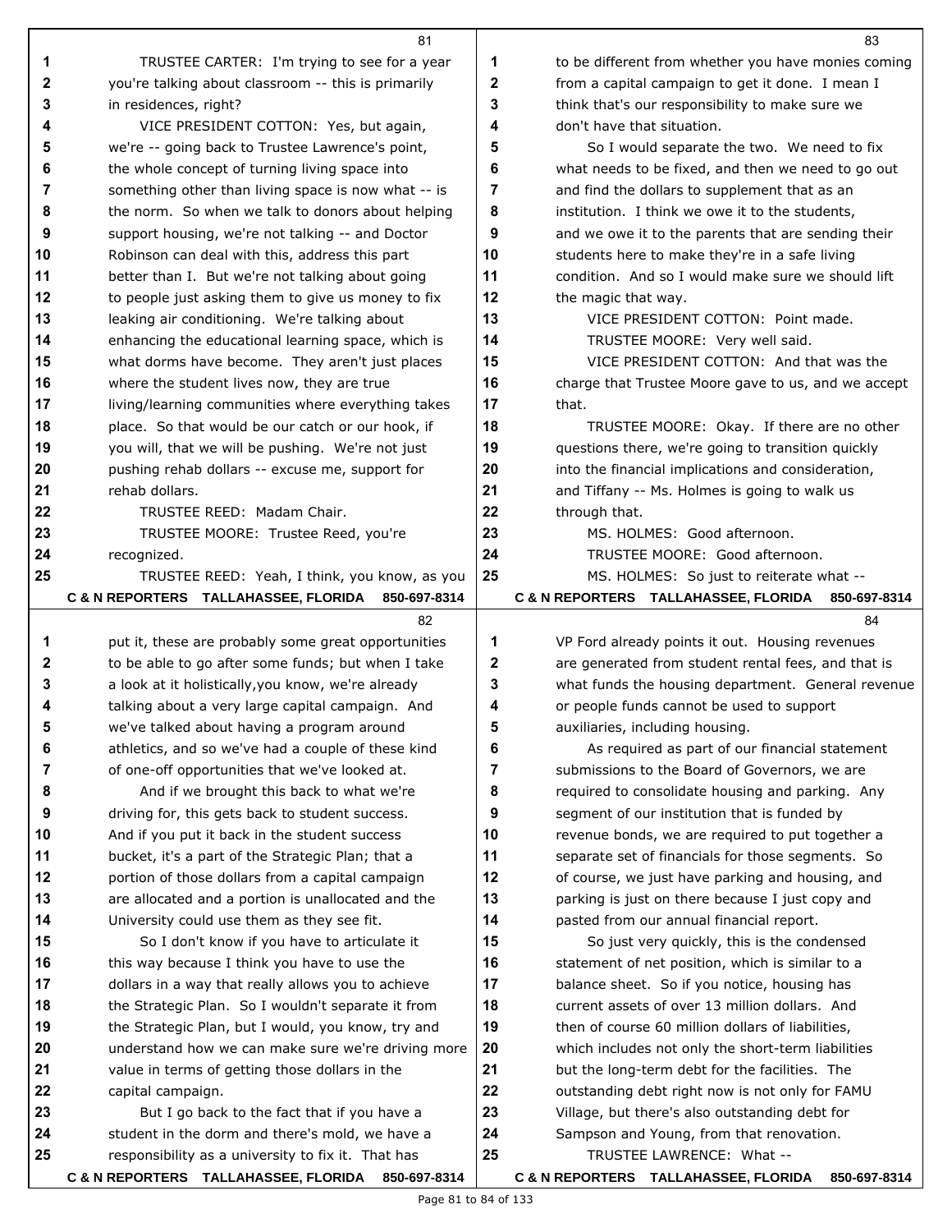|          | 81                                                                                                    |          | 83                                                                    |
|----------|-------------------------------------------------------------------------------------------------------|----------|-----------------------------------------------------------------------|
| 1        | TRUSTEE CARTER: I'm trying to see for a year                                                          | 1        | to be different from whether you have monies coming                   |
| 2        | you're talking about classroom -- this is primarily                                                   | 2        | from a capital campaign to get it done. I mean I                      |
| 3        | in residences, right?                                                                                 | 3        | think that's our responsibility to make sure we                       |
| 4        | VICE PRESIDENT COTTON: Yes, but again,                                                                | 4        | don't have that situation.                                            |
| 5        | we're -- going back to Trustee Lawrence's point,                                                      | 5        | So I would separate the two. We need to fix                           |
| 6        | the whole concept of turning living space into                                                        | 6        | what needs to be fixed, and then we need to go out                    |
| 7        | something other than living space is now what -- is                                                   | 7        | and find the dollars to supplement that as an                         |
| 8        | the norm. So when we talk to donors about helping                                                     | 8        | institution. I think we owe it to the students,                       |
| 9        | support housing, we're not talking -- and Doctor                                                      | 9        | and we owe it to the parents that are sending their                   |
| 10       | Robinson can deal with this, address this part                                                        | 10       | students here to make they're in a safe living                        |
| 11       | better than I. But we're not talking about going                                                      | 11       | condition. And so I would make sure we should lift                    |
| 12       | to people just asking them to give us money to fix                                                    | 12       | the magic that way.                                                   |
| 13       | leaking air conditioning. We're talking about                                                         | 13       | VICE PRESIDENT COTTON: Point made.                                    |
| 14       | enhancing the educational learning space, which is                                                    | 14       | TRUSTEE MOORE: Very well said.                                        |
| 15       | what dorms have become. They aren't just places                                                       | 15       | VICE PRESIDENT COTTON: And that was the                               |
| 16       | where the student lives now, they are true                                                            | 16       | charge that Trustee Moore gave to us, and we accept                   |
| 17       | living/learning communities where everything takes                                                    | 17       | that.                                                                 |
| 18       | place. So that would be our catch or our hook, if                                                     | 18       | TRUSTEE MOORE: Okay. If there are no other                            |
| 19       | you will, that we will be pushing. We're not just                                                     | 19       | questions there, we're going to transition quickly                    |
| 20       | pushing rehab dollars -- excuse me, support for                                                       | 20       | into the financial implications and consideration,                    |
| 21       | rehab dollars.                                                                                        | 21       | and Tiffany -- Ms. Holmes is going to walk us                         |
| 22       | TRUSTEE REED: Madam Chair.                                                                            | 22       | through that.                                                         |
| 23       | TRUSTEE MOORE: Trustee Reed, you're                                                                   | 23       | MS. HOLMES: Good afternoon.                                           |
| 24       | recognized.                                                                                           | 24       | TRUSTEE MOORE: Good afternoon.                                        |
| 25       | TRUSTEE REED: Yeah, I think, you know, as you                                                         | 25       | MS. HOLMES: So just to reiterate what --                              |
|          | C & N REPORTERS TALLAHASSEE, FLORIDA<br>850-697-8314                                                  |          | C & N REPORTERS TALLAHASSEE, FLORIDA<br>850-697-8314                  |
|          |                                                                                                       |          |                                                                       |
|          | 82                                                                                                    |          | 84                                                                    |
| 1        | put it, these are probably some great opportunities                                                   | 1        | VP Ford already points it out. Housing revenues                       |
| 2        | to be able to go after some funds; but when I take                                                    | 2        | are generated from student rental fees, and that is                   |
| 3        | a look at it holistically, you know, we're already                                                    | 3        | what funds the housing department. General revenue                    |
| 4        | talking about a very large capital campaign. And                                                      | 4        | or people funds cannot be used to support                             |
| 5        | we've talked about having a program around                                                            | 5        | auxiliaries, including housing.                                       |
| 6        | athletics, and so we've had a couple of these kind                                                    | 6        | As required as part of our financial statement                        |
| 7        | of one-off opportunities that we've looked at.                                                        | 7        | submissions to the Board of Governors, we are                         |
| 8        | And if we brought this back to what we're                                                             | 8        | required to consolidate housing and parking. Any                      |
| 9        | driving for, this gets back to student success.                                                       | 9        | segment of our institution that is funded by                          |
| 10       | And if you put it back in the student success                                                         | 10       | revenue bonds, we are required to put together a                      |
| 11       | bucket, it's a part of the Strategic Plan; that a                                                     | 11       | separate set of financials for those segments. So                     |
| 12       | portion of those dollars from a capital campaign                                                      | 12       | of course, we just have parking and housing, and                      |
| 13       | are allocated and a portion is unallocated and the                                                    | 13       | parking is just on there because I just copy and                      |
| 14       | University could use them as they see fit.                                                            | 14       | pasted from our annual financial report.                              |
| 15       | So I don't know if you have to articulate it                                                          | 15       | So just very quickly, this is the condensed                           |
| 16       | this way because I think you have to use the                                                          | 16       | statement of net position, which is similar to a                      |
| 17       | dollars in a way that really allows you to achieve                                                    | 17       | balance sheet. So if you notice, housing has                          |
| 18       | the Strategic Plan. So I wouldn't separate it from                                                    | 18       | current assets of over 13 million dollars. And                        |
| 19       | the Strategic Plan, but I would, you know, try and                                                    | 19       | then of course 60 million dollars of liabilities,                     |
| 20       | understand how we can make sure we're driving more                                                    | 20       | which includes not only the short-term liabilities                    |
| 21       | value in terms of getting those dollars in the                                                        | 21       | but the long-term debt for the facilities. The                        |
| 22       | capital campaign.                                                                                     | 22       | outstanding debt right now is not only for FAMU                       |
| 23<br>24 | But I go back to the fact that if you have a                                                          | 23<br>24 | Village, but there's also outstanding debt for                        |
| 25       | student in the dorm and there's mold, we have a<br>responsibility as a university to fix it. That has | 25       | Sampson and Young, from that renovation.<br>TRUSTEE LAWRENCE: What -- |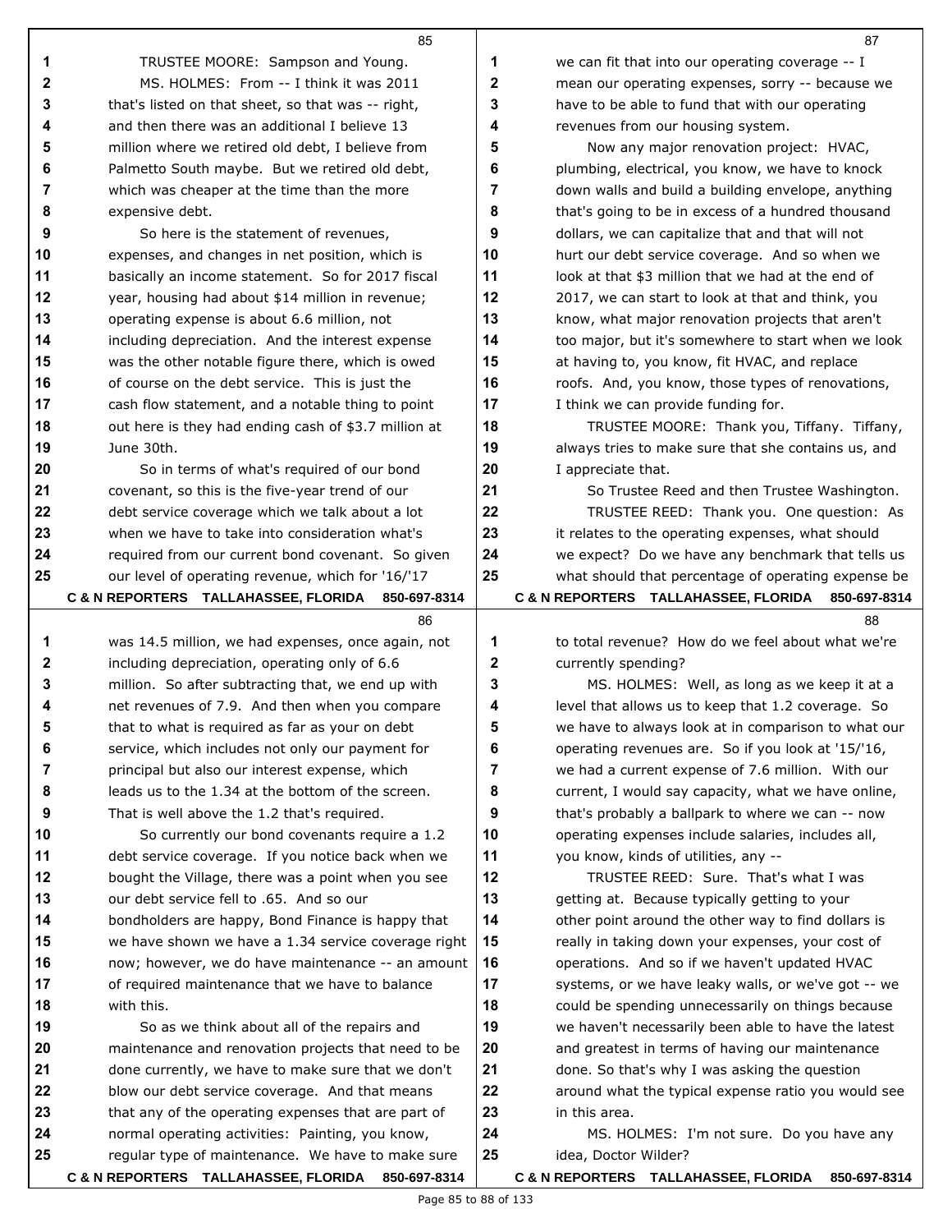|        | 85                                                                                                  |                  | 87                                                                                                       |
|--------|-----------------------------------------------------------------------------------------------------|------------------|----------------------------------------------------------------------------------------------------------|
| 1      | TRUSTEE MOORE: Sampson and Young.                                                                   | 1                | we can fit that into our operating coverage -- I                                                         |
| 2      | MS. HOLMES: From -- I think it was 2011                                                             | $\boldsymbol{2}$ | mean our operating expenses, sorry -- because we                                                         |
| 3      | that's listed on that sheet, so that was -- right,                                                  | 3                | have to be able to fund that with our operating                                                          |
| 4      | and then there was an additional I believe 13                                                       | 4                | revenues from our housing system.                                                                        |
| 5      | million where we retired old debt, I believe from                                                   | 5                | Now any major renovation project: HVAC,                                                                  |
| 6      | Palmetto South maybe. But we retired old debt,                                                      | 6                | plumbing, electrical, you know, we have to knock                                                         |
| 7      | which was cheaper at the time than the more                                                         | $\overline{7}$   | down walls and build a building envelope, anything                                                       |
| 8      | expensive debt.                                                                                     | 8                | that's going to be in excess of a hundred thousand                                                       |
| 9      | So here is the statement of revenues,                                                               | 9                | dollars, we can capitalize that and that will not                                                        |
| 10     | expenses, and changes in net position, which is                                                     | 10               | hurt our debt service coverage. And so when we                                                           |
| 11     | basically an income statement. So for 2017 fiscal                                                   | 11               | look at that \$3 million that we had at the end of                                                       |
| 12     | year, housing had about \$14 million in revenue;                                                    | 12               | 2017, we can start to look at that and think, you                                                        |
| 13     | operating expense is about 6.6 million, not                                                         | 13               | know, what major renovation projects that aren't                                                         |
| 14     | including depreciation. And the interest expense                                                    | 14               | too major, but it's somewhere to start when we look                                                      |
| 15     | was the other notable figure there, which is owed                                                   | 15               | at having to, you know, fit HVAC, and replace                                                            |
| 16     | of course on the debt service. This is just the                                                     | 16               | roofs. And, you know, those types of renovations,                                                        |
| 17     | cash flow statement, and a notable thing to point                                                   | 17               | I think we can provide funding for.                                                                      |
| 18     | out here is they had ending cash of \$3.7 million at                                                | 18               | TRUSTEE MOORE: Thank you, Tiffany. Tiffany,                                                              |
| 19     | June 30th.                                                                                          | 19               | always tries to make sure that she contains us, and                                                      |
| 20     | So in terms of what's required of our bond                                                          | 20               | I appreciate that.                                                                                       |
| 21     | covenant, so this is the five-year trend of our                                                     | 21               | So Trustee Reed and then Trustee Washington.                                                             |
| 22     | debt service coverage which we talk about a lot                                                     | 22               | TRUSTEE REED: Thank you. One question: As                                                                |
| 23     | when we have to take into consideration what's                                                      | 23               | it relates to the operating expenses, what should                                                        |
| 24     | required from our current bond covenant. So given                                                   | 24               | we expect? Do we have any benchmark that tells us                                                        |
| 25     | our level of operating revenue, which for '16/'17                                                   | 25               | what should that percentage of operating expense be                                                      |
|        | C & N REPORTERS TALLAHASSEE, FLORIDA<br>850-697-8314                                                |                  | C & N REPORTERS TALLAHASSEE, FLORIDA 850-697-8314                                                        |
|        | 86                                                                                                  |                  | 88                                                                                                       |
| 1      | was 14.5 million, we had expenses, once again, not                                                  | 1                | to total revenue? How do we feel about what we're                                                        |
| 2      | including depreciation, operating only of 6.6                                                       | 2                | currently spending?                                                                                      |
| 3      | million. So after subtracting that, we end up with                                                  | 3                | MS. HOLMES: Well, as long as we keep it at a                                                             |
| 4      | net revenues of 7.9. And then when you compare                                                      | 4<br>5           | level that allows us to keep that 1.2 coverage. So                                                       |
| 5      | that to what is required as far as your on debt                                                     |                  | we have to always look at in comparison to what our                                                      |
| 6      | service, which includes not only our payment for                                                    | 6<br>7           | operating revenues are. So if you look at '15/'16,                                                       |
| 7<br>8 | principal but also our interest expense, which<br>leads us to the 1.34 at the bottom of the screen. | 8                | we had a current expense of 7.6 million. With our                                                        |
| 9      | That is well above the 1.2 that's required.                                                         | 9                | current, I would say capacity, what we have online,<br>that's probably a ballpark to where we can -- now |
| 10     | So currently our bond covenants require a 1.2                                                       | 10               | operating expenses include salaries, includes all,                                                       |
| 11     | debt service coverage. If you notice back when we                                                   | 11               | you know, kinds of utilities, any --                                                                     |
| 12     | bought the Village, there was a point when you see                                                  | 12               | TRUSTEE REED: Sure. That's what I was                                                                    |
| 13     | our debt service fell to .65. And so our                                                            | 13               | getting at. Because typically getting to your                                                            |
| 14     | bondholders are happy, Bond Finance is happy that                                                   | 14               | other point around the other way to find dollars is                                                      |
| 15     | we have shown we have a 1.34 service coverage right                                                 | 15               | really in taking down your expenses, your cost of                                                        |
| 16     | now; however, we do have maintenance -- an amount                                                   | 16               | operations. And so if we haven't updated HVAC                                                            |
| 17     | of required maintenance that we have to balance                                                     | 17               | systems, or we have leaky walls, or we've got -- we                                                      |
| 18     | with this.                                                                                          | 18               | could be spending unnecessarily on things because                                                        |
| 19     | So as we think about all of the repairs and                                                         | 19               | we haven't necessarily been able to have the latest                                                      |
| 20     | maintenance and renovation projects that need to be                                                 | 20               | and greatest in terms of having our maintenance                                                          |
| 21     | done currently, we have to make sure that we don't                                                  | 21               | done. So that's why I was asking the question                                                            |
| 22     | blow our debt service coverage. And that means                                                      | 22               | around what the typical expense ratio you would see                                                      |
| 23     | that any of the operating expenses that are part of                                                 | 23               | in this area.                                                                                            |
|        |                                                                                                     |                  |                                                                                                          |
| 24     | normal operating activities: Painting, you know,                                                    | 24               | MS. HOLMES: I'm not sure. Do you have any                                                                |
| 25     | regular type of maintenance. We have to make sure                                                   | 25               | idea, Doctor Wilder?                                                                                     |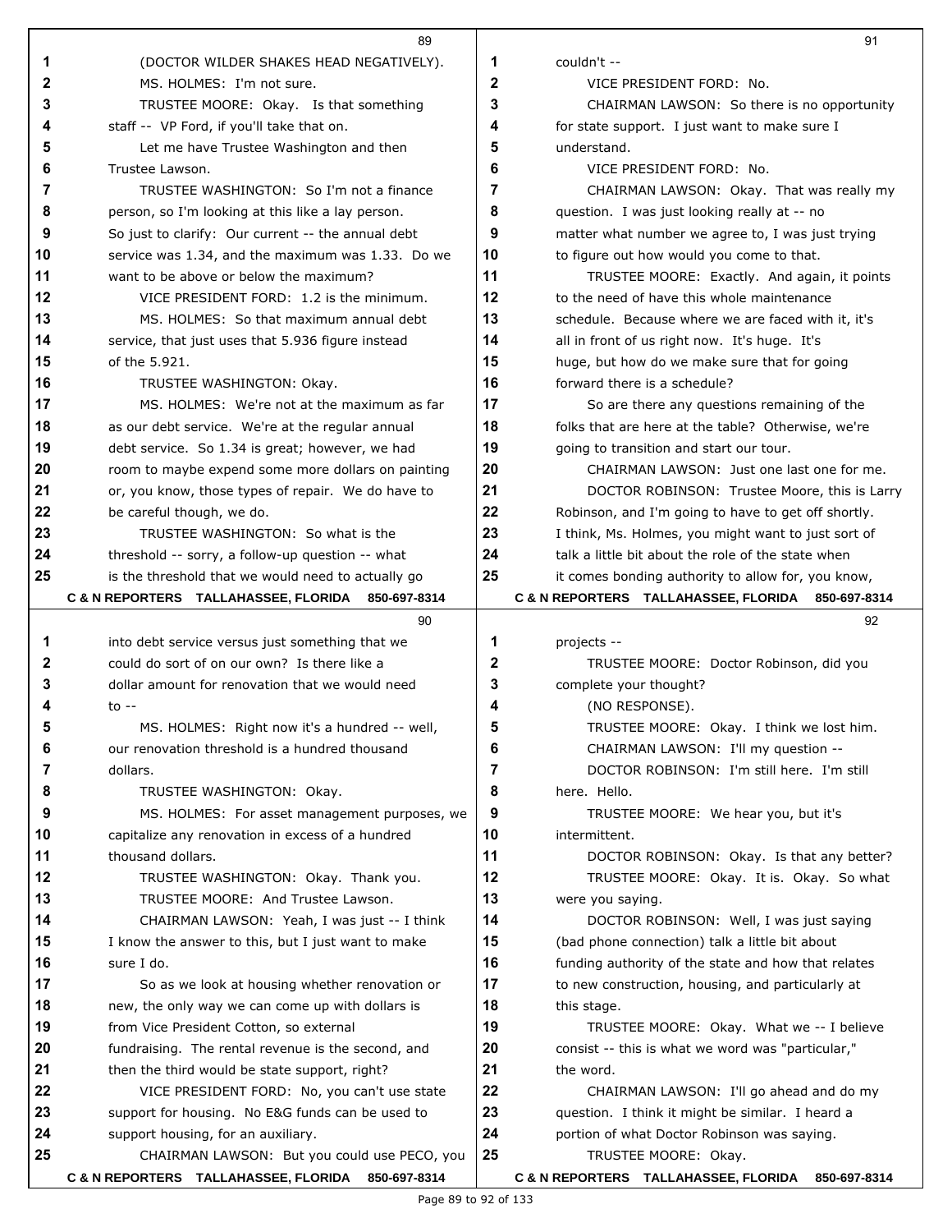|    | 89                                                                                              |              | 91                                                     |
|----|-------------------------------------------------------------------------------------------------|--------------|--------------------------------------------------------|
| 1  | (DOCTOR WILDER SHAKES HEAD NEGATIVELY).                                                         | 1            | couldn't --                                            |
| 2  | MS. HOLMES: I'm not sure.                                                                       | $\mathbf{2}$ | VICE PRESIDENT FORD: No.                               |
| 3  | TRUSTEE MOORE: Okay. Is that something                                                          | 3            | CHAIRMAN LAWSON: So there is no opportunity            |
| 4  | staff -- VP Ford, if you'll take that on.                                                       | 4            | for state support. I just want to make sure I          |
| 5  | Let me have Trustee Washington and then                                                         | 5            | understand.                                            |
| 6  | Trustee Lawson.                                                                                 | 6            | VICE PRESIDENT FORD: No.                               |
| 7  | TRUSTEE WASHINGTON: So I'm not a finance                                                        | 7            | CHAIRMAN LAWSON: Okay. That was really my              |
| 8  | person, so I'm looking at this like a lay person.                                               | 8            | question. I was just looking really at -- no           |
| 9  | So just to clarify: Our current -- the annual debt                                              | 9            | matter what number we agree to, I was just trying      |
| 10 | service was 1.34, and the maximum was 1.33. Do we                                               | 10           | to figure out how would you come to that.              |
| 11 | want to be above or below the maximum?                                                          | 11           | TRUSTEE MOORE: Exactly. And again, it points           |
| 12 | VICE PRESIDENT FORD: 1.2 is the minimum.                                                        | 12           | to the need of have this whole maintenance             |
| 13 | MS. HOLMES: So that maximum annual debt                                                         | 13           | schedule. Because where we are faced with it, it's     |
| 14 | service, that just uses that 5.936 figure instead                                               | 14           | all in front of us right now. It's huge. It's          |
| 15 | of the 5.921.                                                                                   | 15           | huge, but how do we make sure that for going           |
| 16 | TRUSTEE WASHINGTON: Okay.                                                                       | 16           | forward there is a schedule?                           |
| 17 | MS. HOLMES: We're not at the maximum as far                                                     | 17           | So are there any questions remaining of the            |
| 18 | as our debt service. We're at the regular annual                                                | 18           | folks that are here at the table? Otherwise, we're     |
| 19 | debt service. So 1.34 is great; however, we had                                                 | 19           | going to transition and start our tour.                |
| 20 | room to maybe expend some more dollars on painting                                              | 20           | CHAIRMAN LAWSON: Just one last one for me.             |
| 21 | or, you know, those types of repair. We do have to                                              | 21           | DOCTOR ROBINSON: Trustee Moore, this is Larry          |
| 22 | be careful though, we do.                                                                       | 22           | Robinson, and I'm going to have to get off shortly.    |
| 23 | TRUSTEE WASHINGTON: So what is the                                                              | 23           | I think, Ms. Holmes, you might want to just sort of    |
| 24 | threshold -- sorry, a follow-up question -- what                                                | 24           | talk a little bit about the role of the state when     |
| 25 | is the threshold that we would need to actually go                                              | 25           | it comes bonding authority to allow for, you know,     |
|    | C & N REPORTERS TALLAHASSEE, FLORIDA 850-697-8314<br>90                                         |              | C & N REPORTERS TALLAHASSEE, FLORIDA 850-697-8314      |
| 1  |                                                                                                 | 1            | 92                                                     |
| 2  | into debt service versus just something that we<br>could do sort of on our own? Is there like a | 2            | projects --<br>TRUSTEE MOORE: Doctor Robinson, did you |
| 3  | dollar amount for renovation that we would need                                                 | 3            | complete your thought?                                 |
|    | to $-$                                                                                          | 4            | (NO RESPONSE).                                         |
|    | MS. HOLMES: Right now it's a hundred -- well,                                                   |              | TRUSTEE MOORE: Okay. I think we lost him.              |
| 6  | our renovation threshold is a hundred thousand                                                  | 6            | CHAIRMAN LAWSON: I'll my question --                   |
| 7  | dollars.                                                                                        | 7            | DOCTOR ROBINSON: I'm still here. I'm still             |
| 8  | TRUSTEE WASHINGTON: Okay.                                                                       | 8            | here. Hello.                                           |
| 9  | MS. HOLMES: For asset management purposes, we                                                   | 9            | TRUSTEE MOORE: We hear you, but it's                   |
| 10 | capitalize any renovation in excess of a hundred                                                | 10           | intermittent.                                          |
| 11 | thousand dollars.                                                                               | 11           | DOCTOR ROBINSON: Okay. Is that any better?             |
| 12 | TRUSTEE WASHINGTON: Okay. Thank you.                                                            | 12           | TRUSTEE MOORE: Okay. It is. Okay. So what              |
| 13 | TRUSTEE MOORE: And Trustee Lawson.                                                              | 13           | were you saying.                                       |
| 14 | CHAIRMAN LAWSON: Yeah, I was just -- I think                                                    | 14           | DOCTOR ROBINSON: Well, I was just saying               |
| 15 | I know the answer to this, but I just want to make                                              | 15           | (bad phone connection) talk a little bit about         |
| 16 | sure I do.                                                                                      | 16           | funding authority of the state and how that relates    |
| 17 | So as we look at housing whether renovation or                                                  | 17           | to new construction, housing, and particularly at      |
| 18 | new, the only way we can come up with dollars is                                                | 18           | this stage.                                            |
| 19 | from Vice President Cotton, so external                                                         | 19           | TRUSTEE MOORE: Okay. What we -- I believe              |
| 20 | fundraising. The rental revenue is the second, and                                              | 20           | consist -- this is what we word was "particular,"      |
| 21 | then the third would be state support, right?                                                   | 21           | the word.                                              |
| 22 | VICE PRESIDENT FORD: No, you can't use state                                                    | 22           | CHAIRMAN LAWSON: I'll go ahead and do my               |
| 23 | support for housing. No E&G funds can be used to                                                | 23           | question. I think it might be similar. I heard a       |
| 24 | support housing, for an auxiliary.                                                              | 24           | portion of what Doctor Robinson was saying.            |
| 25 | CHAIRMAN LAWSON: But you could use PECO, you                                                    | 25           | TRUSTEE MOORE: Okay.                                   |
|    | C & N REPORTERS TALLAHASSEE, FLORIDA 850-697-8314                                               |              | C & N REPORTERS TALLAHASSEE, FLORIDA 850-697-8314      |

**C & N REPORTERS TALLAHASSEE, FLORIDA 850-697-8314**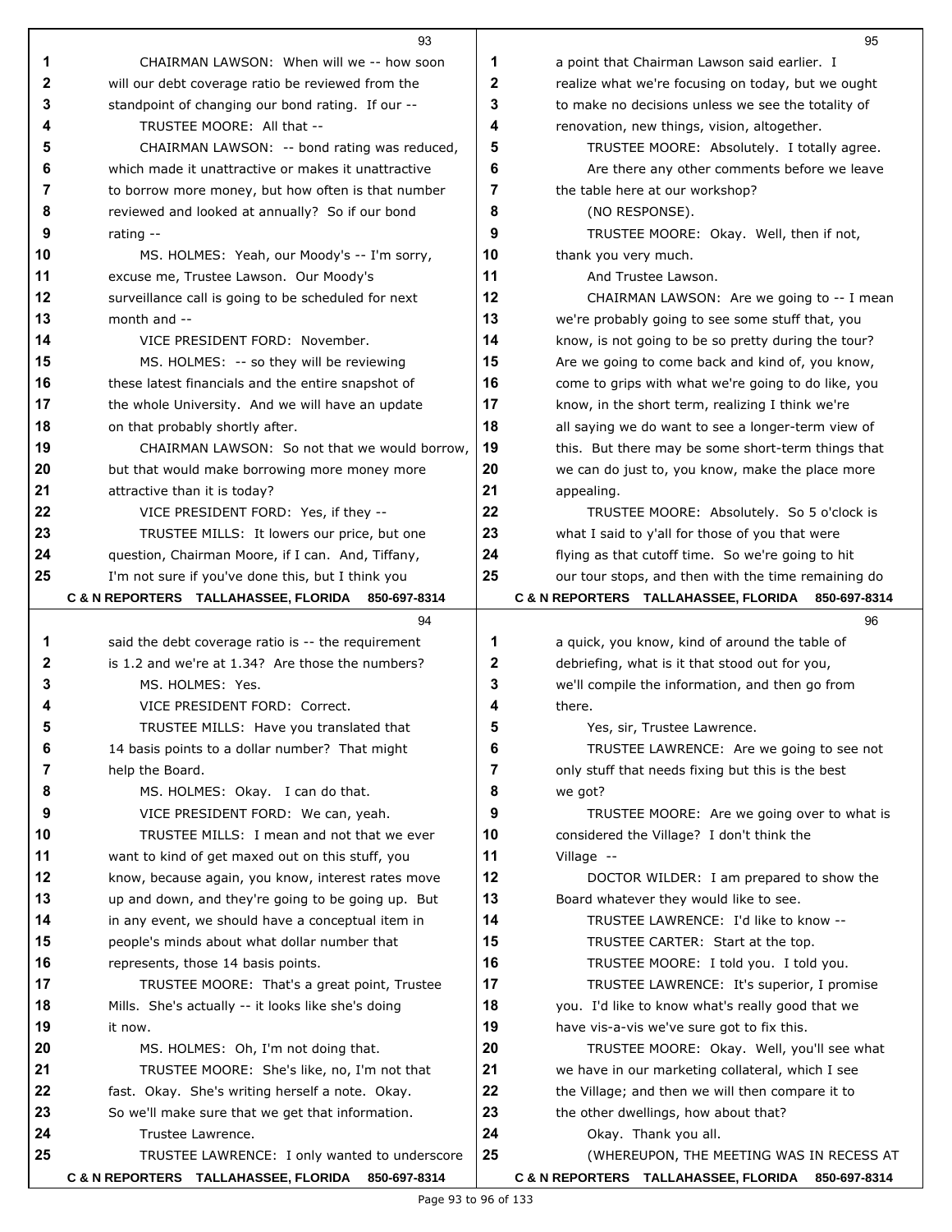|          | 93                                                                                                |          | 95                                                                                 |
|----------|---------------------------------------------------------------------------------------------------|----------|------------------------------------------------------------------------------------|
| 1        | CHAIRMAN LAWSON: When will we -- how soon                                                         | 1        | a point that Chairman Lawson said earlier. I                                       |
| 2        | will our debt coverage ratio be reviewed from the                                                 | 2        | realize what we're focusing on today, but we ought                                 |
| 3        | standpoint of changing our bond rating. If our --                                                 | 3        | to make no decisions unless we see the totality of                                 |
| 4        | TRUSTEE MOORE: All that --                                                                        | 4        | renovation, new things, vision, altogether.                                        |
| 5        | CHAIRMAN LAWSON: -- bond rating was reduced,                                                      | 5        | TRUSTEE MOORE: Absolutely. I totally agree.                                        |
| 6        | which made it unattractive or makes it unattractive                                               | 6        | Are there any other comments before we leave                                       |
| 7        | to borrow more money, but how often is that number                                                | 7        | the table here at our workshop?                                                    |
| 8        | reviewed and looked at annually? So if our bond                                                   | 8        | (NO RESPONSE).                                                                     |
| 9        | rating $-$                                                                                        | 9        | TRUSTEE MOORE: Okay. Well, then if not,                                            |
| 10       | MS. HOLMES: Yeah, our Moody's -- I'm sorry,                                                       | 10       | thank you very much.                                                               |
| 11       | excuse me, Trustee Lawson. Our Moody's                                                            | 11       | And Trustee Lawson.                                                                |
| 12       | surveillance call is going to be scheduled for next                                               | 12       | CHAIRMAN LAWSON: Are we going to -- I mean                                         |
| 13       | month and --                                                                                      | 13       | we're probably going to see some stuff that, you                                   |
| 14       | VICE PRESIDENT FORD: November.                                                                    | 14       | know, is not going to be so pretty during the tour?                                |
| 15       | MS. HOLMES: -- so they will be reviewing                                                          | 15       | Are we going to come back and kind of, you know,                                   |
| 16       | these latest financials and the entire snapshot of                                                | 16       | come to grips with what we're going to do like, you                                |
| 17       | the whole University. And we will have an update                                                  | 17       | know, in the short term, realizing I think we're                                   |
| 18       | on that probably shortly after.                                                                   | 18       | all saying we do want to see a longer-term view of                                 |
| 19       | CHAIRMAN LAWSON: So not that we would borrow,                                                     | 19       | this. But there may be some short-term things that                                 |
| 20       | but that would make borrowing more money more                                                     | 20       | we can do just to, you know, make the place more                                   |
| 21       | attractive than it is today?                                                                      | 21       | appealing.                                                                         |
| 22       | VICE PRESIDENT FORD: Yes, if they --                                                              | 22       | TRUSTEE MOORE: Absolutely. So 5 o'clock is                                         |
| 23       | TRUSTEE MILLS: It lowers our price, but one                                                       | 23       | what I said to y'all for those of you that were                                    |
| 24       | question, Chairman Moore, if I can. And, Tiffany,                                                 | 24       | flying as that cutoff time. So we're going to hit                                  |
| 25       | I'm not sure if you've done this, but I think you                                                 | 25       | our tour stops, and then with the time remaining do                                |
|          | C & N REPORTERS TALLAHASSEE, FLORIDA 850-697-8314                                                 |          | C & N REPORTERS TALLAHASSEE, FLORIDA 850-697-8314                                  |
|          |                                                                                                   |          |                                                                                    |
|          | 94                                                                                                |          | 96                                                                                 |
| 1        | said the debt coverage ratio is -- the requirement                                                | 1        | a quick, you know, kind of around the table of                                     |
| 2        | is 1.2 and we're at 1.34? Are those the numbers?                                                  | 2        | debriefing, what is it that stood out for you,                                     |
| 3        | MS. HOLMES: Yes.                                                                                  | 3        | we'll compile the information, and then go from                                    |
| 4        | VICE PRESIDENT FORD: Correct.                                                                     | 4        | there.                                                                             |
|          | TRUSTEE MILLS: Have you translated that                                                           |          | Yes, sir, Trustee Lawrence                                                         |
| 6        | 14 basis points to a dollar number? That might                                                    | 6        | TRUSTEE LAWRENCE: Are we going to see not                                          |
| 7        | help the Board.                                                                                   | 7        | only stuff that needs fixing but this is the best                                  |
| 8        | MS. HOLMES: Okay. I can do that.                                                                  | 8        | we got?                                                                            |
| 9        | VICE PRESIDENT FORD: We can, yeah.                                                                | 9        | TRUSTEE MOORE: Are we going over to what is                                        |
| 10       | TRUSTEE MILLS: I mean and not that we ever                                                        | 10       | considered the Village? I don't think the                                          |
| 11<br>12 | want to kind of get maxed out on this stuff, you                                                  | 11<br>12 | Village --                                                                         |
|          | know, because again, you know, interest rates move                                                | 13       | DOCTOR WILDER: I am prepared to show the<br>Board whatever they would like to see. |
| 13<br>14 | up and down, and they're going to be going up. But                                                | 14       | TRUSTEE LAWRENCE: I'd like to know --                                              |
| 15       | in any event, we should have a conceptual item in<br>people's minds about what dollar number that | 15       | TRUSTEE CARTER: Start at the top.                                                  |
| 16       | represents, those 14 basis points.                                                                | 16       | TRUSTEE MOORE: I told you. I told you.                                             |
| 17       | TRUSTEE MOORE: That's a great point, Trustee                                                      | 17       | TRUSTEE LAWRENCE: It's superior, I promise                                         |
| 18       | Mills. She's actually -- it looks like she's doing                                                | 18       | you. I'd like to know what's really good that we                                   |
| 19       | it now.                                                                                           | 19       | have vis-a-vis we've sure got to fix this.                                         |
| 20       | MS. HOLMES: Oh, I'm not doing that.                                                               | 20       | TRUSTEE MOORE: Okay. Well, you'll see what                                         |
| 21       | TRUSTEE MOORE: She's like, no, I'm not that                                                       | 21       | we have in our marketing collateral, which I see                                   |
| 22       | fast. Okay. She's writing herself a note. Okay.                                                   | 22       | the Village; and then we will then compare it to                                   |
| 23       | So we'll make sure that we get that information.                                                  | 23       | the other dwellings, how about that?                                               |
| 24       | Trustee Lawrence.                                                                                 | 24       | Okay. Thank you all.                                                               |
| 25       | TRUSTEE LAWRENCE: I only wanted to underscore                                                     | 25       | (WHEREUPON, THE MEETING WAS IN RECESS AT                                           |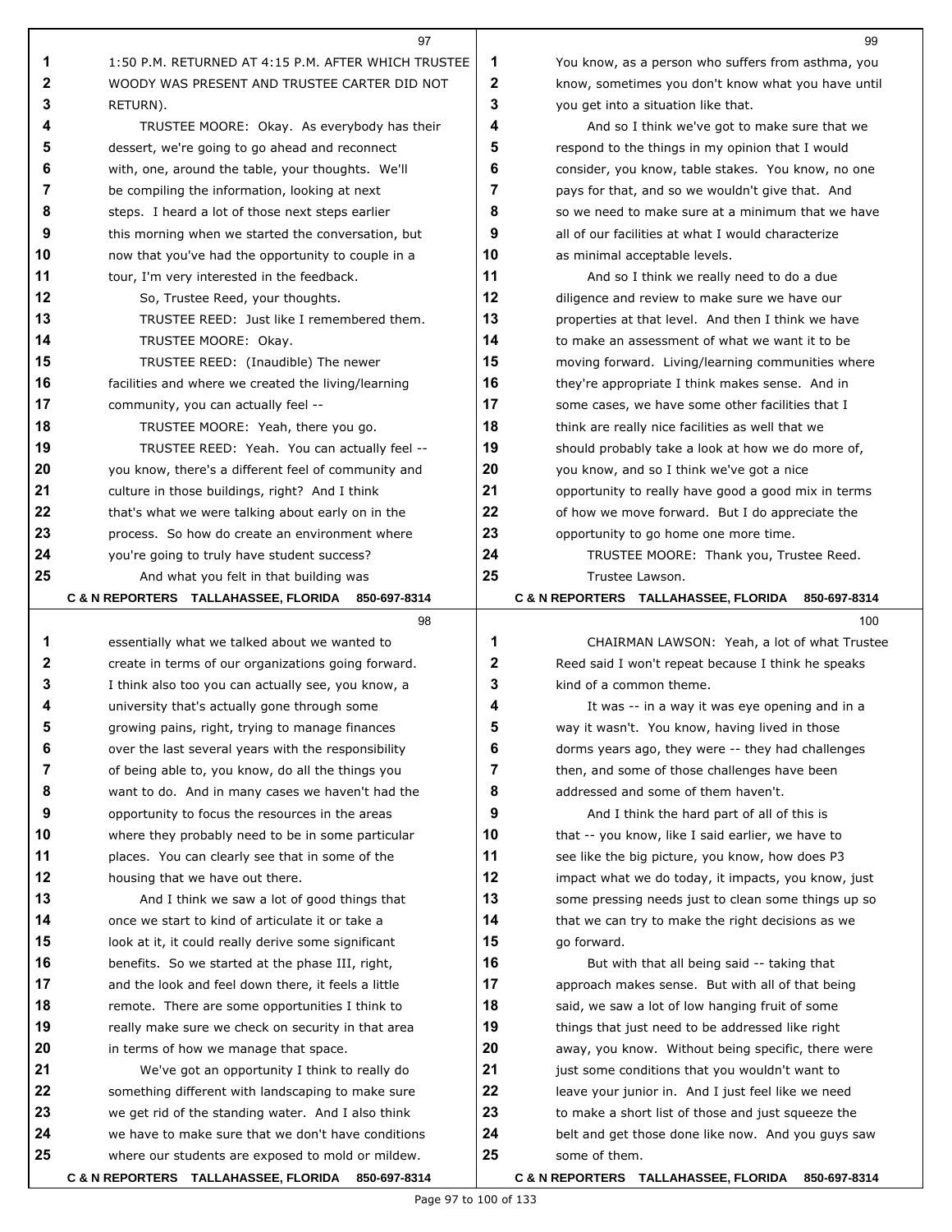|        | 97                                                                                                     |        | 99                                                                                                  |
|--------|--------------------------------------------------------------------------------------------------------|--------|-----------------------------------------------------------------------------------------------------|
| 1      | 1:50 P.M. RETURNED AT 4:15 P.M. AFTER WHICH TRUSTEE                                                    | 1      | You know, as a person who suffers from asthma, you                                                  |
| 2      | WOODY WAS PRESENT AND TRUSTEE CARTER DID NOT                                                           | 2      | know, sometimes you don't know what you have until                                                  |
| 3      | RETURN).                                                                                               | 3      | you get into a situation like that.                                                                 |
| 4      | TRUSTEE MOORE: Okay. As everybody has their                                                            | 4      | And so I think we've got to make sure that we                                                       |
| 5      | dessert, we're going to go ahead and reconnect                                                         | 5      | respond to the things in my opinion that I would                                                    |
| 6      | with, one, around the table, your thoughts. We'll                                                      | 6      | consider, you know, table stakes. You know, no one                                                  |
| 7      | be compiling the information, looking at next                                                          | 7      | pays for that, and so we wouldn't give that. And                                                    |
| 8      | steps. I heard a lot of those next steps earlier                                                       | 8      | so we need to make sure at a minimum that we have                                                   |
| 9      | this morning when we started the conversation, but                                                     | 9      | all of our facilities at what I would characterize                                                  |
| 10     | now that you've had the opportunity to couple in a                                                     | 10     | as minimal acceptable levels.                                                                       |
| 11     | tour, I'm very interested in the feedback.                                                             | 11     | And so I think we really need to do a due                                                           |
| 12     | So, Trustee Reed, your thoughts.                                                                       | 12     | diligence and review to make sure we have our                                                       |
| 13     | TRUSTEE REED: Just like I remembered them.                                                             | 13     | properties at that level. And then I think we have                                                  |
| 14     | TRUSTEE MOORE: Okay.                                                                                   | 14     | to make an assessment of what we want it to be                                                      |
| 15     | TRUSTEE REED: (Inaudible) The newer                                                                    | 15     | moving forward. Living/learning communities where                                                   |
| 16     | facilities and where we created the living/learning                                                    | 16     | they're appropriate I think makes sense. And in                                                     |
| 17     | community, you can actually feel --                                                                    | 17     | some cases, we have some other facilities that I                                                    |
| 18     | TRUSTEE MOORE: Yeah, there you go.                                                                     | 18     | think are really nice facilities as well that we                                                    |
| 19     | TRUSTEE REED: Yeah. You can actually feel --                                                           | 19     | should probably take a look at how we do more of,                                                   |
| 20     | you know, there's a different feel of community and                                                    | 20     | you know, and so I think we've got a nice                                                           |
| 21     | culture in those buildings, right? And I think                                                         | 21     | opportunity to really have good a good mix in terms                                                 |
| 22     | that's what we were talking about early on in the                                                      | 22     | of how we move forward. But I do appreciate the                                                     |
| 23     | process. So how do create an environment where                                                         | 23     | opportunity to go home one more time.                                                               |
| 24     | you're going to truly have student success?                                                            | 24     | TRUSTEE MOORE: Thank you, Trustee Reed.                                                             |
| 25     | And what you felt in that building was                                                                 | 25     | Trustee Lawson.                                                                                     |
|        | C & N REPORTERS TALLAHASSEE, FLORIDA 850-697-8314                                                      |        | C & N REPORTERS TALLAHASSEE, FLORIDA<br>850-697-8314                                                |
|        | 98                                                                                                     |        | 100                                                                                                 |
| 1      | essentially what we talked about we wanted to                                                          | 1      | CHAIRMAN LAWSON: Yeah, a lot of what Trustee                                                        |
| 2<br>3 | create in terms of our organizations going forward.                                                    | 2<br>3 | Reed said I won't repeat because I think he speaks                                                  |
| 4      | I think also too you can actually see, you know, a                                                     | 4      | kind of a common theme.                                                                             |
| 5      | university that's actually gone through some                                                           | 5      | It was -- in a way it was eye opening and in a                                                      |
| 6      | growing pains, right, trying to manage finances<br>over the last several years with the responsibility | 6      | way it wasn't. You know, having lived in those<br>dorms years ago, they were -- they had challenges |
| 7      | of being able to, you know, do all the things you                                                      | 7      | then, and some of those challenges have been                                                        |
| 8      | want to do. And in many cases we haven't had the                                                       | 8      | addressed and some of them haven't.                                                                 |
| 9      | opportunity to focus the resources in the areas                                                        | 9      | And I think the hard part of all of this is                                                         |
| 10     | where they probably need to be in some particular                                                      | 10     | that -- you know, like I said earlier, we have to                                                   |
| 11     | places. You can clearly see that in some of the                                                        | 11     | see like the big picture, you know, how does P3                                                     |
| 12     | housing that we have out there.                                                                        | 12     | impact what we do today, it impacts, you know, just                                                 |
| 13     | And I think we saw a lot of good things that                                                           | 13     | some pressing needs just to clean some things up so                                                 |
| 14     | once we start to kind of articulate it or take a                                                       | 14     | that we can try to make the right decisions as we                                                   |
| 15     | look at it, it could really derive some significant                                                    | 15     | go forward.                                                                                         |
| 16     | benefits. So we started at the phase III, right,                                                       | 16     | But with that all being said -- taking that                                                         |
| 17     | and the look and feel down there, it feels a little                                                    | 17     | approach makes sense. But with all of that being                                                    |
| 18     | remote. There are some opportunities I think to                                                        | 18     | said, we saw a lot of low hanging fruit of some                                                     |
| 19     | really make sure we check on security in that area                                                     | 19     | things that just need to be addressed like right                                                    |
| 20     | in terms of how we manage that space.                                                                  | 20     | away, you know. Without being specific, there were                                                  |
| 21     | We've got an opportunity I think to really do                                                          | 21     | just some conditions that you wouldn't want to                                                      |
| 22     | something different with landscaping to make sure                                                      | 22     | leave your junior in. And I just feel like we need                                                  |
| 23     | we get rid of the standing water. And I also think                                                     | 23     | to make a short list of those and just squeeze the                                                  |
| 24     | we have to make sure that we don't have conditions                                                     |        |                                                                                                     |
|        |                                                                                                        | 24     | belt and get those done like now. And you guys saw                                                  |
| 25     | where our students are exposed to mold or mildew.                                                      | 25     | some of them.                                                                                       |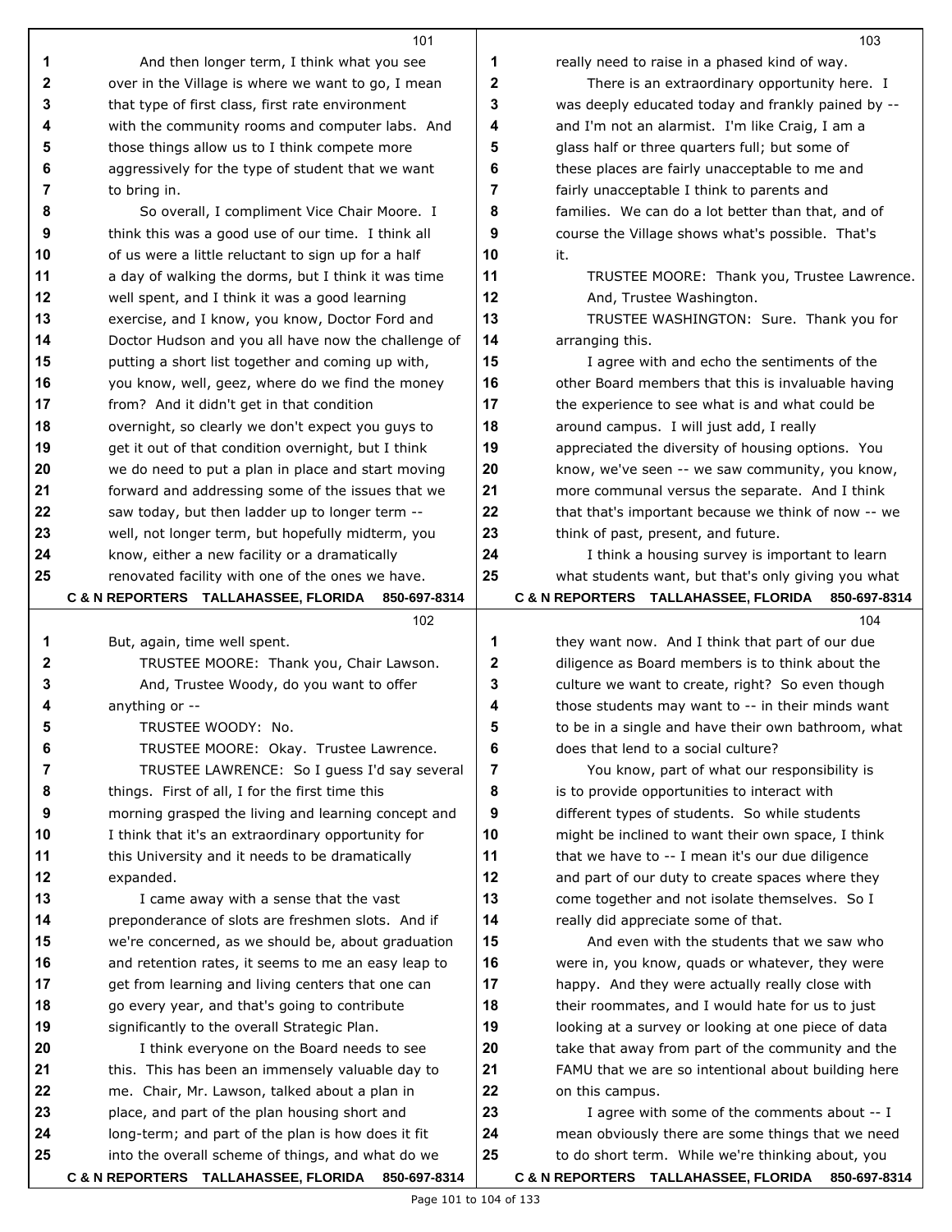|    | 101                                                  |    | 103                                                 |
|----|------------------------------------------------------|----|-----------------------------------------------------|
| 1  | And then longer term, I think what you see           | 1  | really need to raise in a phased kind of way.       |
| 2  | over in the Village is where we want to go, I mean   | 2  | There is an extraordinary opportunity here. I       |
| 3  | that type of first class, first rate environment     | 3  | was deeply educated today and frankly pained by --  |
| 4  | with the community rooms and computer labs. And      | 4  | and I'm not an alarmist. I'm like Craig, I am a     |
| 5  | those things allow us to I think compete more        | 5  | glass half or three quarters full; but some of      |
| 6  | aggressively for the type of student that we want    | 6  | these places are fairly unacceptable to me and      |
| 7  | to bring in.                                         | 7  | fairly unacceptable I think to parents and          |
| 8  | So overall, I compliment Vice Chair Moore. I         | 8  | families. We can do a lot better than that, and of  |
| 9  | think this was a good use of our time. I think all   | 9  | course the Village shows what's possible. That's    |
| 10 | of us were a little reluctant to sign up for a half  | 10 | it.                                                 |
| 11 | a day of walking the dorms, but I think it was time  | 11 | TRUSTEE MOORE: Thank you, Trustee Lawrence.         |
| 12 | well spent, and I think it was a good learning       | 12 | And, Trustee Washington.                            |
| 13 | exercise, and I know, you know, Doctor Ford and      | 13 | TRUSTEE WASHINGTON: Sure. Thank you for             |
| 14 | Doctor Hudson and you all have now the challenge of  | 14 | arranging this.                                     |
| 15 | putting a short list together and coming up with,    | 15 | I agree with and echo the sentiments of the         |
| 16 | you know, well, geez, where do we find the money     | 16 | other Board members that this is invaluable having  |
| 17 | from? And it didn't get in that condition            | 17 | the experience to see what is and what could be     |
| 18 | overnight, so clearly we don't expect you guys to    | 18 | around campus. I will just add, I really            |
| 19 | get it out of that condition overnight, but I think  | 19 | appreciated the diversity of housing options. You   |
| 20 | we do need to put a plan in place and start moving   | 20 | know, we've seen -- we saw community, you know,     |
| 21 | forward and addressing some of the issues that we    | 21 | more communal versus the separate. And I think      |
| 22 | saw today, but then ladder up to longer term --      | 22 | that that's important because we think of now -- we |
| 23 | well, not longer term, but hopefully midterm, you    | 23 | think of past, present, and future.                 |
| 24 | know, either a new facility or a dramatically        | 24 | I think a housing survey is important to learn      |
| 25 | renovated facility with one of the ones we have.     | 25 | what students want, but that's only giving you what |
|    | C & N REPORTERS TALLAHASSEE, FLORIDA<br>850-697-8314 |    | C & N REPORTERS TALLAHASSEE, FLORIDA 850-697-8314   |
|    | 102                                                  |    | 104                                                 |
| 1  | But, again, time well spent.                         | 1  | they want now. And I think that part of our due     |
| 2  | TRUSTEE MOORE: Thank you, Chair Lawson.              | 2  | diligence as Board members is to think about the    |
| 3  | And, Trustee Woody, do you want to offer             | 3  | culture we want to create, right? So even though    |
| 4  | anything or --                                       | 4  | those students may want to -- in their minds want   |
| 5  | TRUSTEE WOODY: No.                                   | 5  | to be in a single and have their own bathroom, what |
| 6  | TRUSTEE MOORE: Okay. Trustee Lawrence.               | 6  | does that lend to a social culture?                 |
| 7  | TRUSTEE LAWRENCE: So I guess I'd say several         | 7  | You know, part of what our responsibility is        |
| 8  | things. First of all, I for the first time this      | 8  | is to provide opportunities to interact with        |
| 9  | morning grasped the living and learning concept and  | 9  | different types of students. So while students      |
| 10 | I think that it's an extraordinary opportunity for   | 10 | might be inclined to want their own space, I think  |
| 11 | this University and it needs to be dramatically      | 11 | that we have to -- I mean it's our due diligence    |
| 12 | expanded.                                            | 12 | and part of our duty to create spaces where they    |
| 13 | I came away with a sense that the vast               | 13 | come together and not isolate themselves. So I      |
| 14 | preponderance of slots are freshmen slots. And if    | 14 | really did appreciate some of that.                 |
| 15 | we're concerned, as we should be, about graduation   | 15 | And even with the students that we saw who          |
| 16 | and retention rates, it seems to me an easy leap to  | 16 | were in, you know, quads or whatever, they were     |
| 17 | get from learning and living centers that one can    | 17 | happy. And they were actually really close with     |
| 18 | go every year, and that's going to contribute        | 18 | their roommates, and I would hate for us to just    |
| 19 | significantly to the overall Strategic Plan.         | 19 | looking at a survey or looking at one piece of data |
| 20 | I think everyone on the Board needs to see           | 20 | take that away from part of the community and the   |
| 21 | this. This has been an immensely valuable day to     | 21 | FAMU that we are so intentional about building here |
| 22 | me. Chair, Mr. Lawson, talked about a plan in        | 22 | on this campus.                                     |
| 23 | place, and part of the plan housing short and        | 23 | I agree with some of the comments about -- I        |
| 24 | long-term; and part of the plan is how does it fit   | 24 | mean obviously there are some things that we need   |
| 25 | into the overall scheme of things, and what do we    | 25 | to do short term. While we're thinking about, you   |
|    | C & N REPORTERS TALLAHASSEE, FLORIDA 850-697-8314    |    | C & N REPORTERS TALLAHASSEE, FLORIDA 850-697-8314   |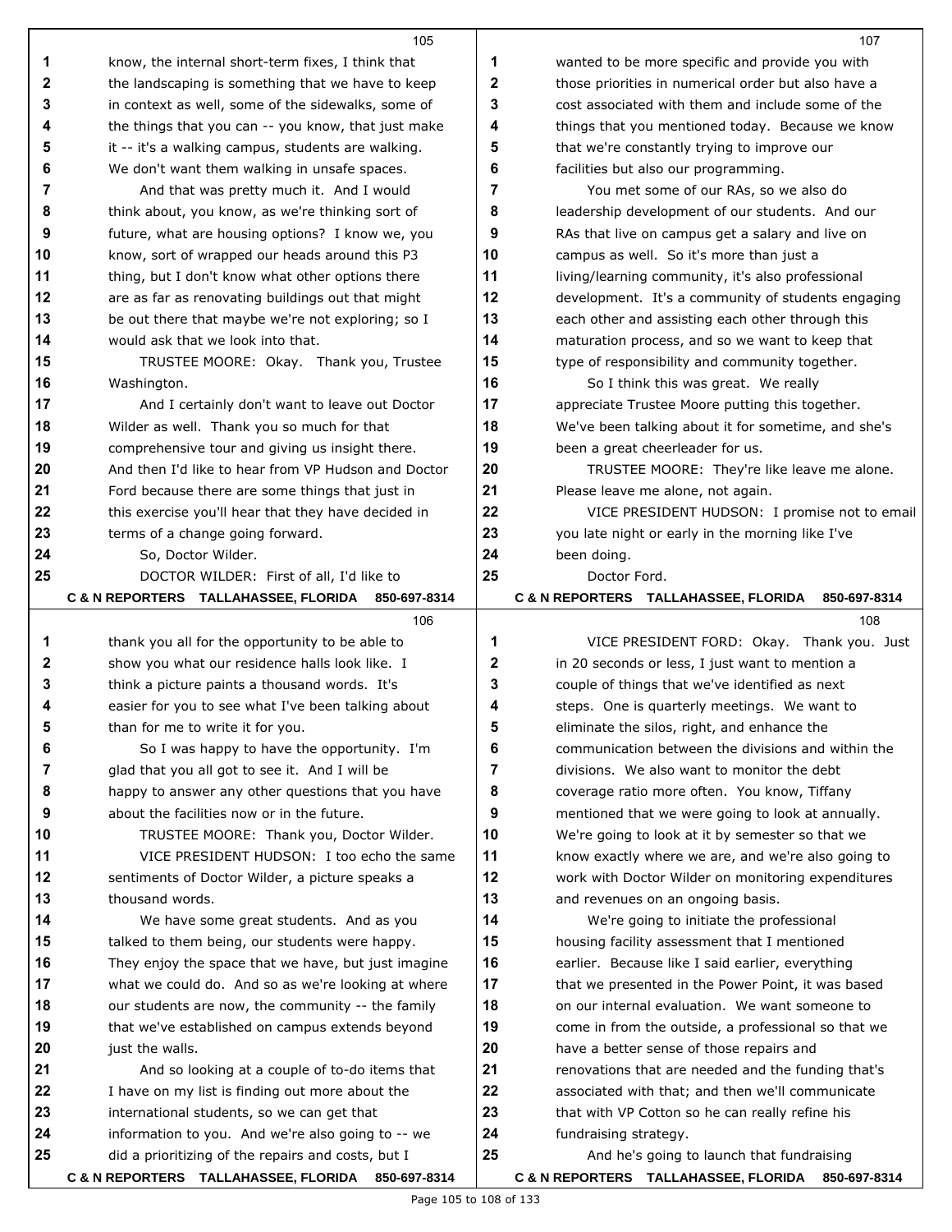|          | 105                                                                                             |          | 107                                                                                                 |
|----------|-------------------------------------------------------------------------------------------------|----------|-----------------------------------------------------------------------------------------------------|
| 1        | know, the internal short-term fixes, I think that                                               | 1        | wanted to be more specific and provide you with                                                     |
| 2        | the landscaping is something that we have to keep                                               | 2        | those priorities in numerical order but also have a                                                 |
| 3        | in context as well, some of the sidewalks, some of                                              | 3        | cost associated with them and include some of the                                                   |
| 4        | the things that you can -- you know, that just make                                             | 4        | things that you mentioned today. Because we know                                                    |
| 5        | it -- it's a walking campus, students are walking.                                              | 5        | that we're constantly trying to improve our                                                         |
| 6        | We don't want them walking in unsafe spaces.                                                    | 6        | facilities but also our programming.                                                                |
| 7        | And that was pretty much it. And I would                                                        | 7        | You met some of our RAs, so we also do                                                              |
| 8        | think about, you know, as we're thinking sort of                                                | 8        | leadership development of our students. And our                                                     |
| 9        | future, what are housing options? I know we, you                                                | 9        | RAs that live on campus get a salary and live on                                                    |
| 10       | know, sort of wrapped our heads around this P3                                                  | 10       | campus as well. So it's more than just a                                                            |
| 11       | thing, but I don't know what other options there                                                | 11       | living/learning community, it's also professional                                                   |
| 12       | are as far as renovating buildings out that might                                               | 12       | development. It's a community of students engaging                                                  |
| 13       | be out there that maybe we're not exploring; so I                                               | 13       | each other and assisting each other through this                                                    |
| 14       | would ask that we look into that.                                                               | 14       | maturation process, and so we want to keep that                                                     |
| 15       | TRUSTEE MOORE: Okay. Thank you, Trustee                                                         | 15       | type of responsibility and community together.                                                      |
| 16       | Washington.                                                                                     | 16       | So I think this was great. We really                                                                |
| 17       | And I certainly don't want to leave out Doctor                                                  | 17       | appreciate Trustee Moore putting this together.                                                     |
| 18       | Wilder as well. Thank you so much for that                                                      | 18       | We've been talking about it for sometime, and she's                                                 |
| 19       | comprehensive tour and giving us insight there.                                                 | 19       | been a great cheerleader for us.                                                                    |
| 20       | And then I'd like to hear from VP Hudson and Doctor                                             | 20       | TRUSTEE MOORE: They're like leave me alone.                                                         |
| 21       | Ford because there are some things that just in                                                 | 21       | Please leave me alone, not again.                                                                   |
| 22       | this exercise you'll hear that they have decided in                                             | 22       | VICE PRESIDENT HUDSON: I promise not to email                                                       |
| 23       | terms of a change going forward.                                                                | 23       | you late night or early in the morning like I've                                                    |
| 24       | So, Doctor Wilder.                                                                              | 24       | been doing.                                                                                         |
| 25       | DOCTOR WILDER: First of all, I'd like to                                                        | 25       | Doctor Ford.                                                                                        |
|          | C & N REPORTERS TALLAHASSEE, FLORIDA<br>850-697-8314                                            |          | C & N REPORTERS TALLAHASSEE, FLORIDA<br>850-697-8314                                                |
|          | 106                                                                                             |          | 108                                                                                                 |
| 1        | thank you all for the opportunity to be able to                                                 | 1        | VICE PRESIDENT FORD: Okay. Thank you. Just                                                          |
| 2        | show you what our residence halls look like. I                                                  | 2        | in 20 seconds or less, I just want to mention a                                                     |
| 3        | think a picture paints a thousand words. It's                                                   | 3        | couple of things that we've identified as next                                                      |
| 4        | easier for you to see what I've been talking about                                              | 4        | steps. One is quarterly meetings. We want to                                                        |
| 5        | than for me to write it for you.                                                                | 5        | eliminate the silos, right, and enhance the                                                         |
| 6        | So I was happy to have the opportunity. I'm                                                     | 6        | communication between the divisions and within the                                                  |
| 7        | glad that you all got to see it. And I will be                                                  | 7        | divisions. We also want to monitor the debt                                                         |
| 8        | happy to answer any other questions that you have                                               | 8        | coverage ratio more often. You know, Tiffany                                                        |
| 9        | about the facilities now or in the future.                                                      | 9        | mentioned that we were going to look at annually.                                                   |
| 10       | TRUSTEE MOORE: Thank you, Doctor Wilder.                                                        | 10       | We're going to look at it by semester so that we                                                    |
| 11       | VICE PRESIDENT HUDSON: I too echo the same                                                      | 11       | know exactly where we are, and we're also going to                                                  |
| 12       | sentiments of Doctor Wilder, a picture speaks a                                                 | 12       | work with Doctor Wilder on monitoring expenditures                                                  |
| 13       | thousand words.                                                                                 | 13       | and revenues on an ongoing basis.                                                                   |
| 14       | We have some great students. And as you                                                         | 14       | We're going to initiate the professional                                                            |
| 15       | talked to them being, our students were happy.                                                  | 15       | housing facility assessment that I mentioned                                                        |
| 16       | They enjoy the space that we have, but just imagine                                             | 16       | earlier. Because like I said earlier, everything                                                    |
| 17       | what we could do. And so as we're looking at where                                              | 17       | that we presented in the Power Point, it was based                                                  |
| 18       | our students are now, the community -- the family                                               | 18       | on our internal evaluation. We want someone to                                                      |
| 19       | that we've established on campus extends beyond                                                 | 19       | come in from the outside, a professional so that we                                                 |
| 20       | just the walls.                                                                                 | 20       | have a better sense of those repairs and                                                            |
| 21<br>22 | And so looking at a couple of to-do items that                                                  | 21       | renovations that are needed and the funding that's                                                  |
| 23       | I have on my list is finding out more about the                                                 | 22<br>23 | associated with that; and then we'll communicate<br>that with VP Cotton so he can really refine his |
| 24       | international students, so we can get that<br>information to you. And we're also going to -- we | 24       | fundraising strategy.                                                                               |
| 25       | did a prioritizing of the repairs and costs, but I                                              | 25       | And he's going to launch that fundraising                                                           |
|          | C & N REPORTERS TALLAHASSEE, FLORIDA 850-697-8314                                               |          | C & N REPORTERS TALLAHASSEE, FLORIDA 850-697-8314                                                   |
|          |                                                                                                 |          |                                                                                                     |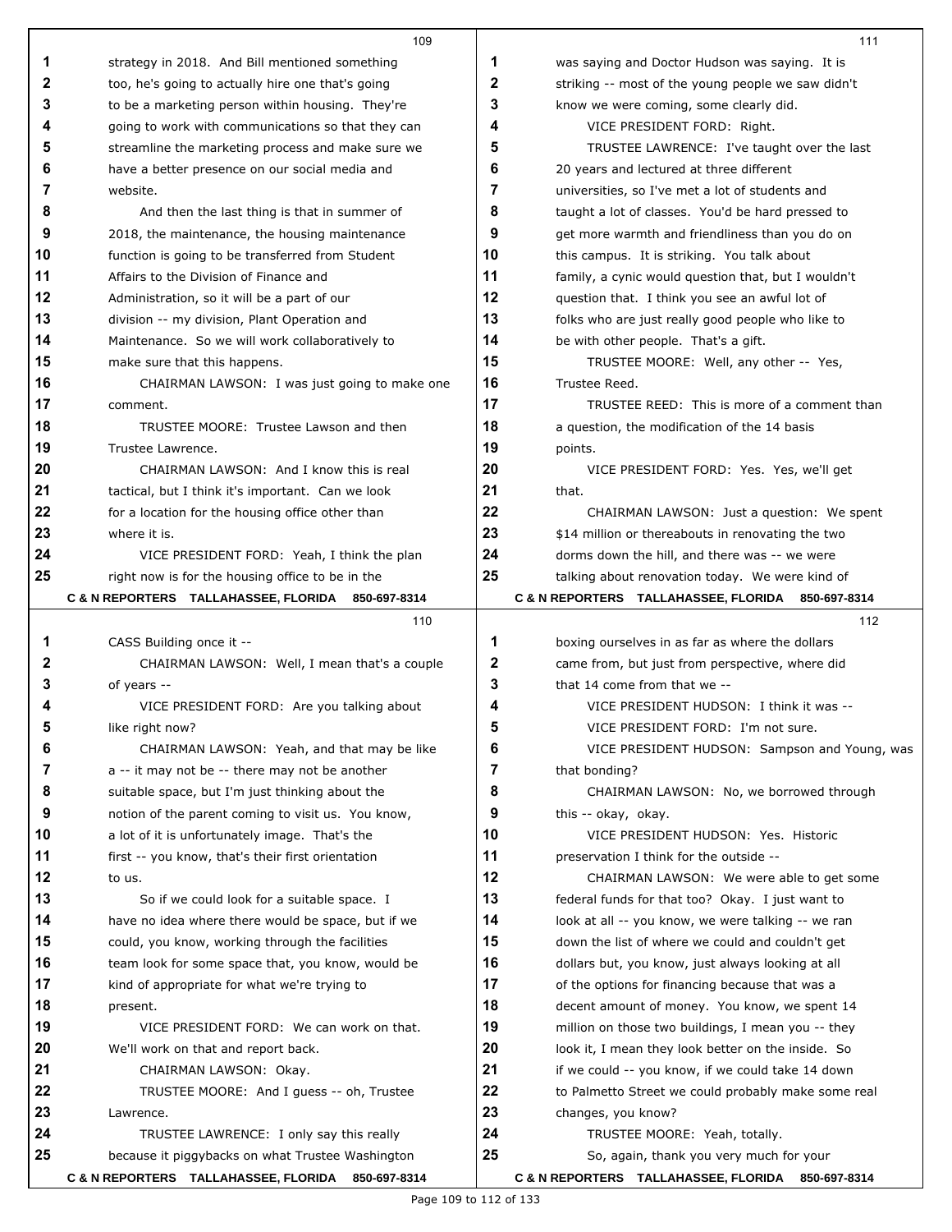|    | 109                                                |    | 111                                                 |
|----|----------------------------------------------------|----|-----------------------------------------------------|
| 1  | strategy in 2018. And Bill mentioned something     | 1  | was saying and Doctor Hudson was saying. It is      |
| 2  | too, he's going to actually hire one that's going  | 2  | striking -- most of the young people we saw didn't  |
| 3  | to be a marketing person within housing. They're   | 3  | know we were coming, some clearly did.              |
| 4  | going to work with communications so that they can | 4  | VICE PRESIDENT FORD: Right.                         |
| 5  | streamline the marketing process and make sure we  | 5  | TRUSTEE LAWRENCE: I've taught over the last         |
| 6  | have a better presence on our social media and     | 6  | 20 years and lectured at three different            |
| 7  | website.                                           | 7  | universities, so I've met a lot of students and     |
| 8  | And then the last thing is that in summer of       | 8  | taught a lot of classes. You'd be hard pressed to   |
| 9  | 2018, the maintenance, the housing maintenance     | 9  | get more warmth and friendliness than you do on     |
| 10 | function is going to be transferred from Student   | 10 | this campus. It is striking. You talk about         |
| 11 | Affairs to the Division of Finance and             | 11 | family, a cynic would question that, but I wouldn't |
| 12 | Administration, so it will be a part of our        | 12 | question that. I think you see an awful lot of      |
| 13 | division -- my division, Plant Operation and       | 13 | folks who are just really good people who like to   |
| 14 | Maintenance. So we will work collaboratively to    | 14 | be with other people. That's a gift.                |
| 15 | make sure that this happens.                       | 15 | TRUSTEE MOORE: Well, any other -- Yes,              |
| 16 | CHAIRMAN LAWSON: I was just going to make one      | 16 | Trustee Reed.                                       |
| 17 | comment.                                           | 17 | TRUSTEE REED: This is more of a comment than        |
| 18 | TRUSTEE MOORE: Trustee Lawson and then             | 18 | a question, the modification of the 14 basis        |
| 19 | Trustee Lawrence.                                  | 19 | points.                                             |
| 20 | CHAIRMAN LAWSON: And I know this is real           | 20 | VICE PRESIDENT FORD: Yes. Yes, we'll get            |
| 21 | tactical, but I think it's important. Can we look  | 21 | that.                                               |
| 22 | for a location for the housing office other than   | 22 | CHAIRMAN LAWSON: Just a question: We spent          |
| 23 | where it is.                                       | 23 | \$14 million or thereabouts in renovating the two   |
| 24 | VICE PRESIDENT FORD: Yeah, I think the plan        | 24 | dorms down the hill, and there was -- we were       |
| 25 | right now is for the housing office to be in the   | 25 | talking about renovation today. We were kind of     |
|    | C & N REPORTERS TALLAHASSEE, FLORIDA 850-697-8314  |    | C & N REPORTERS TALLAHASSEE, FLORIDA 850-697-8314   |
|    | 110                                                |    | 112                                                 |
| 1  | CASS Building once it --                           | 1  | boxing ourselves in as far as where the dollars     |
| 2  | CHAIRMAN LAWSON: Well, I mean that's a couple      | 2  | came from, but just from perspective, where did     |
| 3  | of years --                                        | 3  | that 14 come from that we --                        |
| 4  | VICE PRESIDENT FORD: Are you talking about         | 4  | VICE PRESIDENT HUDSON: I think it was --            |
|    | like right now?                                    | к  | VICE PRESIDENT FORD: I'm not sure.                  |
| 6  | CHAIRMAN LAWSON: Yeah, and that may be like        | 6  | VICE PRESIDENT HUDSON: Sampson and Young, was       |
| 7  | a -- it may not be -- there may not be another     | 7  | that bonding?                                       |
| 8  | suitable space, but I'm just thinking about the    | 8  | CHAIRMAN LAWSON: No, we borrowed through            |
| 9  | notion of the parent coming to visit us. You know, | 9  | this -- okay, okay.                                 |
| 10 | a lot of it is unfortunately image. That's the     | 10 | VICE PRESIDENT HUDSON: Yes. Historic                |
| 11 | first -- you know, that's their first orientation  | 11 | preservation I think for the outside --             |
| 12 | to us.                                             | 12 | CHAIRMAN LAWSON: We were able to get some           |
| 13 | So if we could look for a suitable space. I        | 13 | federal funds for that too? Okay. I just want to    |
| 14 | have no idea where there would be space, but if we | 14 | look at all -- you know, we were talking -- we ran  |
| 15 | could, you know, working through the facilities    | 15 | down the list of where we could and couldn't get    |
| 16 | team look for some space that, you know, would be  | 16 | dollars but, you know, just always looking at all   |
| 17 | kind of appropriate for what we're trying to       | 17 | of the options for financing because that was a     |
| 18 | present.                                           | 18 | decent amount of money. You know, we spent 14       |
| 19 | VICE PRESIDENT FORD: We can work on that.          | 19 | million on those two buildings, I mean you -- they  |
| 20 | We'll work on that and report back.                | 20 | look it, I mean they look better on the inside. So  |
| 21 | CHAIRMAN LAWSON: Okay.                             | 21 | if we could -- you know, if we could take 14 down   |
| 22 | TRUSTEE MOORE: And I guess -- oh, Trustee          | 22 | to Palmetto Street we could probably make some real |
| 23 | Lawrence.                                          | 23 | changes, you know?                                  |
| 24 | TRUSTEE LAWRENCE: I only say this really           | 24 | TRUSTEE MOORE: Yeah, totally.                       |
| 25 | because it piggybacks on what Trustee Washington   | 25 | So, again, thank you very much for your             |
|    | C & N REPORTERS TALLAHASSEE, FLORIDA 850-697-8314  |    | C & N REPORTERS TALLAHASSEE, FLORIDA 850-697-8314   |

 $\blacksquare$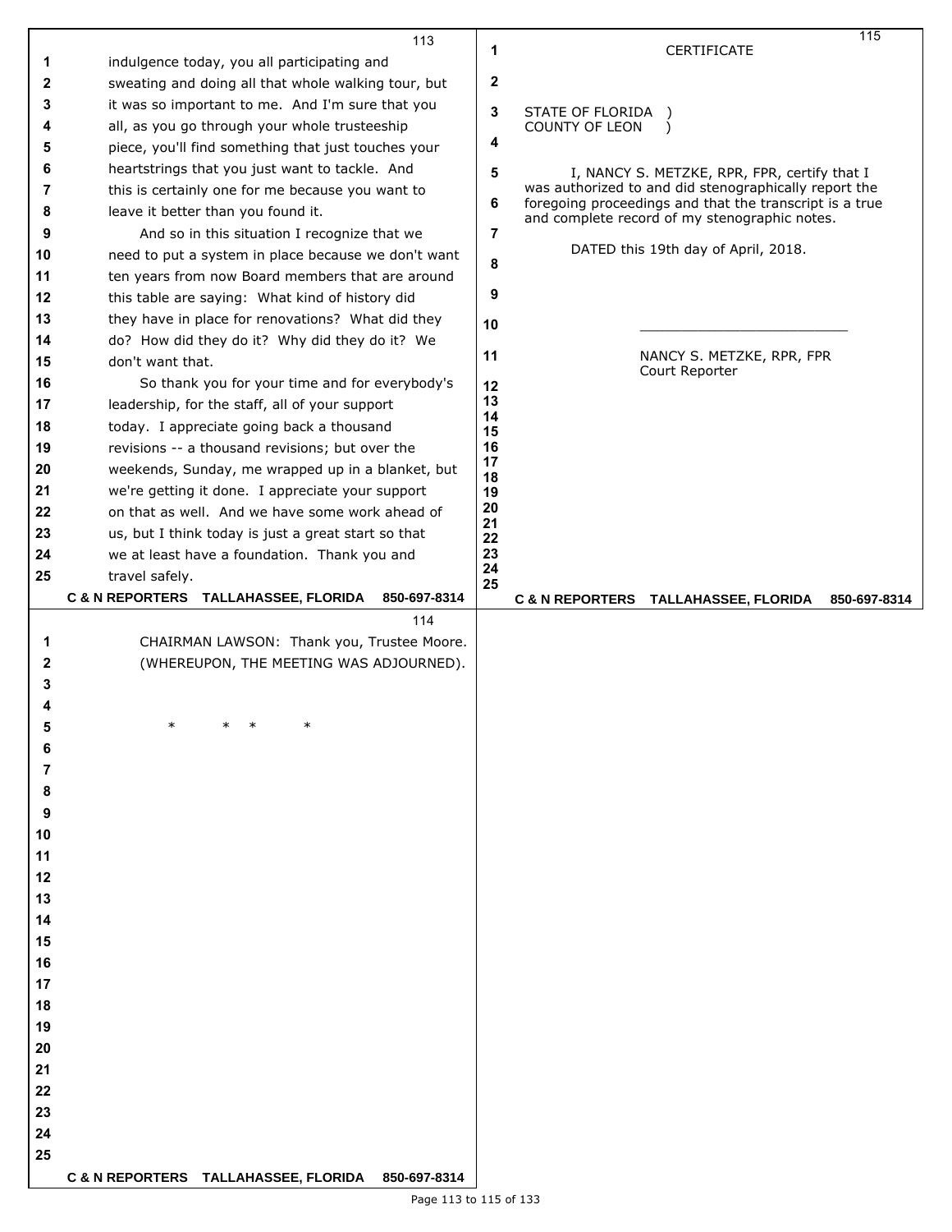|    | 113                                                  |                |                       |                                                         | 115          |
|----|------------------------------------------------------|----------------|-----------------------|---------------------------------------------------------|--------------|
| 1  | indulgence today, you all participating and          | 1              |                       | <b>CERTIFICATE</b>                                      |              |
| 2  | sweating and doing all that whole walking tour, but  | 2              |                       |                                                         |              |
|    |                                                      |                |                       |                                                         |              |
| 3  | it was so important to me. And I'm sure that you     | 3              | STATE OF FLORIDA )    |                                                         |              |
| 4  | all, as you go through your whole trusteeship        |                | <b>COUNTY OF LEON</b> | $\lambda$                                               |              |
| 5  | piece, you'll find something that just touches your  | 4              |                       |                                                         |              |
| 6  | heartstrings that you just want to tackle. And       | 5              |                       | I, NANCY S. METZKE, RPR, FPR, certify that I            |              |
| 7  | this is certainly one for me because you want to     |                |                       | was authorized to and did stenographically report the   |              |
| 8  | leave it better than you found it.                   | 6              |                       | foregoing proceedings and that the transcript is a true |              |
| 9  | And so in this situation I recognize that we         | $\overline{7}$ |                       | and complete record of my stenographic notes.           |              |
| 10 | need to put a system in place because we don't want  |                |                       | DATED this 19th day of April, 2018.                     |              |
|    |                                                      | 8              |                       |                                                         |              |
| 11 | ten years from now Board members that are around     | 9              |                       |                                                         |              |
| 12 | this table are saying: What kind of history did      |                |                       |                                                         |              |
| 13 | they have in place for renovations? What did they    | 10             |                       |                                                         |              |
| 14 | do? How did they do it? Why did they do it? We       |                |                       |                                                         |              |
| 15 | don't want that.                                     | 11             |                       | NANCY S. METZKE, RPR, FPR<br>Court Reporter             |              |
| 16 | So thank you for your time and for everybody's       | 12             |                       |                                                         |              |
| 17 | leadership, for the staff, all of your support       | 13             |                       |                                                         |              |
| 18 | today. I appreciate going back a thousand            | 14             |                       |                                                         |              |
| 19 | revisions -- a thousand revisions; but over the      | 15<br>16       |                       |                                                         |              |
| 20 | weekends, Sunday, me wrapped up in a blanket, but    | 17             |                       |                                                         |              |
|    |                                                      | 18             |                       |                                                         |              |
| 21 | we're getting it done. I appreciate your support     | 19<br>20       |                       |                                                         |              |
| 22 | on that as well. And we have some work ahead of      | 21             |                       |                                                         |              |
| 23 | us, but I think today is just a great start so that  | 22             |                       |                                                         |              |
| 24 | we at least have a foundation. Thank you and         | 23<br>24       |                       |                                                         |              |
| 25 | travel safely.                                       | 25             |                       |                                                         |              |
|    | C & N REPORTERS TALLAHASSEE, FLORIDA<br>850-697-8314 |                |                       | C & N REPORTERS TALLAHASSEE, FLORIDA                    | 850-697-8314 |
|    |                                                      |                |                       |                                                         |              |
|    | 114                                                  |                |                       |                                                         |              |
| 1  | CHAIRMAN LAWSON: Thank you, Trustee Moore.           |                |                       |                                                         |              |
| 2  | (WHEREUPON, THE MEETING WAS ADJOURNED).              |                |                       |                                                         |              |
| 3  |                                                      |                |                       |                                                         |              |
|    |                                                      |                |                       |                                                         |              |
|    |                                                      |                |                       |                                                         |              |
| 6  |                                                      |                |                       |                                                         |              |
| 7  |                                                      |                |                       |                                                         |              |
|    |                                                      |                |                       |                                                         |              |
| 8  |                                                      |                |                       |                                                         |              |
| 9  |                                                      |                |                       |                                                         |              |
| 10 |                                                      |                |                       |                                                         |              |
| 11 |                                                      |                |                       |                                                         |              |
| 12 |                                                      |                |                       |                                                         |              |
| 13 |                                                      |                |                       |                                                         |              |
| 14 |                                                      |                |                       |                                                         |              |
| 15 |                                                      |                |                       |                                                         |              |
| 16 |                                                      |                |                       |                                                         |              |
| 17 |                                                      |                |                       |                                                         |              |
| 18 |                                                      |                |                       |                                                         |              |
| 19 |                                                      |                |                       |                                                         |              |
| 20 |                                                      |                |                       |                                                         |              |
| 21 |                                                      |                |                       |                                                         |              |
| 22 |                                                      |                |                       |                                                         |              |
|    |                                                      |                |                       |                                                         |              |
| 23 |                                                      |                |                       |                                                         |              |
| 24 |                                                      |                |                       |                                                         |              |
| 25 | C & N REPORTERS TALLAHASSEE, FLORIDA 850-697-8314    |                |                       |                                                         |              |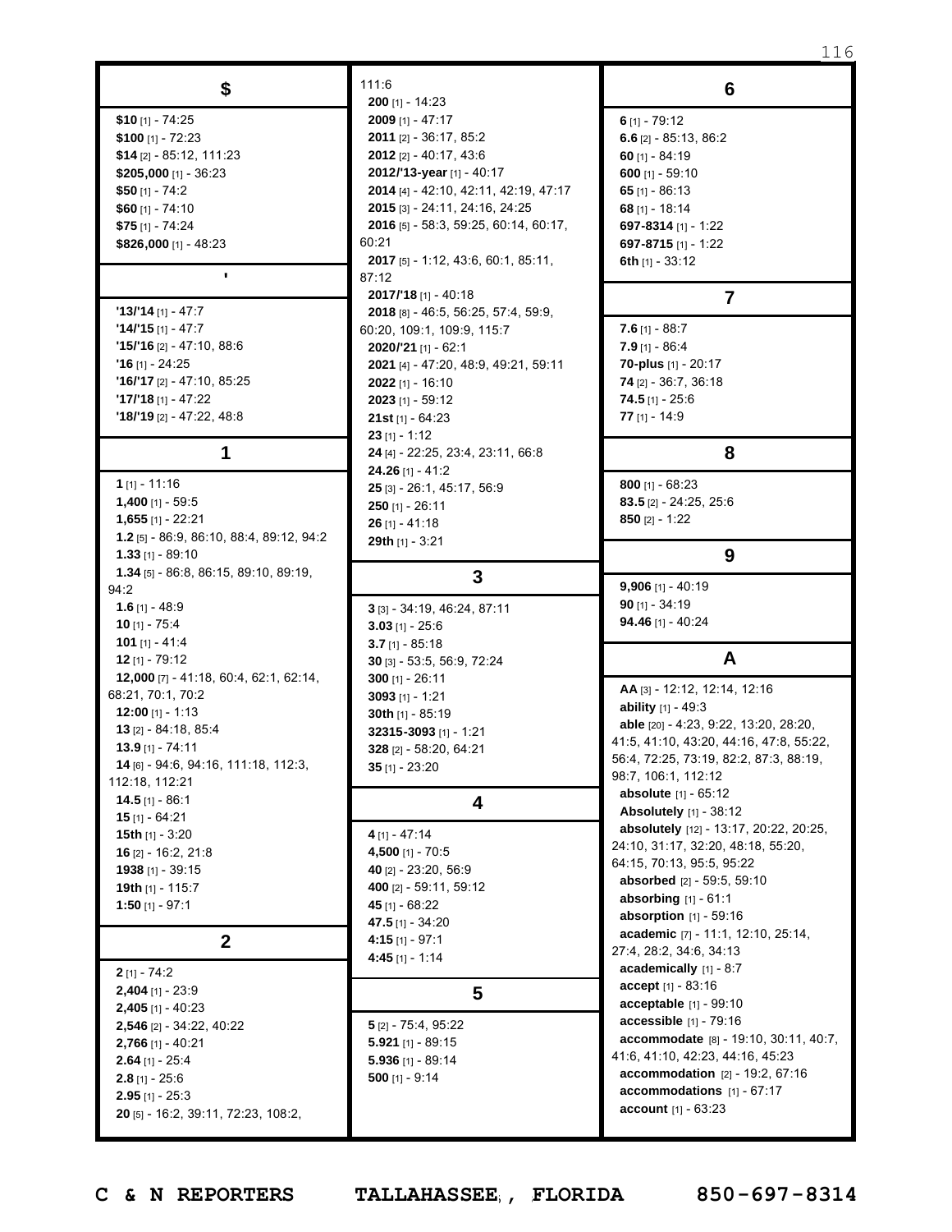| \$                                                  | 111:6                                                       | 6                                                                                 |
|-----------------------------------------------------|-------------------------------------------------------------|-----------------------------------------------------------------------------------|
|                                                     | <b>200</b> [1] - 14:23                                      |                                                                                   |
| $$10$ [1] - 74:25                                   | 2009 [1] - 47:17                                            | $6$ [1] - 79:12                                                                   |
| \$100 $[1] - 72:23$                                 | <b>2011</b> $[2] - 36:17, 85:2$<br>2012 [2] - 40:17, 43:6   | 6.6 $[2] - 85:13, 86:2$                                                           |
| $$14$ [2] - 85:12, 111:23<br>$$205,000$ [1] - 36:23 | 2012/'13-year [1] - 40:17                                   | 60 $[1] - 84:19$<br>600 [1] - 59:10                                               |
| \$50 $[1] - 74:2$                                   | 2014 [4] - 42:10, 42:11, 42:19, 47:17                       | 65 [1] - 86:13                                                                    |
| $$60$ [1] - 74:10                                   | 2015 [3] - 24:11, 24:16, 24:25                              | 68 [1] - 18:14                                                                    |
| \$75 [1] - 74:24                                    | 2016 [5] - 58:3, 59:25, 60:14, 60:17,                       | 697-8314 [1] - 1:22                                                               |
| \$826,000 [1] - 48:23                               | 60:21                                                       | 697-8715 [1] - 1:22                                                               |
|                                                     | <b>2017</b> [5] - 1:12, 43:6, 60:1, 85:11,                  | 6th $[1] - 33:12$                                                                 |
| ٠                                                   | 87:12                                                       |                                                                                   |
| $'13/14$ [1] - 47:7                                 | 2017/'18 [1] - 40:18<br>2018 [8] - 46:5, 56:25, 57:4, 59:9, | $\overline{7}$                                                                    |
| $14/15$ [1] - 47:7                                  | 60:20, 109:1, 109:9, 115:7                                  | 7.6 $[1] - 88:7$                                                                  |
| <b>'15/'16</b> [2] - 47:10, 88:6                    | $2020/21$ [1] - 62:1                                        | $7.9$ [1] - 86:4                                                                  |
| $'16$ [1] - 24:25                                   | 2021 [4] - 47:20, 48:9, 49:21, 59:11                        | 70-plus [1] - 20:17                                                               |
|                                                     | 2022 [1] - 16:10                                            | 74 [2] - 36:7, 36:18                                                              |
| $'17'18$ [1] - 47:22                                | $2023$ [1] - 59:12                                          | <b>74.5</b> [1] - 25:6                                                            |
| $'18/19$ [2] - 47:22, 48:8                          | 21st $[1] - 64:23$                                          | 77 $[1] - 14:9$                                                                   |
|                                                     | $23$ [1] - 1:12                                             |                                                                                   |
| 1                                                   | 24 [4] - 22:25, 23:4, 23:11, 66:8                           | 8                                                                                 |
| 1 $[1] - 11:16$                                     | 24.26 [1] - 41:2                                            | 800 $[1] - 68:23$                                                                 |
| 1,400 [1] - 59:5                                    | 25 [3] - 26:1, 45:17, 56:9<br>$250$ [1] - 26:11             | <b>83.5</b> [2] - 24:25, 25:6                                                     |
| $1,655$ [1] - 22:21                                 | $26$ [1] - 41:18                                            | 850 $[2] - 1:22$                                                                  |
| <b>1.2</b> [5] - 86.9, 86.10, 88.4, 89.12, 94:2     | 29th $[1] - 3:21$                                           |                                                                                   |
| $1.33$ [1] - 89:10                                  |                                                             | 9                                                                                 |
| 1.34 [5] - 86.8, 86.15, 89.10, 89.19,               | $\mathbf{3}$                                                |                                                                                   |
| 94.2                                                |                                                             | 9,906 [1] - 40:19<br><b>90</b> [1] - 34:19                                        |
| 1.6 $[1] - 48.9$<br><b>10</b> [1] - 75:4            | 3 [3] - 34:19, 46:24, 87:11                                 | <b>94.46</b> [1] - 40:24                                                          |
| <b>101</b> [1] - 41:4                               | $3.03$ [1] - 25:6<br>$3.7$ [1] - 85:18                      |                                                                                   |
| $12$ [1] - 79:12                                    | 30 [3] - 53:5, 56:9, 72:24                                  | A                                                                                 |
| 12,000 [7] - 41:18, 60:4, 62:1, 62:14,              | 300 $[1] - 26:11$                                           |                                                                                   |
| 68.21, 70:1, 70:2                                   | $3093$ [1] - 1:21                                           | AA [3] - 12:12, 12:14, 12:16                                                      |
| <b>12:00</b> [1] - 1:13                             | 30th [1] - 85:19                                            | <b>ability</b> $[1] - 49:3$                                                       |
| 13 $[2] - 84.18, 85.4$                              | 32315-3093 [1] - 1:21                                       | able [20] - 4:23, 9:22, 13:20, 28:20,                                             |
| $13.9$ [1] - 74:11                                  | 328 [2] - 58:20, 64:21                                      | 41:5, 41:10, 43:20, 44:16, 47:8, 55:22,<br>56:4, 72:25, 73:19, 82:2, 87:3, 88:19, |
| 14 [6] - 94:6, 94:16, 111:18, 112:3,                | $35$ [1] - 23:20                                            | 98:7, 106:1, 112:12                                                               |
| 112:18, 112:21                                      |                                                             | <b>absolute</b> [1] - 65:12                                                       |
| $14.5$ [1] - 86:1                                   | 4                                                           | Absolutely [1] - 38:12                                                            |
| $15$ [1] - 64:21<br>15th [1] - 3:20                 | $4$ [1] - 47:14                                             | absolutely [12] - 13:17, 20:22, 20:25,                                            |
| 16 [2] - 16:2, 21:8                                 | 4,500 $[1] - 70.5$                                          | 24:10, 31:17, 32:20, 48:18, 55:20,                                                |
| 1938 [1] - 39:15                                    | 40 $[2] - 23:20, 56:9$                                      | 64:15, 70:13, 95:5, 95:22                                                         |
| 19th [1] - 115:7                                    | 400 [2] - 59:11, 59:12                                      | absorbed [2] - 59:5, 59:10                                                        |
| $1:50$ [1] - 97:1                                   | 45 [1] - 68:22                                              | <b>absorbing</b> $[1] - 61:1$                                                     |
|                                                     | 47.5 $[1] - 34:20$                                          | absorption $[1]$ - 59:16                                                          |
| $\mathbf{2}$                                        | 4:15 [1] - 97:1                                             | academic [7] - 11:1, 12:10, 25:14,<br>27:4, 28:2, 34:6, 34:13                     |
| $2$ [1] - 74:2                                      | 4:45 [1] - 1:14                                             | academically [1] - 8:7                                                            |
| $2,404$ [1] - 23:9                                  |                                                             | accept [1] - 83:16                                                                |
| $2,405$ [1] - 40:23                                 | 5                                                           | acceptable [1] - 99:10                                                            |
| 2,546 [2] - 34:22, 40:22                            | 5 [2] - 75:4, 95:22                                         | <b>accessible</b> $[1] - 79:16$                                                   |
| $2,766$ [1] - 40:21                                 | $5.921$ [1] - 89:15                                         | accommodate [8] - 19:10, 30:11, 40:7,                                             |
| $2.64$ [1] - 25:4                                   | $5.936$ [1] - 89:14                                         | 41.6, 41.10, 42.23, 44.16, 45.23                                                  |
| $2.8$ [1] - 25:6                                    | 500 $[1] - 9:14$                                            | accommodation [2] - 19:2, 67:16                                                   |
| $2.95$ [1] - 25:3                                   |                                                             | accommodations $[1] - 67:17$                                                      |
| 20 [5] - 16:2, 39:11, 72:23, 108:2,                 |                                                             | account [1] - 63:23                                                               |
|                                                     |                                                             |                                                                                   |

Т

116

т

Page 116 to 116 of 133 **C & N REPORTERS TALLAHASSEE , FLORIDA 850-697-8314**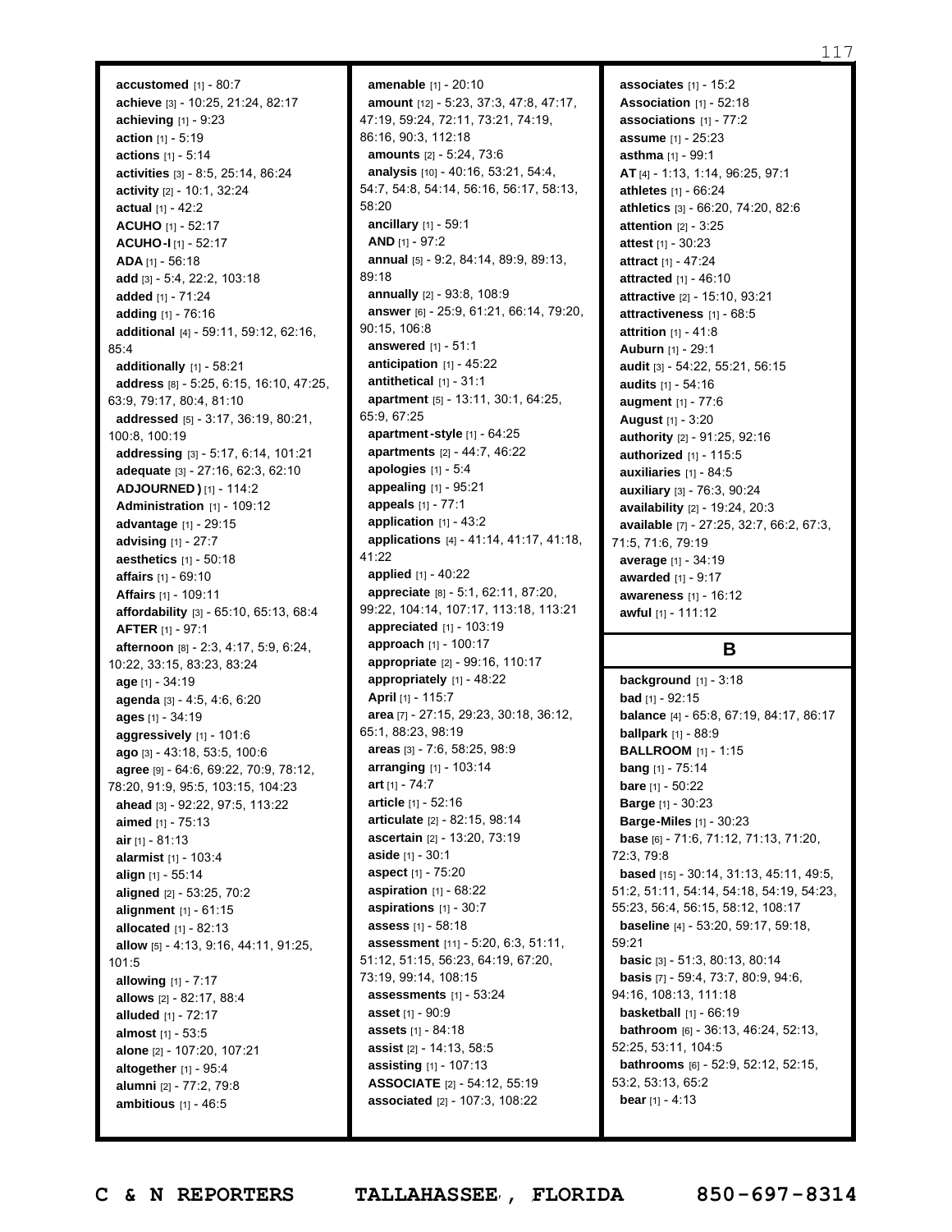**accustomed** [1] - 80:7 **achieve** [3] - 10:25, 21:24, 82:17 **achieving** [1] - 9:23 **action** [1] - 5:19 **actions** [1] - 5:14 **activities** [3] - 8:5, 25:14, 86:24 **activity** [2] - 10:1, 32:24 **actual** [1] - 42:2 **ACUHO** [1] - 52:17 **ACUHO-I** [1] - 52:17 **ADA** [1] - 56:18 **add** [3] - 5:4, 22:2, 103:18 **added** [1] - 71:24 **adding** [1] - 76:16 **additional** [4] - 59:11, 59:12, 62:16, 85:4 **additionally** [1] - 58:21 **address** [8] - 5:25, 6:15, 16:10, 47:25, 63:9, 79:17, 80:4, 81:10 **addressed** [5] - 3:17, 36:19, 80:21, 100:8, 100:19 **addressing** [3] - 5:17, 6:14, 101:21 **adequate** [3] - 27:16, 62:3, 62:10 **ADJOURNED )** [1] - 114:2 **Administration** [1] - 109:12 **advantage** [1] - 29:15 **advising** [1] - 27:7 **aesthetics** [1] - 50:18 **affairs** [1] - 69:10 **Affairs** [1] - 109:11 **affordability** [3] - 65:10, 65:13, 68:4 **AFTER** [1] - 97:1 **afternoon** [8] - 2:3, 4:17, 5:9, 6:24, 10:22, 33:15, 83:23, 83:24 **age** [1] - 34:19 **agenda** [3] - 4:5, 4:6, 6:20 **ages** [1] - 34:19 **aggressively** [1] - 101:6 **ago** [3] - 43:18, 53:5, 100:6 **agree** [9] - 64:6, 69:22, 70:9, 78:12, 78:20, 91:9, 95:5, 103:15, 104:23 **ahead** [3] - 92:22, 97:5, 113:22 **aimed** [1] - 75:13 **air** [1] - 81:13 **alarmist** [1] - 103:4 **align** [1] - 55:14 **aligned** [2] - 53:25, 70:2 **alignment** [1] - 61:15 **allocated** [1] - 82:13 **allow** [5] - 4:13, 9:16, 44:11, 91:25, 101:5 **allowing** [1] - 7:17 **allows** [2] - 82:17, 88:4 **alluded** [1] - 72:17 **almost** [1] - 53:5 **alone** [2] - 107:20, 107:21 **altogether** [1] - 95:4 **alumni** [2] - 77:2, 79:8 **ambitious** [1] - 46:5

**amenable** [1] - 20:10 **amount** [12] - 5:23, 37:3, 47:8, 47:17, 47:19, 59:24, 72:11, 73:21, 74:19, 86:16, 90:3, 112:18 **amounts** [2] - 5:24, 73:6 **analysis** [10] - 40:16, 53:21, 54:4, 54:7, 54:8, 54:14, 56:16, 56:17, 58:13, 58:20 **ancillary** [1] - 59:1 **AND** [1] - 97:2 **annual** [5] - 9:2, 84:14, 89:9, 89:13, 89:18 **annually** [2] - 93:8, 108:9 **answer** [6] - 25:9, 61:21, 66:14, 79:20, 90:15, 106:8 **answered** [1] - 51:1 **anticipation** [1] - 45:22 **antithetical** [1] - 31:1 **apartment** [5] - 13:11, 30:1, 64:25, 65:9, 67:25 **apartment-style** [1] - 64:25 **apartments** [2] - 44:7, 46:22 **apologies** [1] - 5:4 **appealing** [1] - 95:21 **appeals** [1] - 77:1 **application** [1] - 43:2 **applications** [4] - 41:14, 41:17, 41:18, 41:22 **applied** [1] - 40:22 **appreciate** [8] - 5:1, 62:11, 87:20, 99:22, 104:14, 107:17, 113:18, 113:21 **appreciated** [1] - 103:19 **approach** [1] - 100:17 **appropriate** [2] - 99:16, 110:17 **appropriately** [1] - 48:22 **April** [1] - 115:7 **area** [7] - 27:15, 29:23, 30:18, 36:12, 65:1, 88:23, 98:19 **areas** [3] - 7:6, 58:25, 98:9 **arranging** [1] - 103:14 **art** [1] - 74:7 **article** [1] - 52:16 **articulate** [2] - 82:15, 98:14 **ascertain** [2] - 13:20, 73:19 **aside** [1] - 30:1 **aspect** [1] - 75:20 **aspiration** [1] - 68:22 **aspirations** [1] - 30:7 **assess** [1] - 58:18 **assessment** [11] - 5:20, 6:3, 51:11, 51:12, 51:15, 56:23, 64:19, 67:20, 73:19, 99:14, 108:15 **assessments** [1] - 53:24 **asset** [1] - 90:9 **assets** [1] - 84:18 **assist** [2] - 14:13, 58:5 **assisting** [1] - 107:13 **ASSOCIATE** [2] - 54:12, 55:19 **associated** [2] - 107:3, 108:22

**associates** [1] - 15:2 **Association** [1] - 52:18 **associations** [1] - 77:2 **assume** [1] - 25:23 **asthma** [1] - 99:1 **AT** [4] - 1:13, 1:14, 96:25, 97:1 **athletes** [1] - 66:24 **athletics** [3] - 66:20, 74:20, 82:6 **attention** [2] - 3:25 **attest** [1] - 30:23 **attract** [1] - 47:24 **attracted** [1] - 46:10 **attractive** [2] - 15:10, 93:21 **attractiveness** [1] - 68:5 **attrition** [1] - 41:8 **Auburn** [1] - 29:1 **audit** [3] - 54:22, 55:21, 56:15 **audits** [1] - 54:16 **augment** [1] - 77:6 **August** [1] - 3:20 **authority** [2] - 91:25, 92:16 **authorized** [1] - 115:5 **auxiliaries** [1] - 84:5 **auxiliary** [3] - 76:3, 90:24 **availability** [2] - 19:24, 20:3 **available** [7] - 27:25, 32:7, 66:2, 67:3, 71:5, 71:6, 79:19 **average** [1] - 34:19 **awarded** [1] - 9:17 **awareness** [1] - 16:12 **awful** [1] - 111:12

# **B**

**background** [1] - 3:18 **bad** [1] - 92:15 **balance** [4] - 65:8, 67:19, 84:17, 86:17 **ballpark** [1] - 88:9 **BALLROOM** [1] - 1:15 **bang** [1] - 75:14 **bare** [1] - 50:22 **Barge** [1] - 30:23 **Barge-Miles** [1] - 30:23 **base** [6] - 71:6, 71:12, 71:13, 71:20, 72:3, 79:8 **based** [15] - 30:14, 31:13, 45:11, 49:5, 51:2, 51:11, 54:14, 54:18, 54:19, 54:23, 55:23, 56:4, 56:15, 58:12, 108:17 **baseline** [4] - 53:20, 59:17, 59:18, 59:21 **basic** [3] - 51:3, 80:13, 80:14 **basis** [7] - 59:4, 73:7, 80:9, 94:6, 94:16, 108:13, 111:18 **basketball** [1] - 66:19 **bathroom** [6] - 36:13, 46:24, 52:13, 52:25, 53:11, 104:5 **bathrooms** [6] - 52:9, 52:12, 52:15, 53:2, 53:13, 65:2 **bear** [1] - 4:13

Page 117 to 117 of 133 **C & N REPORTERS TALLAHASSEE , FLORIDA 850-697-8314**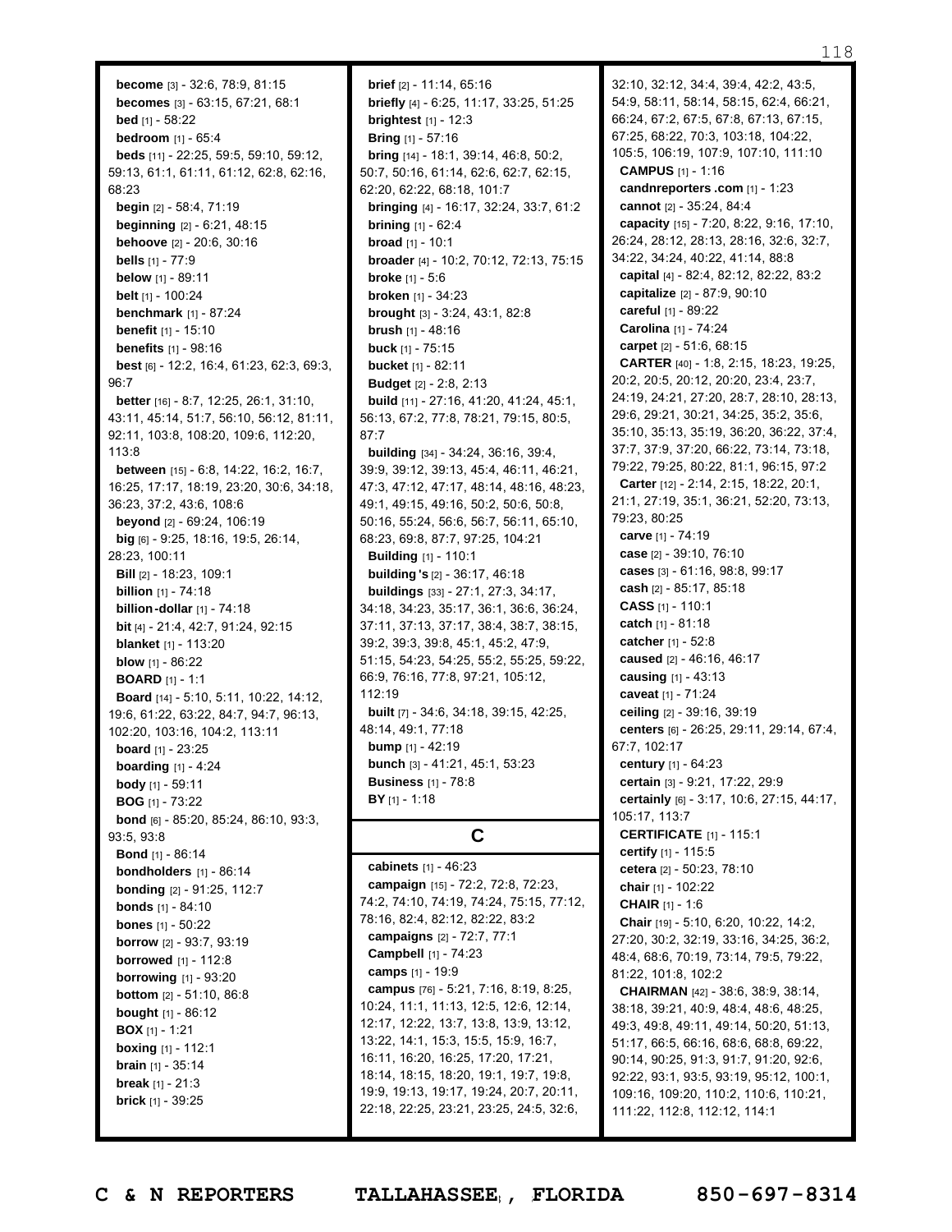**become** [3] - 32:6, 78:9, 81:15 **becomes** [3] - 63:15, 67:21, 68:1 **bed** [1] - 58:22 **bedroom** [1] - 65:4 **beds** [11] - 22:25, 59:5, 59:10, 59:12, 59:13, 61:1, 61:11, 61:12, 62:8, 62:16, 68:23 **begin** [2] - 58:4, 71:19 **beginning** [2] - 6:21, 48:15 **behoove** [2] - 20:6, 30:16 **bells** [1] - 77:9 **below** [1] - 89:11 **belt** [1] - 100:24 **benchmark** [1] - 87:24 **benefit** [1] - 15:10 **benefits** [1] - 98:16 **best** [6] - 12:2, 16:4, 61:23, 62:3, 69:3, 96:7 **better** [16] - 8:7, 12:25, 26:1, 31:10, 43:11, 45:14, 51:7, 56:10, 56:12, 81:11, 92:11, 103:8, 108:20, 109:6, 112:20,  $113.8$ **between** [15] - 6:8, 14:22, 16:2, 16:7, 16:25, 17:17, 18:19, 23:20, 30:6, 34:18, 36:23, 37:2, 43:6, 108:6 **beyond** [2] - 69:24, 106:19 **big** [6] - 9:25, 18:16, 19:5, 26:14, 28:23, 100:11 **Bill** [2] - 18:23, 109:1 **billion** [1] - 74:18 **billion-dollar** [1] - 74:18 **bit** [4] - 21:4, 42:7, 91:24, 92:15 **blanket** [1] - 113:20 **blow** [1] - 86:22 **BOARD** [1] - 1:1 **Board** [14] - 5:10, 5:11, 10:22, 14:12, 19:6, 61:22, 63:22, 84:7, 94:7, 96:13, 102:20, 103:16, 104:2, 113:11 **board** [1] - 23:25 **boarding** [1] - 4:24 **body** [1] - 59:11 **BOG** [1] - 73:22 **bond** [6] - 85:20, 85:24, 86:10, 93:3, 93:5, 93:8 **Bond** [1] - 86:14 **bondholders** [1] - 86:14 **bonding** [2] - 91:25, 112:7 **bonds** [1] - 84:10 **bones** [1] - 50:22 **borrow** [2] - 93:7, 93:19 **borrowed** [1] - 112:8 **borrowing** [1] - 93:20 **bottom** [2] - 51:10, 86:8 **bought** [1] - 86:12 **BOX** [1] - 1:21 **boxing** [1] - 112:1 **brain** [1] - 35:14 **break** [1] - 21:3

**brief** [2] - 11:14, 65:16 **briefly** [4] - 6:25, 11:17, 33:25, 51:25 **brightest** [1] - 12:3 **Bring** [1] - 57:16 **bring** [14] - 18:1, 39:14, 46:8, 50:2, 50:7, 50:16, 61:14, 62:6, 62:7, 62:15, 62:20, 62:22, 68:18, 101:7 **bringing** [4] - 16:17, 32:24, 33:7, 61:2 **brining** [1] - 62:4 **broad** [1] - 10:1 **broader** [4] - 10:2, 70:12, 72:13, 75:15 **broke** [1] - 5:6 **broken** [1] - 34:23 **brought** [3] - 3:24, 43:1, 82:8 **brush** [1] - 48:16 **buck** [1] - 75:15 **bucket** [1] - 82:11 **Budget** [2] - 2:8, 2:13 **build** [11] - 27:16, 41:20, 41:24, 45:1, 56:13, 67:2, 77:8, 78:21, 79:15, 80:5, 87:7 **building** [34] - 34:24, 36:16, 39:4, 39:9, 39:12, 39:13, 45:4, 46:11, 46:21, 47:3, 47:12, 47:17, 48:14, 48:16, 48:23, 49:1, 49:15, 49:16, 50:2, 50:6, 50:8, 50:16, 55:24, 56:6, 56:7, 56:11, 65:10, 68:23, 69:8, 87:7, 97:25, 104:21 **Building** [1] - 110:1 **building 's** [2] - 36:17, 46:18 **buildings** [33] - 27:1, 27:3, 34:17, 34:18, 34:23, 35:17, 36:1, 36:6, 36:24, 37:11, 37:13, 37:17, 38:4, 38:7, 38:15, 39:2, 39:3, 39:8, 45:1, 45:2, 47:9, 51:15, 54:23, 54:25, 55:2, 55:25, 59:22, 66:9, 76:16, 77:8, 97:21, 105:12, 112:19 **built** [7] - 34:6, 34:18, 39:15, 42:25, 48:14, 49:1, 77:18 **bump** [1] - 42:19 **bunch** [3] - 41:21, 45:1, 53:23 **Business** [1] - 78:8 **BY** [1] - 1:18 **C cabinets** [1] - 46:23 **campaign** [15] - 72:2, 72:8, 72:23, 74:2, 74:10, 74:19, 74:24, 75:15, 77:12, 78:16, 82:4, 82:12, 82:22, 83:2 **campaigns** [2] - 72:7, 77:1 **Campbell** [1] - 74:23 **camps** [1] - 19:9 **campus** [76] - 5:21, 7:16, 8:19, 8:25,

32:10, 32:12, 34:4, 39:4, 42:2, 43:5, 54:9, 58:11, 58:14, 58:15, 62:4, 66:21, 66:24, 67:2, 67:5, 67:8, 67:13, 67:15, 67:25, 68:22, 70:3, 103:18, 104:22, 105:5, 106:19, 107:9, 107:10, 111:10 **CAMPUS** [1] - 1:16 **candnreporters .com** [1] - 1:23 **cannot** [2] - 35:24, 84:4 **capacity** [15] - 7:20, 8:22, 9:16, 17:10, 26:24, 28:12, 28:13, 28:16, 32:6, 32:7, 34:22, 34:24, 40:22, 41:14, 88:8 **capital** [4] - 82:4, 82:12, 82:22, 83:2 **capitalize** [2] - 87:9, 90:10 **careful** [1] - 89:22 **Carolina** [1] - 74:24 **carpet** [2] - 51:6, 68:15 **CARTER** [40] - 1:8, 2:15, 18:23, 19:25, 20:2, 20:5, 20:12, 20:20, 23:4, 23:7, 24:19, 24:21, 27:20, 28:7, 28:10, 28:13, 29:6, 29:21, 30:21, 34:25, 35:2, 35:6, 35:10, 35:13, 35:19, 36:20, 36:22, 37:4, 37:7, 37:9, 37:20, 66:22, 73:14, 73:18, 79:22, 79:25, 80:22, 81:1, 96:15, 97:2 **Carter** [12] - 2:14, 2:15, 18:22, 20:1, 21:1, 27:19, 35:1, 36:21, 52:20, 73:13, 79:23, 80:25 **carve** [1] - 74:19 **case** [2] - 39:10, 76:10 **cases** [3] - 61:16, 98:8, 99:17 **cash** [2] - 85:17, 85:18 **CASS** [1] - 110:1 **catch** [1] - 81:18 **catcher** [1] - 52:8 **caused** [2] - 46:16, 46:17 **causing** [1] - 43:13 **caveat** [1] - 71:24 **ceiling** [2] - 39:16, 39:19 **centers** [6] - 26:25, 29:11, 29:14, 67:4, 67:7, 102:17 **century** [1] - 64:23 **certain** [3] - 9:21, 17:22, 29:9 **certainly** [6] - 3:17, 10:6, 27:15, 44:17, 105:17, 113:7 **CERTIFICATE** [1] - 115:1 **certify** [1] - 115:5 **cetera** [2] - 50:23, 78:10 **chair** [1] - 102:22 **CHAIR** [1] - 1:6 **Chair** [19] - 5:10, 6:20, 10:22, 14:2, 27:20, 30:2, 32:19, 33:16, 34:25, 36:2, 48:4, 68:6, 70:19, 73:14, 79:5, 79:22, 81:22, 101:8, 102:2 **CHAIRMAN** [42] - 38:6, 38:9, 38:14, 38:18, 39:21, 40:9, 48:4, 48:6, 48:25, 49:3, 49:8, 49:11, 49:14, 50:20, 51:13, 51:17, 66:5, 66:16, 68:6, 68:8, 69:22, 90:14, 90:25, 91:3, 91:7, 91:20, 92:6, 92:22, 93:1, 93:5, 93:19, 95:12, 100:1, 109:16, 109:20, 110:2, 110:6, 110:21, 111:22, 112:8, 112:12, 114:1

**brick** [1] - 39:25

10:24, 11:1, 11:13, 12:5, 12:6, 12:14, 12:17, 12:22, 13:7, 13:8, 13:9, 13:12, 13:22, 14:1, 15:3, 15:5, 15:9, 16:7, 16:11, 16:20, 16:25, 17:20, 17:21, 18:14, 18:15, 18:20, 19:1, 19:7, 19:8, 19:9, 19:13, 19:17, 19:24, 20:7, 20:11, 22:18, 22:25, 23:21, 23:25, 24:5, 32:6,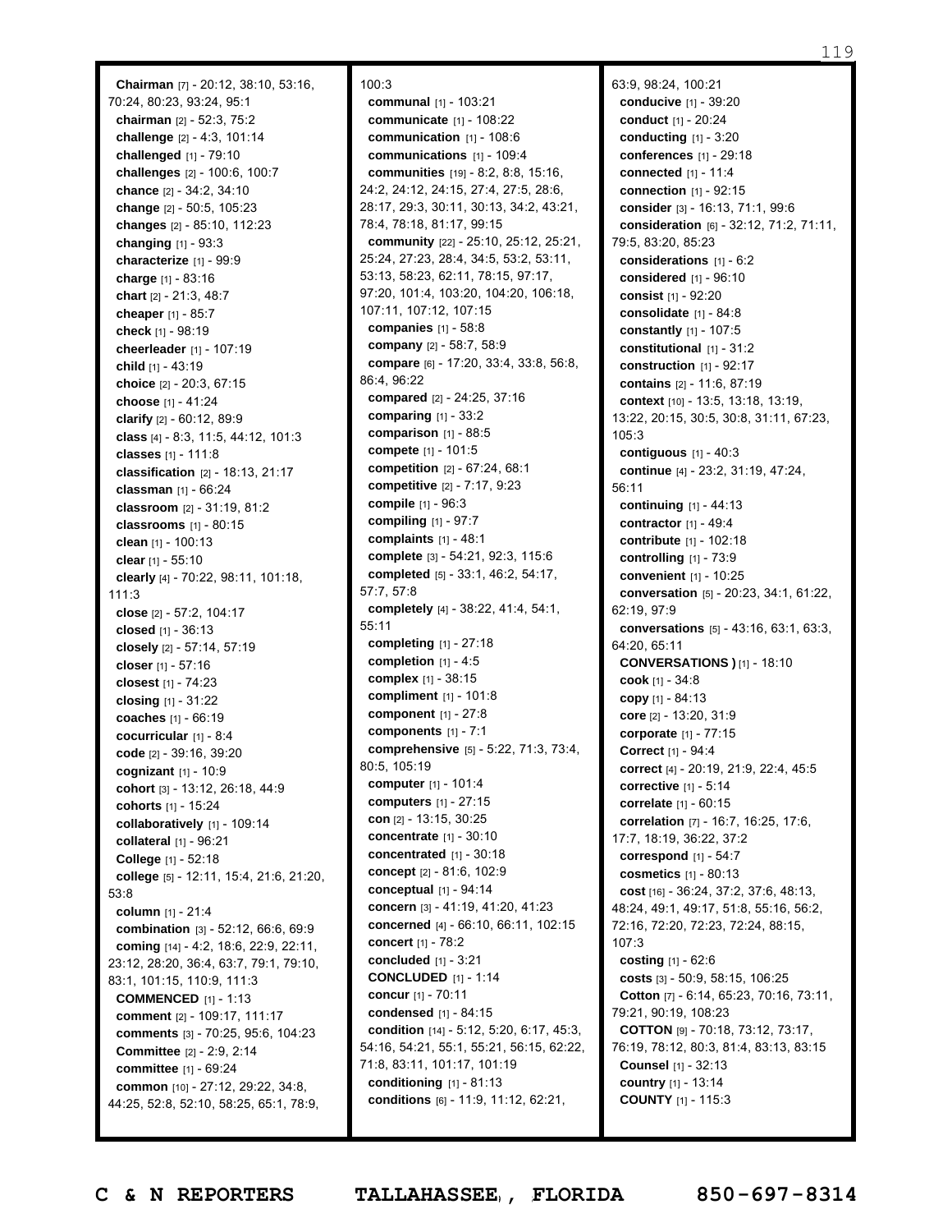**Chairman** [7] - 20:12, 38:10, 53:16, 70:24, 80:23, 93:24, 95:1 **chairman** [2] - 52:3, 75:2 **challenge** [2] - 4:3, 101:14 **challenged** [1] - 79:10 **challenges** [2] - 100:6, 100:7 **chance** [2] - 34:2, 34:10 **change** [2] - 50:5, 105:23 **changes** [2] - 85:10, 112:23 **changing** [1] - 93:3 **characterize** [1] - 99:9 **charge** [1] - 83:16 **chart** [2] - 21:3, 48:7 **cheaper** [1] - 85:7 **check** [1] - 98:19 **cheerleader** [1] - 107:19 **child** [1] - 43:19 **choice** [2] - 20:3, 67:15 **choose** [1] - 41:24 **clarify** [2] - 60:12, 89:9 **class** [4] - 8:3, 11:5, 44:12, 101:3 **classes** [1] - 111:8 **classification** [2] - 18:13, 21:17 **classman** [1] - 66:24 **classroom** [2] - 31:19, 81:2 **classrooms** [1] - 80:15 **clean** [1] - 100:13 **clear** [1] - 55:10 **clearly** [4] - 70:22, 98:11, 101:18,  $111:3$ **close** [2] - 57:2, 104:17 **closed** [1] - 36:13 **closely** [2] - 57:14, 57:19 **closer** [1] - 57:16 **closest** [1] - 74:23 **closing** [1] - 31:22 **coaches** [1] - 66:19 **cocurricular** [1] - 8:4 **code** [2] - 39:16, 39:20 **cognizant** [1] - 10:9 **cohort** [3] - 13:12, 26:18, 44:9 **cohorts** [1] - 15:24 **collaboratively** [1] - 109:14 **collateral** [1] - 96:21 **College** [1] - 52:18 **college** [5] - 12:11, 15:4, 21:6, 21:20, 53:8 **column** [1] - 21:4 **combination** [3] - 52:12, 66:6, 69:9 **coming** [14] - 4:2, 18:6, 22:9, 22:11, 23:12, 28:20, 36:4, 63:7, 79:1, 79:10, 83:1, 101:15, 110:9, 111:3 **COMMENCED** [1] - 1:13 **comment** [2] - 109:17, 111:17 **comments** [3] - 70:25, 95:6, 104:23 **Committee** [2] - 2:9, 2:14 **committee** [1] - 69:24 **common** [10] - 27:12, 29:22, 34:8, 44:25, 52:8, 52:10, 58:25, 65:1, 78:9,

100:3 **communal** [1] - 103:21 **communicate** [1] - 108:22 **communication** [1] - 108:6 **communications** [1] - 109:4 **communities** [19] - 8:2, 8:8, 15:16, 24:2, 24:12, 24:15, 27:4, 27:5, 28:6, 28:17, 29:3, 30:11, 30:13, 34:2, 43:21, 78:4, 78:18, 81:17, 99:15 **community** [22] - 25:10, 25:12, 25:21, 25:24, 27:23, 28:4, 34:5, 53:2, 53:11, 53:13, 58:23, 62:11, 78:15, 97:17, 97:20, 101:4, 103:20, 104:20, 106:18, 107:11, 107:12, 107:15 **companies** [1] - 58:8 **company** [2] - 58:7, 58:9 **compare** [6] - 17:20, 33:4, 33:8, 56:8, 86:4, 96:22 **compared** [2] - 24:25, 37:16 **comparing** [1] - 33:2 **comparison** [1] - 88:5 **compete** [1] - 101:5 **competition** [2] - 67:24, 68:1 **competitive** [2] - 7:17, 9:23 **compile** [1] - 96:3 **compiling** [1] - 97:7 **complaints** [1] - 48:1 **complete** [3] - 54:21, 92:3, 115:6 **completed** [5] - 33:1, 46:2, 54:17, 57:7, 57:8 **completely** [4] - 38:22, 41:4, 54:1, 55:11 **completing** [1] - 27:18 **completion** [1] - 4:5 **complex** [1] - 38:15 **compliment** [1] - 101:8 **component** [1] - 27:8 **components** [1] - 7:1 **comprehensive** [5] - 5:22, 71:3, 73:4, 80:5, 105:19 **computer** [1] - 101:4 **computers** [1] - 27:15 **con** [2] - 13:15, 30:25 **concentrate** [1] - 30:10 **concentrated** [1] - 30:18 **concept** [2] - 81:6, 102:9 **conceptual** [1] - 94:14 **concern** [3] - 41:19, 41:20, 41:23 **concerned** [4] - 66:10, 66:11, 102:15 **concert** [1] - 78:2 **concluded** [1] - 3:21 **CONCLUDED** [1] - 1:14 **concur** [1] - 70:11 **condensed** [1] - 84:15 **condition** [14] - 5:12, 5:20, 6:17, 45:3, 54:16, 54:21, 55:1, 55:21, 56:15, 62:22, 71:8, 83:11, 101:17, 101:19 **conditioning** [1] - 81:13 **conditions** [6] - 11:9, 11:12, 62:21,

63:9, 98:24, 100:21 **conducive** [1] - 39:20 **conduct** [1] - 20:24 **conducting** [1] - 3:20 **conferences** [1] - 29:18 **connected** [1] - 11:4 **connection** [1] - 92:15 **consider** [3] - 16:13, 71:1, 99:6 **consideration** [6] - 32:12, 71:2, 71:11, 79:5, 83:20, 85:23 **considerations** [1] - 6:2 **considered** [1] - 96:10 **consist** [1] - 92:20 **consolidate** [1] - 84:8 **constantly** [1] - 107:5 **constitutional** [1] - 31:2 **construction** [1] - 92:17 **contains** [2] - 11:6, 87:19 **context** [10] - 13:5, 13:18, 13:19, 13:22, 20:15, 30:5, 30:8, 31:11, 67:23, 105:3 **contiguous** [1] - 40:3 **continue** [4] - 23:2, 31:19, 47:24, 56:11 **continuing** [1] - 44:13 **contractor** [1] - 49:4 **contribute** [1] - 102:18 **controlling** [1] - 73:9 **convenient** [1] - 10:25 **conversation** [5] - 20:23, 34:1, 61:22, 62:19, 97:9 **conversations** [5] - 43:16, 63:1, 63:3, 64:20, 65:11 **CONVERSATIONS )** [1] - 18:10 **cook** [1] - 34:8 **copy** [1] - 84:13 **core** [2] - 13:20, 31:9 **corporate** [1] - 77:15 **Correct** [1] - 94:4 **correct** [4] - 20:19, 21:9, 22:4, 45:5 **corrective** [1] - 5:14 **correlate** [1] - 60:15 **correlation** [7] - 16:7, 16:25, 17:6, 17:7, 18:19, 36:22, 37:2 **correspond** [1] - 54:7 **cosmetics** [1] - 80:13 **cost** [16] - 36:24, 37:2, 37:6, 48:13, 48:24, 49:1, 49:17, 51:8, 55:16, 56:2, 72:16, 72:20, 72:23, 72:24, 88:15, 107:3 **costing** [1] - 62:6 **costs** [3] - 50:9, 58:15, 106:25 **Cotton** [7] - 6:14, 65:23, 70:16, 73:11, 79:21, 90:19, 108:23 **COTTON** [9] - 70:18, 73:12, 73:17, 76:19, 78:12, 80:3, 81:4, 83:13, 83:15 **Counsel** [1] - 32:13 **country** [1] - 13:14 **COUNTY** [1] - 115:3

Page 119 to 119 of 133 **C & N REPORTERS TALLAHASSEE , FLORIDA 850-697-8314**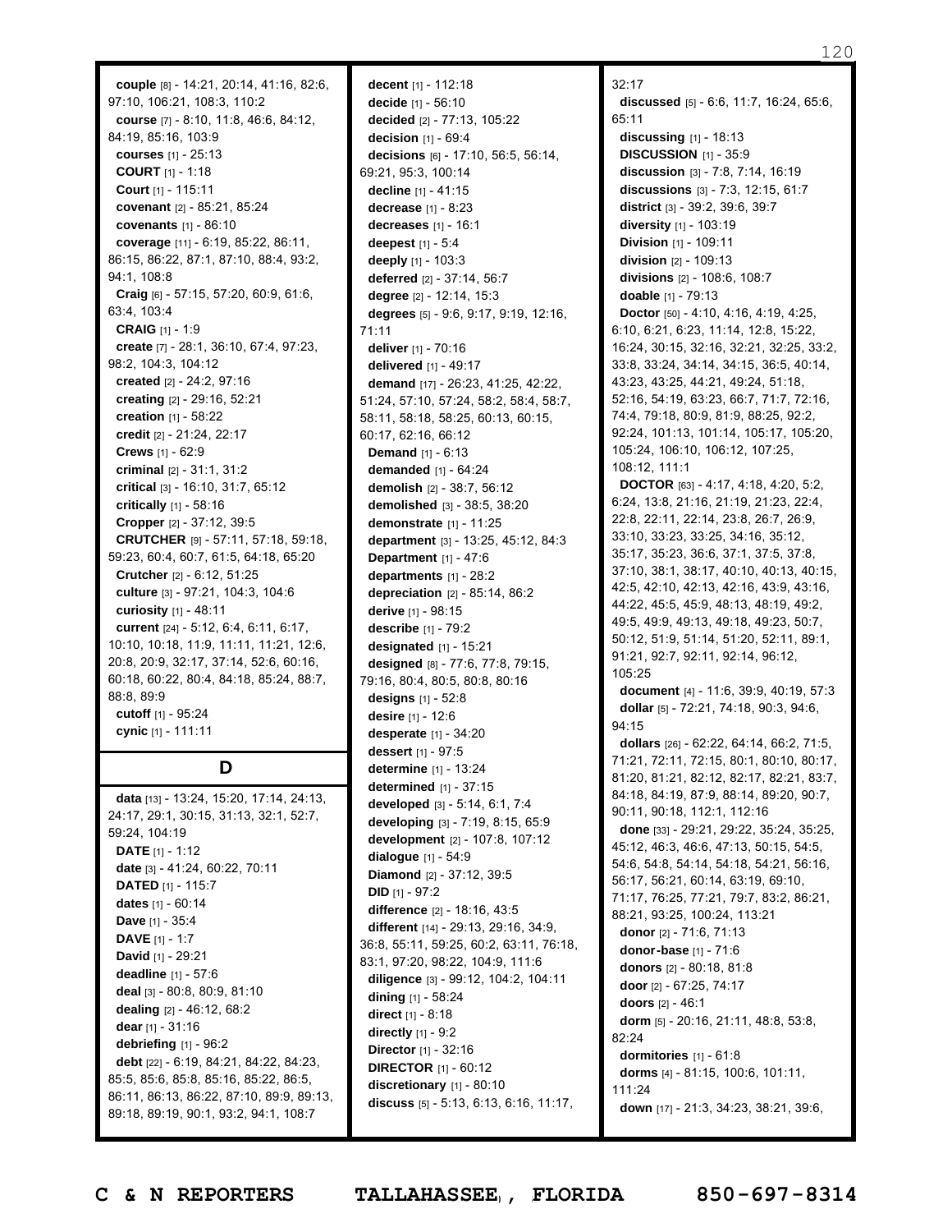120

**couple** [8] - 14:21, 20:14, 41:16, 82:6, 97:10, 106:21, 108:3, 110:2 **course** [7] - 8:10, 11:8, 46:6, 84:12, 84:19, 85:16, 103:9 **courses** [1] - 25:13 **COURT** [1] - 1:18 **Court** [1] - 115:11 **covenant** [2] - 85:21, 85:24 **covenants** [1] - 86:10 **coverage** [11] - 6:19, 85:22, 86:11, 86:15, 86:22, 87:1, 87:10, 88:4, 93:2, 94:1, 108:8 **Craig** [6] - 57:15, 57:20, 60:9, 61:6, 63:4, 103:4 **CRAIG** [1] - 1:9 **create** [7] - 28:1, 36:10, 67:4, 97:23, 98:2, 104:3, 104:12 **created** [2] - 24:2, 97:16 **creating** [2] - 29:16, 52:21 **creation** [1] - 58:22 **credit** [2] - 21:24, 22:17 **Crews** [1] - 62:9 **criminal** [2] - 31:1, 31:2 **critical** [3] - 16:10, 31:7, 65:12 **critically** [1] - 58:16 **Cropper** [2] - 37:12, 39:5 **CRUTCHER** [9] - 57:11, 57:18, 59:18, 59:23, 60:4, 60:7, 61:5, 64:18, 65:20 **Crutcher** [2] - 6:12, 51:25 **culture** [3] - 97:21, 104:3, 104:6 **curiosity** [1] - 48:11 **current** [24] - 5:12, 6:4, 6:11, 6:17, 10:10, 10:18, 11:9, 11:11, 11:21, 12:6, 20:8, 20:9, 32:17, 37:14, 52:6, 60:16, 60:18, 60:22, 80:4, 84:18, 85:24, 88:7, 88:8, 89:9 **cutoff** [1] - 95:24 **cynic** [1] - 111:11

### **D**

**data** [13] - 13:24, 15:20, 17:14, 24:13, 24:17, 29:1, 30:15, 31:13, 32:1, 52:7, 59:24, 104:19 **DATE** [1] - 1:12 **date** [3] - 41:24, 60:22, 70:11 **DATED** [1] - 115:7 **dates** [1] - 60:14 **Dave** [1] - 35:4 **DAVE** [1] - 1:7 **David** [1] - 29:21 **deadline** [1] - 57:6 **deal** [3] - 80:8, 80:9, 81:10 **dealing** [2] - 46:12, 68:2 **dear** [1] - 31:16 **debriefing** [1] - 96:2 **debt** [22] - 6:19, 84:21, 84:22, 84:23, 85:5, 85:6, 85:8, 85:16, 85:22, 86:5, 86:11, 86:13, 86:22, 87:10, 89:9, 89:13, 89:18, 89:19, 90:1, 93:2, 94:1, 108:7

**decent** [1] - 112:18 **decide** [1] - 56:10 **decided** [2] - 77:13, 105:22 **decision** [1] - 69:4 **decisions** [6] - 17:10, 56:5, 56:14, 69:21, 95:3, 100:14 **decline** [1] - 41:15 **decrease** [1] - 8:23 **decreases** [1] - 16:1 **deepest** [1] - 5:4 **deeply** [1] - 103:3 **deferred** [2] - 37:14, 56:7 **degree** [2] - 12:14, 15:3 **degrees** [5] - 9:6, 9:17, 9:19, 12:16, 71:11 **deliver** [1] - 70:16 **delivered** [1] - 49:17 **demand** [17] - 26:23, 41:25, 42:22, 51:24, 57:10, 57:24, 58:2, 58:4, 58:7, 58:11, 58:18, 58:25, 60:13, 60:15, 60:17, 62:16, 66:12 **Demand** [1] - 6:13 **demanded** [1] - 64:24 **demolish** [2] - 38:7, 56:12 **demolished** [3] - 38:5, 38:20 **demonstrate** [1] - 11:25 **department** [3] - 13:25, 45:12, 84:3 **Department** [1] - 47:6 **departments** [1] - 28:2 **depreciation** [2] - 85:14, 86:2 **derive** [1] - 98:15 **describe** [1] - 79:2 **designated** [1] - 15:21 **designed** [8] - 77:6, 77:8, 79:15, 79:16, 80:4, 80:5, 80:8, 80:16 **designs** [1] - 52:8 **desire** [1] - 12:6 **desperate** [1] - 34:20 **dessert** [1] - 97:5 **determine** [1] - 13:24 **determined** [1] - 37:15 **developed** [3] - 5:14, 6:1, 7:4 **developing** [3] - 7:19, 8:15, 65:9 **development** [2] - 107:8, 107:12 **dialogue** [1] - 54:9 **Diamond** [2] - 37:12, 39:5 **DID** [1] - 97:2 **difference** [2] - 18:16, 43:5 **different** [14] - 29:13, 29:16, 34:9, 36:8, 55:11, 59:25, 60:2, 63:11, 76:18, 83:1, 97:20, 98:22, 104:9, 111:6 **diligence** [3] - 99:12, 104:2, 104:11 **dining** [1] - 58:24 **direct** [1] - 8:18 **directly** [1] - 9:2 **Director** [1] - 32:16 **DIRECTOR** [1] - 60:12 **discretionary** [1] - 80:10 **discuss** [5] - 5:13, 6:13, 6:16, 11:17,

 $32.17$ **discussed** [5] - 6:6, 11:7, 16:24, 65:6, 65:11 **discussing** [1] - 18:13 **DISCUSSION** [1] - 35:9 **discussion** [3] - 7:8, 7:14, 16:19 **discussions** [3] - 7:3, 12:15, 61:7 **district** [3] - 39:2, 39:6, 39:7 **diversity** [1] - 103:19 **Division** [1] - 109:11 **division** [2] - 109:13 **divisions** [2] - 108:6, 108:7 **doable** [1] - 79:13 **Doctor** [50] - 4:10, 4:16, 4:19, 4:25, 6:10, 6:21, 6:23, 11:14, 12:8, 15:22, 16:24, 30:15, 32:16, 32:21, 32:25, 33:2, 33:8, 33:24, 34:14, 34:15, 36:5, 40:14, 43:23, 43:25, 44:21, 49:24, 51:18, 52:16, 54:19, 63:23, 66:7, 71:7, 72:16, 74:4, 79:18, 80:9, 81:9, 88:25, 92:2, 92:24, 101:13, 101:14, 105:17, 105:20, 105:24, 106:10, 106:12, 107:25, 108:12, 111:1 **DOCTOR** [63] - 4:17, 4:18, 4:20, 5:2, 6:24, 13:8, 21:16, 21:19, 21:23, 22:4, 22:8, 22:11, 22:14, 23:8, 26:7, 26:9, 33:10, 33:23, 33:25, 34:16, 35:12, 35:17, 35:23, 36:6, 37:1, 37:5, 37:8, 37:10, 38:1, 38:17, 40:10, 40:13, 40:15, 42:5, 42:10, 42:13, 42:16, 43:9, 43:16, 44:22, 45:5, 45:9, 48:13, 48:19, 49:2, 49:5, 49:9, 49:13, 49:18, 49:23, 50:7, 50:12, 51:9, 51:14, 51:20, 52:11, 89:1, 91:21, 92:7, 92:11, 92:14, 96:12, 105:25 **document** [4] - 11:6, 39:9, 40:19, 57:3 **dollar** [5] - 72:21, 74:18, 90:3, 94:6, 94:15 **dollars** [26] - 62:22, 64:14, 66:2, 71:5, 71:21, 72:11, 72:15, 80:1, 80:10, 80:17, 81:20, 81:21, 82:12, 82:17, 82:21, 83:7, 84:18, 84:19, 87:9, 88:14, 89:20, 90:7, 90:11, 90:18, 112:1, 112:16 **done** [33] - 29:21, 29:22, 35:24, 35:25, 45:12, 46:3, 46:6, 47:13, 50:15, 54:5, 54:6, 54:8, 54:14, 54:18, 54:21, 56:16, 56:17, 56:21, 60:14, 63:19, 69:10, 71:17, 76:25, 77:21, 79:7, 83:2, 86:21, 88:21, 93:25, 100:24, 113:21 **donor** [2] - 71:6, 71:13 **donor-base** [1] - 71:6 **donors** [2] - 80:18, 81:8 **door** [2] - 67:25, 74:17 **doors** [2] - 46:1 **dorm** [5] - 20:16, 21:11, 48:8, 53:8, 82:24 **dormitories** [1] - 61:8 **dorms** [4] - 81:15, 100:6, 101:11, 111:24 **down** [17] - 21:3, 34:23, 38:21, 39:6,

Page 120 to 120 of 133 **C & N REPORTERS TALLAHASSEE , FLORIDA 850-697-8314**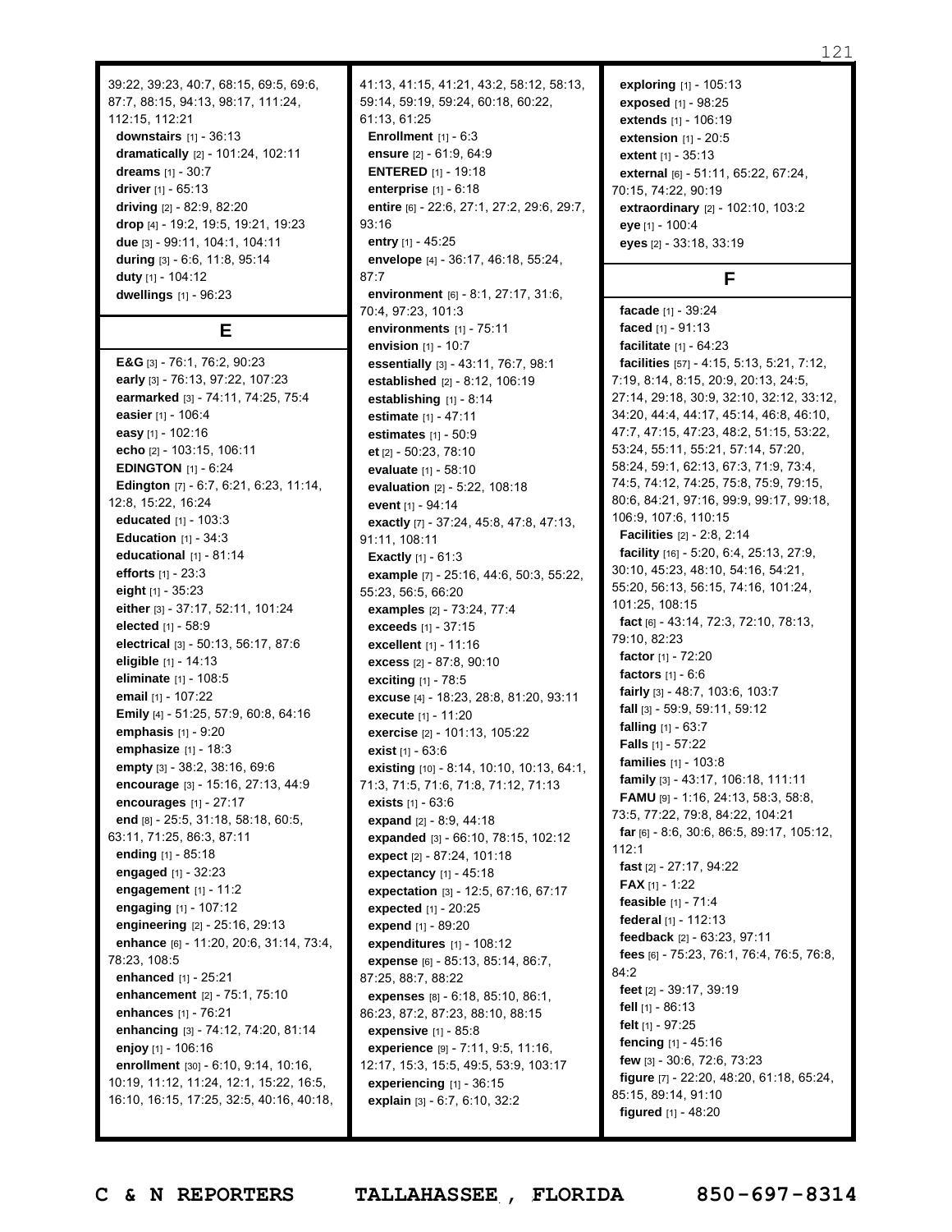87:7, 88:15, 94:13, 98:17, 111:24, 112:15, 112:21 **downstairs** [1] - 36:13 **dramatically** [2] - 101:24, 102:11 **dreams** [1] - 30:7 **driver** [1] - 65:13 **driving** [2] - 82:9, 82:20 **drop** [4] - 19:2, 19:5, 19:21, 19:23 **due** [3] - 99:11, 104:1, 104:11 **during** [3] - 6:6, 11:8, 95:14 **duty** [1] - 104:12 **dwellings** [1] - 96:23

39:22, 39:23, 40:7, 68:15, 69:5, 69:6,

### **E**

**E&G** [3] - 76:1, 76:2, 90:23 **early** [3] - 76:13, 97:22, 107:23 **earmarked** [3] - 74:11, 74:25, 75:4 **easier** [1] - 106:4 **easy** [1] - 102:16 **echo** [2] - 103:15, 106:11 **EDINGTON** [1] - 6:24 **Edington** [7] - 6:7, 6:21, 6:23, 11:14, 12:8, 15:22, 16:24 **educated** [1] - 103:3 **Education** [1] - 34:3 **educational** [1] - 81:14 **efforts** [1] - 23:3 **eight** [1] - 35:23 **either** [3] - 37:17, 52:11, 101:24 **elected** [1] - 58:9 **electrical** [3] - 50:13, 56:17, 87:6 **eligible** [1] - 14:13 **eliminate** [1] - 108:5 **email** [1] - 107:22 **Emily** [4] - 51:25, 57:9, 60:8, 64:16 **emphasis** [1] - 9:20 **emphasize** [1] - 18:3 **empty** [3] - 38:2, 38:16, 69:6 **encourage** [3] - 15:16, 27:13, 44:9 **encourages** [1] - 27:17 **end** [8] - 25:5, 31:18, 58:18, 60:5, 63:11, 71:25, 86:3, 87:11 **ending** [1] - 85:18 **engaged** [1] - 32:23 **engagement** [1] - 11:2 **engaging** [1] - 107:12 **engineering** [2] - 25:16, 29:13 **enhance** [6] - 11:20, 20:6, 31:14, 73:4, 78:23, 108:5 **enhanced** [1] - 25:21 **enhancement** [2] - 75:1, 75:10 **enhances** [1] - 76:21 **enhancing** [3] - 74:12, 74:20, 81:14 **enjoy** [1] - 106:16 **enrollment** [30] - 6:10, 9:14, 10:16, 10:19, 11:12, 11:24, 12:1, 15:22, 16:5, 16:10, 16:15, 17:25, 32:5, 40:16, 40:18, 41:13, 41:15, 41:21, 43:2, 58:12, 58:13, 59:14, 59:19, 59:24, 60:18, 60:22, 61:13, 61:25 **Enrollment** [1] - 6:3 **ensure** [2] - 61:9, 64:9 **ENTERED** [1] - 19:18 **enterprise** [1] - 6:18 **entire** [6] - 22:6, 27:1, 27:2, 29:6, 29:7, 93:16 **entry** [1] - 45:25 **envelope** [4] - 36:17, 46:18, 55:24, 87:7 **environment** [6] - 8:1, 27:17, 31:6, 70:4, 97:23, 101:3 **environments** [1] - 75:11 **envision** [1] - 10:7 **essentially** [3] - 43:11, 76:7, 98:1 **established** [2] - 8:12, 106:19 **establishing** [1] - 8:14 **estimate** [1] - 47:11 **estimates** [1] - 50:9 **et** [2] - 50:23, 78:10 **evaluate** [1] - 58:10 **evaluation** [2] - 5:22, 108:18 **event** [1] - 94:14 **exactly** [7] - 37:24, 45:8, 47:8, 47:13, 91:11, 108:11 **Exactly** [1] - 61:3 **example** [7] - 25:16, 44:6, 50:3, 55:22, 55:23, 56:5, 66:20 **examples** [2] - 73:24, 77:4 **exceeds** [1] - 37:15 **excellent** [1] - 11:16 **excess** [2] - 87:8, 90:10 **exciting** [1] - 78:5 **excuse** [4] - 18:23, 28:8, 81:20, 93:11 **execute** [1] - 11:20 **exercise** [2] - 101:13, 105:22 **exist** [1] - 63:6 **existing** [10] - 8:14, 10:10, 10:13, 64:1, 71:3, 71:5, 71:6, 71:8, 71:12, 71:13 **exists** [1] - 63:6 **expand** [2] - 8:9, 44:18 **expanded** [3] - 66:10, 78:15, 102:12 **expect** [2] - 87:24, 101:18 **expectancy** [1] - 45:18 **expectation** [3] - 12:5, 67:16, 67:17 **expected** [1] - 20:25 **expend** [1] - 89:20 **expenditures** [1] - 108:12 **expense** [6] - 85:13, 85:14, 86:7, 87:25, 88:7, 88:22 **expenses** [8] - 6:18, 85:10, 86:1, 86:23, 87:2, 87:23, 88:10, 88:15 **expensive** [1] - 85:8 **experience** [9] - 7:11, 9:5, 11:16, 12:17, 15:3, 15:5, 49:5, 53:9, 103:17 **experiencing** [1] - 36:15 **explain** [3] - 6:7, 6:10, 32:2

**exploring** [1] - 105:13 **exposed** [1] - 98:25 **extends** [1] - 106:19 **extension** [1] - 20:5 **extent** [1] - 35:13 **external** [6] - 51:11, 65:22, 67:24, 70:15, 74:22, 90:19 **extraordinary** [2] - 102:10, 103:2 **eye** [1] - 100:4 **eyes** [2] - 33:18, 33:19

### **F**

**facade** [1] - 39:24 **faced** [1] - 91:13 **facilitate** [1] - 64:23 **facilities** [57] - 4:15, 5:13, 5:21, 7:12, 7:19, 8:14, 8:15, 20:9, 20:13, 24:5, 27:14, 29:18, 30:9, 32:10, 32:12, 33:12, 34:20, 44:4, 44:17, 45:14, 46:8, 46:10, 47:7, 47:15, 47:23, 48:2, 51:15, 53:22, 53:24, 55:11, 55:21, 57:14, 57:20, 58:24, 59:1, 62:13, 67:3, 71:9, 73:4, 74:5, 74:12, 74:25, 75:8, 75:9, 79:15, 80:6, 84:21, 97:16, 99:9, 99:17, 99:18, 106:9, 107:6, 110:15 **Facilities** [2] - 2:8, 2:14 **facility** [16] - 5:20, 6:4, 25:13, 27:9, 30:10, 45:23, 48:10, 54:16, 54:21, 55:20, 56:13, 56:15, 74:16, 101:24, 101:25, 108:15 **fact** [6] - 43:14, 72:3, 72:10, 78:13, 79:10, 82:23 **factor** [1] - 72:20 **factors** [1] - 6:6 **fairly** [3] - 48:7, 103:6, 103:7 **fall** [3] - 59:9, 59:11, 59:12 **falling** [1] - 63:7 **Falls** [1] - 57:22 **families** [1] - 103:8 **family** [3] - 43:17, 106:18, 111:11 **FAMU** [9] - 1:16, 24:13, 58:3, 58:8, 73:5, 77:22, 79:8, 84:22, 104:21 **far** [6] - 8:6, 30:6, 86:5, 89:17, 105:12, 112:1 **fast** [2] - 27:17, 94:22 **FAX** [1] - 1:22 **feasible** [1] - 71:4 **federal** [1] - 112:13 **feedback** [2] - 63:23, 97:11 **fees** [6] - 75:23, 76:1, 76:4, 76:5, 76:8, 84:2 **feet** [2] - 39:17, 39:19 **fell** [1] - 86:13 **felt** [1] - 97:25 **fencing** [1] - 45:16 **few** [3] - 30:6, 72:6, 73:23 **figure** [7] - 22:20, 48:20, 61:18, 65:24, 85:15, 89:14, 91:10 **figured** [1] - 48:20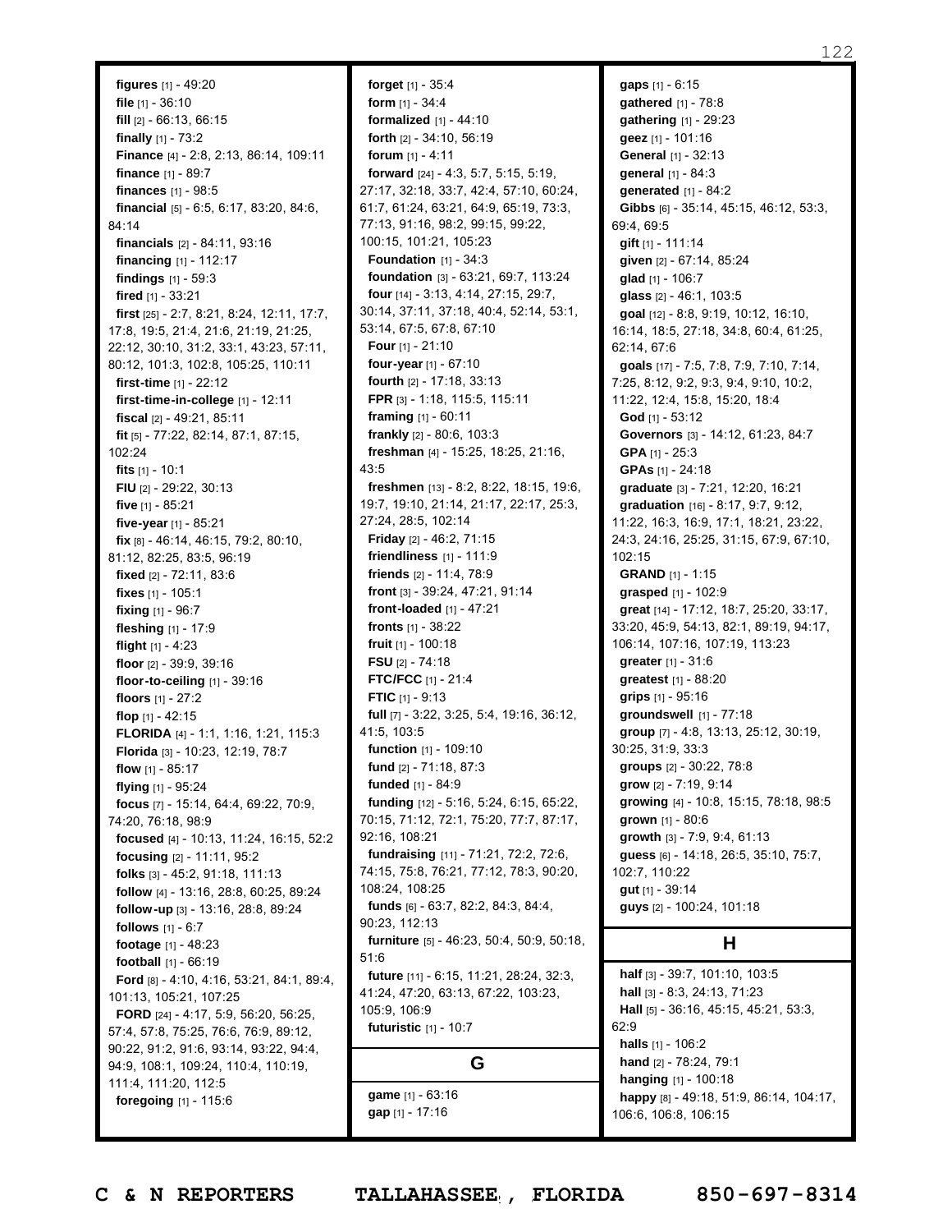**figures** [1] - 49:20 **file** [1] - 36:10 **fill** [2] - 66:13, 66:15 **finally** [1] - 73:2 **Finance** [4] - 2:8, 2:13, 86:14, 109:11 **finance** [1] - 89:7 **finances** [1] - 98:5 **financial** [5] - 6:5, 6:17, 83:20, 84:6, 84:14 **financials** [2] - 84:11, 93:16 **financing** [1] - 112:17 **findings** [1] - 59:3 **fired** [1] - 33:21 **first** [25] - 2:7, 8:21, 8:24, 12:11, 17:7, 17:8, 19:5, 21:4, 21:6, 21:19, 21:25, 22:12, 30:10, 31:2, 33:1, 43:23, 57:11, 80:12, 101:3, 102:8, 105:25, 110:11 **first-time** [1] - 22:12 **first-time-in-college** [1] - 12:11 **fiscal** [2] - 49:21, 85:11 **fit** [5] - 77:22, 82:14, 87:1, 87:15, 102:24 **fits** [1] - 10:1 **FIU** [2] - 29:22, 30:13 **five** [1] - 85:21 **five-year** [1] - 85:21 **fix** [8] - 46:14, 46:15, 79:2, 80:10, 81:12, 82:25, 83:5, 96:19 **fixed** [2] - 72:11, 83:6 **fixes** [1] - 105:1 **fixing** [1] - 96:7 **fleshing** [1] - 17:9 **flight** [1] - 4:23 **floor** [2] - 39:9, 39:16 **floor-to-ceiling** [1] - 39:16 **floors** [1] - 27:2 **flop** [1] - 42:15 **FLORIDA** [4] - 1:1, 1:16, 1:21, 115:3 **Florida** [3] - 10:23, 12:19, 78:7 **flow** [1] - 85:17 **flying** [1] - 95:24 **focus** [7] - 15:14, 64:4, 69:22, 70:9, 74:20, 76:18, 98:9 **focused** [4] - 10:13, 11:24, 16:15, 52:2 **focusing** [2] - 11:11, 95:2 **folks** [3] - 45:2, 91:18, 111:13 **follow** [4] - 13:16, 28:8, 60:25, 89:24 **follow-up** [3] - 13:16, 28:8, 89:24 **follows** [1] - 6:7 **footage** [1] - 48:23 **football** [1] - 66:19 **Ford** [8] - 4:10, 4:16, 53:21, 84:1, 89:4, 101:13, 105:21, 107:25 **FORD** [24] - 4:17, 5:9, 56:20, 56:25, 57:4, 57:8, 75:25, 76:6, 76:9, 89:12, 90:22, 91:2, 91:6, 93:14, 93:22, 94:4, 94:9, 108:1, 109:24, 110:4, 110:19, 111:4, 111:20, 112:5 **foregoing** [1] - 115:6

**forget** [1] - 35:4 **form** [1] - 34:4 **formalized** [1] - 44:10 **forth** [2] - 34:10, 56:19 **forum** [1] - 4:11 **forward** [24] - 4:3, 5:7, 5:15, 5:19, 27:17, 32:18, 33:7, 42:4, 57:10, 60:24, 61:7, 61:24, 63:21, 64:9, 65:19, 73:3, 77:13, 91:16, 98:2, 99:15, 99:22, 100:15, 101:21, 105:23 **Foundation** [1] - 34:3 **foundation** [3] - 63:21, 69:7, 113:24 **four** [14] - 3:13, 4:14, 27:15, 29:7, 30:14, 37:11, 37:18, 40:4, 52:14, 53:1, 53:14, 67:5, 67:8, 67:10 **Four** [1] - 21:10 **four-year** [1] - 67:10 **fourth** [2] - 17:18, 33:13 **FPR** [3] - 1:18, 115:5, 115:11 **framing** [1] - 60:11 **frankly** [2] - 80:6, 103:3 **freshman** [4] - 15:25, 18:25, 21:16, 43:5 **freshmen** [13] - 8:2, 8:22, 18:15, 19:6, 19:7, 19:10, 21:14, 21:17, 22:17, 25:3, 27:24, 28:5, 102:14 **Friday** [2] - 46:2, 71:15 **friendliness** [1] - 111:9 **friends** [2] - 11:4, 78:9 **front** [3] - 39:24, 47:21, 91:14 **front-loaded** [1] - 47:21 **fronts** [1] - 38:22 **fruit** [1] - 100:18 **FSU** [2] - 74:18 **FTC/FCC** [1] - 21:4 **FTIC** [1] - 9:13 **full** [7] - 3:22, 3:25, 5:4, 19:16, 36:12, 41:5, 103:5 **function** [1] - 109:10 **fund** [2] - 71:18, 87:3 **funded** [1] - 84:9 **funding** [12] - 5:16, 5:24, 6:15, 65:22, 70:15, 71:12, 72:1, 75:20, 77:7, 87:17, 92:16, 108:21 **fundraising** [11] - 71:21, 72:2, 72:6, 74:15, 75:8, 76:21, 77:12, 78:3, 90:20, 108:24, 108:25 **funds** [6] - 63:7, 82:2, 84:3, 84:4, 90:23, 112:13 **furniture** [5] - 46:23, 50:4, 50:9, 50:18, 51:6 **future** [11] - 6:15, 11:21, 28:24, 32:3, 41:24, 47:20, 63:13, 67:22, 103:23, 105:9, 106:9 **futuristic** [1] - 10:7 **G**

**game** [1] - 63:16 **gap** [1] - 17:16

**gaps** [1] - 6:15 **gathered** [1] - 78:8 **gathering** [1] - 29:23 **geez** [1] - 101:16 **General** [1] - 32:13 **general** [1] - 84:3 **generated** [1] - 84:2 **Gibbs** [6] - 35:14, 45:15, 46:12, 53:3, 69:4, 69:5 **gift** [1] - 111:14 **given** [2] - 67:14, 85:24 **glad** [1] - 106:7 **glass** [2] - 46:1, 103:5 **goal** [12] - 8:8, 9:19, 10:12, 16:10, 16:14, 18:5, 27:18, 34:8, 60:4, 61:25, 62:14, 67:6 **goals** [17] - 7:5, 7:8, 7:9, 7:10, 7:14, 7:25, 8:12, 9:2, 9:3, 9:4, 9:10, 10:2, 11:22, 12:4, 15:8, 15:20, 18:4 **God** [1] - 53:12 **Governors** [3] - 14:12, 61:23, 84:7 **GPA** [1] - 25:3 **GPAs** [1] - 24:18 **graduate** [3] - 7:21, 12:20, 16:21 **graduation** [16] - 8:17, 9:7, 9:12, 11:22, 16:3, 16:9, 17:1, 18:21, 23:22, 24:3, 24:16, 25:25, 31:15, 67:9, 67:10, 102:15 **GRAND** [1] - 1:15 **grasped** [1] - 102:9 **great** [14] - 17:12, 18:7, 25:20, 33:17, 33:20, 45:9, 54:13, 82:1, 89:19, 94:17, 106:14, 107:16, 107:19, 113:23 **greater** [1] - 31:6 **greatest** [1] - 88:20 **grips** [1] - 95:16 **groundswell** [1] - 77:18 **group** [7] - 4:8, 13:13, 25:12, 30:19, 30:25, 31:9, 33:3 **groups** [2] - 30:22, 78:8 **grow** [2] - 7:19, 9:14 **growing** [4] - 10:8, 15:15, 78:18, 98:5 **grown** [1] - 80:6 **growth** [3] - 7:9, 9:4, 61:13 **guess** [6] - 14:18, 26:5, 35:10, 75:7, 102:7, 110:22 **gut** [1] - 39:14 **guys** [2] - 100:24, 101:18

### **H**

**half** [3] - 39:7, 101:10, 103:5 **hall** [3] - 8:3, 24:13, 71:23 **Hall** [5] - 36:16, 45:15, 45:21, 53:3, 62:9 **halls** [1] - 106:2 **hand** [2] - 78:24, 79:1 **hanging** [1] - 100:18 **happy** [8] - 49:18, 51:9, 86:14, 104:17, 106:6, 106:8, 106:15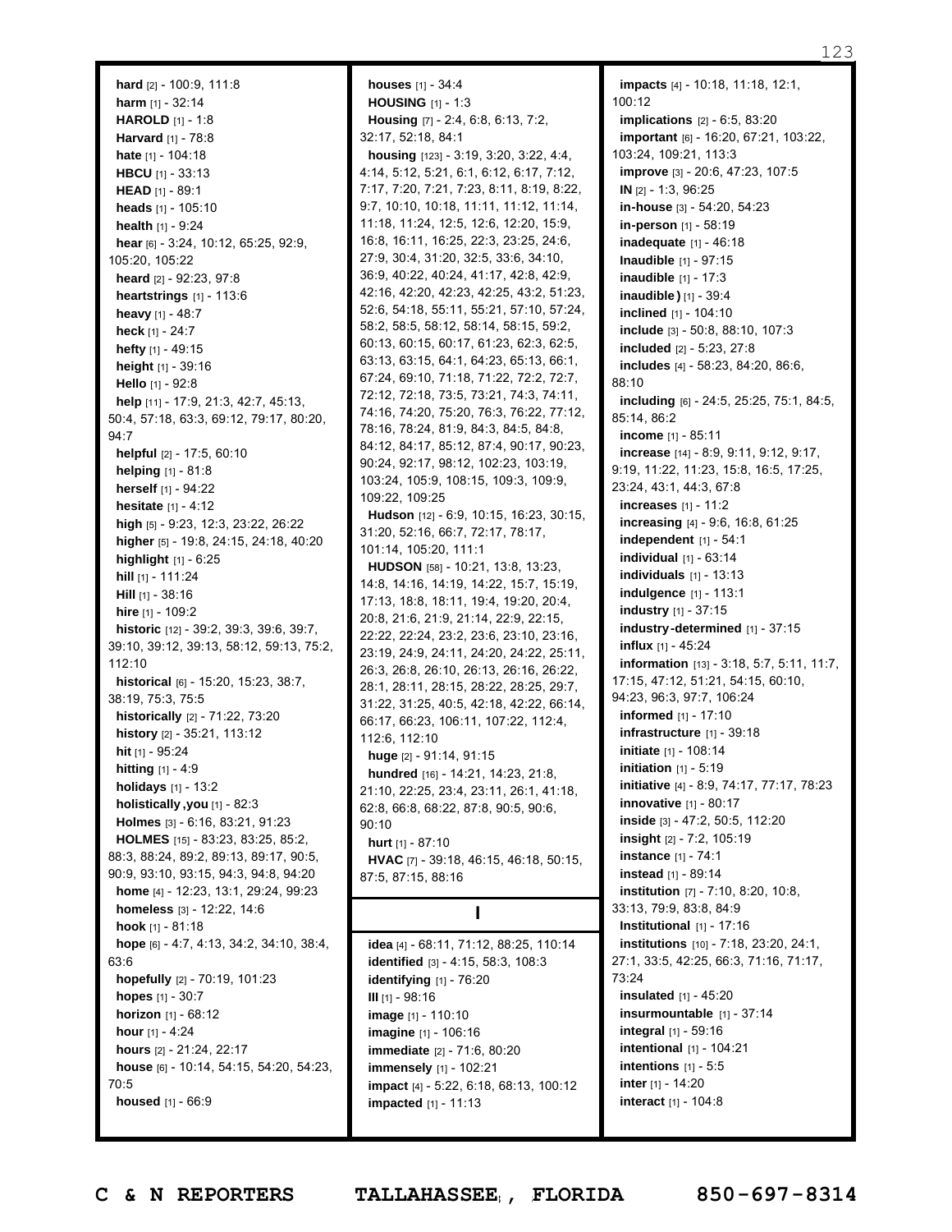123

**hard** [2] - 100:9, 111:8 **harm** [1] - 32:14 **HAROLD** [1] - 1:8 **Harvard** [1] - 78:8 **hate** [1] - 104:18 **HBCU** [1] - 33:13 **HEAD** [1] - 89:1 **heads** [1] - 105:10 **health** [1] - 9:24 **hear** [6] - 3:24, 10:12, 65:25, 92:9, 105:20, 105:22 **heard** [2] - 92:23, 97:8 **heartstrings** [1] - 113:6 **heavy** [1] - 48:7 **heck** [1] - 24:7 **hefty** [1] - 49:15 **height** [1] - 39:16 **Hello** [1] - 92:8 **help** [11] - 17:9, 21:3, 42:7, 45:13, 50:4, 57:18, 63:3, 69:12, 79:17, 80:20, 94:7 **helpful** [2] - 17:5, 60:10 **helping** [1] - 81:8 **herself** [1] - 94:22 **hesitate** [1] - 4:12 **high** [5] - 9:23, 12:3, 23:22, 26:22 **higher** [5] - 19:8, 24:15, 24:18, 40:20 **highlight** [1] - 6:25 **hill** [1] - 111:24 **Hill** [1] - 38:16 **hire** [1] - 109:2 **historic** [12] - 39:2, 39:3, 39:6, 39:7, 39:10, 39:12, 39:13, 58:12, 59:13, 75:2, 112:10 **historical** [6] - 15:20, 15:23, 38:7, 38:19, 75:3, 75:5 **historically** [2] - 71:22, 73:20 **history** [2] - 35:21, 113:12 **hit** [1] - 95:24 **hitting** [1] - 4:9 **holidays** [1] - 13:2 **holistically ,you** [1] - 82:3 **Holmes** [3] - 6:16, 83:21, 91:23 **HOLMES** [15] - 83:23, 83:25, 85:2, 88:3, 88:24, 89:2, 89:13, 89:17, 90:5, 90:9, 93:10, 93:15, 94:3, 94:8, 94:20 **home** [4] - 12:23, 13:1, 29:24, 99:23 **homeless** [3] - 12:22, 14:6 **hook** [1] - 81:18 **hope** [6] - 4:7, 4:13, 34:2, 34:10, 38:4, 63:6 **hopefully** [2] - 70:19, 101:23 **hopes** [1] - 30:7 **horizon** [1] - 68:12 **hour** [1] - 4:24 **hours** [2] - 21:24, 22:17 **house** [6] - 10:14, 54:15, 54:20, 54:23, 70:5 **housed** [1] - 66:9

**houses** [1] - 34:4 **HOUSING** [1] - 1:3 **Housing** [7] - 2:4, 6:8, 6:13, 7:2, 32:17, 52:18, 84:1 **housing** [123] - 3:19, 3:20, 3:22, 4:4, 4:14, 5:12, 5:21, 6:1, 6:12, 6:17, 7:12, 7:17, 7:20, 7:21, 7:23, 8:11, 8:19, 8:22, 9:7, 10:10, 10:18, 11:11, 11:12, 11:14, 11:18, 11:24, 12:5, 12:6, 12:20, 15:9, 16:8, 16:11, 16:25, 22:3, 23:25, 24:6, 27:9, 30:4, 31:20, 32:5, 33:6, 34:10, 36:9, 40:22, 40:24, 41:17, 42:8, 42:9, 42:16, 42:20, 42:23, 42:25, 43:2, 51:23, 52:6, 54:18, 55:11, 55:21, 57:10, 57:24, 58:2, 58:5, 58:12, 58:14, 58:15, 59:2, 60:13, 60:15, 60:17, 61:23, 62:3, 62:5, 63:13, 63:15, 64:1, 64:23, 65:13, 66:1, 67:24, 69:10, 71:18, 71:22, 72:2, 72:7, 72:12, 72:18, 73:5, 73:21, 74:3, 74:11, 74:16, 74:20, 75:20, 76:3, 76:22, 77:12, 78:16, 78:24, 81:9, 84:3, 84:5, 84:8, 84:12, 84:17, 85:12, 87:4, 90:17, 90:23, 90:24, 92:17, 98:12, 102:23, 103:19, 103:24, 105:9, 108:15, 109:3, 109:9, 109:22, 109:25 **Hudson** [12] - 6:9, 10:15, 16:23, 30:15, 31:20, 52:16, 66:7, 72:17, 78:17, 101:14, 105:20, 111:1 **HUDSON** [58] - 10:21, 13:8, 13:23, 14:8, 14:16, 14:19, 14:22, 15:7, 15:19, 17:13, 18:8, 18:11, 19:4, 19:20, 20:4, 20:8, 21:6, 21:9, 21:14, 22:9, 22:15, 22:22, 22:24, 23:2, 23:6, 23:10, 23:16, 23:19, 24:9, 24:11, 24:20, 24:22, 25:11, 26:3, 26:8, 26:10, 26:13, 26:16, 26:22, 28:1, 28:11, 28:15, 28:22, 28:25, 29:7, 31:22, 31:25, 40:5, 42:18, 42:22, 66:14, 66:17, 66:23, 106:11, 107:22, 112:4, 112:6, 112:10 **huge** [2] - 91:14, 91:15 **hundred** [16] - 14:21, 14:23, 21:8, 21:10, 22:25, 23:4, 23:11, 26:1, 41:18, 62:8, 66:8, 68:22, 87:8, 90:5, 90:6, 90:10 **hurt** [1] - 87:10 **HVAC** [7] - 39:18, 46:15, 46:18, 50:15, 87:5, 87:15, 88:16 **I idea** [4] - 68:11, 71:12, 88:25, 110:14 **identified** [3] - 4:15, 58:3, 108:3 **identifying** [1] - 76:20 **III** [1] - 98:16 **image** [1] - 110:10 **imagine** [1] - 106:16

**impacts** [4] - 10:18, 11:18, 12:1, 100:12 **implications** [2] - 6:5, 83:20 **important** [6] - 16:20, 67:21, 103:22, 103:24, 109:21, 113:3 **improve** [3] - 20:6, 47:23, 107:5 **IN** [2] - 1:3, 96:25 **in-house** [3] - 54:20, 54:23 **in-person** [1] - 58:19 **inadequate** [1] - 46:18 **Inaudible** [1] - 97:15 **inaudible** [1] - 17:3 **inaudible )** [1] - 39:4 **inclined** [1] - 104:10 **include** [3] - 50:8, 88:10, 107:3 **included** [2] - 5:23, 27:8 **includes** [4] - 58:23, 84:20, 86:6, 88:10 **including** [6] - 24:5, 25:25, 75:1, 84:5, 85:14, 86:2 **income** [1] - 85:11 **increase** [14] - 8:9, 9:11, 9:12, 9:17, 9:19, 11:22, 11:23, 15:8, 16:5, 17:25, 23:24, 43:1, 44:3, 67:8 **increases** [1] - 11:2 **increasing** [4] - 9:6, 16:8, 61:25 **independent** [1] - 54:1 **individual** [1] - 63:14 **individuals** [1] - 13:13 **indulgence** [1] - 113:1 **industry** [1] - 37:15 **industry-determined** [1] - 37:15 **influx** [1] - 45:24 **information** [13] - 3:18, 5:7, 5:11, 11:7, 17:15, 47:12, 51:21, 54:15, 60:10, 94:23, 96:3, 97:7, 106:24 **informed** [1] - 17:10 **infrastructure** [1] - 39:18 **initiate** [1] - 108:14 **initiation** [1] - 5:19 **initiative** [4] - 8:9, 74:17, 77:17, 78:23 **innovative** [1] - 80:17 **inside** [3] - 47:2, 50:5, 112:20 **insight** [2] - 7:2, 105:19 **instance** [1] - 74:1 **instead** [1] - 89:14 **institution** [7] - 7:10, 8:20, 10:8, 33:13, 79:9, 83:8, 84:9 **Institutional** [1] - 17:16 **institutions** [10] - 7:18, 23:20, 24:1, 27:1, 33:5, 42:25, 66:3, 71:16, 71:17, 73:24 **insulated** [1] - 45:20 **insurmountable** [1] - 37:14 **integral** [1] - 59:16 **intentional** [1] - 104:21 **intentions** [1] - 5:5 **inter** [1] - 14:20 **interact** [1] - 104:8

**impact** [4] - 5:22, 6:18, 68:13, 100:12

**immediate** [2] - 71:6, 80:20 **immensely** [1] - 102:21

**impacted** [1] - 11:13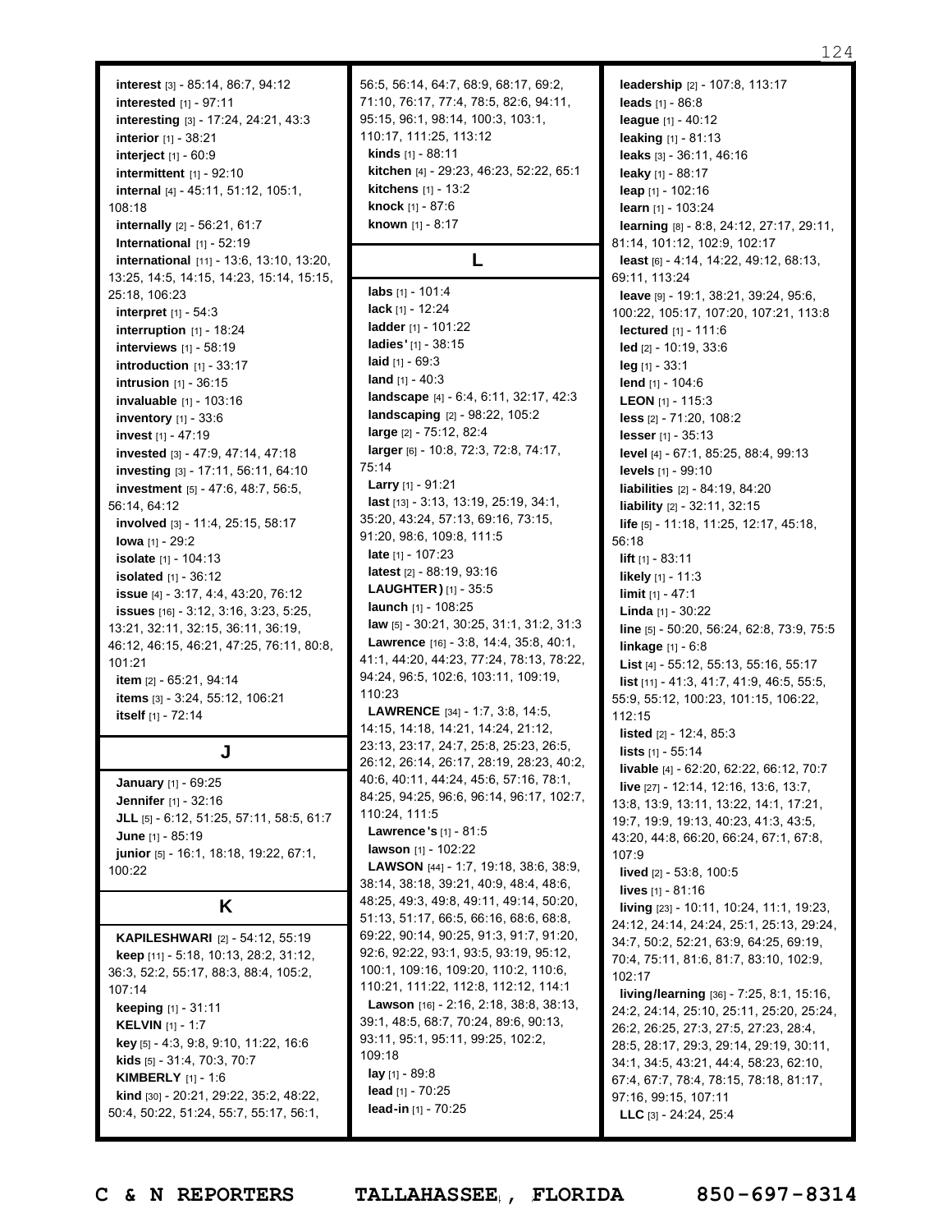**interest** [3] - 85:14, 86:7, 94:12 **interested** [1] - 97:11 **interesting** [3] - 17:24, 24:21, 43:3 **interior** [1] - 38:21 **interject** [1] - 60:9 **intermittent** [1] - 92:10 **internal** [4] - 45:11, 51:12, 105:1, 108:18 **internally** [2] - 56:21, 61:7 **International** [1] - 52:19 **international** [11] - 13:6, 13:10, 13:20, 13:25, 14:5, 14:15, 14:23, 15:14, 15:15, 25:18, 106:23 **interpret** [1] - 54:3 **interruption** [1] - 18:24 **interviews** [1] - 58:19 **introduction** [1] - 33:17 **intrusion** [1] - 36:15 **invaluable** [1] - 103:16 **inventory** [1] - 33:6 **invest** [1] - 47:19 **invested** [3] - 47:9, 47:14, 47:18 **investing** [3] - 17:11, 56:11, 64:10 **investment** [5] - 47:6, 48:7, 56:5, 56:14, 64:12 **involved** [3] - 11:4, 25:15, 58:17 **Iowa** [1] - 29:2 **isolate** [1] - 104:13 **isolated** [1] - 36:12 **issue** [4] - 3:17, 4:4, 43:20, 76:12 **issues** [16] - 3:12, 3:16, 3:23, 5:25, 13:21, 32:11, 32:15, 36:11, 36:19, 46:12, 46:15, 46:21, 47:25, 76:11, 80:8, 101:21 **item** [2] - 65:21, 94:14 **items** [3] - 3:24, 55:12, 106:21 **itself** [1] - 72:14

# **J**

**January** [1] - 69:25 **Jennifer** [1] - 32:16 **JLL** [5] - 6:12, 51:25, 57:11, 58:5, 61:7 **June** [1] - 85:19 **junior** [5] - 16:1, 18:18, 19:22, 67:1, 100:22

#### **K**

**KAPILESHWARI** [2] - 54:12, 55:19 **keep** [11] - 5:18, 10:13, 28:2, 31:12, 36:3, 52:2, 55:17, 88:3, 88:4, 105:2, 107:14 **keeping** [1] - 31:11 **KELVIN** [1] - 1:7 **key** [5] - 4:3, 9:8, 9:10, 11:22, 16:6 **kids** [5] - 31:4, 70:3, 70:7 **KIMBERLY** [1] - 1:6 **kind** [30] - 20:21, 29:22, 35:2, 48:22, 50:4, 50:22, 51:24, 55:7, 55:17, 56:1, 56:5, 56:14, 64:7, 68:9, 68:17, 69:2, 71:10, 76:17, 77:4, 78:5, 82:6, 94:11, 95:15, 96:1, 98:14, 100:3, 103:1, 110:17, 111:25, 113:12 **kinds** [1] - 88:11 **kitchen** [4] - 29:23, 46:23, 52:22, 65:1 **kitchens** [1] - 13:2 **knock** [1] - 87:6 **known** [1] - 8:17

# **L**

**labs** [1] - 101:4 **lack** [1] - 12:24 **ladder** [1] - 101:22 **ladies'** [1] - 38:15 **laid** [1] - 69:3 **land** [1] - 40:3 **landscape** [4] - 6:4, 6:11, 32:17, 42:3 **landscaping** [2] - 98:22, 105:2 **large** [2] - 75:12, 82:4 **larger** [6] - 10:8, 72:3, 72:8, 74:17, 75:14 **Larry** [1] - 91:21 **last** [13] - 3:13, 13:19, 25:19, 34:1, 35:20, 43:24, 57:13, 69:16, 73:15, 91:20, 98:6, 109:8, 111:5 **late** [1] - 107:23 **latest** [2] - 88:19, 93:16 **LAUGHTER )** [1] - 35:5 **launch** [1] - 108:25 **law** [5] - 30:21, 30:25, 31:1, 31:2, 31:3 **Lawrence** [16] - 3:8, 14:4, 35:8, 40:1, 41:1, 44:20, 44:23, 77:24, 78:13, 78:22, 94:24, 96:5, 102:6, 103:11, 109:19, 110:23 **LAWRENCE** [34] - 1:7, 3:8, 14:5, 14:15, 14:18, 14:21, 14:24, 21:12, 23:13, 23:17, 24:7, 25:8, 25:23, 26:5, 26:12, 26:14, 26:17, 28:19, 28:23, 40:2, 40:6, 40:11, 44:24, 45:6, 57:16, 78:1, 84:25, 94:25, 96:6, 96:14, 96:17, 102:7, 110:24, 111:5 **Lawrence 's** [1] - 81:5 **lawson** [1] - 102:22 **LAWSON** [44] - 1:7, 19:18, 38:6, 38:9, 38:14, 38:18, 39:21, 40:9, 48:4, 48:6, 48:25, 49:3, 49:8, 49:11, 49:14, 50:20, 51:13, 51:17, 66:5, 66:16, 68:6, 68:8, 69:22, 90:14, 90:25, 91:3, 91:7, 91:20, 92:6, 92:22, 93:1, 93:5, 93:19, 95:12, 100:1, 109:16, 109:20, 110:2, 110:6, 110:21, 111:22, 112:8, 112:12, 114:1 **Lawson** [16] - 2:16, 2:18, 38:8, 38:13, 39:1, 48:5, 68:7, 70:24, 89:6, 90:13, 93:11, 95:1, 95:11, 99:25, 102:2, 109:18 **lay** [1] - 89:8 **lead** [1] - 70:25 **lead-in** [1] - 70:25

**leadership** [2] - 107:8, 113:17 **leads** [1] - 86:8 **league** [1] - 40:12 **leaking** [1] - 81:13 **leaks** [3] - 36:11, 46:16 **leaky** [1] - 88:17 **leap** [1] - 102:16 **learn** [1] - 103:24 **learning** [8] - 8:8, 24:12, 27:17, 29:11, 81:14, 101:12, 102:9, 102:17 **least** [6] - 4:14, 14:22, 49:12, 68:13, 69:11, 113:24 **leave** [9] - 19:1, 38:21, 39:24, 95:6, 100:22, 105:17, 107:20, 107:21, 113:8 **lectured** [1] - 111:6 **led** [2] - 10:19, 33:6 **leg** [1] - 33:1 **lend** [1] - 104:6 **LEON** [1] - 115:3 **less** [2] - 71:20, 108:2 **lesser** [1] - 35:13 **level** [4] - 67:1, 85:25, 88:4, 99:13 **levels** [1] - 99:10 **liabilities** [2] - 84:19, 84:20 **liability** [2] - 32:11, 32:15 **life** [5] - 11:18, 11:25, 12:17, 45:18, 56:18 **lift** [1] - 83:11 **likely** [1] - 11:3 **limit** [1] - 47:1 **Linda** [1] - 30:22 **line** [5] - 50:20, 56:24, 62:8, 73:9, 75:5 **linkage** [1] - 6:8 **List** [4] - 55:12, 55:13, 55:16, 55:17 **list** [11] - 41:3, 41:7, 41:9, 46:5, 55:5, 55:9, 55:12, 100:23, 101:15, 106:22, 112:15 **listed** [2] - 12:4, 85:3 **lists** [1] - 55:14 **livable** [4] - 62:20, 62:22, 66:12, 70:7 **live** [27] - 12:14, 12:16, 13:6, 13:7, 13:8, 13:9, 13:11, 13:22, 14:1, 17:21, 19:7, 19:9, 19:13, 40:23, 41:3, 43:5, 43:20, 44:8, 66:20, 66:24, 67:1, 67:8, 107:9 **lived** [2] - 53:8, 100:5 **lives** [1] - 81:16 **living** [23] - 10:11, 10:24, 11:1, 19:23, 24:12, 24:14, 24:24, 25:1, 25:13, 29:24, 34:7, 50:2, 52:21, 63:9, 64:25, 69:19, 70:4, 75:11, 81:6, 81:7, 83:10, 102:9, 102:17 **living/learning** [36] - 7:25, 8:1, 15:16, 24:2, 24:14, 25:10, 25:11, 25:20, 25:24, 26:2, 26:25, 27:3, 27:5, 27:23, 28:4, 28:5, 28:17, 29:3, 29:14, 29:19, 30:11, 34:1, 34:5, 43:21, 44:4, 58:23, 62:10, 67:4, 67:7, 78:4, 78:15, 78:18, 81:17, 97:16, 99:15, 107:11

Page 124 to 124 of 133 **C & N REPORTERS TALLAHASSEE , FLORIDA 850-697-8314**

**LLC** [3] - 24:24, 25:4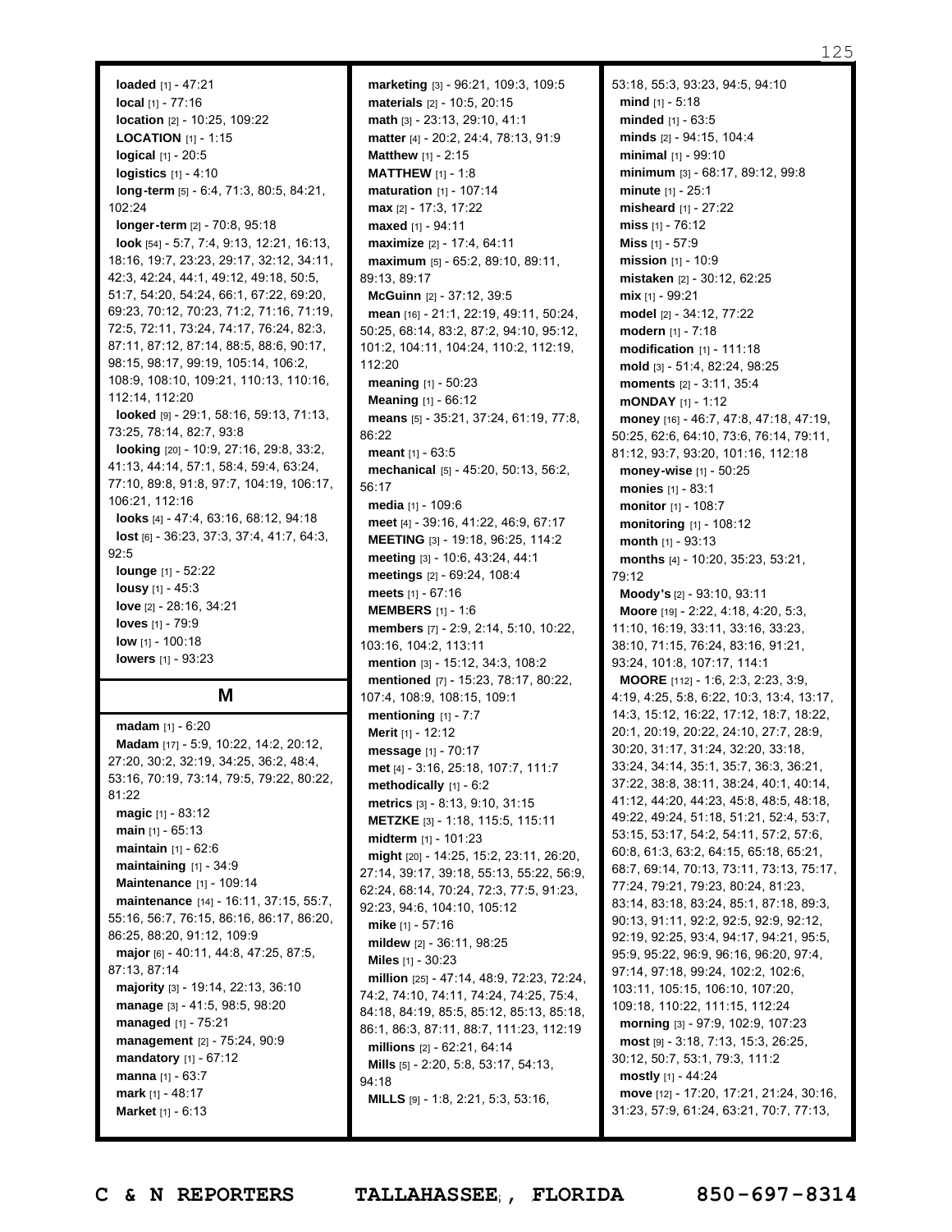#### 125

**loaded** [1] - 47:21 **local** [1] - 77:16 **location** [2] - 10:25, 109:22 **LOCATION** [1] - 1:15 **logical** [1] - 20:5 **logistics** [1] - 4:10 **long-term** [5] - 6:4, 71:3, 80:5, 84:21, 102:24 **longer-term** [2] - 70:8, 95:18 **look** [54] - 5:7, 7:4, 9:13, 12:21, 16:13, 18:16, 19:7, 23:23, 29:17, 32:12, 34:11, 42:3, 42:24, 44:1, 49:12, 49:18, 50:5, 51:7, 54:20, 54:24, 66:1, 67:22, 69:20, 69:23, 70:12, 70:23, 71:2, 71:16, 71:19, 72:5, 72:11, 73:24, 74:17, 76:24, 82:3, 87:11, 87:12, 87:14, 88:5, 88:6, 90:17, 98:15, 98:17, 99:19, 105:14, 106:2, 108:9, 108:10, 109:21, 110:13, 110:16, 112:14, 112:20 **looked** [9] - 29:1, 58:16, 59:13, 71:13, 73:25, 78:14, 82:7, 93:8 **looking** [20] - 10:9, 27:16, 29:8, 33:2, 41:13, 44:14, 57:1, 58:4, 59:4, 63:24, 77:10, 89:8, 91:8, 97:7, 104:19, 106:17, 106:21, 112:16 **looks** [4] - 47:4, 63:16, 68:12, 94:18 **lost** [6] - 36:23, 37:3, 37:4, 41:7, 64:3, 92:5 **lounge** [1] - 52:22 **lousy** [1] - 45:3 **love** [2] - 28:16, 34:21 **loves** [1] - 79:9 **low** [1] - 100:18 **lowers** [1] - 93:23

#### **M**

**madam** [1] - 6:20 **Madam** [17] - 5:9, 10:22, 14:2, 20:12, 27:20, 30:2, 32:19, 34:25, 36:2, 48:4, 53:16, 70:19, 73:14, 79:5, 79:22, 80:22, 81:22 **magic** [1] - 83:12 **main** [1] - 65:13 **maintain** [1] - 62:6 **maintaining** [1] - 34:9 **Maintenance** [1] - 109:14 **maintenance** [14] - 16:11, 37:15, 55:7, 55:16, 56:7, 76:15, 86:16, 86:17, 86:20, 86:25, 88:20, 91:12, 109:9 **major** [6] - 40:11, 44:8, 47:25, 87:5, 87:13, 87:14 **majority** [3] - 19:14, 22:13, 36:10 **manage** [3] - 41:5, 98:5, 98:20 **managed** [1] - 75:21 **management** [2] - 75:24, 90:9 **mandatory** [1] - 67:12 **manna** [1] - 63:7 **mark** [1] - 48:17 **Market** [1] - 6:13

**marketing** [3] - 96:21, 109:3, 109:5 **materials** [2] - 10:5, 20:15 **math** [3] - 23:13, 29:10, 41:1 **matter** [4] - 20:2, 24:4, 78:13, 91:9 **Matthew** [1] - 2:15 **MATTHEW** [1] - 1:8 **maturation** [1] - 107:14 **max** [2] - 17:3, 17:22 **maxed** [1] - 94:11 **maximize** [2] - 17:4, 64:11 **maximum** [5] - 65:2, 89:10, 89:11, 89:13, 89:17 **McGuinn** [2] - 37:12, 39:5 **mean** [16] - 21:1, 22:19, 49:11, 50:24, 50:25, 68:14, 83:2, 87:2, 94:10, 95:12, 101:2, 104:11, 104:24, 110:2, 112:19, 112:20 **meaning** [1] - 50:23 **Meaning** [1] - 66:12 **means** [5] - 35:21, 37:24, 61:19, 77:8, 86:22 **meant** [1] - 63:5 **mechanical** [5] - 45:20, 50:13, 56:2, 56:17 **media** [1] - 109:6 **meet** [4] - 39:16, 41:22, 46:9, 67:17 **MEETING** [3] - 19:18, 96:25, 114:2 **meeting** [3] - 10:6, 43:24, 44:1 **meetings** [2] - 69:24, 108:4 **meets** [1] - 67:16 **MEMBERS** [1] - 1:6 **members** [7] - 2:9, 2:14, 5:10, 10:22, 103:16, 104:2, 113:11 **mention** [3] - 15:12, 34:3, 108:2 **mentioned** [7] - 15:23, 78:17, 80:22, 107:4, 108:9, 108:15, 109:1 **mentioning** [1] - 7:7 **Merit** [1] - 12:12 **message** [1] - 70:17 **met** [4] - 3:16, 25:18, 107:7, 111:7 **methodically** [1] - 6:2 **metrics** [3] - 8:13, 9:10, 31:15 **METZKE** [3] - 1:18, 115:5, 115:11 **midterm** [1] - 101:23 **might** [20] - 14:25, 15:2, 23:11, 26:20, 27:14, 39:17, 39:18, 55:13, 55:22, 56:9, 62:24, 68:14, 70:24, 72:3, 77:5, 91:23, 92:23, 94:6, 104:10, 105:12 **mike** [1] - 57:16 **mildew** [2] - 36:11, 98:25 **Miles** [1] - 30:23 **million** [25] - 47:14, 48:9, 72:23, 72:24, 74:2, 74:10, 74:11, 74:24, 74:25, 75:4, 84:18, 84:19, 85:5, 85:12, 85:13, 85:18, 86:1, 86:3, 87:11, 88:7, 111:23, 112:19 **millions** [2] - 62:21, 64:14 **Mills** [5] - 2:20, 5:8, 53:17, 54:13, 94:18 **MILLS** [9] - 1:8, 2:21, 5:3, 53:16,

53:18, 55:3, 93:23, 94:5, 94:10 **mind** [1] - 5:18 **minded** [1] - 63:5 **minds** [2] - 94:15, 104:4 **minimal** [1] - 99:10 **minimum** [3] - 68:17, 89:12, 99:8 **minute** [1] - 25:1 **misheard** [1] - 27:22 **miss** [1] - 76:12 **Miss** [1] - 57:9 **mission** [1] - 10:9 **mistaken** [2] - 30:12, 62:25 **mix** [1] - 99:21 **model** [2] - 34:12, 77:22 **modern** [1] - 7:18 **modification** [1] - 111:18 **mold** [3] - 51:4, 82:24, 98:25 **moments** [2] - 3:11, 35:4 **mONDAY** [1] - 1:12 **money** [16] - 46:7, 47:8, 47:18, 47:19, 50:25, 62:6, 64:10, 73:6, 76:14, 79:11, 81:12, 93:7, 93:20, 101:16, 112:18 **money-wise** [1] - 50:25 **monies** [1] - 83:1 **monitor** [1] - 108:7 **monitoring** [1] - 108:12 **month** [1] - 93:13 **months** [4] - 10:20, 35:23, 53:21, 79:12 **Moody's** [2] - 93:10, 93:11 **Moore** [19] - 2:22, 4:18, 4:20, 5:3, 11:10, 16:19, 33:11, 33:16, 33:23, 38:10, 71:15, 76:24, 83:16, 91:21, 93:24, 101:8, 107:17, 114:1 **MOORE** [112] - 1:6, 2:3, 2:23, 3:9, 4:19, 4:25, 5:8, 6:22, 10:3, 13:4, 13:17, 14:3, 15:12, 16:22, 17:12, 18:7, 18:22, 20:1, 20:19, 20:22, 24:10, 27:7, 28:9, 30:20, 31:17, 31:24, 32:20, 33:18, 33:24, 34:14, 35:1, 35:7, 36:3, 36:21, 37:22, 38:8, 38:11, 38:24, 40:1, 40:14, 41:12, 44:20, 44:23, 45:8, 48:5, 48:18, 49:22, 49:24, 51:18, 51:21, 52:4, 53:7, 53:15, 53:17, 54:2, 54:11, 57:2, 57:6, 60:8, 61:3, 63:2, 64:15, 65:18, 65:21, 68:7, 69:14, 70:13, 73:11, 73:13, 75:17, 77:24, 79:21, 79:23, 80:24, 81:23, 83:14, 83:18, 83:24, 85:1, 87:18, 89:3, 90:13, 91:11, 92:2, 92:5, 92:9, 92:12, 92:19, 92:25, 93:4, 94:17, 94:21, 95:5, 95:9, 95:22, 96:9, 96:16, 96:20, 97:4, 97:14, 97:18, 99:24, 102:2, 102:6, 103:11, 105:15, 106:10, 107:20, 109:18, 110:22, 111:15, 112:24 **morning** [3] - 97:9, 102:9, 107:23 **most** [9] - 3:18, 7:13, 15:3, 26:25, 30:12, 50:7, 53:1, 79:3, 111:2 **mostly** [1] - 44:24 **move** [12] - 17:20, 17:21, 21:24, 30:16, 31:23, 57:9, 61:24, 63:21, 70:7, 77:13,

Page 125 to 125 of 133 **C & N REPORTERS TALLAHASSEE , FLORIDA 850-697-8314**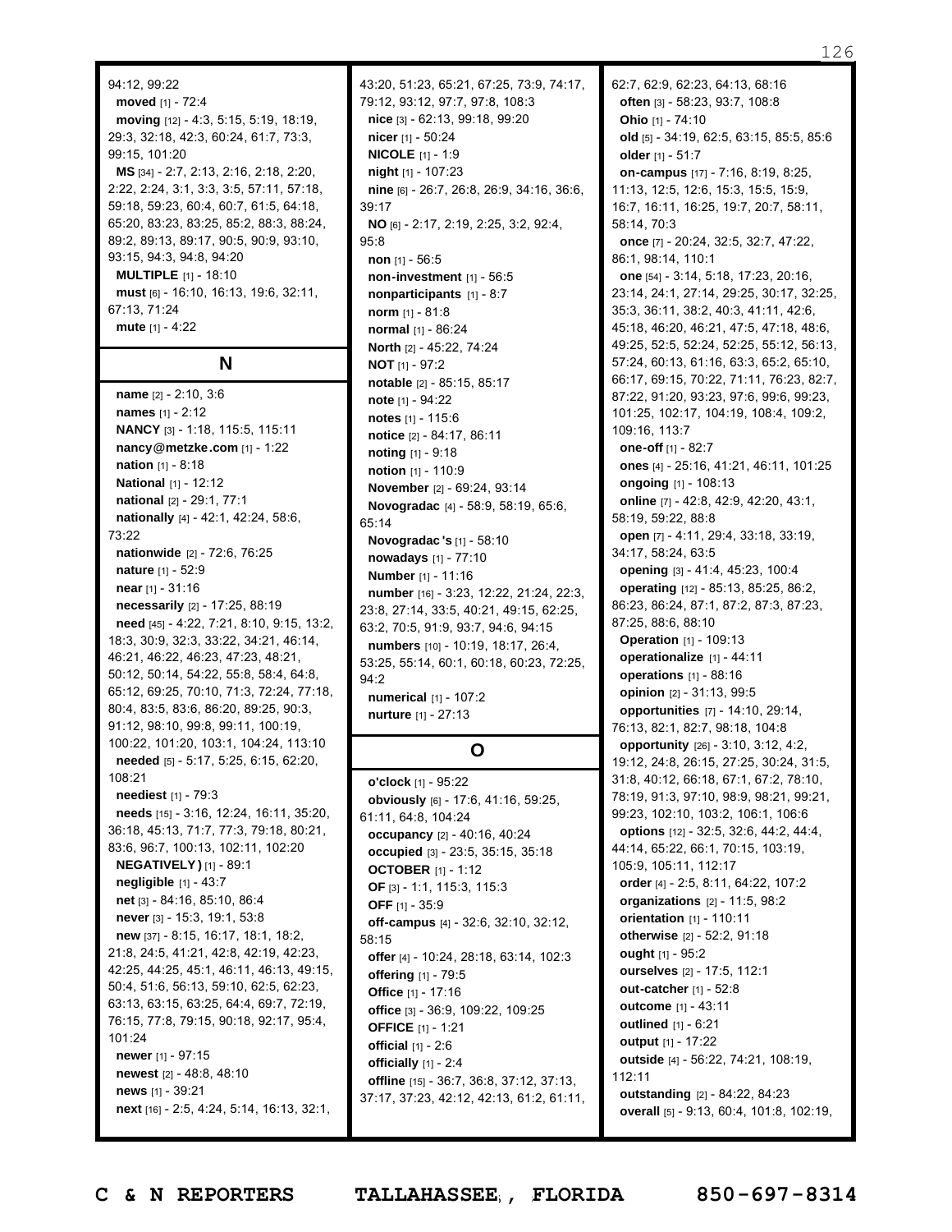94:12, 99:22 **moved** [1] - 72:4 **moving** [12] - 4:3, 5:15, 5:19, 18:19, 29:3, 32:18, 42:3, 60:24, 61:7, 73:3, 99:15, 101:20 **MS** [34] - 2:7, 2:13, 2:16, 2:18, 2:20, 2:22, 2:24, 3:1, 3:3, 3:5, 57:11, 57:18, 59:18, 59:23, 60:4, 60:7, 61:5, 64:18, 65:20, 83:23, 83:25, 85:2, 88:3, 88:24, 89:2, 89:13, 89:17, 90:5, 90:9, 93:10, 93:15, 94:3, 94:8, 94:20 **MULTIPLE** [1] - 18:10 **must** [6] - 16:10, 16:13, 19:6, 32:11, 67:13, 71:24 **mute** [1] - 4:22

**N**

**name** [2] - 2:10, 3:6 **names** [1] - 2:12 **NANCY** [3] - 1:18, 115:5, 115:11 **nancy@metzke.com** [1] - 1:22 **nation** [1] - 8:18 **National** [1] - 12:12 **national** [2] - 29:1, 77:1 **nationally** [4] - 42:1, 42:24, 58:6, 73:22 **nationwide** [2] - 72:6, 76:25 **nature** [1] - 52:9 **near** [1] - 31:16 **necessarily** [2] - 17:25, 88:19 **need** [45] - 4:22, 7:21, 8:10, 9:15, 13:2, 18:3, 30:9, 32:3, 33:22, 34:21, 46:14, 46:21, 46:22, 46:23, 47:23, 48:21, 50:12, 50:14, 54:22, 55:8, 58:4, 64:8, 65:12, 69:25, 70:10, 71:3, 72:24, 77:18, 80:4, 83:5, 83:6, 86:20, 89:25, 90:3, 91:12, 98:10, 99:8, 99:11, 100:19, 100:22, 101:20, 103:1, 104:24, 113:10 **needed** [5] - 5:17, 5:25, 6:15, 62:20, 108:21 **neediest** [1] - 79:3 **needs** [15] - 3:16, 12:24, 16:11, 35:20, 36:18, 45:13, 71:7, 77:3, 79:18, 80:21, 83:6, 96:7, 100:13, 102:11, 102:20 **NEGATIVELY )** [1] - 89:1 **negligible** [1] - 43:7 **net** [3] - 84:16, 85:10, 86:4 **never** [3] - 15:3, 19:1, 53:8 **new** [37] - 8:15, 16:17, 18:1, 18:2, 21:8, 24:5, 41:21, 42:8, 42:19, 42:23, 42:25, 44:25, 45:1, 46:11, 46:13, 49:15, 50:4, 51:6, 56:13, 59:10, 62:5, 62:23, 63:13, 63:15, 63:25, 64:4, 69:7, 72:19, 76:15, 77:8, 79:15, 90:18, 92:17, 95:4, 101:24 **newer** [1] - 97:15 **newest** [2] - 48:8, 48:10 **news** [1] - 39:21 **next** [16] - 2:5, 4:24, 5:14, 16:13, 32:1,

43:20, 51:23, 65:21, 67:25, 73:9, 74:17, 79:12, 93:12, 97:7, 97:8, 108:3 **nice** [3] - 62:13, 99:18, 99:20 **nicer** [1] - 50:24 **NICOLE** [1] - 1:9 **night** [1] - 107:23 **nine** [6] - 26:7, 26:8, 26:9, 34:16, 36:6, 39:17 **NO** [6] - 2:17, 2:19, 2:25, 3:2, 92:4, 95:8 **non** [1] - 56:5 **non-investment** [1] - 56:5 **nonparticipants** [1] - 8:7 **norm** [1] - 81:8 **normal** [1] - 86:24 **North** [2] - 45:22, 74:24 **NOT** [1] - 97:2 **notable** [2] - 85:15, 85:17 **note** [1] - 94:22 **notes** [1] - 115:6 **notice** [2] - 84:17, 86:11 **noting** [1] - 9:18 **notion** [1] - 110:9 **November** [2] - 69:24, 93:14 **Novogradac** [4] - 58:9, 58:19, 65:6, 65:14 **Novogradac 's** [1] - 58:10 **nowadays** [1] - 77:10 **Number** [1] - 11:16 **number** [16] - 3:23, 12:22, 21:24, 22:3, 23:8, 27:14, 33:5, 40:21, 49:15, 62:25, 63:2, 70:5, 91:9, 93:7, 94:6, 94:15 **numbers** [10] - 10:19, 18:17, 26:4, 53:25, 55:14, 60:1, 60:18, 60:23, 72:25, 94:2 **numerical** [1] - 107:2 **nurture** [1] - 27:13

# **O**

**o'clock** [1] - 95:22 **obviously** [6] - 17:6, 41:16, 59:25, 61:11, 64:8, 104:24 **occupancy** [2] - 40:16, 40:24 **occupied** [3] - 23:5, 35:15, 35:18 **OCTOBER** [1] - 1:12 **OF** [3] - 1:1, 115:3, 115:3 **OFF** [1] - 35:9 **off-campus** [4] - 32:6, 32:10, 32:12, 58:15 **offer** [4] - 10:24, 28:18, 63:14, 102:3 **offering** [1] - 79:5 **Office** [1] - 17:16 **office** [3] - 36:9, 109:22, 109:25 **OFFICE** [1] - 1:21 **official** [1] - 2:6 **officially** [1] - 2:4 **offline** [15] - 36:7, 36:8, 37:12, 37:13, 37:17, 37:23, 42:12, 42:13, 61:2, 61:11, 62:7, 62:9, 62:23, 64:13, 68:16 **often** [3] - 58:23, 93:7, 108:8 **Ohio** [1] - 74:10 **old** [5] - 34:19, 62:5, 63:15, 85:5, 85:6 **older** [1] - 51:7 **on-campus** [17] - 7:16, 8:19, 8:25, 11:13, 12:5, 12:6, 15:3, 15:5, 15:9, 16:7, 16:11, 16:25, 19:7, 20:7, 58:11, 58:14, 70:3 **once** [7] - 20:24, 32:5, 32:7, 47:22, 86:1, 98:14, 110:1 **one** [54] - 3:14, 5:18, 17:23, 20:16, 23:14, 24:1, 27:14, 29:25, 30:17, 32:25, 35:3, 36:11, 38:2, 40:3, 41:11, 42:6, 45:18, 46:20, 46:21, 47:5, 47:18, 48:6, 49:25, 52:5, 52:24, 52:25, 55:12, 56:13, 57:24, 60:13, 61:16, 63:3, 65:2, 65:10, 66:17, 69:15, 70:22, 71:11, 76:23, 82:7, 87:22, 91:20, 93:23, 97:6, 99:6, 99:23, 101:25, 102:17, 104:19, 108:4, 109:2, 109:16, 113:7 **one-off** [1] - 82:7 **ones** [4] - 25:16, 41:21, 46:11, 101:25 **ongoing** [1] - 108:13 **online** [7] - 42:8, 42:9, 42:20, 43:1, 58:19, 59:22, 88:8 **open** [7] - 4:11, 29:4, 33:18, 33:19, 34:17, 58:24, 63:5 **opening** [3] - 41:4, 45:23, 100:4 **operating** [12] - 85:13, 85:25, 86:2, 86:23, 86:24, 87:1, 87:2, 87:3, 87:23, 87:25, 88:6, 88:10 **Operation** [1] - 109:13 **operationalize** [1] - 44:11 **operations** [1] - 88:16 **opinion** [2] - 31:13, 99:5 **opportunities** [7] - 14:10, 29:14, 76:13, 82:1, 82:7, 98:18, 104:8 **opportunity** [26] - 3:10, 3:12, 4:2, 19:12, 24:8, 26:15, 27:25, 30:24, 31:5, 31:8, 40:12, 66:18, 67:1, 67:2, 78:10, 78:19, 91:3, 97:10, 98:9, 98:21, 99:21, 99:23, 102:10, 103:2, 106:1, 106:6 **options** [12] - 32:5, 32:6, 44:2, 44:4, 44:14, 65:22, 66:1, 70:15, 103:19, 105:9, 105:11, 112:17 **order** [4] - 2:5, 8:11, 64:22, 107:2 **organizations** [2] - 11:5, 98:2 **orientation** [1] - 110:11 **otherwise** [2] - 52:2, 91:18 **ought** [1] - 95:2 **ourselves** [2] - 17:5, 112:1 **out-catcher** [1] - 52:8 **outcome** [1] - 43:11 **outlined** [1] - 6:21 **output** [1] - 17:22 **outside** [4] - 56:22, 74:21, 108:19, 112:11 **outstanding** [2] - 84:22, 84:23 **overall** [5] - 9:13, 60:4, 101:8, 102:19,

Page 126 to 126 of 133 **C & N REPORTERS TALLAHASSEE , FLORIDA 850-697-8314**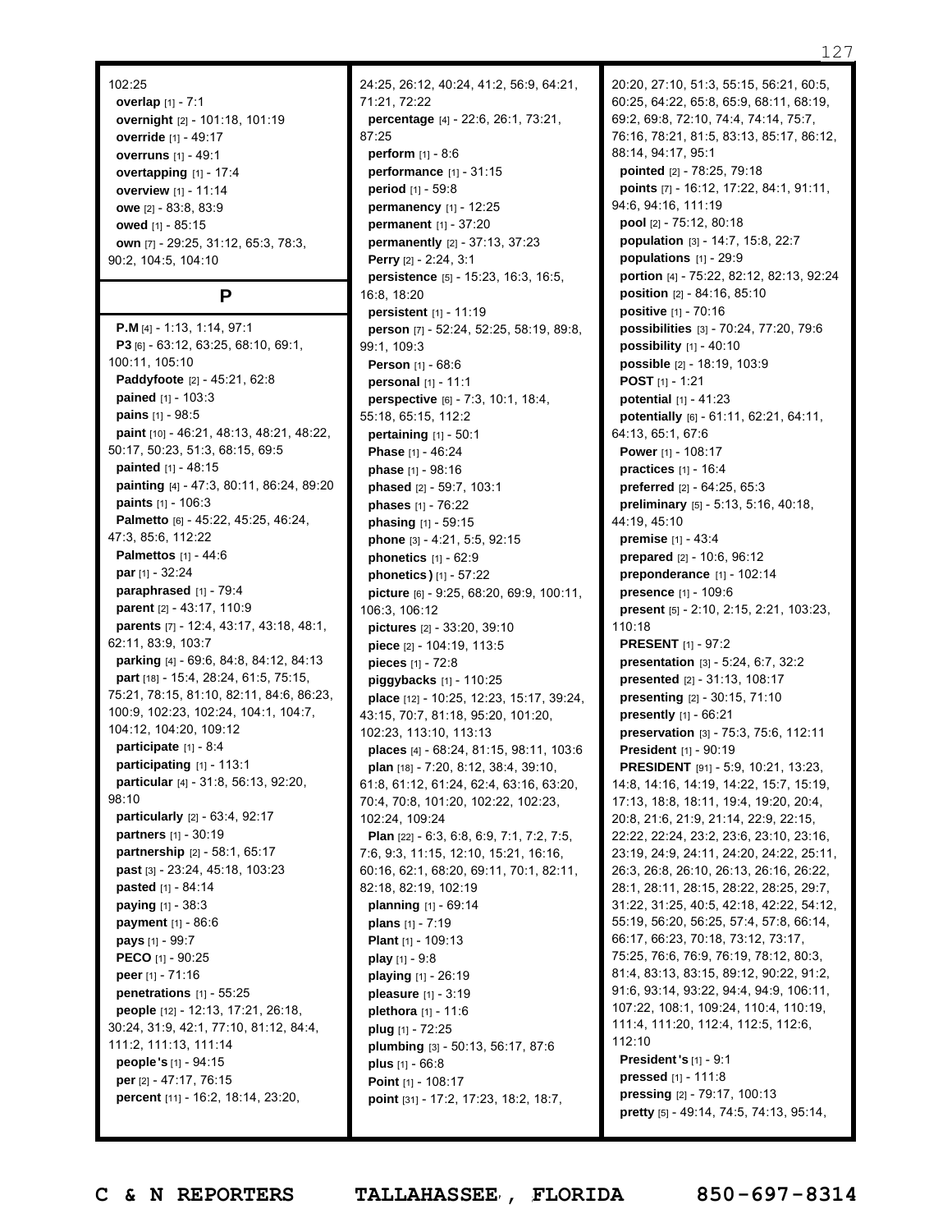#### 102:25

**overlap** [1] - 7:1 **overnight** [2] - 101:18, 101:19 **override** [1] - 49:17 **overruns** [1] - 49:1 **overtapping** [1] - 17:4 **overview** [1] - 11:14 **owe** [2] - 83:8, 83:9 **owed** [1] - 85:15 **own** [7] - 29:25, 31:12, 65:3, 78:3, 90:2, 104:5, 104:10

#### **P**

**P.M** [4] - 1:13, 1:14, 97:1 **P3** [6] - 63:12, 63:25, 68:10, 69:1, 100:11, 105:10 **Paddyfoote** [2] - 45:21, 62:8 **pained** [1] - 103:3 **pains** [1] - 98:5 **paint** [10] - 46:21, 48:13, 48:21, 48:22, 50:17, 50:23, 51:3, 68:15, 69:5 **painted** [1] - 48:15 **painting** [4] - 47:3, 80:11, 86:24, 89:20 **paints** [1] - 106:3 **Palmetto** [6] - 45:22, 45:25, 46:24, 47:3, 85:6, 112:22 **Palmettos** [1] - 44:6 **par** [1] - 32:24 **paraphrased** [1] - 79:4 **parent** [2] - 43:17, 110:9 **parents** [7] - 12:4, 43:17, 43:18, 48:1, 62:11, 83:9, 103:7 **parking** [4] - 69:6, 84:8, 84:12, 84:13 **part** [18] - 15:4, 28:24, 61:5, 75:15, 75:21, 78:15, 81:10, 82:11, 84:6, 86:23, 100:9, 102:23, 102:24, 104:1, 104:7, 104:12, 104:20, 109:12 **participate** [1] - 8:4 **participating** [1] - 113:1 **particular** [4] - 31:8, 56:13, 92:20, 98:10 **particularly** [2] - 63:4, 92:17 **partners** [1] - 30:19 **partnership** [2] - 58:1, 65:17 **past** [3] - 23:24, 45:18, 103:23 **pasted** [1] - 84:14 **paying** [1] - 38:3 **payment** [1] - 86:6 **pays** [1] - 99:7 **PECO** [1] - 90:25 **peer** [1] - 71:16 **penetrations** [1] - 55:25 **people** [12] - 12:13, 17:21, 26:18, 30:24, 31:9, 42:1, 77:10, 81:12, 84:4, 111:2, 111:13, 111:14 **people's** [1] - 94:15 **per** [2] - 47:17, 76:15 **percent** [11] - 16:2, 18:14, 23:20,

24:25, 26:12, 40:24, 41:2, 56:9, 64:21, 71:21, 72:22 **percentage** [4] - 22:6, 26:1, 73:21, 87:25 **perform** [1] - 8:6 **performance** [1] - 31:15 **period** [1] - 59:8 **permanency** [1] - 12:25 **permanent** [1] - 37:20 **permanently** [2] - 37:13, 37:23 **Perry** [2] - 2:24, 3:1 **persistence** [5] - 15:23, 16:3, 16:5, 16:8, 18:20 **persistent** [1] - 11:19 **person** [7] - 52:24, 52:25, 58:19, 89:8, 99:1, 109:3 **Person** [1] - 68:6 **personal** [1] - 11:1 **perspective** [6] - 7:3, 10:1, 18:4, 55:18, 65:15, 112:2 **pertaining** [1] - 50:1 **Phase** [1] - 46:24 **phase** [1] - 98:16 **phased** [2] - 59:7, 103:1 **phases** [1] - 76:22 **phasing** [1] - 59:15 **phone** [3] - 4:21, 5:5, 92:15 **phonetics** [1] - 62:9 **phonetics )** [1] - 57:22 **picture** [6] - 9:25, 68:20, 69:9, 100:11, 106:3, 106:12 **pictures** [2] - 33:20, 39:10 **piece** [2] - 104:19, 113:5 **pieces** [1] - 72:8 **piggybacks** [1] - 110:25 **place** [12] - 10:25, 12:23, 15:17, 39:24, 43:15, 70:7, 81:18, 95:20, 101:20, 102:23, 113:10, 113:13 **places** [4] - 68:24, 81:15, 98:11, 103:6 **plan** [18] - 7:20, 8:12, 38:4, 39:10, 61:8, 61:12, 61:24, 62:4, 63:16, 63:20, 70:4, 70:8, 101:20, 102:22, 102:23, 102:24, 109:24 **Plan** [22] - 6:3, 6:8, 6:9, 7:1, 7:2, 7:5, 7:6, 9:3, 11:15, 12:10, 15:21, 16:16, 60:16, 62:1, 68:20, 69:11, 70:1, 82:11, 82:18, 82:19, 102:19 **planning** [1] - 69:14 **plans** [1] - 7:19 **Plant** [1] - 109:13 **play** [1] - 9:8 **playing** [1] - 26:19 **pleasure** [1] - 3:19 **plethora** [1] - 11:6 **plug** [1] - 72:25 **plumbing** [3] - 50:13, 56:17, 87:6 **plus** [1] - 66:8 **Point** [1] - 108:17 **point** [31] - 17:2, 17:23, 18:2, 18:7,

20:20, 27:10, 51:3, 55:15, 56:21, 60:5, 60:25, 64:22, 65:8, 65:9, 68:11, 68:19, 69:2, 69:8, 72:10, 74:4, 74:14, 75:7, 76:16, 78:21, 81:5, 83:13, 85:17, 86:12, 88:14, 94:17, 95:1 **pointed** [2] - 78:25, 79:18 **points** [7] - 16:12, 17:22, 84:1, 91:11, 94:6, 94:16, 111:19 **pool** [2] - 75:12, 80:18 **population** [3] - 14:7, 15:8, 22:7 **populations** [1] - 29:9 **portion** [4] - 75:22, 82:12, 82:13, 92:24 **position** [2] - 84:16, 85:10 **positive** [1] - 70:16 **possibilities** [3] - 70:24, 77:20, 79:6 **possibility** [1] - 40:10 **possible** [2] - 18:19, 103:9 **POST** [1] - 1:21 **potential** [1] - 41:23 **potentially** [6] - 61:11, 62:21, 64:11, 64:13, 65:1, 67:6 **Power** [1] - 108:17 **practices** [1] - 16:4 **preferred** [2] - 64:25, 65:3 **preliminary** [5] - 5:13, 5:16, 40:18, 44:19, 45:10 **premise** [1] - 43:4 **prepared** [2] - 10:6, 96:12 **preponderance** [1] - 102:14 **presence** [1] - 109:6 **present** [5] - 2:10, 2:15, 2:21, 103:23, 110:18 **PRESENT** [1] - 97:2 **presentation** [3] - 5:24, 6:7, 32:2 **presented** [2] - 31:13, 108:17 **presenting** [2] - 30:15, 71:10 **presently** [1] - 66:21 **preservation** [3] - 75:3, 75:6, 112:11 **President** [1] - 90:19 **PRESIDENT** [91] - 5:9, 10:21, 13:23, 14:8, 14:16, 14:19, 14:22, 15:7, 15:19, 17:13, 18:8, 18:11, 19:4, 19:20, 20:4, 20:8, 21:6, 21:9, 21:14, 22:9, 22:15, 22:22, 22:24, 23:2, 23:6, 23:10, 23:16, 23:19, 24:9, 24:11, 24:20, 24:22, 25:11, 26:3, 26:8, 26:10, 26:13, 26:16, 26:22, 28:1, 28:11, 28:15, 28:22, 28:25, 29:7, 31:22, 31:25, 40:5, 42:18, 42:22, 54:12, 55:19, 56:20, 56:25, 57:4, 57:8, 66:14, 66:17, 66:23, 70:18, 73:12, 73:17, 75:25, 76:6, 76:9, 76:19, 78:12, 80:3, 81:4, 83:13, 83:15, 89:12, 90:22, 91:2, 91:6, 93:14, 93:22, 94:4, 94:9, 106:11, 107:22, 108:1, 109:24, 110:4, 110:19, 111:4, 111:20, 112:4, 112:5, 112:6, 112:10 **President's** [1] - 9:1 **pressed** [1] - 111:8 **pressing** [2] - 79:17, 100:13 **pretty** [5] - 49:14, 74:5, 74:13, 95:14,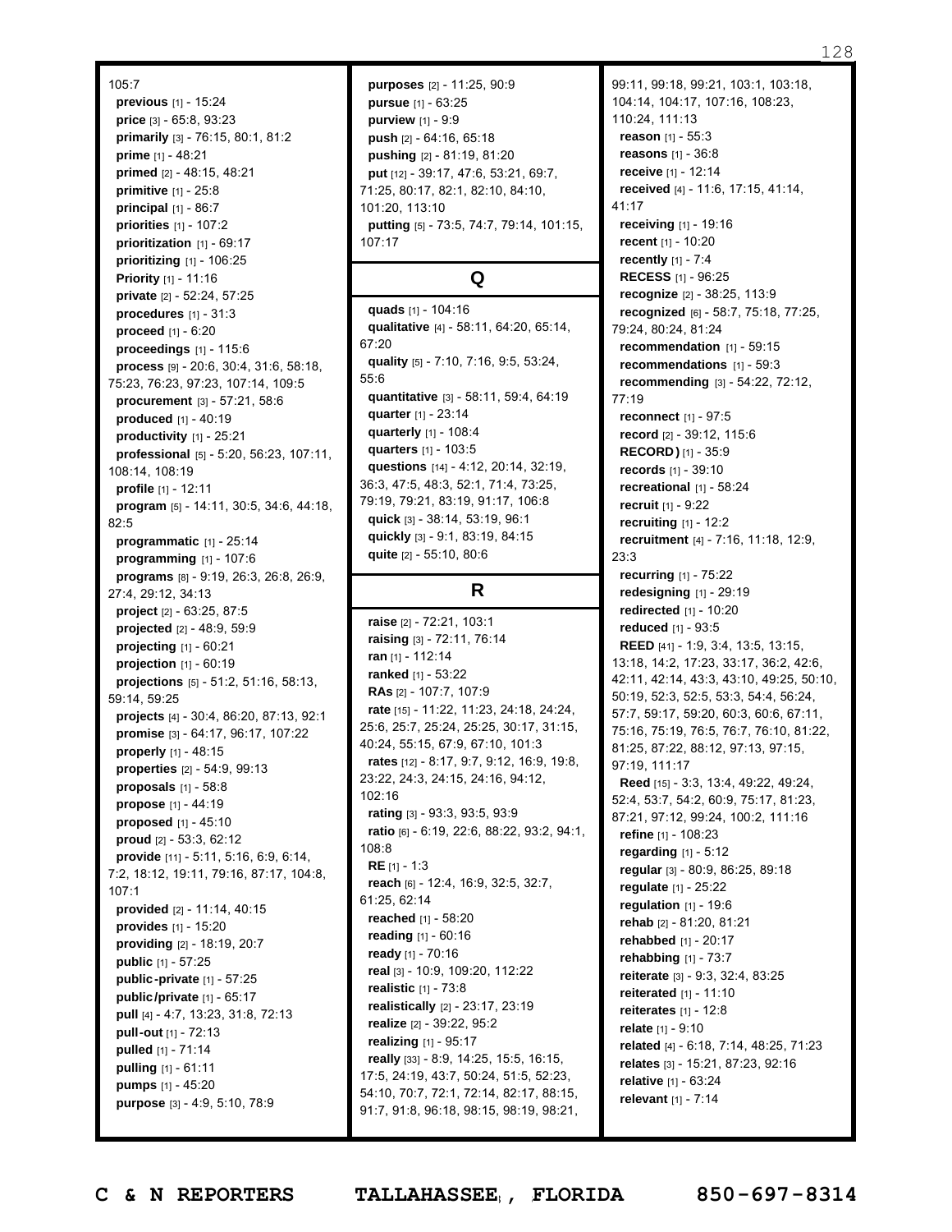#### 105:7

**previous** [1] - 15:24 **price** [3] - 65:8, 93:23 **primarily** [3] - 76:15, 80:1, 81:2 **prime** [1] - 48:21 **primed** [2] - 48:15, 48:21 **primitive** [1] - 25:8 **principal** [1] - 86:7 **priorities** [1] - 107:2 **prioritization** [1] - 69:17 **prioritizing** [1] - 106:25 **Priority** [1] - 11:16 **private** [2] - 52:24, 57:25 **procedures** [1] - 31:3 **proceed** [1] - 6:20 **proceedings** [1] - 115:6 **process** [9] - 20:6, 30:4, 31:6, 58:18, 75:23, 76:23, 97:23, 107:14, 109:5 **procurement** [3] - 57:21, 58:6 **produced** [1] - 40:19 **productivity** [1] - 25:21 **professional** [5] - 5:20, 56:23, 107:11, 108:14, 108:19 **profile** [1] - 12:11 **program** [5] - 14:11, 30:5, 34:6, 44:18, 82:5 **programmatic** [1] - 25:14 **programming** [1] - 107:6 **programs** [8] - 9:19, 26:3, 26:8, 26:9, 27:4, 29:12, 34:13 **project** [2] - 63:25, 87:5 **projected** [2] - 48:9, 59:9 **projecting** [1] - 60:21 **projection** [1] - 60:19 **projections** [5] - 51:2, 51:16, 58:13, 59:14, 59:25 **projects** [4] - 30:4, 86:20, 87:13, 92:1 **promise** [3] - 64:17, 96:17, 107:22 **properly** [1] - 48:15 **properties** [2] - 54:9, 99:13 **proposals** [1] - 58:8 **propose** [1] - 44:19 **proposed** [1] - 45:10 **proud** [2] - 53:3, 62:12 **provide** [11] - 5:11, 5:16, 6:9, 6:14, 7:2, 18:12, 19:11, 79:16, 87:17, 104:8, 107:1 **provided** [2] - 11:14, 40:15 **provides** [1] - 15:20 **providing** [2] - 18:19, 20:7 **public** [1] - 57:25 **public-private** [1] - 57:25 **public/private** [1] - 65:17 **pull** [4] - 4:7, 13:23, 31:8, 72:13 **pull-out** [1] - 72:13 **pulled** [1] - 71:14 **pulling** [1] - 61:11 **pumps** [1] - 45:20 **purpose** [3] - 4:9, 5:10, 78:9

**purposes** [2] - 11:25, 90:9 **pursue** [1] - 63:25 **purview** [1] - 9:9 **push** [2] - 64:16, 65:18 **pushing** [2] - 81:19, 81:20 **put** [12] - 39:17, 47:6, 53:21, 69:7, 71:25, 80:17, 82:1, 82:10, 84:10, 101:20, 113:10 **putting** [5] - 73:5, 74:7, 79:14, 101:15, 107:17

# **Q**

**quads** [1] - 104:16 **qualitative** [4] - 58:11, 64:20, 65:14, 67:20 **quality** [5] - 7:10, 7:16, 9:5, 53:24, 55:6 **quantitative** [3] - 58:11, 59:4, 64:19 **quarter** [1] - 23:14 **quarterly** [1] - 108:4 **quarters** [1] - 103:5 **questions** [14] - 4:12, 20:14, 32:19, 36:3, 47:5, 48:3, 52:1, 71:4, 73:25, 79:19, 79:21, 83:19, 91:17, 106:8 **quick** [3] - 38:14, 53:19, 96:1 **quickly** [3] - 9:1, 83:19, 84:15 **quite** [2] - 55:10, 80:6

# **R**

**raise** [2] - 72:21, 103:1 **raising** [3] - 72:11, 76:14 **ran** [1] - 112:14 **ranked** [1] - 53:22 **RAs** [2] - 107:7, 107:9 **rate** [15] - 11:22, 11:23, 24:18, 24:24, 25:6, 25:7, 25:24, 25:25, 30:17, 31:15, 40:24, 55:15, 67:9, 67:10, 101:3 **rates** [12] - 8:17, 9:7, 9:12, 16:9, 19:8, 23:22, 24:3, 24:15, 24:16, 94:12, 102:16 **rating** [3] - 93:3, 93:5, 93:9 **ratio** [6] - 6:19, 22:6, 88:22, 93:2, 94:1, 108:8 **RE** [1] - 1:3 **reach** [6] - 12:4, 16:9, 32:5, 32:7, 61:25, 62:14 **reached** [1] - 58:20 **reading** [1] - 60:16 **ready** [1] - 70:16 **real** [3] - 10:9, 109:20, 112:22 **realistic** [1] - 73:8 **realistically** [2] - 23:17, 23:19 **realize** [2] - 39:22, 95:2 **realizing** [1] - 95:17 **really** [33] - 8:9, 14:25, 15:5, 16:15, 17:5, 24:19, 43:7, 50:24, 51:5, 52:23, 54:10, 70:7, 72:1, 72:14, 82:17, 88:15, 91:7, 91:8, 96:18, 98:15, 98:19, 98:21,

99:11, 99:18, 99:21, 103:1, 103:18, 104:14, 104:17, 107:16, 108:23, 110:24, 111:13 **reason** [1] - 55:3 **reasons** [1] - 36:8 **receive** [1] - 12:14 **received** [4] - 11:6, 17:15, 41:14, 41:17 **receiving** [1] - 19:16 **recent** [1] - 10:20 **recently** [1] - 7:4 **RECESS** [1] - 96:25 **recognize** [2] - 38:25, 113:9 **recognized** [6] - 58:7, 75:18, 77:25, 79:24, 80:24, 81:24 **recommendation** [1] - 59:15 **recommendations** [1] - 59:3 **recommending** [3] - 54:22, 72:12, 77:19 **reconnect** [1] - 97:5 **record** [2] - 39:12, 115:6 **RECORD )** [1] - 35:9 **records** [1] - 39:10 **recreational** [1] - 58:24 **recruit** [1] - 9:22 **recruiting** [1] - 12:2 **recruitment** [4] - 7:16, 11:18, 12:9, 23:3 **recurring** [1] - 75:22 **redesigning** [1] - 29:19 **redirected** [1] - 10:20 **reduced** [1] - 93:5 **REED** [41] - 1:9, 3:4, 13:5, 13:15, 13:18, 14:2, 17:23, 33:17, 36:2, 42:6, 42:11, 42:14, 43:3, 43:10, 49:25, 50:10, 50:19, 52:3, 52:5, 53:3, 54:4, 56:24, 57:7, 59:17, 59:20, 60:3, 60:6, 67:11, 75:16, 75:19, 76:5, 76:7, 76:10, 81:22, 81:25, 87:22, 88:12, 97:13, 97:15, 97:19, 111:17 **Reed** [15] - 3:3, 13:4, 49:22, 49:24, 52:4, 53:7, 54:2, 60:9, 75:17, 81:23, 87:21, 97:12, 99:24, 100:2, 111:16 **refine** [1] - 108:23 **regarding** [1] - 5:12 **regular** [3] - 80:9, 86:25, 89:18 **regulate** [1] - 25:22 **regulation** [1] - 19:6 **rehab** [2] - 81:20, 81:21 **rehabbed** [1] - 20:17 **rehabbing** [1] - 73:7 **reiterate** [3] - 9:3, 32:4, 83:25 **reiterated** [1] - 11:10 **reiterates** [1] - 12:8 **relate** [1] - 9:10 **related** [4] - 6:18, 7:14, 48:25, 71:23 **relates** [3] - 15:21, 87:23, 92:16 **relative** [1] - 63:24 **relevant** [1] - 7:14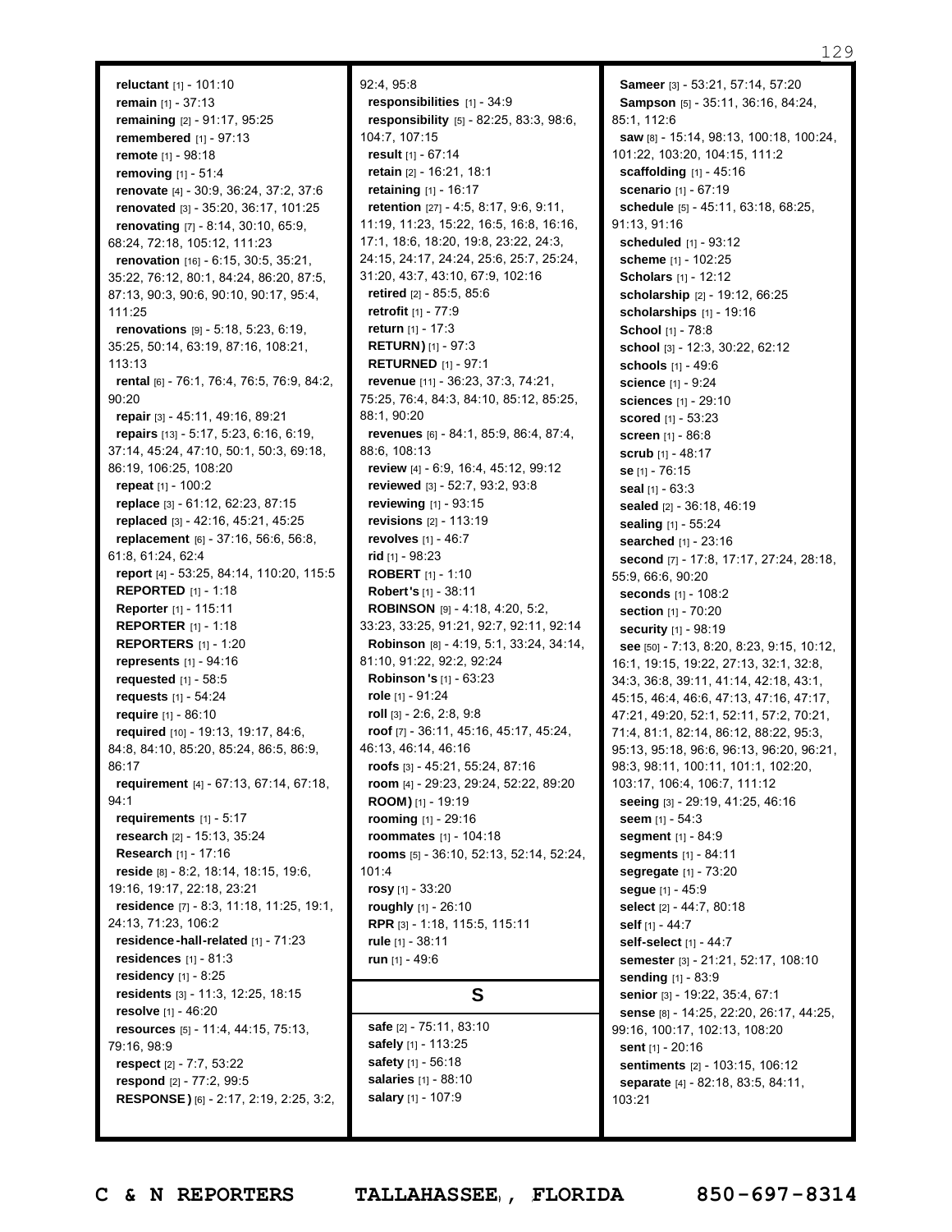**reluctant** [1] - 101:10 **remain** [1] - 37:13 **remaining** [2] - 91:17, 95:25 **remembered** [1] - 97:13 **remote** [1] - 98:18 **removing** [1] - 51:4 **renovate** [4] - 30:9, 36:24, 37:2, 37:6 **renovated** [3] - 35:20, 36:17, 101:25 **renovating** [7] - 8:14, 30:10, 65:9, 68:24, 72:18, 105:12, 111:23 **renovation** [16] - 6:15, 30:5, 35:21, 35:22, 76:12, 80:1, 84:24, 86:20, 87:5, 87:13, 90:3, 90:6, 90:10, 90:17, 95:4, 111:25 **renovations** [9] - 5:18, 5:23, 6:19, 35:25, 50:14, 63:19, 87:16, 108:21, 113:13 **rental** [6] - 76:1, 76:4, 76:5, 76:9, 84:2, 90:20 **repair** [3] - 45:11, 49:16, 89:21 **repairs** [13] - 5:17, 5:23, 6:16, 6:19, 37:14, 45:24, 47:10, 50:1, 50:3, 69:18, 86:19, 106:25, 108:20 **repeat** [1] - 100:2 **replace** [3] - 61:12, 62:23, 87:15 **replaced** [3] - 42:16, 45:21, 45:25 **replacement** [6] - 37:16, 56:6, 56:8, 61:8, 61:24, 62:4 **report** [4] - 53:25, 84:14, 110:20, 115:5 **REPORTED** [1] - 1:18 **Reporter** [1] - 115:11 **REPORTER** [1] - 1:18 **REPORTERS** [1] - 1:20 **represents** [1] - 94:16 **requested** [1] - 58:5 **requests** [1] - 54:24 **require** [1] - 86:10 **required** [10] - 19:13, 19:17, 84:6, 84:8, 84:10, 85:20, 85:24, 86:5, 86:9, 86:17 **requirement** [4] - 67:13, 67:14, 67:18, 94:1 **requirements** [1] - 5:17 **research** [2] - 15:13, 35:24 **Research** [1] - 17:16 **reside** [8] - 8:2, 18:14, 18:15, 19:6, 19:16, 19:17, 22:18, 23:21 **residence** [7] - 8:3, 11:18, 11:25, 19:1, 24:13, 71:23, 106:2 **residence -hall-related** [1] - 71:23 **residences** [1] - 81:3 **residency** [1] - 8:25 **residents** [3] - 11:3, 12:25, 18:15 **resolve** [1] - 46:20 **resources** [5] - 11:4, 44:15, 75:13, 79:16, 98:9 **respect** [2] - 7:7, 53:22 **respond** [2] - 77:2, 99:5 **RESPONSE )** [6] - 2:17, 2:19, 2:25, 3:2,

92:4, 95:8 **responsibilities** [1] - 34:9 **responsibility** [5] - 82:25, 83:3, 98:6, 104:7, 107:15 **result** [1] - 67:14 **retain** [2] - 16:21, 18:1 **retaining** [1] - 16:17 **retention** [27] - 4:5, 8:17, 9:6, 9:11, 11:19, 11:23, 15:22, 16:5, 16:8, 16:16, 17:1, 18:6, 18:20, 19:8, 23:22, 24:3, 24:15, 24:17, 24:24, 25:6, 25:7, 25:24, 31:20, 43:7, 43:10, 67:9, 102:16 **retired** [2] - 85:5, 85:6 **retrofit** [1] - 77:9 **return** [1] - 17:3 **RETURN)** [1] - 97:3 **RETURNED** [1] - 97:1 **revenue** [11] - 36:23, 37:3, 74:21, 75:25, 76:4, 84:3, 84:10, 85:12, 85:25, 88:1, 90:20 **revenues** [6] - 84:1, 85:9, 86:4, 87:4, 88:6, 108:13 **review** [4] - 6:9, 16:4, 45:12, 99:12 **reviewed** [3] - 52:7, 93:2, 93:8 **reviewing** [1] - 93:15 **revisions** [2] - 113:19 **revolves** [1] - 46:7 **rid** [1] - 98:23 **ROBERT** [1] - 1:10 **Robert's** [1] - 38:11 **ROBINSON** [9] - 4:18, 4:20, 5:2, 33:23, 33:25, 91:21, 92:7, 92:11, 92:14 **Robinson** [8] - 4:19, 5:1, 33:24, 34:14, 81:10, 91:22, 92:2, 92:24 **Robinson 's** [1] - 63:23 **role** [1] - 91:24 **roll** [3] - 2:6, 2:8, 9:8 **roof** [7] - 36:11, 45:16, 45:17, 45:24, 46:13, 46:14, 46:16 **roofs** [3] - 45:21, 55:24, 87:16 **room** [4] - 29:23, 29:24, 52:22, 89:20 **ROOM)** [1] - 19:19 **rooming** [1] - 29:16 **roommates** [1] - 104:18 **rooms** [5] - 36:10, 52:13, 52:14, 52:24, 101:4 **rosy** [1] - 33:20 **roughly** [1] - 26:10 **RPR** [3] - 1:18, 115:5, 115:11 **rule** [1] - 38:11 **run** [1] - 49:6

### **S**

**safe** [2] - 75:11, 83:10 **safely** [1] - 113:25 **safety** [1] - 56:18 **salaries** [1] - 88:10 **salary** [1] - 107:9

**Sameer** [3] - 53:21, 57:14, 57:20 **Sampson** [5] - 35:11, 36:16, 84:24, 85:1, 112:6 **saw** [8] - 15:14, 98:13, 100:18, 100:24, 101:22, 103:20, 104:15, 111:2 **scaffolding** [1] - 45:16 **scenario** [1] - 67:19 **schedule** [5] - 45:11, 63:18, 68:25, 91:13, 91:16 **scheduled** [1] - 93:12 **scheme** [1] - 102:25 **Scholars** [1] - 12:12 **scholarship** [2] - 19:12, 66:25 **scholarships** [1] - 19:16 **School** [1] - 78:8 **school** [3] - 12:3, 30:22, 62:12 **schools** [1] - 49:6 **science** [1] - 9:24 **sciences** [1] - 29:10 **scored** [1] - 53:23 **screen** [1] - 86:8 **scrub** [1] - 48:17 **se** [1] - 76:15 **seal** [1] - 63:3 **sealed** [2] - 36:18, 46:19 **sealing** [1] - 55:24 **searched** [1] - 23:16 **second** [7] - 17:8, 17:17, 27:24, 28:18, 55:9, 66:6, 90:20 **seconds** [1] - 108:2 **section** [1] - 70:20 **security** [1] - 98:19 **see** [50] - 7:13, 8:20, 8:23, 9:15, 10:12, 16:1, 19:15, 19:22, 27:13, 32:1, 32:8, 34:3, 36:8, 39:11, 41:14, 42:18, 43:1, 45:15, 46:4, 46:6, 47:13, 47:16, 47:17, 47:21, 49:20, 52:1, 52:11, 57:2, 70:21, 71:4, 81:1, 82:14, 86:12, 88:22, 95:3, 95:13, 95:18, 96:6, 96:13, 96:20, 96:21, 98:3, 98:11, 100:11, 101:1, 102:20, 103:17, 106:4, 106:7, 111:12 **seeing** [3] - 29:19, 41:25, 46:16 **seem** [1] - 54:3 **segment** [1] - 84:9 **segments** [1] - 84:11 **segregate** [1] - 73:20 **segue** [1] - 45:9 **select** [2] - 44:7, 80:18 **self** [1] - 44:7 **self-select** [1] - 44:7 **semester** [3] - 21:21, 52:17, 108:10 **sending** [1] - 83:9 **senior** [3] - 19:22, 35:4, 67:1 **sense** [8] - 14:25, 22:20, 26:17, 44:25, 99:16, 100:17, 102:13, 108:20 **sent** [1] - 20:16 **sentiments** [2] - 103:15, 106:12 **separate** [4] - 82:18, 83:5, 84:11, 103:21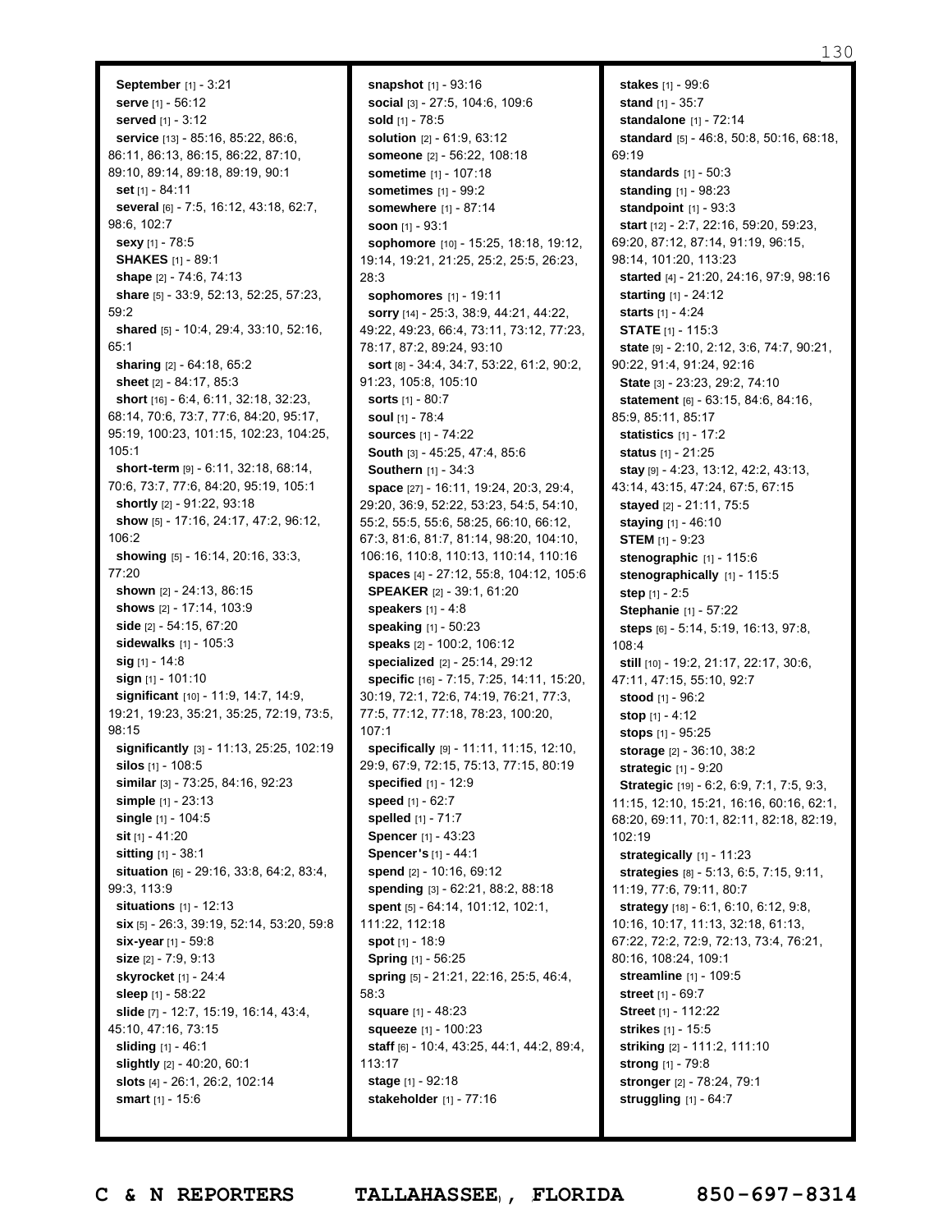**September** [1] - 3:21 **serve** [1] - 56:12 **served** [1] - 3:12 **service** [13] - 85:16, 85:22, 86:6, 86:11, 86:13, 86:15, 86:22, 87:10, 89:10, 89:14, 89:18, 89:19, 90:1 **set** [1] - 84:11 **several** [6] - 7:5, 16:12, 43:18, 62:7, 98:6, 102:7 **sexy** [1] - 78:5 **SHAKES** [1] - 89:1 **shape** [2] - 74:6, 74:13 **share** [5] - 33:9, 52:13, 52:25, 57:23, 59:2 **shared** [5] - 10:4, 29:4, 33:10, 52:16, 65:1 **sharing** [2] - 64:18, 65:2 **sheet** [2] - 84:17, 85:3 **short** [16] - 6:4, 6:11, 32:18, 32:23, 68:14, 70:6, 73:7, 77:6, 84:20, 95:17, 95:19, 100:23, 101:15, 102:23, 104:25, 105:1 **short-term** [9] - 6:11, 32:18, 68:14, 70:6, 73:7, 77:6, 84:20, 95:19, 105:1 **shortly** [2] - 91:22, 93:18 **show** [5] - 17:16, 24:17, 47:2, 96:12, 106:2 **showing** [5] - 16:14, 20:16, 33:3, 77:20 **shown** [2] - 24:13, 86:15 **shows** [2] - 17:14, 103:9 **side** [2] - 54:15, 67:20 **sidewalks** [1] - 105:3 **sig** [1] - 14:8 **sign** [1] - 101:10 **significant** [10] - 11:9, 14:7, 14:9, 19:21, 19:23, 35:21, 35:25, 72:19, 73:5, 98:15 **significantly** [3] - 11:13, 25:25, 102:19 **silos** [1] - 108:5 **similar** [3] - 73:25, 84:16, 92:23 **simple** [1] - 23:13 **single** [1] - 104:5 **sit** [1] - 41:20 **sitting** [1] - 38:1 **situation** [6] - 29:16, 33:8, 64:2, 83:4, 99:3, 113:9 **situations** [1] - 12:13 **six** [5] - 26:3, 39:19, 52:14, 53:20, 59:8 **six-year** [1] - 59:8 **size** [2] - 7:9, 9:13 **skyrocket** [1] - 24:4 **sleep** [1] - 58:22 **slide** [7] - 12:7, 15:19, 16:14, 43:4, 45:10, 47:16, 73:15 **sliding** [1] - 46:1 **slightly** [2] - 40:20, 60:1 **slots** [4] - 26:1, 26:2, 102:14 **smart** [1] - 15:6

**snapshot** [1] - 93:16 **social** [3] - 27:5, 104:6, 109:6 **sold** [1] - 78:5 **solution** [2] - 61:9, 63:12 **someone** [2] - 56:22, 108:18 **sometime** [1] - 107:18 **sometimes** [1] - 99:2 **somewhere** [1] - 87:14 **soon** [1] - 93:1 **sophomore** [10] - 15:25, 18:18, 19:12, 19:14, 19:21, 21:25, 25:2, 25:5, 26:23, 28:3 **sophomores** [1] - 19:11 **sorry** [14] - 25:3, 38:9, 44:21, 44:22, 49:22, 49:23, 66:4, 73:11, 73:12, 77:23, 78:17, 87:2, 89:24, 93:10 **sort** [8] - 34:4, 34:7, 53:22, 61:2, 90:2, 91:23, 105:8, 105:10 **sorts** [1] - 80:7 **soul** [1] - 78:4 **sources** [1] - 74:22 **South** [3] - 45:25, 47:4, 85:6 **Southern** [1] - 34:3 **space** [27] - 16:11, 19:24, 20:3, 29:4, 29:20, 36:9, 52:22, 53:23, 54:5, 54:10, 55:2, 55:5, 55:6, 58:25, 66:10, 66:12, 67:3, 81:6, 81:7, 81:14, 98:20, 104:10, 106:16, 110:8, 110:13, 110:14, 110:16 **spaces** [4] - 27:12, 55:8, 104:12, 105:6 **SPEAKER** [2] - 39:1, 61:20 **speakers** [1] - 4:8 **speaking** [1] - 50:23 **speaks** [2] - 100:2, 106:12 **specialized** [2] - 25:14, 29:12 **specific** [16] - 7:15, 7:25, 14:11, 15:20, 30:19, 72:1, 72:6, 74:19, 76:21, 77:3, 77:5, 77:12, 77:18, 78:23, 100:20, 107:1 **specifically** [9] - 11:11, 11:15, 12:10, 29:9, 67:9, 72:15, 75:13, 77:15, 80:19 **specified** [1] - 12:9 **speed** [1] - 62:7 **spelled** [1] - 71:7 **Spencer** [1] - 43:23 **Spencer's** [1] - 44:1 **spend** [2] - 10:16, 69:12 **spending** [3] - 62:21, 88:2, 88:18 **spent** [5] - 64:14, 101:12, 102:1, 111:22, 112:18 **spot** [1] - 18:9 **Spring** [1] - 56:25 **spring** [5] - 21:21, 22:16, 25:5, 46:4, 58:3 **square** [1] - 48:23 **squeeze** [1] - 100:23 **staff** [6] - 10:4, 43:25, 44:1, 44:2, 89:4, 113:17 **stage** [1] - 92:18 **stakeholder** [1] - 77:16

**stakes** [1] - 99:6 **stand** [1] - 35:7 **standalone** [1] - 72:14 **standard** [5] - 46:8, 50:8, 50:16, 68:18, 69:19 **standards** [1] - 50:3 **standing** [1] - 98:23 **standpoint** [1] - 93:3 **start** [12] - 2:7, 22:16, 59:20, 59:23, 69:20, 87:12, 87:14, 91:19, 96:15, 98:14, 101:20, 113:23 **started** [4] - 21:20, 24:16, 97:9, 98:16 **starting** [1] - 24:12 **starts** [1] - 4:24 **STATE** [1] - 115:3 **state** [9] - 2:10, 2:12, 3:6, 74:7, 90:21, 90:22, 91:4, 91:24, 92:16 **State** [3] - 23:23, 29:2, 74:10 **statement** [6] - 63:15, 84:6, 84:16, 85:9, 85:11, 85:17 **statistics** [1] - 17:2 **status** [1] - 21:25 **stay** [9] - 4:23, 13:12, 42:2, 43:13, 43:14, 43:15, 47:24, 67:5, 67:15 **stayed** [2] - 21:11, 75:5 **staying** [1] - 46:10 **STEM** [1] - 9:23 **stenographic** [1] - 115:6 **stenographically** [1] - 115:5 **step** [1] - 2:5 **Stephanie** [1] - 57:22 **steps** [6] - 5:14, 5:19, 16:13, 97:8, 108:4 **still** [10] - 19:2, 21:17, 22:17, 30:6, 47:11, 47:15, 55:10, 92:7 **stood** [1] - 96:2 **stop** [1] - 4:12 **stops** [1] - 95:25 **storage** [2] - 36:10, 38:2 **strategic** [1] - 9:20 **Strategic** [19] - 6:2, 6:9, 7:1, 7:5, 9:3, 11:15, 12:10, 15:21, 16:16, 60:16, 62:1, 68:20, 69:11, 70:1, 82:11, 82:18, 82:19, 102:19 **strategically** [1] - 11:23 **strategies** [8] - 5:13, 6:5, 7:15, 9:11, 11:19, 77:6, 79:11, 80:7 **strategy** [18] - 6:1, 6:10, 6:12, 9:8, 10:16, 10:17, 11:13, 32:18, 61:13, 67:22, 72:2, 72:9, 72:13, 73:4, 76:21, 80:16, 108:24, 109:1 **streamline** [1] - 109:5 **street** [1] - 69:7 **Street** [1] - 112:22 **strikes** [1] - 15:5 **striking** [2] - 111:2, 111:10 **strong** [1] - 79:8 **stronger** [2] - 78:24, 79:1 **struggling** [1] - 64:7

Page 130 to 130 of 133 **C & N REPORTERS TALLAHASSEE , FLORIDA 850-697-8314**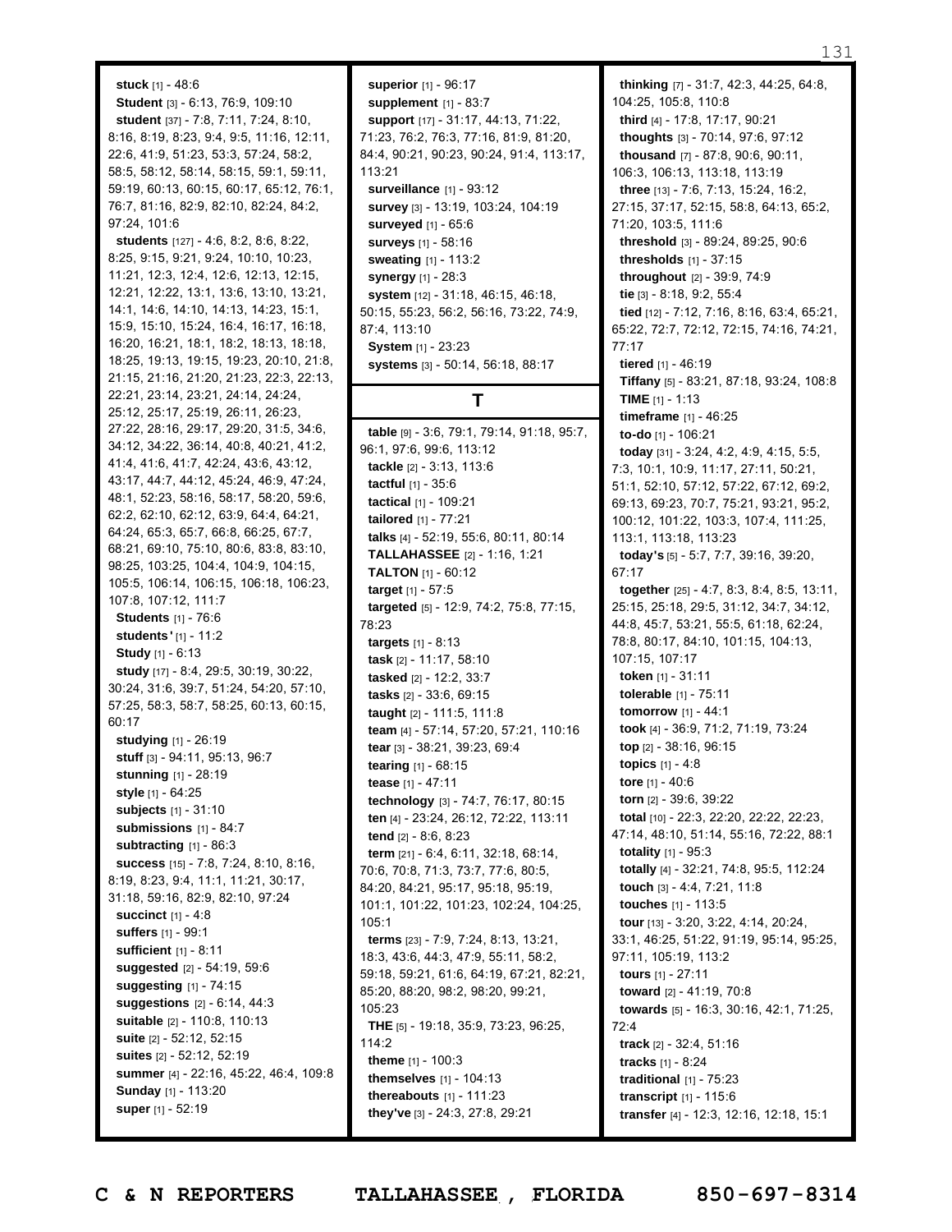#### **stuck** [1] - 48:6

**Student** [3] - 6:13, 76:9, 109:10 **student** [37] - 7:8, 7:11, 7:24, 8:10, 8:16, 8:19, 8:23, 9:4, 9:5, 11:16, 12:11, 22:6, 41:9, 51:23, 53:3, 57:24, 58:2, 58:5, 58:12, 58:14, 58:15, 59:1, 59:11, 59:19, 60:13, 60:15, 60:17, 65:12, 76:1, 76:7, 81:16, 82:9, 82:10, 82:24, 84:2, 97:24, 101:6

**students** [127] - 4:6, 8:2, 8:6, 8:22, 8:25, 9:15, 9:21, 9:24, 10:10, 10:23, 11:21, 12:3, 12:4, 12:6, 12:13, 12:15, 12:21, 12:22, 13:1, 13:6, 13:10, 13:21, 14:1, 14:6, 14:10, 14:13, 14:23, 15:1, 15:9, 15:10, 15:24, 16:4, 16:17, 16:18, 16:20, 16:21, 18:1, 18:2, 18:13, 18:18, 18:25, 19:13, 19:15, 19:23, 20:10, 21:8, 21:15, 21:16, 21:20, 21:23, 22:3, 22:13, 22:21, 23:14, 23:21, 24:14, 24:24, 25:12, 25:17, 25:19, 26:11, 26:23, 27:22, 28:16, 29:17, 29:20, 31:5, 34:6, 34:12, 34:22, 36:14, 40:8, 40:21, 41:2, 41:4, 41:6, 41:7, 42:24, 43:6, 43:12, 43:17, 44:7, 44:12, 45:24, 46:9, 47:24, 48:1, 52:23, 58:16, 58:17, 58:20, 59:6, 62:2, 62:10, 62:12, 63:9, 64:4, 64:21, 64:24, 65:3, 65:7, 66:8, 66:25, 67:7, 68:21, 69:10, 75:10, 80:6, 83:8, 83:10, 98:25, 103:25, 104:4, 104:9, 104:15, 105:5, 106:14, 106:15, 106:18, 106:23, 107:8, 107:12, 111:7 **Students** [1] - 76:6 **students '** [1] - 11:2 **Study** [1] - 6:13 **study** [17] - 8:4, 29:5, 30:19, 30:22, 30:24, 31:6, 39:7, 51:24, 54:20, 57:10, 57:25, 58:3, 58:7, 58:25, 60:13, 60:15, 60:17 **studying** [1] - 26:19 **stuff** [3] - 94:11, 95:13, 96:7 **stunning** [1] - 28:19 **style** [1] - 64:25 **subjects** [1] - 31:10 **submissions** [1] - 84:7 **subtracting** [1] - 86:3 **success** [15] - 7:8, 7:24, 8:10, 8:16, 8:19, 8:23, 9:4, 11:1, 11:21, 30:17, 31:18, 59:16, 82:9, 82:10, 97:24 **succinct** [1] - 4:8 **suffers** [1] - 99:1 **sufficient** [1] - 8:11 **suggested** [2] - 54:19, 59:6 **suggesting** [1] - 74:15 **suggestions** [2] - 6:14, 44:3 **suitable** [2] - 110:8, 110:13 **suite** [2] - 52:12, 52:15 **suites** [2] - 52:12, 52:19 **summer** [4] - 22:16, 45:22, 46:4, 109:8 **Sunday** [1] - 113:20 **super** [1] - 52:19

**superior** [1] - 96:17 **supplement** [1] - 83:7 **support** [17] - 31:17, 44:13, 71:22, 71:23, 76:2, 76:3, 77:16, 81:9, 81:20, 84:4, 90:21, 90:23, 90:24, 91:4, 113:17, 113:21 **surveillance** [1] - 93:12 **survey** [3] - 13:19, 103:24, 104:19 **surveyed** [1] - 65:6 **surveys** [1] - 58:16 **sweating** [1] - 113:2 **synergy** [1] - 28:3 **system** [12] - 31:18, 46:15, 46:18, 50:15, 55:23, 56:2, 56:16, 73:22, 74:9, 87:4, 113:10 **System** [1] - 23:23 **systems** [3] - 50:14, 56:18, 88:17

### **T**

**table** [9] - 3:6, 79:1, 79:14, 91:18, 95:7, 96:1, 97:6, 99:6, 113:12 **tackle** [2] - 3:13, 113:6 **tactful** [1] - 35:6 **tactical** [1] - 109:21 **tailored** [1] - 77:21 **talks** [4] - 52:19, 55:6, 80:11, 80:14 **TALLAHASSEE** [2] - 1:16, 1:21 **TALTON** [1] - 60:12 **target** [1] - 57:5 **targeted** [5] - 12:9, 74:2, 75:8, 77:15, 78:23 **targets** [1] - 8:13 **task** [2] - 11:17, 58:10 **tasked** [2] - 12:2, 33:7 **tasks** [2] - 33:6, 69:15 **taught** [2] - 111:5, 111:8 **team** [4] - 57:14, 57:20, 57:21, 110:16 **tear** [3] - 38:21, 39:23, 69:4 **tearing** [1] - 68:15 **tease** [1] - 47:11 **technology** [3] - 74:7, 76:17, 80:15 **ten** [4] - 23:24, 26:12, 72:22, 113:11 **tend** [2] - 8:6, 8:23 **term** [21] - 6:4, 6:11, 32:18, 68:14, 70:6, 70:8, 71:3, 73:7, 77:6, 80:5, 84:20, 84:21, 95:17, 95:18, 95:19, 101:1, 101:22, 101:23, 102:24, 104:25,  $105.1$ **terms** [23] - 7:9, 7:24, 8:13, 13:21, 18:3, 43:6, 44:3, 47:9, 55:11, 58:2, 59:18, 59:21, 61:6, 64:19, 67:21, 82:21, 85:20, 88:20, 98:2, 98:20, 99:21, 105:23 **THE** [5] - 19:18, 35:9, 73:23, 96:25, 114:2 **theme** [1] - 100:3 **themselves** [1] - 104:13 **thereabouts** [1] - 111:23 **they've** [3] - 24:3, 27:8, 29:21

**thinking** [7] - 31:7, 42:3, 44:25, 64:8, 104:25, 105:8, 110:8 **third** [4] - 17:8, 17:17, 90:21 **thoughts** [3] - 70:14, 97:6, 97:12 **thousand** [7] - 87:8, 90:6, 90:11, 106:3, 106:13, 113:18, 113:19 **three** [13] - 7:6, 7:13, 15:24, 16:2, 27:15, 37:17, 52:15, 58:8, 64:13, 65:2, 71:20, 103:5, 111:6 **threshold** [3] - 89:24, 89:25, 90:6 **thresholds** [1] - 37:15 **throughout** [2] - 39:9, 74:9 **tie** [3] - 8:18, 9:2, 55:4 **tied** [12] - 7:12, 7:16, 8:16, 63:4, 65:21, 65:22, 72:7, 72:12, 72:15, 74:16, 74:21, 77:17 **tiered** [1] - 46:19 **Tiffany** [5] - 83:21, 87:18, 93:24, 108:8 **TIME** [1] - 1:13 **timeframe** [1] - 46:25 **to-do** [1] - 106:21 **today** [31] - 3:24, 4:2, 4:9, 4:15, 5:5, 7:3, 10:1, 10:9, 11:17, 27:11, 50:21, 51:1, 52:10, 57:12, 57:22, 67:12, 69:2, 69:13, 69:23, 70:7, 75:21, 93:21, 95:2, 100:12, 101:22, 103:3, 107:4, 111:25, 113:1, 113:18, 113:23 **today's** [5] - 5:7, 7:7, 39:16, 39:20, 67:17 **together** [25] - 4:7, 8:3, 8:4, 8:5, 13:11, 25:15, 25:18, 29:5, 31:12, 34:7, 34:12, 44:8, 45:7, 53:21, 55:5, 61:18, 62:24, 78:8, 80:17, 84:10, 101:15, 104:13, 107:15, 107:17 **token** [1] - 31:11 **tolerable** [1] - 75:11 **tomorrow** [1] - 44:1 **took** [4] - 36:9, 71:2, 71:19, 73:24 **top** [2] - 38:16, 96:15 **topics** [1] - 4:8 **tore** [1] - 40:6 **torn** [2] - 39:6, 39:22 **total** [10] - 22:3, 22:20, 22:22, 22:23, 47:14, 48:10, 51:14, 55:16, 72:22, 88:1 **totality** [1] - 95:3 **totally** [4] - 32:21, 74:8, 95:5, 112:24 **touch** [3] - 4:4, 7:21, 11:8 **touches** [1] - 113:5 **tour** [13] - 3:20, 3:22, 4:14, 20:24, 33:1, 46:25, 51:22, 91:19, 95:14, 95:25, 97:11, 105:19, 113:2 **tours** [1] - 27:11 **toward** [2] - 41:19, 70:8 **towards** [5] - 16:3, 30:16, 42:1, 71:25, 72:4 **track** [2] - 32:4, 51:16 **tracks** [1] - 8:24 **traditional** [1] - 75:23 **transcript** [1] - 115:6 **transfer** [4] - 12:3, 12:16, 12:18, 15:1

Page 131 to 131 of 133 **C & N REPORTERS TALLAHASSEE , FLORIDA 850-697-8314**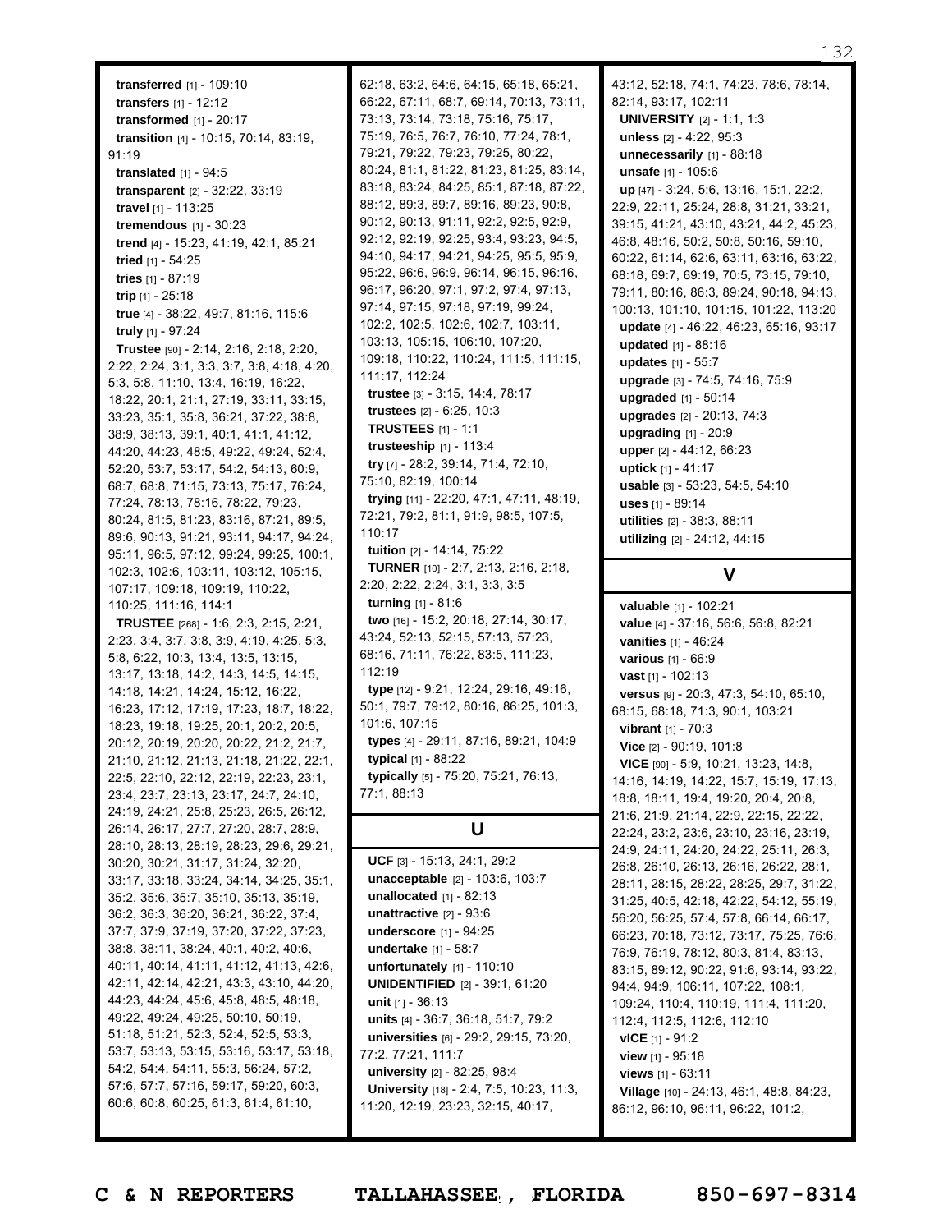**transferred** [1] - 109:10 **transfers** [1] - 12:12 **transformed** [1] - 20:17 **transition** [4] - 10:15, 70:14, 83:19, 91:19 **translated** [1] - 94:5 **transparent** [2] - 32:22, 33:19 **travel** [1] - 113:25 **tremendous** [1] - 30:23 **trend** [4] - 15:23, 41:19, 42:1, 85:21 **tried** [1] - 54:25 **tries** [1] - 87:19 **trip** [1] - 25:18 **true** [4] - 38:22, 49:7, 81:16, 115:6 **truly** [1] - 97:24 **Trustee** [90] - 2:14, 2:16, 2:18, 2:20, 2:22, 2:24, 3:1, 3:3, 3:7, 3:8, 4:18, 4:20, 5:3, 5:8, 11:10, 13:4, 16:19, 16:22, 18:22, 20:1, 21:1, 27:19, 33:11, 33:15, 33:23, 35:1, 35:8, 36:21, 37:22, 38:8, 38:9, 38:13, 39:1, 40:1, 41:1, 41:12, 44:20, 44:23, 48:5, 49:22, 49:24, 52:4, 52:20, 53:7, 53:17, 54:2, 54:13, 60:9, 68:7, 68:8, 71:15, 73:13, 75:17, 76:24, 77:24, 78:13, 78:16, 78:22, 79:23, 80:24, 81:5, 81:23, 83:16, 87:21, 89:5, 89:6, 90:13, 91:21, 93:11, 94:17, 94:24, 95:11, 96:5, 97:12, 99:24, 99:25, 100:1, 102:3, 102:6, 103:11, 103:12, 105:15,

107:17, 109:18, 109:19, 110:22,

110:25, 111:16, 114:1 **TRUSTEE** [268] - 1:6, 2:3, 2:15, 2:21, 2:23, 3:4, 3:7, 3:8, 3:9, 4:19, 4:25, 5:3, 5:8, 6:22, 10:3, 13:4, 13:5, 13:15, 13:17, 13:18, 14:2, 14:3, 14:5, 14:15, 14:18, 14:21, 14:24, 15:12, 16:22, 16:23, 17:12, 17:19, 17:23, 18:7, 18:22, 18:23, 19:18, 19:25, 20:1, 20:2, 20:5, 20:12, 20:19, 20:20, 20:22, 21:2, 21:7, 21:10, 21:12, 21:13, 21:18, 21:22, 22:1, 22:5, 22:10, 22:12, 22:19, 22:23, 23:1, 23:4, 23:7, 23:13, 23:17, 24:7, 24:10, 24:19, 24:21, 25:8, 25:23, 26:5, 26:12, 26:14, 26:17, 27:7, 27:20, 28:7, 28:9, 28:10, 28:13, 28:19, 28:23, 29:6, 29:21, 30:20, 30:21, 31:17, 31:24, 32:20, 33:17, 33:18, 33:24, 34:14, 34:25, 35:1, 35:2, 35:6, 35:7, 35:10, 35:13, 35:19, 36:2, 36:3, 36:20, 36:21, 36:22, 37:4, 37:7, 37:9, 37:19, 37:20, 37:22, 37:23, 38:8, 38:11, 38:24, 40:1, 40:2, 40:6, 40:11, 40:14, 41:11, 41:12, 41:13, 42:6, 42:11, 42:14, 42:21, 43:3, 43:10, 44:20, 44:23, 44:24, 45:6, 45:8, 48:5, 48:18, 49:22, 49:24, 49:25, 50:10, 50:19, 51:18, 51:21, 52:3, 52:4, 52:5, 53:3, 53:7, 53:13, 53:15, 53:16, 53:17, 53:18, 54:2, 54:4, 54:11, 55:3, 56:24, 57:2, 57:6, 57:7, 57:16, 59:17, 59:20, 60:3, 60:6, 60:8, 60:25, 61:3, 61:4, 61:10,

62:18, 63:2, 64:6, 64:15, 65:18, 65:21, 66:22, 67:11, 68:7, 69:14, 70:13, 73:11, 73:13, 73:14, 73:18, 75:16, 75:17, 75:19, 76:5, 76:7, 76:10, 77:24, 78:1, 79:21, 79:22, 79:23, 79:25, 80:22, 80:24, 81:1, 81:22, 81:23, 81:25, 83:14, 83:18, 83:24, 84:25, 85:1, 87:18, 87:22, 88:12, 89:3, 89:7, 89:16, 89:23, 90:8, 90:12, 90:13, 91:11, 92:2, 92:5, 92:9, 92:12, 92:19, 92:25, 93:4, 93:23, 94:5, 94:10, 94:17, 94:21, 94:25, 95:5, 95:9, 95:22, 96:6, 96:9, 96:14, 96:15, 96:16, 96:17, 96:20, 97:1, 97:2, 97:4, 97:13, 97:14, 97:15, 97:18, 97:19, 99:24, 102:2, 102:5, 102:6, 102:7, 103:11, 103:13, 105:15, 106:10, 107:20, 109:18, 110:22, 110:24, 111:5, 111:15, 111:17, 112:24 **trustee** [3] - 3:15, 14:4, 78:17 **trustees** [2] - 6:25, 10:3 **TRUSTEES** [1] - 1:1 **trusteeship** [1] - 113:4 **try** [7] - 28:2, 39:14, 71:4, 72:10, 75:10, 82:19, 100:14 **trying** [11] - 22:20, 47:1, 47:11, 48:19, 72:21, 79:2, 81:1, 91:9, 98:5, 107:5, 110:17 **tuition** [2] - 14:14, 75:22 **TURNER** [10] - 2:7, 2:13, 2:16, 2:18, 2:20, 2:22, 2:24, 3:1, 3:3, 3:5 **turning** [1] - 81:6 **two** [16] - 15:2, 20:18, 27:14, 30:17, 43:24, 52:13, 52:15, 57:13, 57:23, 68:16, 71:11, 76:22, 83:5, 111:23, 112:19 **type** [12] - 9:21, 12:24, 29:16, 49:16, 50:1, 79:7, 79:12, 80:16, 86:25, 101:3, 101:6, 107:15 **types** [4] - 29:11, 87:16, 89:21, 104:9 **typical** [1] - 88:22 **typically** [5] - 75:20, 75:21, 76:13, 77:1, 88:13

# **U**

**UCF** [3] - 15:13, 24:1, 29:2 **unacceptable** [2] - 103:6, 103:7 **unallocated** [1] - 82:13 **unattractive** [2] - 93:6 **underscore** [1] - 94:25 **undertake** [1] - 58:7 **unfortunately** [1] - 110:10 **UNIDENTIFIED** [2] - 39:1, 61:20 **unit** [1] - 36:13 **units** [4] - 36:7, 36:18, 51:7, 79:2 **universities** [6] - 29:2, 29:15, 73:20, 77:2, 77:21, 111:7 **university** [2] - 82:25, 98:4 **University** [18] - 2:4, 7:5, 10:23, 11:3, 11:20, 12:19, 23:23, 32:15, 40:17,

43:12, 52:18, 74:1, 74:23, 78:6, 78:14, 82:14, 93:17, 102:11 **UNIVERSITY** [2] - 1:1, 1:3 **unless** [2] - 4:22, 95:3 **unnecessarily** [1] - 88:18 **unsafe** [1] - 105:6 **up** [47] - 3:24, 5:6, 13:16, 15:1, 22:2, 22:9, 22:11, 25:24, 28:8, 31:21, 33:21, 39:15, 41:21, 43:10, 43:21, 44:2, 45:23, 46:8, 48:16, 50:2, 50:8, 50:16, 59:10, 60:22, 61:14, 62:6, 63:11, 63:16, 63:22, 68:18, 69:7, 69:19, 70:5, 73:15, 79:10, 79:11, 80:16, 86:3, 89:24, 90:18, 94:13, 100:13, 101:10, 101:15, 101:22, 113:20 **update** [4] - 46:22, 46:23, 65:16, 93:17 **updated** [1] - 88:16 **updates** [1] - 55:7 **upgrade** [3] - 74:5, 74:16, 75:9 **upgraded** [1] - 50:14 **upgrades** [2] - 20:13, 74:3 **upgrading** [1] - 20:9 **upper** [2] - 44:12, 66:23 **uptick** [1] - 41:17 **usable** [3] - 53:23, 54:5, 54:10 **uses** [1] - 89:14 **utilities** [2] - 38:3, 88:11 **utilizing** [2] - 24:12, 44:15

# **V**

**valuable** [1] - 102:21 **value** [4] - 37:16, 56:6, 56:8, 82:21 **vanities** [1] - 46:24 **various** [1] - 66:9 **vast** [1] - 102:13 **versus** [9] - 20:3, 47:3, 54:10, 65:10, 68:15, 68:18, 71:3, 90:1, 103:21 **vibrant** [1] - 70:3 **Vice** [2] - 90:19, 101:8 **VICE** [90] - 5:9, 10:21, 13:23, 14:8, 14:16, 14:19, 14:22, 15:7, 15:19, 17:13, 18:8, 18:11, 19:4, 19:20, 20:4, 20:8, 21:6, 21:9, 21:14, 22:9, 22:15, 22:22, 22:24, 23:2, 23:6, 23:10, 23:16, 23:19, 24:9, 24:11, 24:20, 24:22, 25:11, 26:3, 26:8, 26:10, 26:13, 26:16, 26:22, 28:1, 28:11, 28:15, 28:22, 28:25, 29:7, 31:22, 31:25, 40:5, 42:18, 42:22, 54:12, 55:19, 56:20, 56:25, 57:4, 57:8, 66:14, 66:17, 66:23, 70:18, 73:12, 73:17, 75:25, 76:6, 76:9, 76:19, 78:12, 80:3, 81:4, 83:13, 83:15, 89:12, 90:22, 91:6, 93:14, 93:22, 94:4, 94:9, 106:11, 107:22, 108:1, 109:24, 110:4, 110:19, 111:4, 111:20, 112:4, 112:5, 112:6, 112:10 **vICE** [1] - 91:2 **view** [1] - 95:18 **views** [1] - 63:11 **Village** [10] - 24:13, 46:1, 48:8, 84:23, 86:12, 96:10, 96:11, 96:22, 101:2,

Page 132 to 132 of 133 **C & N REPORTERS TALLAHASSEE , FLORIDA 850-697-8314**